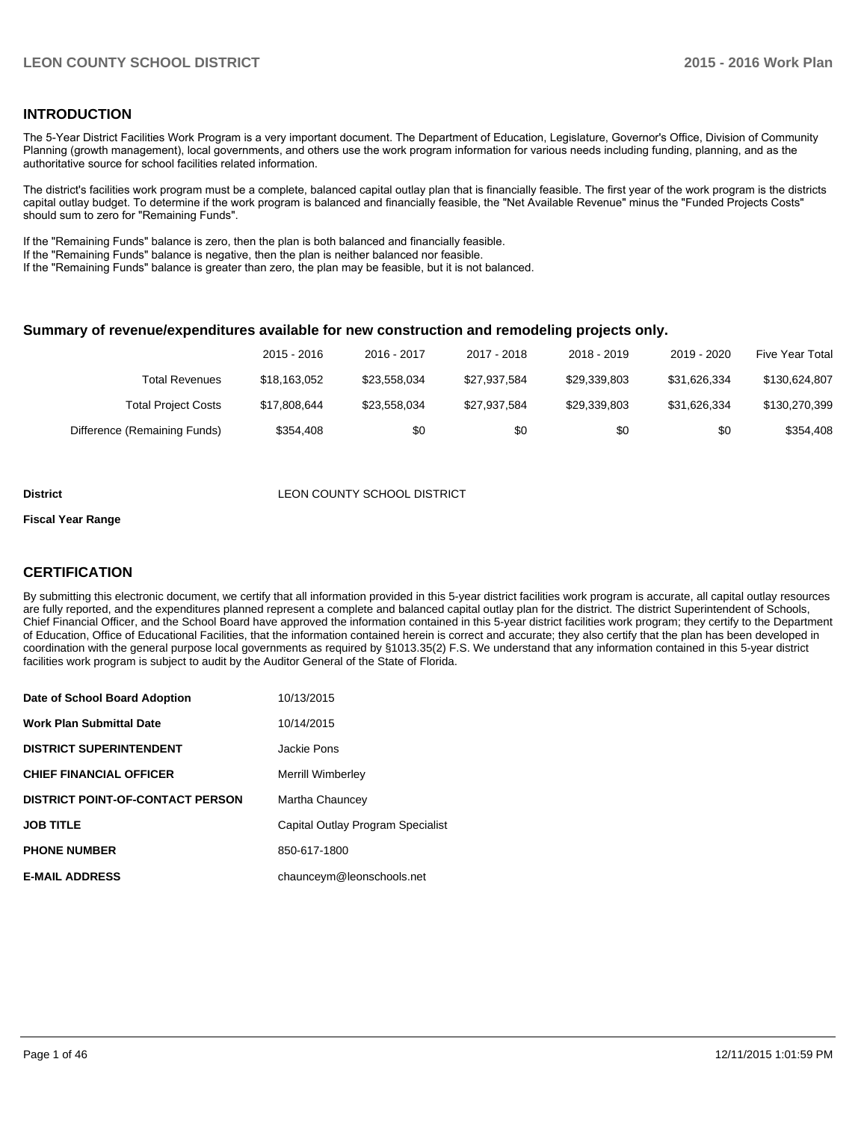#### **INTRODUCTION**

The 5-Year District Facilities Work Program is a very important document. The Department of Education, Legislature, Governor's Office, Division of Community Planning (growth management), local governments, and others use the work program information for various needs including funding, planning, and as the authoritative source for school facilities related information.

The district's facilities work program must be a complete, balanced capital outlay plan that is financially feasible. The first year of the work program is the districts capital outlay budget. To determine if the work program is balanced and financially feasible, the "Net Available Revenue" minus the "Funded Projects Costs" should sum to zero for "Remaining Funds".

If the "Remaining Funds" balance is zero, then the plan is both balanced and financially feasible.

If the "Remaining Funds" balance is negative, then the plan is neither balanced nor feasible.

If the "Remaining Funds" balance is greater than zero, the plan may be feasible, but it is not balanced.

#### **Summary of revenue/expenditures available for new construction and remodeling projects only.**

|                              | 2015 - 2016  | 2016 - 2017  | 2017 - 2018  | 2018 - 2019  | 2019 - 2020  | Five Year Total |
|------------------------------|--------------|--------------|--------------|--------------|--------------|-----------------|
| Total Revenues               | \$18.163.052 | \$23.558.034 | \$27.937.584 | \$29,339,803 | \$31.626.334 | \$130,624,807   |
| <b>Total Project Costs</b>   | \$17,808,644 | \$23.558.034 | \$27.937.584 | \$29,339,803 | \$31.626.334 | \$130,270,399   |
| Difference (Remaining Funds) | \$354.408    | \$0          | \$0          | \$0          | \$0          | \$354.408       |

#### **District District LEON COUNTY SCHOOL DISTRICT**

#### **Fiscal Year Range**

### **CERTIFICATION**

By submitting this electronic document, we certify that all information provided in this 5-year district facilities work program is accurate, all capital outlay resources are fully reported, and the expenditures planned represent a complete and balanced capital outlay plan for the district. The district Superintendent of Schools, Chief Financial Officer, and the School Board have approved the information contained in this 5-year district facilities work program; they certify to the Department of Education, Office of Educational Facilities, that the information contained herein is correct and accurate; they also certify that the plan has been developed in coordination with the general purpose local governments as required by §1013.35(2) F.S. We understand that any information contained in this 5-year district facilities work program is subject to audit by the Auditor General of the State of Florida.

| Date of School Board Adoption           | 10/13/2015                        |
|-----------------------------------------|-----------------------------------|
| <b>Work Plan Submittal Date</b>         | 10/14/2015                        |
| <b>DISTRICT SUPERINTENDENT</b>          | Jackie Pons                       |
| <b>CHIEF FINANCIAL OFFICER</b>          | Merrill Wimberlev                 |
| <b>DISTRICT POINT-OF-CONTACT PERSON</b> | Martha Chauncey                   |
| <b>JOB TITLE</b>                        | Capital Outlay Program Specialist |
| <b>PHONE NUMBER</b>                     | 850-617-1800                      |
| <b>E-MAIL ADDRESS</b>                   | chaunceym@leonschools.net         |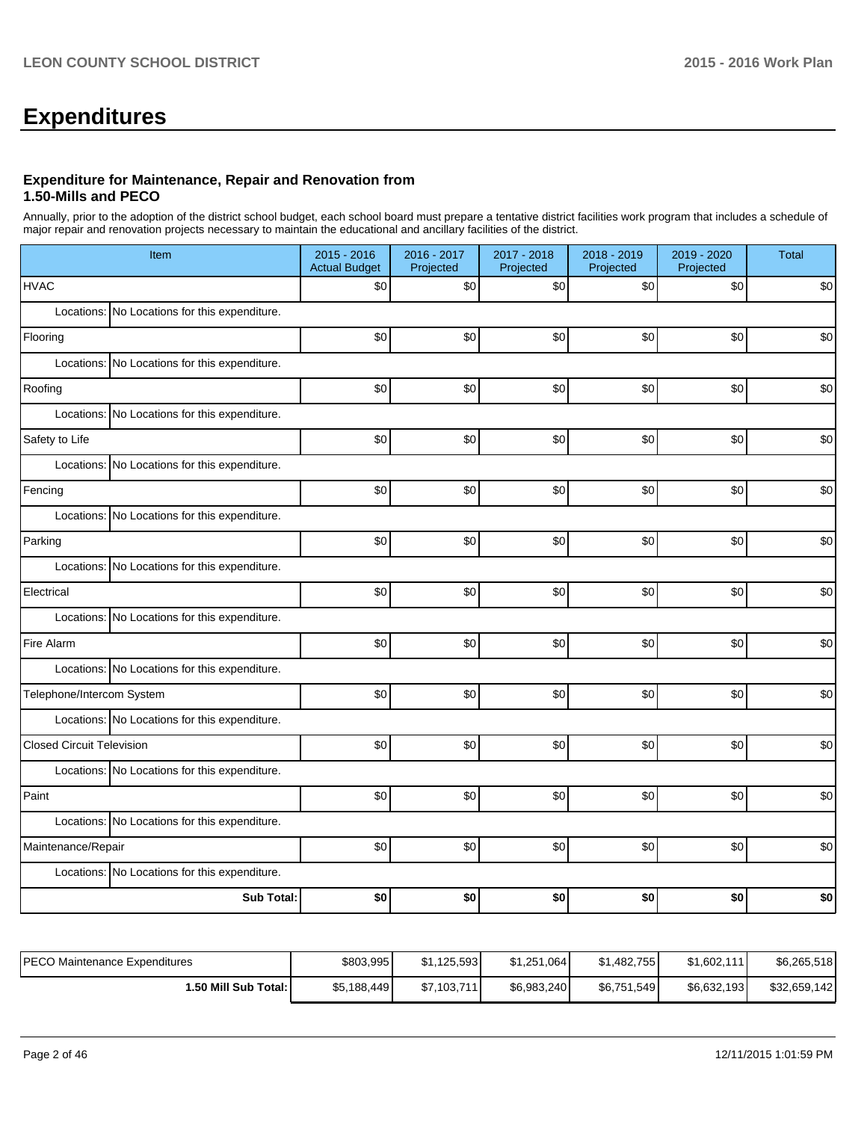# **Expenditures**

#### **Expenditure for Maintenance, Repair and Renovation from 1.50-Mills and PECO**

Annually, prior to the adoption of the district school budget, each school board must prepare a tentative district facilities work program that includes a schedule of major repair and renovation projects necessary to maintain the educational and ancillary facilities of the district.

| Item                                          | $2015 - 2016$<br><b>Actual Budget</b> | 2016 - 2017<br>Projected | 2017 - 2018<br>Projected | 2018 - 2019<br>Projected | 2019 - 2020<br>Projected | <b>Total</b> |
|-----------------------------------------------|---------------------------------------|--------------------------|--------------------------|--------------------------|--------------------------|--------------|
| <b>HVAC</b>                                   | \$0                                   | \$0                      | \$0                      | \$0                      | \$0                      | \$0          |
| Locations: No Locations for this expenditure. |                                       |                          |                          |                          |                          |              |
| Flooring                                      | \$0                                   | \$0                      | \$0                      | \$0                      | \$0                      | \$0          |
| Locations: No Locations for this expenditure. |                                       |                          |                          |                          |                          |              |
| Roofing                                       | \$0                                   | \$0                      | \$0                      | \$0                      | \$0                      | \$0          |
| Locations: No Locations for this expenditure. |                                       |                          |                          |                          |                          |              |
| Safety to Life                                | \$0                                   | \$0                      | \$0                      | \$0                      | \$0                      | \$0          |
| Locations: No Locations for this expenditure. |                                       |                          |                          |                          |                          |              |
| Fencing                                       | \$0                                   | \$0                      | \$0                      | \$0                      | \$0                      | \$0          |
| Locations: No Locations for this expenditure. |                                       |                          |                          |                          |                          |              |
| Parking                                       | \$0                                   | \$0                      | \$0                      | \$0                      | \$0                      | \$0          |
| Locations: No Locations for this expenditure. |                                       |                          |                          |                          |                          |              |
| Electrical                                    | \$0                                   | \$0                      | \$0                      | \$0                      | \$0                      | \$0          |
| Locations: No Locations for this expenditure. |                                       |                          |                          |                          |                          |              |
| Fire Alarm                                    | \$0                                   | \$0                      | \$0                      | \$0                      | \$0                      | \$0          |
| Locations: No Locations for this expenditure. |                                       |                          |                          |                          |                          |              |
| Telephone/Intercom System                     | \$0                                   | \$0                      | \$0                      | \$0                      | \$0                      | \$0          |
| Locations: No Locations for this expenditure. |                                       |                          |                          |                          |                          |              |
| <b>Closed Circuit Television</b>              | \$0                                   | \$0                      | \$0                      | \$0                      | \$0                      | \$0          |
| Locations: No Locations for this expenditure. |                                       |                          |                          |                          |                          |              |
| Paint                                         | \$0                                   | \$0                      | \$0                      | \$0                      | \$0                      | \$0          |
| Locations: No Locations for this expenditure. |                                       |                          |                          |                          |                          |              |
| Maintenance/Repair                            | \$0                                   | \$0                      | \$0                      | \$0                      | \$0                      | \$0          |
| Locations: No Locations for this expenditure. |                                       |                          |                          |                          |                          |              |
| <b>Sub Total:</b>                             | \$0                                   | \$0                      | \$0                      | \$0                      | \$0                      | \$0          |

| IPECO Maintenance Expenditures | \$803,995   | \$1.125.593 | \$1,251,064 | \$1,482,755 | \$1,602,111  | \$6,265,518  |
|--------------------------------|-------------|-------------|-------------|-------------|--------------|--------------|
| l.50 Mill Sub Total: I         | \$5,188,449 | \$7,103,711 | \$6,983,240 | \$6,751,549 | \$6,632,193] | \$32,659,142 |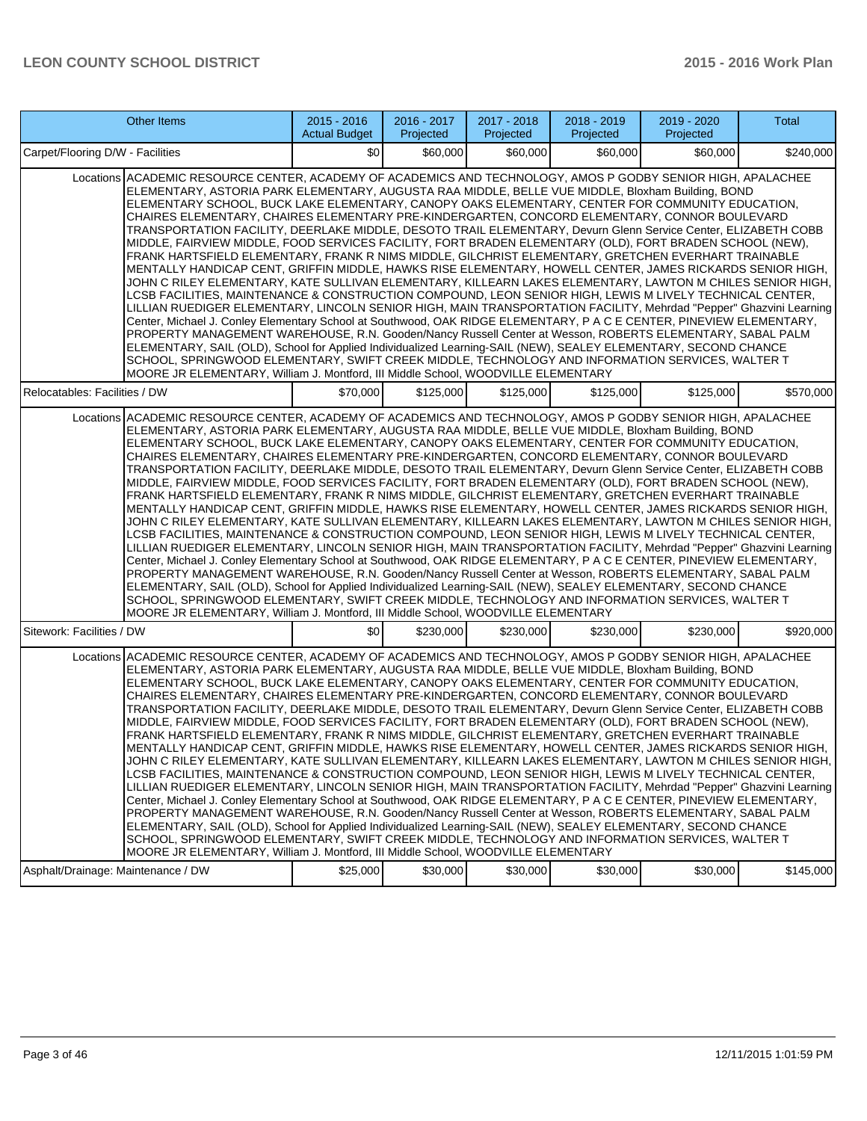| <b>Other Items</b>                                                                                                                                                                                                                                                                                                                                                                                                                                                                                                                                                                                                                                                                                                                                                                                                                                                                                                                                                                                                                                                                                                                                                                                                                                                                                                                                                                                                                                                                                                                                                                                                                                                                                                                                                        |  | $2015 - 2016$<br><b>Actual Budget</b>                                             | 2016 - 2017<br>Projected | 2017 - 2018<br>Projected | 2018 - 2019<br>Projected | 2019 - 2020<br>Projected                                                                                                                                                                                                                                                                                                                                                                                                                                                                                                                                                                                                                                                                                                                                                                                                                                                                                                                                                                                                                                                                                                                                                                                                                                                                                                                                                                                                                       | <b>Total</b>                                                                                                       |
|---------------------------------------------------------------------------------------------------------------------------------------------------------------------------------------------------------------------------------------------------------------------------------------------------------------------------------------------------------------------------------------------------------------------------------------------------------------------------------------------------------------------------------------------------------------------------------------------------------------------------------------------------------------------------------------------------------------------------------------------------------------------------------------------------------------------------------------------------------------------------------------------------------------------------------------------------------------------------------------------------------------------------------------------------------------------------------------------------------------------------------------------------------------------------------------------------------------------------------------------------------------------------------------------------------------------------------------------------------------------------------------------------------------------------------------------------------------------------------------------------------------------------------------------------------------------------------------------------------------------------------------------------------------------------------------------------------------------------------------------------------------------------|--|-----------------------------------------------------------------------------------|--------------------------|--------------------------|--------------------------|------------------------------------------------------------------------------------------------------------------------------------------------------------------------------------------------------------------------------------------------------------------------------------------------------------------------------------------------------------------------------------------------------------------------------------------------------------------------------------------------------------------------------------------------------------------------------------------------------------------------------------------------------------------------------------------------------------------------------------------------------------------------------------------------------------------------------------------------------------------------------------------------------------------------------------------------------------------------------------------------------------------------------------------------------------------------------------------------------------------------------------------------------------------------------------------------------------------------------------------------------------------------------------------------------------------------------------------------------------------------------------------------------------------------------------------------|--------------------------------------------------------------------------------------------------------------------|
| Carpet/Flooring D/W - Facilities                                                                                                                                                                                                                                                                                                                                                                                                                                                                                                                                                                                                                                                                                                                                                                                                                                                                                                                                                                                                                                                                                                                                                                                                                                                                                                                                                                                                                                                                                                                                                                                                                                                                                                                                          |  | \$0                                                                               | \$60,000                 | \$60,000                 | \$60,000                 | \$60,000                                                                                                                                                                                                                                                                                                                                                                                                                                                                                                                                                                                                                                                                                                                                                                                                                                                                                                                                                                                                                                                                                                                                                                                                                                                                                                                                                                                                                                       | \$240,000                                                                                                          |
| Locations ACADEMIC RESOURCE CENTER, ACADEMY OF ACADEMICS AND TECHNOLOGY, AMOS P GODBY SENIOR HIGH, APALACHEE<br>ELEMENTARY, ASTORIA PARK ELEMENTARY, AUGUSTA RAA MIDDLE, BELLE VUE MIDDLE, Bloxham Building, BOND<br>ELEMENTARY SCHOOL, BUCK LAKE ELEMENTARY, CANOPY OAKS ELEMENTARY, CENTER FOR COMMUNITY EDUCATION,<br>CHAIRES ELEMENTARY, CHAIRES ELEMENTARY PRE-KINDERGARTEN, CONCORD ELEMENTARY, CONNOR BOULEVARD<br>TRANSPORTATION FACILITY, DEERLAKE MIDDLE, DESOTO TRAIL ELEMENTARY, Devurn Glenn Service Center, ELIZABETH COBB<br>MIDDLE, FAIRVIEW MIDDLE, FOOD SERVICES FACILITY, FORT BRADEN ELEMENTARY (OLD), FORT BRADEN SCHOOL (NEW),<br>FRANK HARTSFIELD ELEMENTARY. FRANK R NIMS MIDDLE, GILCHRIST ELEMENTARY. GRETCHEN EVERHART TRAINABLE<br>MENTALLY HANDICAP CENT, GRIFFIN MIDDLE, HAWKS RISE ELEMENTARY, HOWELL CENTER, JAMES RICKARDS SENIOR HIGH,<br>JOHN C RILEY ELEMENTARY, KATE SULLIVAN ELEMENTARY, KILLEARN LAKES ELEMENTARY, LAWTON M CHILES SENIOR HIGH,<br>LCSB FACILITIES, MAINTENANCE & CONSTRUCTION COMPOUND, LEON SENIOR HIGH, LEWIS M LIVELY TECHNICAL CENTER,<br>LILLIAN RUEDIGER ELEMENTARY, LINCOLN SENIOR HIGH, MAIN TRANSPORTATION FACILITY, Mehrdad "Pepper" Ghazvini Learning<br>Center, Michael J. Conley Elementary School at Southwood, OAK RIDGE ELEMENTARY, P A C E CENTER, PINEVIEW ELEMENTARY,<br>PROPERTY MANAGEMENT WAREHOUSE, R.N. Gooden/Nancy Russell Center at Wesson, ROBERTS ELEMENTARY, SABAL PALM<br>ELEMENTARY, SAIL (OLD), School for Applied Individualized Learning-SAIL (NEW), SEALEY ELEMENTARY, SECOND CHANCE<br>SCHOOL, SPRINGWOOD ELEMENTARY, SWIFT CREEK MIDDLE, TECHNOLOGY AND INFORMATION SERVICES, WALTER T<br>MOORE JR ELEMENTARY, William J. Montford, III Middle School, WOODVILLE ELEMENTARY |  |                                                                                   |                          |                          |                          |                                                                                                                                                                                                                                                                                                                                                                                                                                                                                                                                                                                                                                                                                                                                                                                                                                                                                                                                                                                                                                                                                                                                                                                                                                                                                                                                                                                                                                                |                                                                                                                    |
| Relocatables: Facilities / DW                                                                                                                                                                                                                                                                                                                                                                                                                                                                                                                                                                                                                                                                                                                                                                                                                                                                                                                                                                                                                                                                                                                                                                                                                                                                                                                                                                                                                                                                                                                                                                                                                                                                                                                                             |  | \$70,000                                                                          | \$125,000                | \$125,000                | \$125,000                | \$125,000                                                                                                                                                                                                                                                                                                                                                                                                                                                                                                                                                                                                                                                                                                                                                                                                                                                                                                                                                                                                                                                                                                                                                                                                                                                                                                                                                                                                                                      | \$570,000                                                                                                          |
| Locations ACADEMIC RESOURCE CENTER, ACADEMY OF ACADEMICS AND TECHNOLOGY, AMOS P GODBY SENIOR HIGH, APALACHEE                                                                                                                                                                                                                                                                                                                                                                                                                                                                                                                                                                                                                                                                                                                                                                                                                                                                                                                                                                                                                                                                                                                                                                                                                                                                                                                                                                                                                                                                                                                                                                                                                                                              |  | MOORE JR ELEMENTARY, William J. Montford, III Middle School, WOODVILLE ELEMENTARY |                          |                          |                          | ELEMENTARY, ASTORIA PARK ELEMENTARY, AUGUSTA RAA MIDDLE, BELLE VUE MIDDLE, Bloxham Building, BOND<br>ELEMENTARY SCHOOL, BUCK LAKE ELEMENTARY, CANOPY OAKS ELEMENTARY, CENTER FOR COMMUNITY EDUCATION,<br>CHAIRES ELEMENTARY, CHAIRES ELEMENTARY PRE-KINDERGARTEN, CONCORD ELEMENTARY, CONNOR BOULEVARD<br>TRANSPORTATION FACILITY, DEERLAKE MIDDLE, DESOTO TRAIL ELEMENTARY, Devurn Glenn Service Center, ELIZABETH COBB<br>MIDDLE, FAIRVIEW MIDDLE, FOOD SERVICES FACILITY, FORT BRADEN ELEMENTARY (OLD), FORT BRADEN SCHOOL (NEW),<br>FRANK HARTSFIELD ELEMENTARY, FRANK R NIMS MIDDLE, GILCHRIST ELEMENTARY, GRETCHEN EVERHART TRAINABLE<br>MENTALLY HANDICAP CENT, GRIFFIN MIDDLE, HAWKS RISE ELEMENTARY, HOWELL CENTER, JAMES RICKARDS SENIOR HIGH,<br>JOHN C RILEY ELEMENTARY, KATE SULLIVAN ELEMENTARY, KILLEARN LAKES ELEMENTARY, LAWTON M CHILES SENIOR HIGH,<br>LCSB FACILITIES, MAINTENANCE & CONSTRUCTION COMPOUND, LEON SENIOR HIGH, LEWIS M LIVELY TECHNICAL CENTER,<br>Center, Michael J. Conley Elementary School at Southwood, OAK RIDGE ELEMENTARY, P A C E CENTER, PINEVIEW ELEMENTARY,<br>PROPERTY MANAGEMENT WAREHOUSE, R.N. Gooden/Nancy Russell Center at Wesson, ROBERTS ELEMENTARY, SABAL PALM<br>ELEMENTARY, SAIL (OLD), School for Applied Individualized Learning-SAIL (NEW), SEALEY ELEMENTARY, SECOND CHANCE<br>SCHOOL, SPRINGWOOD ELEMENTARY, SWIFT CREEK MIDDLE, TECHNOLOGY AND INFORMATION SERVICES, WALTER T | LILLIAN RUEDIGER ELEMENTARY, LINCOLN SENIOR HIGH, MAIN TRANSPORTATION FACILITY, Mehrdad "Pepper" Ghazvini Learning |
| Sitework: Facilities / DW                                                                                                                                                                                                                                                                                                                                                                                                                                                                                                                                                                                                                                                                                                                                                                                                                                                                                                                                                                                                                                                                                                                                                                                                                                                                                                                                                                                                                                                                                                                                                                                                                                                                                                                                                 |  | \$0                                                                               | \$230,000                | \$230,000                | \$230,000                | \$230,000                                                                                                                                                                                                                                                                                                                                                                                                                                                                                                                                                                                                                                                                                                                                                                                                                                                                                                                                                                                                                                                                                                                                                                                                                                                                                                                                                                                                                                      | \$920,000                                                                                                          |
| Locations ACADEMIC RESOURCE CENTER, ACADEMY OF ACADEMICS AND TECHNOLOGY, AMOS P GODBY SENIOR HIGH, APALACHEE                                                                                                                                                                                                                                                                                                                                                                                                                                                                                                                                                                                                                                                                                                                                                                                                                                                                                                                                                                                                                                                                                                                                                                                                                                                                                                                                                                                                                                                                                                                                                                                                                                                              |  | MOORE JR ELEMENTARY, William J. Montford, III Middle School, WOODVILLE ELEMENTARY |                          |                          |                          | ELEMENTARY, ASTORIA PARK ELEMENTARY, AUGUSTA RAA MIDDLE, BELLE VUE MIDDLE, Bloxham Building, BOND<br>ELEMENTARY SCHOOL, BUCK LAKE ELEMENTARY, CANOPY OAKS ELEMENTARY, CENTER FOR COMMUNITY EDUCATION,<br>CHAIRES ELEMENTARY, CHAIRES ELEMENTARY PRE-KINDERGARTEN, CONCORD ELEMENTARY, CONNOR BOULEVARD<br>TRANSPORTATION FACILITY, DEERLAKE MIDDLE, DESOTO TRAIL ELEMENTARY, Devurn Glenn Service Center, ELIZABETH COBB<br>MIDDLE, FAIRVIEW MIDDLE, FOOD SERVICES FACILITY, FORT BRADEN ELEMENTARY (OLD), FORT BRADEN SCHOOL (NEW),<br>FRANK HARTSFIELD ELEMENTARY, FRANK R NIMS MIDDLE, GILCHRIST ELEMENTARY, GRETCHEN EVERHART TRAINABLE<br>MENTALLY HANDICAP CENT, GRIFFIN MIDDLE, HAWKS RISE ELEMENTARY, HOWELL CENTER, JAMES RICKARDS SENIOR HIGH,<br>JOHN C RILEY ELEMENTARY, KATE SULLIVAN ELEMENTARY, KILLEARN LAKES ELEMENTARY, LAWTON M CHILES SENIOR HIGH,<br>LCSB FACILITIES. MAINTENANCE & CONSTRUCTION COMPOUND. LEON SENIOR HIGH. LEWIS M LIVELY TECHNICAL CENTER.<br>Center, Michael J. Conley Elementary School at Southwood, OAK RIDGE ELEMENTARY, P A C E CENTER, PINEVIEW ELEMENTARY,<br>PROPERTY MANAGEMENT WAREHOUSE, R.N. Gooden/Nancy Russell Center at Wesson, ROBERTS ELEMENTARY, SABAL PALM<br>ELEMENTARY, SAIL (OLD), School for Applied Individualized Learning-SAIL (NEW), SEALEY ELEMENTARY, SECOND CHANCE<br>SCHOOL, SPRINGWOOD ELEMENTARY, SWIFT CREEK MIDDLE, TECHNOLOGY AND INFORMATION SERVICES, WALTER T | LILLIAN RUEDIGER ELEMENTARY, LINCOLN SENIOR HIGH, MAIN TRANSPORTATION FACILITY, Mehrdad "Pepper" Ghazvini Learning |
| Asphalt/Drainage: Maintenance / DW                                                                                                                                                                                                                                                                                                                                                                                                                                                                                                                                                                                                                                                                                                                                                                                                                                                                                                                                                                                                                                                                                                                                                                                                                                                                                                                                                                                                                                                                                                                                                                                                                                                                                                                                        |  | \$25,000                                                                          | \$30,000                 | \$30,000                 | \$30,000                 | \$30,000                                                                                                                                                                                                                                                                                                                                                                                                                                                                                                                                                                                                                                                                                                                                                                                                                                                                                                                                                                                                                                                                                                                                                                                                                                                                                                                                                                                                                                       | \$145,000                                                                                                          |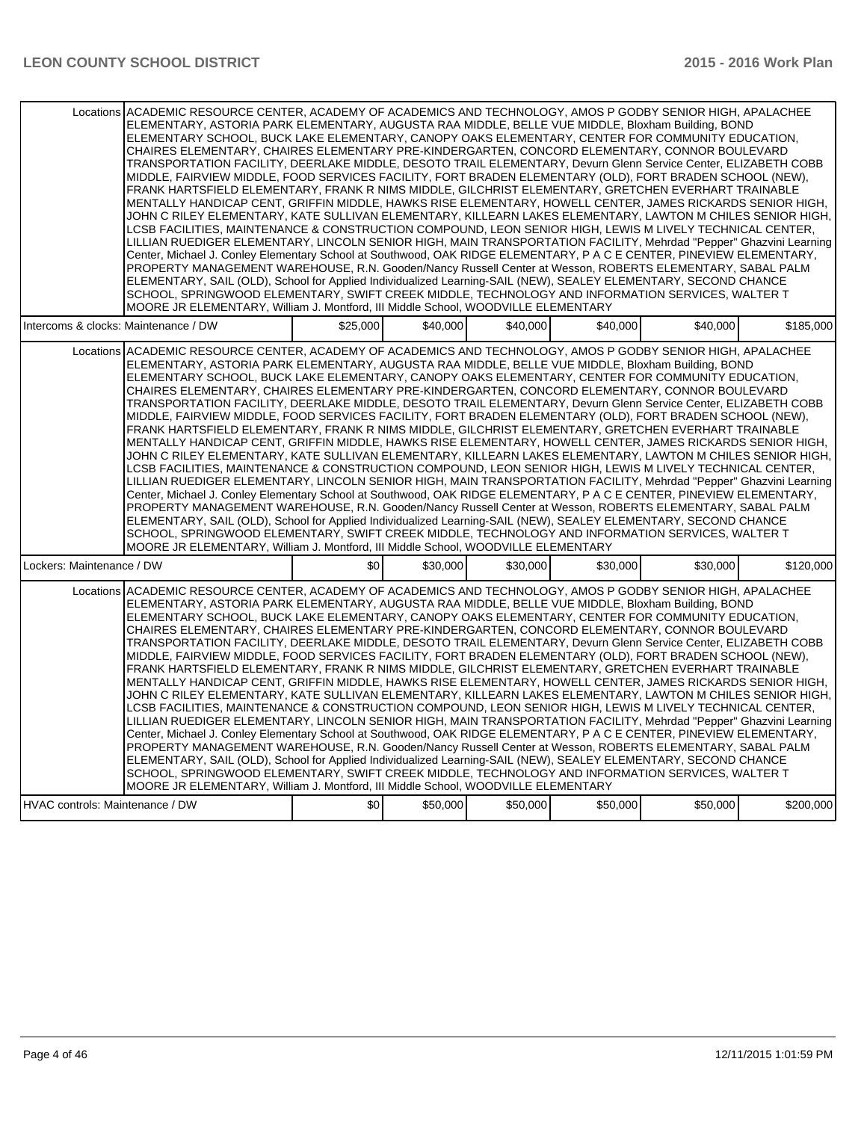| Locations ACADEMIC RESOURCE CENTER, ACADEMY OF ACADEMICS AND TECHNOLOGY, AMOS P GODBY SENIOR HIGH, APALACHEE<br>ELEMENTARY, ASTORIA PARK ELEMENTARY, AUGUSTA RAA MIDDLE, BELLE VUE MIDDLE, Bloxham Building, BOND<br>ELEMENTARY SCHOOL, BUCK LAKE ELEMENTARY, CANOPY OAKS ELEMENTARY, CENTER FOR COMMUNITY EDUCATION,<br>CHAIRES ELEMENTARY, CHAIRES ELEMENTARY PRE-KINDERGARTEN, CONCORD ELEMENTARY, CONNOR BOULEVARD<br>TRANSPORTATION FACILITY, DEERLAKE MIDDLE, DESOTO TRAIL ELEMENTARY, Devurn Glenn Service Center, ELIZABETH COBB<br>MIDDLE, FAIRVIEW MIDDLE, FOOD SERVICES FACILITY, FORT BRADEN ELEMENTARY (OLD), FORT BRADEN SCHOOL (NEW),<br>FRANK HARTSFIELD ELEMENTARY, FRANK R NIMS MIDDLE, GILCHRIST ELEMENTARY, GRETCHEN EVERHART TRAINABLE<br>MENTALLY HANDICAP CENT, GRIFFIN MIDDLE, HAWKS RISE ELEMENTARY, HOWELL CENTER, JAMES RICKARDS SENIOR HIGH,<br>JOHN C RILEY ELEMENTARY, KATE SULLIVAN ELEMENTARY, KILLEARN LAKES ELEMENTARY, LAWTON M CHILES SENIOR HIGH,<br>LCSB FACILITIES, MAINTENANCE & CONSTRUCTION COMPOUND, LEON SENIOR HIGH, LEWIS M LIVELY TECHNICAL CENTER,<br>LILLIAN RUEDIGER ELEMENTARY, LINCOLN SENIOR HIGH, MAIN TRANSPORTATION FACILITY, Mehrdad "Pepper" Ghazvini Learning<br>Center, Michael J. Conley Elementary School at Southwood, OAK RIDGE ELEMENTARY, P A C E CENTER, PINEVIEW ELEMENTARY,<br>PROPERTY MANAGEMENT WAREHOUSE, R.N. Gooden/Nancy Russell Center at Wesson, ROBERTS ELEMENTARY, SABAL PALM<br>ELEMENTARY, SAIL (OLD), School for Applied Individualized Learning-SAIL (NEW), SEALEY ELEMENTARY, SECOND CHANCE<br>SCHOOL, SPRINGWOOD ELEMENTARY, SWIFT CREEK MIDDLE, TECHNOLOGY AND INFORMATION SERVICES, WALTER T<br>MOORE JR ELEMENTARY, William J. Montford, III Middle School, WOODVILLE ELEMENTARY |          |          |          |          |          |           |
|---------------------------------------------------------------------------------------------------------------------------------------------------------------------------------------------------------------------------------------------------------------------------------------------------------------------------------------------------------------------------------------------------------------------------------------------------------------------------------------------------------------------------------------------------------------------------------------------------------------------------------------------------------------------------------------------------------------------------------------------------------------------------------------------------------------------------------------------------------------------------------------------------------------------------------------------------------------------------------------------------------------------------------------------------------------------------------------------------------------------------------------------------------------------------------------------------------------------------------------------------------------------------------------------------------------------------------------------------------------------------------------------------------------------------------------------------------------------------------------------------------------------------------------------------------------------------------------------------------------------------------------------------------------------------------------------------------------------------------------------------------------------------|----------|----------|----------|----------|----------|-----------|
| Intercoms & clocks: Maintenance / DW                                                                                                                                                                                                                                                                                                                                                                                                                                                                                                                                                                                                                                                                                                                                                                                                                                                                                                                                                                                                                                                                                                                                                                                                                                                                                                                                                                                                                                                                                                                                                                                                                                                                                                                                      | \$25,000 | \$40,000 | \$40,000 | \$40,000 | \$40,000 | \$185,000 |
| Locations ACADEMIC RESOURCE CENTER, ACADEMY OF ACADEMICS AND TECHNOLOGY, AMOS P GODBY SENIOR HIGH, APALACHEE<br>ELEMENTARY, ASTORIA PARK ELEMENTARY, AUGUSTA RAA MIDDLE, BELLE VUE MIDDLE, Bloxham Building, BOND<br>ELEMENTARY SCHOOL, BUCK LAKE ELEMENTARY, CANOPY OAKS ELEMENTARY, CENTER FOR COMMUNITY EDUCATION,<br>CHAIRES ELEMENTARY, CHAIRES ELEMENTARY PRE-KINDERGARTEN, CONCORD ELEMENTARY, CONNOR BOULEVARD<br>TRANSPORTATION FACILITY, DEERLAKE MIDDLE, DESOTO TRAIL ELEMENTARY, Devurn Glenn Service Center, ELIZABETH COBB<br>MIDDLE, FAIRVIEW MIDDLE, FOOD SERVICES FACILITY, FORT BRADEN ELEMENTARY (OLD), FORT BRADEN SCHOOL (NEW),<br>FRANK HARTSFIELD ELEMENTARY, FRANK R NIMS MIDDLE, GILCHRIST ELEMENTARY, GRETCHEN EVERHART TRAINABLE<br>MENTALLY HANDICAP CENT, GRIFFIN MIDDLE, HAWKS RISE ELEMENTARY, HOWELL CENTER, JAMES RICKARDS SENIOR HIGH,<br>JOHN C RILEY ELEMENTARY, KATE SULLIVAN ELEMENTARY, KILLEARN LAKES ELEMENTARY, LAWTON M CHILES SENIOR HIGH,<br>LCSB FACILITIES, MAINTENANCE & CONSTRUCTION COMPOUND, LEON SENIOR HIGH, LEWIS M LIVELY TECHNICAL CENTER,<br>LILLIAN RUEDIGER ELEMENTARY, LINCOLN SENIOR HIGH, MAIN TRANSPORTATION FACILITY, Mehrdad "Pepper" Ghazvini Learning<br>Center, Michael J. Conley Elementary School at Southwood, OAK RIDGE ELEMENTARY, P A C E CENTER, PINEVIEW ELEMENTARY,<br>PROPERTY MANAGEMENT WAREHOUSE, R.N. Gooden/Nancy Russell Center at Wesson, ROBERTS ELEMENTARY, SABAL PALM<br>ELEMENTARY, SAIL (OLD), School for Applied Individualized Learning-SAIL (NEW), SEALEY ELEMENTARY, SECOND CHANCE<br>SCHOOL, SPRINGWOOD ELEMENTARY, SWIFT CREEK MIDDLE. TECHNOLOGY AND INFORMATION SERVICES, WALTER T<br>MOORE JR ELEMENTARY, William J. Montford, III Middle School, WOODVILLE ELEMENTARY |          |          |          |          |          |           |
| Lockers: Maintenance / DW                                                                                                                                                                                                                                                                                                                                                                                                                                                                                                                                                                                                                                                                                                                                                                                                                                                                                                                                                                                                                                                                                                                                                                                                                                                                                                                                                                                                                                                                                                                                                                                                                                                                                                                                                 | \$0      | \$30,000 | \$30,000 | \$30,000 | \$30,000 | \$120,000 |
| Locations ACADEMIC RESOURCE CENTER, ACADEMY OF ACADEMICS AND TECHNOLOGY, AMOS P GODBY SENIOR HIGH, APALACHEE<br>ELEMENTARY, ASTORIA PARK ELEMENTARY, AUGUSTA RAA MIDDLE, BELLE VUE MIDDLE, Bloxham Building, BOND<br>ELEMENTARY SCHOOL, BUCK LAKE ELEMENTARY, CANOPY OAKS ELEMENTARY, CENTER FOR COMMUNITY EDUCATION,<br>CHAIRES ELEMENTARY, CHAIRES ELEMENTARY PRE-KINDERGARTEN, CONCORD ELEMENTARY, CONNOR BOULEVARD<br>TRANSPORTATION FACILITY, DEERLAKE MIDDLE, DESOTO TRAIL ELEMENTARY, Devurn Glenn Service Center, ELIZABETH COBB<br>MIDDLE, FAIRVIEW MIDDLE, FOOD SERVICES FACILITY, FORT BRADEN ELEMENTARY (OLD), FORT BRADEN SCHOOL (NEW),<br>FRANK HARTSFIELD ELEMENTARY. FRANK R NIMS MIDDLE, GILCHRIST ELEMENTARY, GRETCHEN EVERHART TRAINABLE<br>MENTALLY HANDICAP CENT, GRIFFIN MIDDLE, HAWKS RISE ELEMENTARY, HOWELL CENTER, JAMES RICKARDS SENIOR HIGH,<br>JOHN C RILEY ELEMENTARY. KATE SULLIVAN ELEMENTARY. KILLEARN LAKES ELEMENTARY. LAWTON M CHILES SENIOR HIGH.<br>LCSB FACILITIES, MAINTENANCE & CONSTRUCTION COMPOUND, LEON SENIOR HIGH, LEWIS M LIVELY TECHNICAL CENTER,<br>LILLIAN RUEDIGER ELEMENTARY, LINCOLN SENIOR HIGH, MAIN TRANSPORTATION FACILITY, Mehrdad "Pepper" Ghazvini Learning<br>Center, Michael J. Conley Elementary School at Southwood, OAK RIDGE ELEMENTARY, P A C E CENTER, PINEVIEW ELEMENTARY,<br>PROPERTY MANAGEMENT WAREHOUSE, R.N. Gooden/Nancy Russell Center at Wesson, ROBERTS ELEMENTARY, SABAL PALM<br>ELEMENTARY, SAIL (OLD), School for Applied Individualized Learning-SAIL (NEW), SEALEY ELEMENTARY, SECOND CHANCE<br>SCHOOL, SPRINGWOOD ELEMENTARY, SWIFT CREEK MIDDLE, TECHNOLOGY AND INFORMATION SERVICES, WALTER T<br>MOORE JR ELEMENTARY, William J. Montford, III Middle School, WOODVILLE ELEMENTARY |          |          |          |          |          |           |
| HVAC controls: Maintenance / DW                                                                                                                                                                                                                                                                                                                                                                                                                                                                                                                                                                                                                                                                                                                                                                                                                                                                                                                                                                                                                                                                                                                                                                                                                                                                                                                                                                                                                                                                                                                                                                                                                                                                                                                                           | \$0      | \$50,000 | \$50,000 | \$50,000 | \$50,000 | \$200,000 |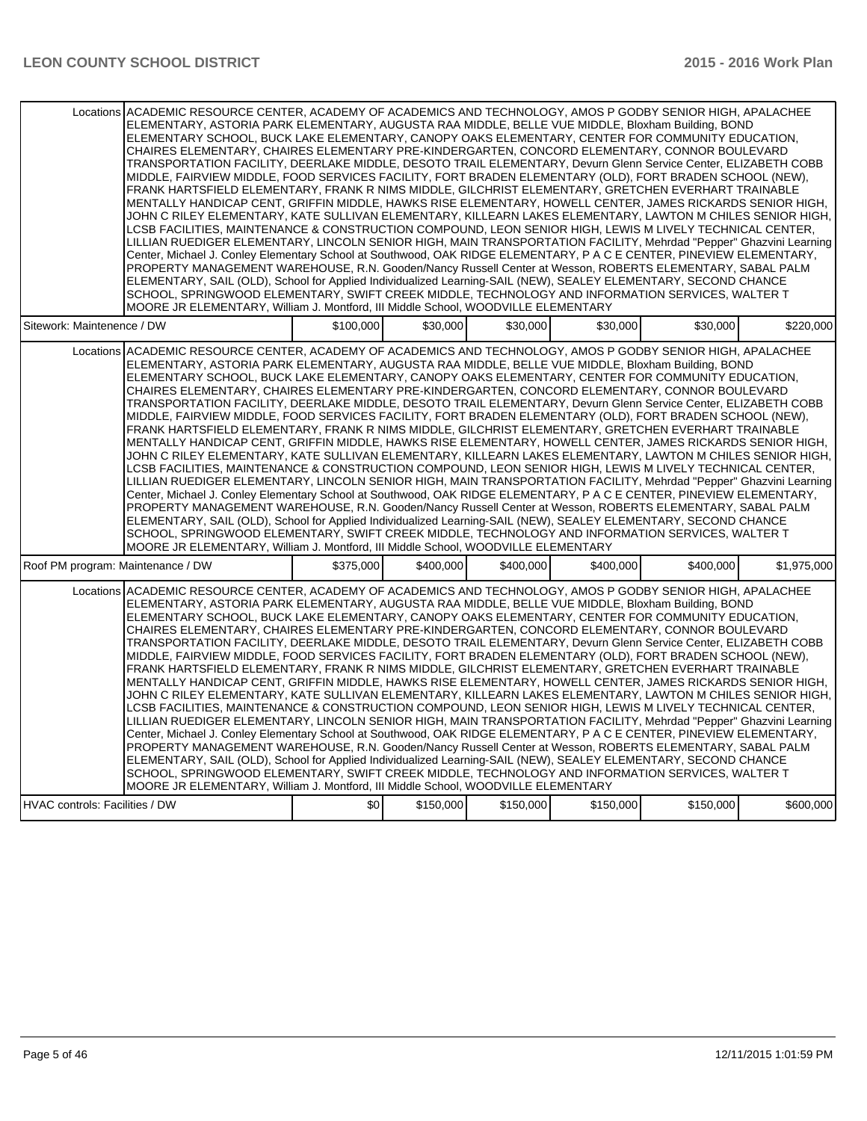| Locations ACADEMIC RESOURCE CENTER, ACADEMY OF ACADEMICS AND TECHNOLOGY, AMOS P GODBY SENIOR HIGH, APALACHEE |                                                                                   |           |           |           | ELEMENTARY, ASTORIA PARK ELEMENTARY, AUGUSTA RAA MIDDLE, BELLE VUE MIDDLE, Bloxham Building, BOND<br>ELEMENTARY SCHOOL, BUCK LAKE ELEMENTARY, CANOPY OAKS ELEMENTARY, CENTER FOR COMMUNITY EDUCATION,<br>CHAIRES ELEMENTARY, CHAIRES ELEMENTARY PRE-KINDERGARTEN, CONCORD ELEMENTARY, CONNOR BOULEVARD<br>TRANSPORTATION FACILITY, DEERLAKE MIDDLE, DESOTO TRAIL ELEMENTARY, Devurn Glenn Service Center, ELIZABETH COBB<br>MIDDLE, FAIRVIEW MIDDLE, FOOD SERVICES FACILITY, FORT BRADEN ELEMENTARY (OLD), FORT BRADEN SCHOOL (NEW),<br>FRANK HARTSFIELD ELEMENTARY, FRANK R NIMS MIDDLE, GILCHRIST ELEMENTARY, GRETCHEN EVERHART TRAINABLE<br>MENTALLY HANDICAP CENT, GRIFFIN MIDDLE, HAWKS RISE ELEMENTARY, HOWELL CENTER, JAMES RICKARDS SENIOR HIGH,<br>JOHN C RILEY ELEMENTARY, KATE SULLIVAN ELEMENTARY, KILLEARN LAKES ELEMENTARY, LAWTON M CHILES SENIOR HIGH,<br>LCSB FACILITIES. MAINTENANCE & CONSTRUCTION COMPOUND. LEON SENIOR HIGH. LEWIS M LIVELY TECHNICAL CENTER.<br>LILLIAN RUEDIGER ELEMENTARY, LINCOLN SENIOR HIGH, MAIN TRANSPORTATION FACILITY, Mehrdad "Pepper" Ghazvini Learning<br>Center, Michael J. Conley Elementary School at Southwood, OAK RIDGE ELEMENTARY, P A C E CENTER, PINEVIEW ELEMENTARY,<br>PROPERTY MANAGEMENT WAREHOUSE, R.N. Gooden/Nancy Russell Center at Wesson, ROBERTS ELEMENTARY, SABAL PALM                                                                                                                                                                                                                        |             |
|--------------------------------------------------------------------------------------------------------------|-----------------------------------------------------------------------------------|-----------|-----------|-----------|----------------------------------------------------------------------------------------------------------------------------------------------------------------------------------------------------------------------------------------------------------------------------------------------------------------------------------------------------------------------------------------------------------------------------------------------------------------------------------------------------------------------------------------------------------------------------------------------------------------------------------------------------------------------------------------------------------------------------------------------------------------------------------------------------------------------------------------------------------------------------------------------------------------------------------------------------------------------------------------------------------------------------------------------------------------------------------------------------------------------------------------------------------------------------------------------------------------------------------------------------------------------------------------------------------------------------------------------------------------------------------------------------------------------------------------------------------------------------------------------------------------------------------------------------------------------|-------------|
|                                                                                                              | MOORE JR ELEMENTARY, William J. Montford, III Middle School, WOODVILLE ELEMENTARY |           |           |           | ELEMENTARY, SAIL (OLD), School for Applied Individualized Learning-SAIL (NEW), SEALEY ELEMENTARY, SECOND CHANCE<br>SCHOOL, SPRINGWOOD ELEMENTARY, SWIFT CREEK MIDDLE, TECHNOLOGY AND INFORMATION SERVICES, WALTER T                                                                                                                                                                                                                                                                                                                                                                                                                                                                                                                                                                                                                                                                                                                                                                                                                                                                                                                                                                                                                                                                                                                                                                                                                                                                                                                                                  |             |
| Sitework: Maintenence / DW                                                                                   | \$100,000                                                                         | \$30,000  | \$30.000  | \$30,000  | \$30.000                                                                                                                                                                                                                                                                                                                                                                                                                                                                                                                                                                                                                                                                                                                                                                                                                                                                                                                                                                                                                                                                                                                                                                                                                                                                                                                                                                                                                                                                                                                                                             | \$220,000   |
| Locations ACADEMIC RESOURCE CENTER, ACADEMY OF ACADEMICS AND TECHNOLOGY, AMOS P GODBY SENIOR HIGH, APALACHEE | MOORE JR ELEMENTARY, William J. Montford, III Middle School, WOODVILLE ELEMENTARY |           |           |           | ELEMENTARY, ASTORIA PARK ELEMENTARY, AUGUSTA RAA MIDDLE, BELLE VUE MIDDLE, Bloxham Building, BOND<br>ELEMENTARY SCHOOL, BUCK LAKE ELEMENTARY, CANOPY OAKS ELEMENTARY, CENTER FOR COMMUNITY EDUCATION,<br>CHAIRES ELEMENTARY, CHAIRES ELEMENTARY PRE-KINDERGARTEN, CONCORD ELEMENTARY, CONNOR BOULEVARD<br>TRANSPORTATION FACILITY, DEERLAKE MIDDLE, DESOTO TRAIL ELEMENTARY, Devurn Glenn Service Center, ELIZABETH COBB<br>MIDDLE, FAIRVIEW MIDDLE, FOOD SERVICES FACILITY, FORT BRADEN ELEMENTARY (OLD), FORT BRADEN SCHOOL (NEW),<br>FRANK HARTSFIELD ELEMENTARY, FRANK R NIMS MIDDLE, GILCHRIST ELEMENTARY, GRETCHEN EVERHART TRAINABLE<br>MENTALLY HANDICAP CENT, GRIFFIN MIDDLE, HAWKS RISE ELEMENTARY, HOWELL CENTER, JAMES RICKARDS SENIOR HIGH,<br>JOHN C RILEY ELEMENTARY, KATE SULLIVAN ELEMENTARY, KILLEARN LAKES ELEMENTARY, LAWTON M CHILES SENIOR HIGH,<br>LCSB FACILITIES, MAINTENANCE & CONSTRUCTION COMPOUND, LEON SENIOR HIGH, LEWIS M LIVELY TECHNICAL CENTER,<br>LILLIAN RUEDIGER ELEMENTARY, LINCOLN SENIOR HIGH, MAIN TRANSPORTATION FACILITY, Mehrdad "Pepper" Ghazvini Learning<br>Center, Michael J. Conley Elementary School at Southwood, OAK RIDGE ELEMENTARY, P A C E CENTER, PINEVIEW ELEMENTARY,<br>PROPERTY MANAGEMENT WAREHOUSE, R.N. Gooden/Nancy Russell Center at Wesson, ROBERTS ELEMENTARY, SABAL PALM<br>ELEMENTARY, SAIL (OLD), School for Applied Individualized Learning-SAIL (NEW), SEALEY ELEMENTARY, SECOND CHANCE<br>SCHOOL, SPRINGWOOD ELEMENTARY, SWIFT CREEK MIDDLE. TECHNOLOGY AND INFORMATION SERVICES, WALTER T |             |
| Roof PM program: Maintenance / DW                                                                            | \$375,000                                                                         | \$400,000 | \$400,000 | \$400,000 | \$400,000                                                                                                                                                                                                                                                                                                                                                                                                                                                                                                                                                                                                                                                                                                                                                                                                                                                                                                                                                                                                                                                                                                                                                                                                                                                                                                                                                                                                                                                                                                                                                            | \$1,975,000 |
| Locations ACADEMIC RESOURCE CENTER. ACADEMY OF ACADEMICS AND TECHNOLOGY. AMOS P GODBY SENIOR HIGH. APALACHEE | MOORE JR ELEMENTARY, William J. Montford, III Middle School, WOODVILLE ELEMENTARY |           |           |           | ELEMENTARY, ASTORIA PARK ELEMENTARY, AUGUSTA RAA MIDDLE, BELLE VUE MIDDLE, Bloxham Building, BOND<br>ELEMENTARY SCHOOL, BUCK LAKE ELEMENTARY, CANOPY OAKS ELEMENTARY, CENTER FOR COMMUNITY EDUCATION,<br>CHAIRES ELEMENTARY, CHAIRES ELEMENTARY PRE-KINDERGARTEN, CONCORD ELEMENTARY, CONNOR BOULEVARD<br>TRANSPORTATION FACILITY, DEERLAKE MIDDLE, DESOTO TRAIL ELEMENTARY, Devurn Glenn Service Center, ELIZABETH COBB<br>MIDDLE, FAIRVIEW MIDDLE, FOOD SERVICES FACILITY, FORT BRADEN ELEMENTARY (OLD), FORT BRADEN SCHOOL (NEW),<br>FRANK HARTSFIELD ELEMENTARY, FRANK R NIMS MIDDLE, GILCHRIST ELEMENTARY, GRETCHEN EVERHART TRAINABLE<br>MENTALLY HANDICAP CENT, GRIFFIN MIDDLE, HAWKS RISE ELEMENTARY, HOWELL CENTER, JAMES RICKARDS SENIOR HIGH,<br>JOHN C RILEY ELEMENTARY, KATE SULLIVAN ELEMENTARY, KILLEARN LAKES ELEMENTARY, LAWTON M CHILES SENIOR HIGH,<br>LCSB FACILITIES, MAINTENANCE & CONSTRUCTION COMPOUND, LEON SENIOR HIGH, LEWIS M LIVELY TECHNICAL CENTER,<br>LILLIAN RUEDIGER ELEMENTARY, LINCOLN SENIOR HIGH, MAIN TRANSPORTATION FACILITY, Mehrdad "Pepper" Ghazvini Learning<br>Center, Michael J. Conley Elementary School at Southwood, OAK RIDGE ELEMENTARY, P A C E CENTER, PINEVIEW ELEMENTARY,<br>PROPERTY MANAGEMENT WAREHOUSE, R.N. Gooden/Nancy Russell Center at Wesson, ROBERTS ELEMENTARY, SABAL PALM<br>ELEMENTARY, SAIL (OLD), School for Applied Individualized Learning-SAIL (NEW), SEALEY ELEMENTARY, SECOND CHANCE<br>SCHOOL, SPRINGWOOD ELEMENTARY, SWIFT CREEK MIDDLE, TECHNOLOGY AND INFORMATION SERVICES, WALTER T |             |
| <b>HVAC controls: Facilities / DW</b>                                                                        | \$0                                                                               | \$150,000 | \$150,000 | \$150,000 | \$150,000                                                                                                                                                                                                                                                                                                                                                                                                                                                                                                                                                                                                                                                                                                                                                                                                                                                                                                                                                                                                                                                                                                                                                                                                                                                                                                                                                                                                                                                                                                                                                            | \$600,000   |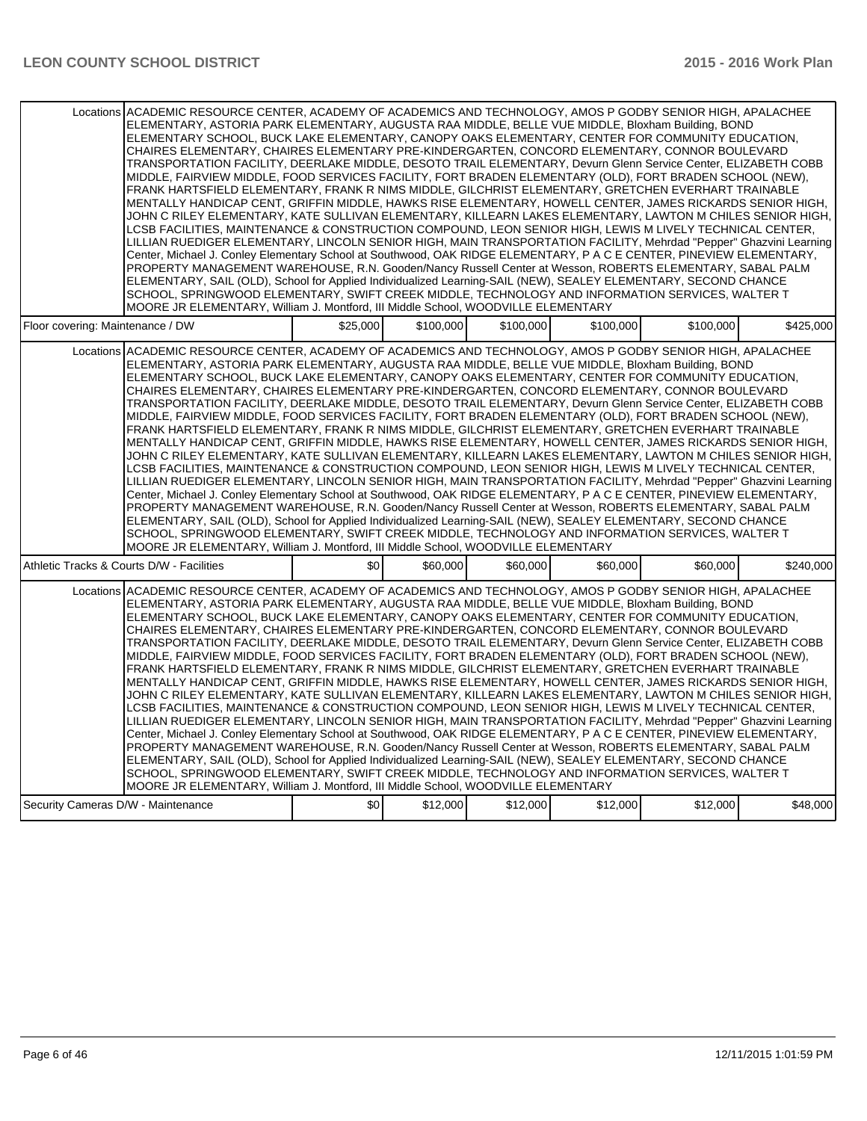| Locations ACADEMIC RESOURCE CENTER, ACADEMY OF ACADEMICS AND TECHNOLOGY, AMOS P GODBY SENIOR HIGH, APALACHEE<br>ELEMENTARY, ASTORIA PARK ELEMENTARY, AUGUSTA RAA MIDDLE, BELLE VUE MIDDLE, Bloxham Building, BOND<br>ELEMENTARY SCHOOL, BUCK LAKE ELEMENTARY, CANOPY OAKS ELEMENTARY, CENTER FOR COMMUNITY EDUCATION,<br>CHAIRES ELEMENTARY, CHAIRES ELEMENTARY PRE-KINDERGARTEN, CONCORD ELEMENTARY, CONNOR BOULEVARD<br>TRANSPORTATION FACILITY, DEERLAKE MIDDLE, DESOTO TRAIL ELEMENTARY, Devurn Glenn Service Center, ELIZABETH COBB<br>MIDDLE, FAIRVIEW MIDDLE, FOOD SERVICES FACILITY, FORT BRADEN ELEMENTARY (OLD), FORT BRADEN SCHOOL (NEW),<br>FRANK HARTSFIELD ELEMENTARY, FRANK R NIMS MIDDLE, GILCHRIST ELEMENTARY, GRETCHEN EVERHART TRAINABLE<br>MENTALLY HANDICAP CENT, GRIFFIN MIDDLE, HAWKS RISE ELEMENTARY, HOWELL CENTER, JAMES RICKARDS SENIOR HIGH,<br>JOHN C RILEY ELEMENTARY, KATE SULLIVAN ELEMENTARY, KILLEARN LAKES ELEMENTARY, LAWTON M CHILES SENIOR HIGH,<br>LCSB FACILITIES, MAINTENANCE & CONSTRUCTION COMPOUND, LEON SENIOR HIGH, LEWIS M LIVELY TECHNICAL CENTER,<br>LILLIAN RUEDIGER ELEMENTARY, LINCOLN SENIOR HIGH, MAIN TRANSPORTATION FACILITY, Mehrdad "Pepper" Ghazvini Learning<br>Center, Michael J. Conley Elementary School at Southwood, OAK RIDGE ELEMENTARY, P A C E CENTER, PINEVIEW ELEMENTARY,<br>PROPERTY MANAGEMENT WAREHOUSE, R.N. Gooden/Nancy Russell Center at Wesson, ROBERTS ELEMENTARY, SABAL PALM<br>ELEMENTARY, SAIL (OLD), School for Applied Individualized Learning-SAIL (NEW), SEALEY ELEMENTARY, SECOND CHANCE<br>SCHOOL, SPRINGWOOD ELEMENTARY, SWIFT CREEK MIDDLE, TECHNOLOGY AND INFORMATION SERVICES, WALTER T<br>MOORE JR ELEMENTARY, William J. Montford, III Middle School, WOODVILLE ELEMENTARY |          |           |           |           |           |           |
|---------------------------------------------------------------------------------------------------------------------------------------------------------------------------------------------------------------------------------------------------------------------------------------------------------------------------------------------------------------------------------------------------------------------------------------------------------------------------------------------------------------------------------------------------------------------------------------------------------------------------------------------------------------------------------------------------------------------------------------------------------------------------------------------------------------------------------------------------------------------------------------------------------------------------------------------------------------------------------------------------------------------------------------------------------------------------------------------------------------------------------------------------------------------------------------------------------------------------------------------------------------------------------------------------------------------------------------------------------------------------------------------------------------------------------------------------------------------------------------------------------------------------------------------------------------------------------------------------------------------------------------------------------------------------------------------------------------------------------------------------------------------------|----------|-----------|-----------|-----------|-----------|-----------|
| Floor covering: Maintenance / DW                                                                                                                                                                                                                                                                                                                                                                                                                                                                                                                                                                                                                                                                                                                                                                                                                                                                                                                                                                                                                                                                                                                                                                                                                                                                                                                                                                                                                                                                                                                                                                                                                                                                                                                                          | \$25,000 | \$100,000 | \$100,000 | \$100,000 | \$100,000 | \$425,000 |
| Locations ACADEMIC RESOURCE CENTER, ACADEMY OF ACADEMICS AND TECHNOLOGY, AMOS P GODBY SENIOR HIGH, APALACHEE<br>ELEMENTARY, ASTORIA PARK ELEMENTARY, AUGUSTA RAA MIDDLE, BELLE VUE MIDDLE, Bloxham Building, BOND<br>ELEMENTARY SCHOOL, BUCK LAKE ELEMENTARY, CANOPY OAKS ELEMENTARY, CENTER FOR COMMUNITY EDUCATION,<br>CHAIRES ELEMENTARY, CHAIRES ELEMENTARY PRE-KINDERGARTEN, CONCORD ELEMENTARY, CONNOR BOULEVARD<br>TRANSPORTATION FACILITY, DEERLAKE MIDDLE, DESOTO TRAIL ELEMENTARY, Devurn Glenn Service Center, ELIZABETH COBB<br>MIDDLE, FAIRVIEW MIDDLE, FOOD SERVICES FACILITY, FORT BRADEN ELEMENTARY (OLD), FORT BRADEN SCHOOL (NEW),<br>FRANK HARTSFIELD ELEMENTARY, FRANK R NIMS MIDDLE, GILCHRIST ELEMENTARY, GRETCHEN EVERHART TRAINABLE<br>MENTALLY HANDICAP CENT, GRIFFIN MIDDLE, HAWKS RISE ELEMENTARY, HOWELL CENTER, JAMES RICKARDS SENIOR HIGH,<br>JOHN C RILEY ELEMENTARY, KATE SULLIVAN ELEMENTARY, KILLEARN LAKES ELEMENTARY, LAWTON M CHILES SENIOR HIGH,<br>LCSB FACILITIES, MAINTENANCE & CONSTRUCTION COMPOUND, LEON SENIOR HIGH, LEWIS M LIVELY TECHNICAL CENTER,<br>LILLIAN RUEDIGER ELEMENTARY, LINCOLN SENIOR HIGH, MAIN TRANSPORTATION FACILITY, Mehrdad "Pepper" Ghazvini Learning<br>Center, Michael J. Conley Elementary School at Southwood, OAK RIDGE ELEMENTARY, P A C E CENTER, PINEVIEW ELEMENTARY,<br>PROPERTY MANAGEMENT WAREHOUSE, R.N. Gooden/Nancy Russell Center at Wesson, ROBERTS ELEMENTARY, SABAL PALM<br>ELEMENTARY, SAIL (OLD), School for Applied Individualized Learning-SAIL (NEW), SEALEY ELEMENTARY, SECOND CHANCE<br>SCHOOL, SPRINGWOOD ELEMENTARY, SWIFT CREEK MIDDLE. TECHNOLOGY AND INFORMATION SERVICES, WALTER T<br>MOORE JR ELEMENTARY, William J. Montford, III Middle School, WOODVILLE ELEMENTARY |          |           |           |           |           |           |
| Athletic Tracks & Courts D/W - Facilities                                                                                                                                                                                                                                                                                                                                                                                                                                                                                                                                                                                                                                                                                                                                                                                                                                                                                                                                                                                                                                                                                                                                                                                                                                                                                                                                                                                                                                                                                                                                                                                                                                                                                                                                 | \$0      | \$60,000  | \$60,000  | \$60,000  | \$60,000  | \$240,000 |
| Locations ACADEMIC RESOURCE CENTER, ACADEMY OF ACADEMICS AND TECHNOLOGY, AMOS P GODBY SENIOR HIGH, APALACHEE<br>ELEMENTARY, ASTORIA PARK ELEMENTARY, AUGUSTA RAA MIDDLE, BELLE VUE MIDDLE, Bloxham Building, BOND<br>ELEMENTARY SCHOOL, BUCK LAKE ELEMENTARY, CANOPY OAKS ELEMENTARY, CENTER FOR COMMUNITY EDUCATION,<br>CHAIRES ELEMENTARY, CHAIRES ELEMENTARY PRE-KINDERGARTEN, CONCORD ELEMENTARY, CONNOR BOULEVARD<br>TRANSPORTATION FACILITY, DEERLAKE MIDDLE, DESOTO TRAIL ELEMENTARY, Devurn Glenn Service Center, ELIZABETH COBB<br>MIDDLE, FAIRVIEW MIDDLE, FOOD SERVICES FACILITY, FORT BRADEN ELEMENTARY (OLD), FORT BRADEN SCHOOL (NEW),<br>FRANK HARTSFIELD ELEMENTARY. FRANK R NIMS MIDDLE, GILCHRIST ELEMENTARY, GRETCHEN EVERHART TRAINABLE<br>MENTALLY HANDICAP CENT, GRIFFIN MIDDLE, HAWKS RISE ELEMENTARY, HOWELL CENTER, JAMES RICKARDS SENIOR HIGH,<br>JOHN C RILEY ELEMENTARY, KATE SULLIVAN ELEMENTARY, KILLEARN LAKES ELEMENTARY, LAWTON M CHILES SENIOR HIGH,<br>LCSB FACILITIES, MAINTENANCE & CONSTRUCTION COMPOUND, LEON SENIOR HIGH, LEWIS M LIVELY TECHNICAL CENTER,<br>LILLIAN RUEDIGER ELEMENTARY, LINCOLN SENIOR HIGH, MAIN TRANSPORTATION FACILITY, Mehrdad "Pepper" Ghazvini Learning<br>Center, Michael J. Conley Elementary School at Southwood, OAK RIDGE ELEMENTARY, P A C E CENTER, PINEVIEW ELEMENTARY,<br>PROPERTY MANAGEMENT WAREHOUSE, R.N. Gooden/Nancy Russell Center at Wesson, ROBERTS ELEMENTARY, SABAL PALM<br>ELEMENTARY, SAIL (OLD), School for Applied Individualized Learning-SAIL (NEW), SEALEY ELEMENTARY, SECOND CHANCE<br>SCHOOL, SPRINGWOOD ELEMENTARY, SWIFT CREEK MIDDLE, TECHNOLOGY AND INFORMATION SERVICES, WALTER T<br>MOORE JR ELEMENTARY, William J. Montford, III Middle School, WOODVILLE ELEMENTARY |          |           |           |           |           |           |
| Security Cameras D/W - Maintenance                                                                                                                                                                                                                                                                                                                                                                                                                                                                                                                                                                                                                                                                                                                                                                                                                                                                                                                                                                                                                                                                                                                                                                                                                                                                                                                                                                                                                                                                                                                                                                                                                                                                                                                                        | \$0      | \$12,000  | \$12,000  | \$12,000  | \$12,000  | \$48,000  |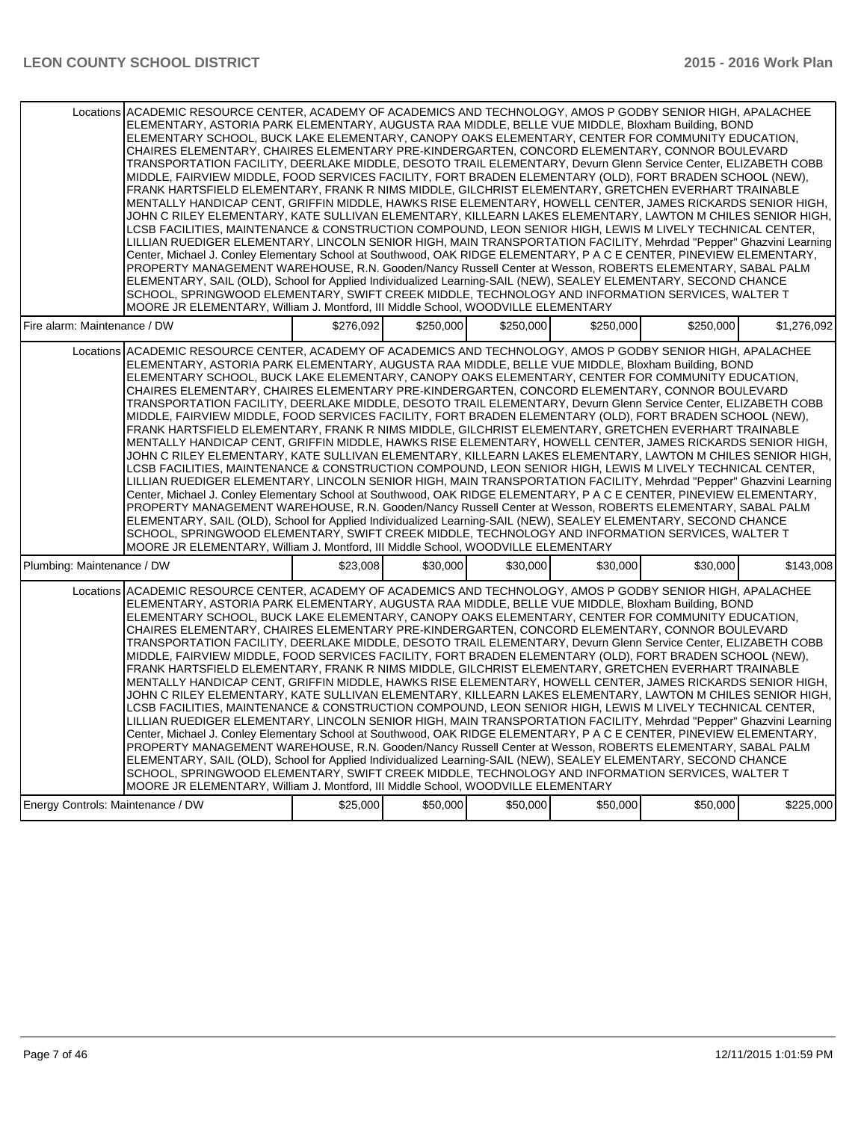| Locations ACADEMIC RESOURCE CENTER, ACADEMY OF ACADEMICS AND TECHNOLOGY, AMOS P GODBY SENIOR HIGH, APALACHEE<br>ELEMENTARY, ASTORIA PARK ELEMENTARY, AUGUSTA RAA MIDDLE, BELLE VUE MIDDLE, Bloxham Building, BOND<br>ELEMENTARY SCHOOL, BUCK LAKE ELEMENTARY, CANOPY OAKS ELEMENTARY, CENTER FOR COMMUNITY EDUCATION,<br>CHAIRES ELEMENTARY, CHAIRES ELEMENTARY PRE-KINDERGARTEN, CONCORD ELEMENTARY, CONNOR BOULEVARD<br>TRANSPORTATION FACILITY, DEERLAKE MIDDLE, DESOTO TRAIL ELEMENTARY, Devurn Glenn Service Center, ELIZABETH COBB<br>MIDDLE, FAIRVIEW MIDDLE, FOOD SERVICES FACILITY, FORT BRADEN ELEMENTARY (OLD), FORT BRADEN SCHOOL (NEW),<br>FRANK HARTSFIELD ELEMENTARY, FRANK R NIMS MIDDLE, GILCHRIST ELEMENTARY, GRETCHEN EVERHART TRAINABLE<br>MENTALLY HANDICAP CENT, GRIFFIN MIDDLE, HAWKS RISE ELEMENTARY, HOWELL CENTER, JAMES RICKARDS SENIOR HIGH,<br>JOHN C RILEY ELEMENTARY, KATE SULLIVAN ELEMENTARY, KILLEARN LAKES ELEMENTARY, LAWTON M CHILES SENIOR HIGH,<br>LCSB FACILITIES. MAINTENANCE & CONSTRUCTION COMPOUND. LEON SENIOR HIGH. LEWIS M LIVELY TECHNICAL CENTER.<br>LILLIAN RUEDIGER ELEMENTARY, LINCOLN SENIOR HIGH, MAIN TRANSPORTATION FACILITY, Mehrdad "Pepper" Ghazvini Learning<br>Center, Michael J. Conley Elementary School at Southwood, OAK RIDGE ELEMENTARY, P A C E CENTER, PINEVIEW ELEMENTARY,<br>PROPERTY MANAGEMENT WAREHOUSE, R.N. Gooden/Nancy Russell Center at Wesson, ROBERTS ELEMENTARY, SABAL PALM<br>ELEMENTARY, SAIL (OLD), School for Applied Individualized Learning-SAIL (NEW), SEALEY ELEMENTARY, SECOND CHANCE<br>SCHOOL, SPRINGWOOD ELEMENTARY, SWIFT CREEK MIDDLE, TECHNOLOGY AND INFORMATION SERVICES, WALTER T<br>MOORE JR ELEMENTARY, William J. Montford, III Middle School, WOODVILLE ELEMENTARY |           |           |           |           |           |             |
|---------------------------------------------------------------------------------------------------------------------------------------------------------------------------------------------------------------------------------------------------------------------------------------------------------------------------------------------------------------------------------------------------------------------------------------------------------------------------------------------------------------------------------------------------------------------------------------------------------------------------------------------------------------------------------------------------------------------------------------------------------------------------------------------------------------------------------------------------------------------------------------------------------------------------------------------------------------------------------------------------------------------------------------------------------------------------------------------------------------------------------------------------------------------------------------------------------------------------------------------------------------------------------------------------------------------------------------------------------------------------------------------------------------------------------------------------------------------------------------------------------------------------------------------------------------------------------------------------------------------------------------------------------------------------------------------------------------------------------------------------------------------------|-----------|-----------|-----------|-----------|-----------|-------------|
| Fire alarm: Maintenance / DW                                                                                                                                                                                                                                                                                                                                                                                                                                                                                                                                                                                                                                                                                                                                                                                                                                                                                                                                                                                                                                                                                                                                                                                                                                                                                                                                                                                                                                                                                                                                                                                                                                                                                                                                              | \$276.092 | \$250.000 | \$250.000 | \$250,000 | \$250.000 | \$1,276,092 |
| Locations ACADEMIC RESOURCE CENTER, ACADEMY OF ACADEMICS AND TECHNOLOGY, AMOS P GODBY SENIOR HIGH, APALACHEE<br>ELEMENTARY, ASTORIA PARK ELEMENTARY, AUGUSTA RAA MIDDLE, BELLE VUE MIDDLE, Bloxham Building, BOND<br>ELEMENTARY SCHOOL, BUCK LAKE ELEMENTARY, CANOPY OAKS ELEMENTARY, CENTER FOR COMMUNITY EDUCATION,<br>CHAIRES ELEMENTARY, CHAIRES ELEMENTARY PRE-KINDERGARTEN, CONCORD ELEMENTARY, CONNOR BOULEVARD<br>TRANSPORTATION FACILITY, DEERLAKE MIDDLE, DESOTO TRAIL ELEMENTARY, Devurn Glenn Service Center, ELIZABETH COBB<br>MIDDLE, FAIRVIEW MIDDLE, FOOD SERVICES FACILITY, FORT BRADEN ELEMENTARY (OLD), FORT BRADEN SCHOOL (NEW),<br>FRANK HARTSFIELD ELEMENTARY, FRANK R NIMS MIDDLE, GILCHRIST ELEMENTARY, GRETCHEN EVERHART TRAINABLE<br>MENTALLY HANDICAP CENT, GRIFFIN MIDDLE, HAWKS RISE ELEMENTARY, HOWELL CENTER, JAMES RICKARDS SENIOR HIGH,<br>JOHN C RILEY ELEMENTARY, KATE SULLIVAN ELEMENTARY, KILLEARN LAKES ELEMENTARY, LAWTON M CHILES SENIOR HIGH,<br>LCSB FACILITIES, MAINTENANCE & CONSTRUCTION COMPOUND, LEON SENIOR HIGH, LEWIS M LIVELY TECHNICAL CENTER,<br>LILLIAN RUEDIGER ELEMENTARY, LINCOLN SENIOR HIGH, MAIN TRANSPORTATION FACILITY, Mehrdad "Pepper" Ghazvini Learning<br>Center, Michael J. Conley Elementary School at Southwood, OAK RIDGE ELEMENTARY, P A C E CENTER, PINEVIEW ELEMENTARY,<br>PROPERTY MANAGEMENT WAREHOUSE, R.N. Gooden/Nancy Russell Center at Wesson, ROBERTS ELEMENTARY, SABAL PALM<br>ELEMENTARY, SAIL (OLD), School for Applied Individualized Learning-SAIL (NEW), SEALEY ELEMENTARY, SECOND CHANCE<br>SCHOOL, SPRINGWOOD ELEMENTARY, SWIFT CREEK MIDDLE. TECHNOLOGY AND INFORMATION SERVICES, WALTER T<br>MOORE JR ELEMENTARY, William J. Montford, III Middle School, WOODVILLE ELEMENTARY |           |           |           |           |           |             |
| Plumbing: Maintenance / DW                                                                                                                                                                                                                                                                                                                                                                                                                                                                                                                                                                                                                                                                                                                                                                                                                                                                                                                                                                                                                                                                                                                                                                                                                                                                                                                                                                                                                                                                                                                                                                                                                                                                                                                                                | \$23,008  | \$30,000  | \$30,000  | \$30,000  | \$30,000  | \$143,008   |
| Locations ACADEMIC RESOURCE CENTER. ACADEMY OF ACADEMICS AND TECHNOLOGY. AMOS P GODBY SENIOR HIGH. APALACHEE<br>ELEMENTARY, ASTORIA PARK ELEMENTARY, AUGUSTA RAA MIDDLE, BELLE VUE MIDDLE, Bloxham Building, BOND<br>ELEMENTARY SCHOOL, BUCK LAKE ELEMENTARY, CANOPY OAKS ELEMENTARY, CENTER FOR COMMUNITY EDUCATION,<br>CHAIRES ELEMENTARY, CHAIRES ELEMENTARY PRE-KINDERGARTEN, CONCORD ELEMENTARY, CONNOR BOULEVARD<br>TRANSPORTATION FACILITY, DEERLAKE MIDDLE, DESOTO TRAIL ELEMENTARY, Devurn Glenn Service Center, ELIZABETH COBB<br>MIDDLE, FAIRVIEW MIDDLE, FOOD SERVICES FACILITY, FORT BRADEN ELEMENTARY (OLD), FORT BRADEN SCHOOL (NEW),<br>FRANK HARTSFIELD ELEMENTARY, FRANK R NIMS MIDDLE, GILCHRIST ELEMENTARY, GRETCHEN EVERHART TRAINABLE<br>MENTALLY HANDICAP CENT, GRIFFIN MIDDLE, HAWKS RISE ELEMENTARY, HOWELL CENTER, JAMES RICKARDS SENIOR HIGH,<br>JOHN C RILEY ELEMENTARY, KATE SULLIVAN ELEMENTARY, KILLEARN LAKES ELEMENTARY, LAWTON M CHILES SENIOR HIGH,<br>LCSB FACILITIES, MAINTENANCE & CONSTRUCTION COMPOUND, LEON SENIOR HIGH, LEWIS M LIVELY TECHNICAL CENTER,<br>LILLIAN RUEDIGER ELEMENTARY, LINCOLN SENIOR HIGH, MAIN TRANSPORTATION FACILITY, Mehrdad "Pepper" Ghazvini Learning<br>Center, Michael J. Conley Elementary School at Southwood, OAK RIDGE ELEMENTARY, P A C E CENTER, PINEVIEW ELEMENTARY,<br>PROPERTY MANAGEMENT WAREHOUSE, R.N. Gooden/Nancy Russell Center at Wesson, ROBERTS ELEMENTARY, SABAL PALM<br>ELEMENTARY, SAIL (OLD), School for Applied Individualized Learning-SAIL (NEW), SEALEY ELEMENTARY, SECOND CHANCE<br>SCHOOL, SPRINGWOOD ELEMENTARY, SWIFT CREEK MIDDLE, TECHNOLOGY AND INFORMATION SERVICES, WALTER T<br>MOORE JR ELEMENTARY, William J. Montford, III Middle School, WOODVILLE ELEMENTARY |           |           |           |           |           |             |
| Energy Controls: Maintenance / DW                                                                                                                                                                                                                                                                                                                                                                                                                                                                                                                                                                                                                                                                                                                                                                                                                                                                                                                                                                                                                                                                                                                                                                                                                                                                                                                                                                                                                                                                                                                                                                                                                                                                                                                                         | \$25,000  | \$50,000  | \$50,000  | \$50,000  | \$50,000  | \$225,000   |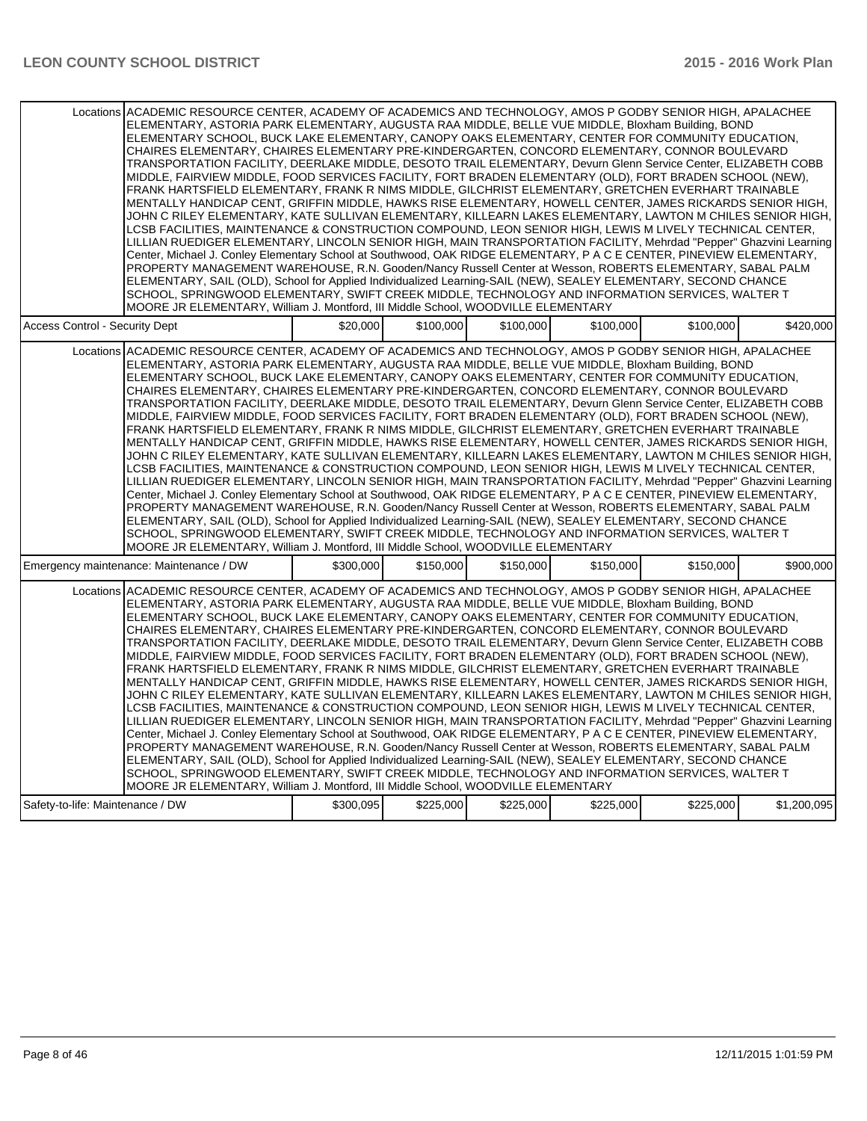| Locations ACADEMIC RESOURCE CENTER, ACADEMY OF ACADEMICS AND TECHNOLOGY, AMOS P GODBY SENIOR HIGH, APALACHEE | MOORE JR ELEMENTARY, William J. Montford, III Middle School, WOODVILLE ELEMENTARY |           |           |           | ELEMENTARY, ASTORIA PARK ELEMENTARY, AUGUSTA RAA MIDDLE, BELLE VUE MIDDLE, Bloxham Building, BOND<br>ELEMENTARY SCHOOL, BUCK LAKE ELEMENTARY, CANOPY OAKS ELEMENTARY, CENTER FOR COMMUNITY EDUCATION.<br>CHAIRES ELEMENTARY, CHAIRES ELEMENTARY PRE-KINDERGARTEN, CONCORD ELEMENTARY, CONNOR BOULEVARD<br>TRANSPORTATION FACILITY, DEERLAKE MIDDLE, DESOTO TRAIL ELEMENTARY, Devurn Glenn Service Center, ELIZABETH COBB<br>MIDDLE, FAIRVIEW MIDDLE, FOOD SERVICES FACILITY, FORT BRADEN ELEMENTARY (OLD), FORT BRADEN SCHOOL (NEW),<br>FRANK HARTSFIELD ELEMENTARY, FRANK R NIMS MIDDLE, GILCHRIST ELEMENTARY, GRETCHEN EVERHART TRAINABLE<br>MENTALLY HANDICAP CENT, GRIFFIN MIDDLE, HAWKS RISE ELEMENTARY, HOWELL CENTER, JAMES RICKARDS SENIOR HIGH,<br>JOHN C RILEY ELEMENTARY, KATE SULLIVAN ELEMENTARY, KILLEARN LAKES ELEMENTARY, LAWTON M CHILES SENIOR HIGH,<br>LCSB FACILITIES, MAINTENANCE & CONSTRUCTION COMPOUND, LEON SENIOR HIGH, LEWIS M LIVELY TECHNICAL CENTER,<br>LILLIAN RUEDIGER ELEMENTARY, LINCOLN SENIOR HIGH, MAIN TRANSPORTATION FACILITY, Mehrdad "Pepper" Ghazvini Learning<br>Center, Michael J. Conley Elementary School at Southwood, OAK RIDGE ELEMENTARY, P A C E CENTER, PINEVIEW ELEMENTARY,<br>PROPERTY MANAGEMENT WAREHOUSE, R.N. Gooden/Nancy Russell Center at Wesson, ROBERTS ELEMENTARY, SABAL PALM<br>ELEMENTARY, SAIL (OLD), School for Applied Individualized Learning-SAIL (NEW), SEALEY ELEMENTARY, SECOND CHANCE<br>SCHOOL, SPRINGWOOD ELEMENTARY, SWIFT CREEK MIDDLE, TECHNOLOGY AND INFORMATION SERVICES, WALTER T |             |
|--------------------------------------------------------------------------------------------------------------|-----------------------------------------------------------------------------------|-----------|-----------|-----------|----------------------------------------------------------------------------------------------------------------------------------------------------------------------------------------------------------------------------------------------------------------------------------------------------------------------------------------------------------------------------------------------------------------------------------------------------------------------------------------------------------------------------------------------------------------------------------------------------------------------------------------------------------------------------------------------------------------------------------------------------------------------------------------------------------------------------------------------------------------------------------------------------------------------------------------------------------------------------------------------------------------------------------------------------------------------------------------------------------------------------------------------------------------------------------------------------------------------------------------------------------------------------------------------------------------------------------------------------------------------------------------------------------------------------------------------------------------------------------------------------------------------------------------------------------------------|-------------|
| <b>Access Control - Security Dept</b>                                                                        | \$20,000                                                                          | \$100,000 | \$100,000 | \$100,000 | \$100,000                                                                                                                                                                                                                                                                                                                                                                                                                                                                                                                                                                                                                                                                                                                                                                                                                                                                                                                                                                                                                                                                                                                                                                                                                                                                                                                                                                                                                                                                                                                                                            | \$420,000   |
| Locations ACADEMIC RESOURCE CENTER, ACADEMY OF ACADEMICS AND TECHNOLOGY, AMOS P GODBY SENIOR HIGH, APALACHEE | MOORE JR ELEMENTARY, William J. Montford, III Middle School, WOODVILLE ELEMENTARY |           |           |           | ELEMENTARY, ASTORIA PARK ELEMENTARY, AUGUSTA RAA MIDDLE, BELLE VUE MIDDLE, Bloxham Building, BOND<br>ELEMENTARY SCHOOL, BUCK LAKE ELEMENTARY, CANOPY OAKS ELEMENTARY, CENTER FOR COMMUNITY EDUCATION,<br>CHAIRES ELEMENTARY, CHAIRES ELEMENTARY PRE-KINDERGARTEN, CONCORD ELEMENTARY, CONNOR BOULEVARD<br>TRANSPORTATION FACILITY, DEERLAKE MIDDLE, DESOTO TRAIL ELEMENTARY, Devurn Glenn Service Center, ELIZABETH COBB<br>MIDDLE, FAIRVIEW MIDDLE, FOOD SERVICES FACILITY, FORT BRADEN ELEMENTARY (OLD), FORT BRADEN SCHOOL (NEW),<br>FRANK HARTSFIELD ELEMENTARY, FRANK R NIMS MIDDLE, GILCHRIST ELEMENTARY, GRETCHEN EVERHART TRAINABLE<br>MENTALLY HANDICAP CENT, GRIFFIN MIDDLE, HAWKS RISE ELEMENTARY, HOWELL CENTER, JAMES RICKARDS SENIOR HIGH,<br>JOHN C RILEY ELEMENTARY, KATE SULLIVAN ELEMENTARY, KILLEARN LAKES ELEMENTARY, LAWTON M CHILES SENIOR HIGH,<br>LCSB FACILITIES, MAINTENANCE & CONSTRUCTION COMPOUND, LEON SENIOR HIGH, LEWIS M LIVELY TECHNICAL CENTER,<br>LILLIAN RUEDIGER ELEMENTARY, LINCOLN SENIOR HIGH, MAIN TRANSPORTATION FACILITY, Mehrdad "Pepper" Ghazvini Learning<br>Center, Michael J. Conley Elementary School at Southwood, OAK RIDGE ELEMENTARY, P A C E CENTER, PINEVIEW ELEMENTARY,<br>PROPERTY MANAGEMENT WAREHOUSE, R.N. Gooden/Nancy Russell Center at Wesson, ROBERTS ELEMENTARY, SABAL PALM<br>ELEMENTARY, SAIL (OLD), School for Applied Individualized Learning-SAIL (NEW), SEALEY ELEMENTARY, SECOND CHANCE<br>SCHOOL, SPRINGWOOD ELEMENTARY, SWIFT CREEK MIDDLE, TECHNOLOGY AND INFORMATION SERVICES, WALTER T |             |
| Emergency maintenance: Maintenance / DW                                                                      | \$300.000                                                                         | \$150,000 | \$150,000 | \$150,000 | \$150,000                                                                                                                                                                                                                                                                                                                                                                                                                                                                                                                                                                                                                                                                                                                                                                                                                                                                                                                                                                                                                                                                                                                                                                                                                                                                                                                                                                                                                                                                                                                                                            | \$900.000   |
| Locations ACADEMIC RESOURCE CENTER. ACADEMY OF ACADEMICS AND TECHNOLOGY. AMOS P GODBY SENIOR HIGH. APALACHEE | MOORE JR ELEMENTARY, William J. Montford, III Middle School, WOODVILLE ELEMENTARY |           |           |           | ELEMENTARY, ASTORIA PARK ELEMENTARY, AUGUSTA RAA MIDDLE, BELLE VUE MIDDLE, Bloxham Building, BOND<br>ELEMENTARY SCHOOL, BUCK LAKE ELEMENTARY, CANOPY OAKS ELEMENTARY, CENTER FOR COMMUNITY EDUCATION,<br>CHAIRES ELEMENTARY, CHAIRES ELEMENTARY PRE-KINDERGARTEN, CONCORD ELEMENTARY, CONNOR BOULEVARD<br>TRANSPORTATION FACILITY, DEERLAKE MIDDLE, DESOTO TRAIL ELEMENTARY, Devurn Glenn Service Center, ELIZABETH COBB<br>MIDDLE, FAIRVIEW MIDDLE, FOOD SERVICES FACILITY, FORT BRADEN ELEMENTARY (OLD), FORT BRADEN SCHOOL (NEW),<br>FRANK HARTSFIELD ELEMENTARY, FRANK R NIMS MIDDLE, GILCHRIST ELEMENTARY, GRETCHEN EVERHART TRAINABLE<br>MENTALLY HANDICAP CENT, GRIFFIN MIDDLE, HAWKS RISE ELEMENTARY, HOWELL CENTER, JAMES RICKARDS SENIOR HIGH,<br>JOHN C RILEY ELEMENTARY, KATE SULLIVAN ELEMENTARY, KILLEARN LAKES ELEMENTARY, LAWTON M CHILES SENIOR HIGH,<br>LCSB FACILITIES, MAINTENANCE & CONSTRUCTION COMPOUND, LEON SENIOR HIGH, LEWIS M LIVELY TECHNICAL CENTER,<br>LILLIAN RUEDIGER ELEMENTARY, LINCOLN SENIOR HIGH, MAIN TRANSPORTATION FACILITY, Mehrdad "Pepper" Ghazvini Learning<br>Center, Michael J. Conley Elementary School at Southwood, OAK RIDGE ELEMENTARY, P A C E CENTER, PINEVIEW ELEMENTARY,<br>PROPERTY MANAGEMENT WAREHOUSE, R.N. Gooden/Nancy Russell Center at Wesson, ROBERTS ELEMENTARY, SABAL PALM<br>ELEMENTARY, SAIL (OLD), School for Applied Individualized Learning-SAIL (NEW), SEALEY ELEMENTARY, SECOND CHANCE<br>SCHOOL, SPRINGWOOD ELEMENTARY, SWIFT CREEK MIDDLE, TECHNOLOGY AND INFORMATION SERVICES, WALTER T |             |
| Safety-to-life: Maintenance / DW                                                                             | \$300,095                                                                         | \$225,000 | \$225,000 | \$225,000 | \$225,000                                                                                                                                                                                                                                                                                                                                                                                                                                                                                                                                                                                                                                                                                                                                                                                                                                                                                                                                                                                                                                                                                                                                                                                                                                                                                                                                                                                                                                                                                                                                                            | \$1,200,095 |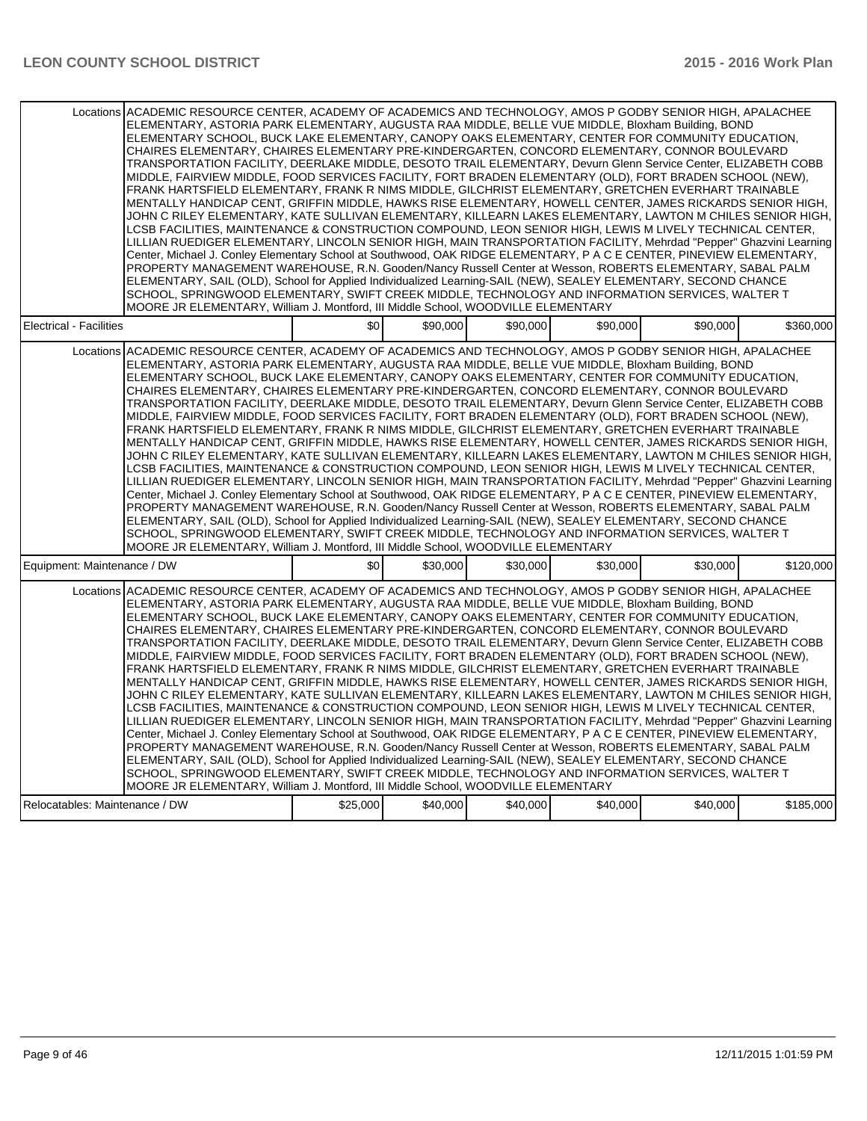|                                                                                                                                                                                                                                                                                                                                                                                                                                                                                                                                                                                                                                                                                                                                                                                                                                                                                                                                                                                                                                                                                                                                                                                                                                                                                                                                                                                                                                                                                                                                                                                                                                                                                                                                                                           | Locations ACADEMIC RESOURCE CENTER, ACADEMY OF ACADEMICS AND TECHNOLOGY, AMOS P GODBY SENIOR HIGH, APALACHEE<br>ELEMENTARY, ASTORIA PARK ELEMENTARY, AUGUSTA RAA MIDDLE, BELLE VUE MIDDLE, Bloxham Building, BOND<br>ELEMENTARY SCHOOL, BUCK LAKE ELEMENTARY, CANOPY OAKS ELEMENTARY, CENTER FOR COMMUNITY EDUCATION,<br>CHAIRES ELEMENTARY, CHAIRES ELEMENTARY PRE-KINDERGARTEN, CONCORD ELEMENTARY, CONNOR BOULEVARD<br>TRANSPORTATION FACILITY, DEERLAKE MIDDLE, DESOTO TRAIL ELEMENTARY, Devurn Glenn Service Center, ELIZABETH COBB<br>MIDDLE, FAIRVIEW MIDDLE, FOOD SERVICES FACILITY, FORT BRADEN ELEMENTARY (OLD), FORT BRADEN SCHOOL (NEW),<br>FRANK HARTSFIELD ELEMENTARY, FRANK R NIMS MIDDLE, GILCHRIST ELEMENTARY, GRETCHEN EVERHART TRAINABLE<br>MENTALLY HANDICAP CENT, GRIFFIN MIDDLE, HAWKS RISE ELEMENTARY, HOWELL CENTER, JAMES RICKARDS SENIOR HIGH,<br>JOHN C RILEY ELEMENTARY, KATE SULLIVAN ELEMENTARY, KILLEARN LAKES ELEMENTARY, LAWTON M CHILES SENIOR HIGH,<br>LCSB FACILITIES, MAINTENANCE & CONSTRUCTION COMPOUND, LEON SENIOR HIGH, LEWIS M LIVELY TECHNICAL CENTER,<br>LILLIAN RUEDIGER ELEMENTARY, LINCOLN SENIOR HIGH, MAIN TRANSPORTATION FACILITY, Mehrdad "Pepper" Ghazvini Learning<br>Center, Michael J. Conley Elementary School at Southwood, OAK RIDGE ELEMENTARY, P A C E CENTER, PINEVIEW ELEMENTARY,<br>PROPERTY MANAGEMENT WAREHOUSE, R.N. Gooden/Nancy Russell Center at Wesson, ROBERTS ELEMENTARY, SABAL PALM |          |          |          |          |          |           |  |
|---------------------------------------------------------------------------------------------------------------------------------------------------------------------------------------------------------------------------------------------------------------------------------------------------------------------------------------------------------------------------------------------------------------------------------------------------------------------------------------------------------------------------------------------------------------------------------------------------------------------------------------------------------------------------------------------------------------------------------------------------------------------------------------------------------------------------------------------------------------------------------------------------------------------------------------------------------------------------------------------------------------------------------------------------------------------------------------------------------------------------------------------------------------------------------------------------------------------------------------------------------------------------------------------------------------------------------------------------------------------------------------------------------------------------------------------------------------------------------------------------------------------------------------------------------------------------------------------------------------------------------------------------------------------------------------------------------------------------------------------------------------------------|---------------------------------------------------------------------------------------------------------------------------------------------------------------------------------------------------------------------------------------------------------------------------------------------------------------------------------------------------------------------------------------------------------------------------------------------------------------------------------------------------------------------------------------------------------------------------------------------------------------------------------------------------------------------------------------------------------------------------------------------------------------------------------------------------------------------------------------------------------------------------------------------------------------------------------------------------------------------------------------------------------------------------------------------------------------------------------------------------------------------------------------------------------------------------------------------------------------------------------------------------------------------------------------------------------------------------------------------------------------------------------------------------------------------------------------------------------------|----------|----------|----------|----------|----------|-----------|--|
| ELEMENTARY, SAIL (OLD), School for Applied Individualized Learning-SAIL (NEW), SEALEY ELEMENTARY, SECOND CHANCE<br>SCHOOL, SPRINGWOOD ELEMENTARY, SWIFT CREEK MIDDLE, TECHNOLOGY AND INFORMATION SERVICES, WALTER T                                                                                                                                                                                                                                                                                                                                                                                                                                                                                                                                                                                                                                                                                                                                                                                                                                                                                                                                                                                                                                                                                                                                                                                                                                                                                                                                                                                                                                                                                                                                                       |                                                                                                                                                                                                                                                                                                                                                                                                                                                                                                                                                                                                                                                                                                                                                                                                                                                                                                                                                                                                                                                                                                                                                                                                                                                                                                                                                                                                                                                               |          |          |          |          |          |           |  |
| MOORE JR ELEMENTARY, William J. Montford, III Middle School, WOODVILLE ELEMENTARY                                                                                                                                                                                                                                                                                                                                                                                                                                                                                                                                                                                                                                                                                                                                                                                                                                                                                                                                                                                                                                                                                                                                                                                                                                                                                                                                                                                                                                                                                                                                                                                                                                                                                         |                                                                                                                                                                                                                                                                                                                                                                                                                                                                                                                                                                                                                                                                                                                                                                                                                                                                                                                                                                                                                                                                                                                                                                                                                                                                                                                                                                                                                                                               |          |          |          |          |          |           |  |
| <b>Electrical - Facilities</b>                                                                                                                                                                                                                                                                                                                                                                                                                                                                                                                                                                                                                                                                                                                                                                                                                                                                                                                                                                                                                                                                                                                                                                                                                                                                                                                                                                                                                                                                                                                                                                                                                                                                                                                                            |                                                                                                                                                                                                                                                                                                                                                                                                                                                                                                                                                                                                                                                                                                                                                                                                                                                                                                                                                                                                                                                                                                                                                                                                                                                                                                                                                                                                                                                               | \$0      | \$90,000 | \$90,000 | \$90,000 | \$90,000 | \$360,000 |  |
|                                                                                                                                                                                                                                                                                                                                                                                                                                                                                                                                                                                                                                                                                                                                                                                                                                                                                                                                                                                                                                                                                                                                                                                                                                                                                                                                                                                                                                                                                                                                                                                                                                                                                                                                                                           |                                                                                                                                                                                                                                                                                                                                                                                                                                                                                                                                                                                                                                                                                                                                                                                                                                                                                                                                                                                                                                                                                                                                                                                                                                                                                                                                                                                                                                                               |          |          |          |          |          |           |  |
| Locations ACADEMIC RESOURCE CENTER, ACADEMY OF ACADEMICS AND TECHNOLOGY, AMOS P GODBY SENIOR HIGH, APALACHEE<br>ELEMENTARY, ASTORIA PARK ELEMENTARY, AUGUSTA RAA MIDDLE, BELLE VUE MIDDLE, Bloxham Building, BOND<br>ELEMENTARY SCHOOL, BUCK LAKE ELEMENTARY, CANOPY OAKS ELEMENTARY, CENTER FOR COMMUNITY EDUCATION,<br>CHAIRES ELEMENTARY, CHAIRES ELEMENTARY PRE-KINDERGARTEN, CONCORD ELEMENTARY, CONNOR BOULEVARD<br>TRANSPORTATION FACILITY, DEERLAKE MIDDLE, DESOTO TRAIL ELEMENTARY, Devurn Glenn Service Center, ELIZABETH COBB<br>MIDDLE, FAIRVIEW MIDDLE, FOOD SERVICES FACILITY, FORT BRADEN ELEMENTARY (OLD), FORT BRADEN SCHOOL (NEW),<br>FRANK HARTSFIELD ELEMENTARY, FRANK R NIMS MIDDLE, GILCHRIST ELEMENTARY, GRETCHEN EVERHART TRAINABLE<br>MENTALLY HANDICAP CENT, GRIFFIN MIDDLE, HAWKS RISE ELEMENTARY, HOWELL CENTER, JAMES RICKARDS SENIOR HIGH,<br>JOHN C RILEY ELEMENTARY, KATE SULLIVAN ELEMENTARY, KILLEARN LAKES ELEMENTARY, LAWTON M CHILES SENIOR HIGH,<br>LCSB FACILITIES, MAINTENANCE & CONSTRUCTION COMPOUND, LEON SENIOR HIGH, LEWIS M LIVELY TECHNICAL CENTER,<br>LILLIAN RUEDIGER ELEMENTARY, LINCOLN SENIOR HIGH, MAIN TRANSPORTATION FACILITY, Mehrdad "Pepper" Ghazvini Learning<br>Center, Michael J. Conley Elementary School at Southwood, OAK RIDGE ELEMENTARY, P A C E CENTER, PINEVIEW ELEMENTARY,<br>PROPERTY MANAGEMENT WAREHOUSE, R.N. Gooden/Nancy Russell Center at Wesson, ROBERTS ELEMENTARY, SABAL PALM<br>ELEMENTARY, SAIL (OLD), School for Applied Individualized Learning-SAIL (NEW), SEALEY ELEMENTARY, SECOND CHANCE<br>SCHOOL, SPRINGWOOD ELEMENTARY, SWIFT CREEK MIDDLE, TECHNOLOGY AND INFORMATION SERVICES, WALTER T<br>MOORE JR ELEMENTARY, William J. Montford, III Middle School, WOODVILLE ELEMENTARY |                                                                                                                                                                                                                                                                                                                                                                                                                                                                                                                                                                                                                                                                                                                                                                                                                                                                                                                                                                                                                                                                                                                                                                                                                                                                                                                                                                                                                                                               |          |          |          |          |          |           |  |
| Equipment: Maintenance / DW                                                                                                                                                                                                                                                                                                                                                                                                                                                                                                                                                                                                                                                                                                                                                                                                                                                                                                                                                                                                                                                                                                                                                                                                                                                                                                                                                                                                                                                                                                                                                                                                                                                                                                                                               |                                                                                                                                                                                                                                                                                                                                                                                                                                                                                                                                                                                                                                                                                                                                                                                                                                                                                                                                                                                                                                                                                                                                                                                                                                                                                                                                                                                                                                                               | \$0      | \$30,000 | \$30,000 | \$30,000 | \$30,000 | \$120,000 |  |
| Locations ACADEMIC RESOURCE CENTER, ACADEMY OF ACADEMICS AND TECHNOLOGY, AMOS P GODBY SENIOR HIGH, APALACHEE<br>ELEMENTARY, ASTORIA PARK ELEMENTARY, AUGUSTA RAA MIDDLE, BELLE VUE MIDDLE, Bloxham Building, BOND<br>ELEMENTARY SCHOOL, BUCK LAKE ELEMENTARY, CANOPY OAKS ELEMENTARY, CENTER FOR COMMUNITY EDUCATION,<br>CHAIRES ELEMENTARY, CHAIRES ELEMENTARY PRE-KINDERGARTEN, CONCORD ELEMENTARY, CONNOR BOULEVARD<br>TRANSPORTATION FACILITY, DEERLAKE MIDDLE, DESOTO TRAIL ELEMENTARY, Devurn Glenn Service Center, ELIZABETH COBB<br>MIDDLE, FAIRVIEW MIDDLE, FOOD SERVICES FACILITY, FORT BRADEN ELEMENTARY (OLD), FORT BRADEN SCHOOL (NEW),<br>FRANK HARTSFIELD ELEMENTARY, FRANK R NIMS MIDDLE, GILCHRIST ELEMENTARY, GRETCHEN EVERHART TRAINABLE<br>MENTALLY HANDICAP CENT, GRIFFIN MIDDLE, HAWKS RISE ELEMENTARY, HOWELL CENTER, JAMES RICKARDS SENIOR HIGH,<br>JOHN C RILEY ELEMENTARY, KATE SULLIVAN ELEMENTARY, KILLEARN LAKES ELEMENTARY, LAWTON M CHILES SENIOR HIGH,<br>LCSB FACILITIES, MAINTENANCE & CONSTRUCTION COMPOUND, LEON SENIOR HIGH, LEWIS M LIVELY TECHNICAL CENTER,<br>LILLIAN RUEDIGER ELEMENTARY, LINCOLN SENIOR HIGH, MAIN TRANSPORTATION FACILITY, Mehrdad "Pepper" Ghazvini Learning<br>Center, Michael J. Conley Elementary School at Southwood, OAK RIDGE ELEMENTARY, P A C E CENTER, PINEVIEW ELEMENTARY,<br>PROPERTY MANAGEMENT WAREHOUSE, R.N. Gooden/Nancy Russell Center at Wesson, ROBERTS ELEMENTARY, SABAL PALM<br>ELEMENTARY, SAIL (OLD), School for Applied Individualized Learning-SAIL (NEW), SEALEY ELEMENTARY, SECOND CHANCE<br>SCHOOL, SPRINGWOOD ELEMENTARY, SWIFT CREEK MIDDLE, TECHNOLOGY AND INFORMATION SERVICES, WALTER T<br>MOORE JR ELEMENTARY, William J. Montford, III Middle School, WOODVILLE ELEMENTARY |                                                                                                                                                                                                                                                                                                                                                                                                                                                                                                                                                                                                                                                                                                                                                                                                                                                                                                                                                                                                                                                                                                                                                                                                                                                                                                                                                                                                                                                               |          |          |          |          |          |           |  |
| Relocatables: Maintenance / DW                                                                                                                                                                                                                                                                                                                                                                                                                                                                                                                                                                                                                                                                                                                                                                                                                                                                                                                                                                                                                                                                                                                                                                                                                                                                                                                                                                                                                                                                                                                                                                                                                                                                                                                                            |                                                                                                                                                                                                                                                                                                                                                                                                                                                                                                                                                                                                                                                                                                                                                                                                                                                                                                                                                                                                                                                                                                                                                                                                                                                                                                                                                                                                                                                               | \$25,000 | \$40,000 | \$40,000 | \$40,000 | \$40,000 | \$185,000 |  |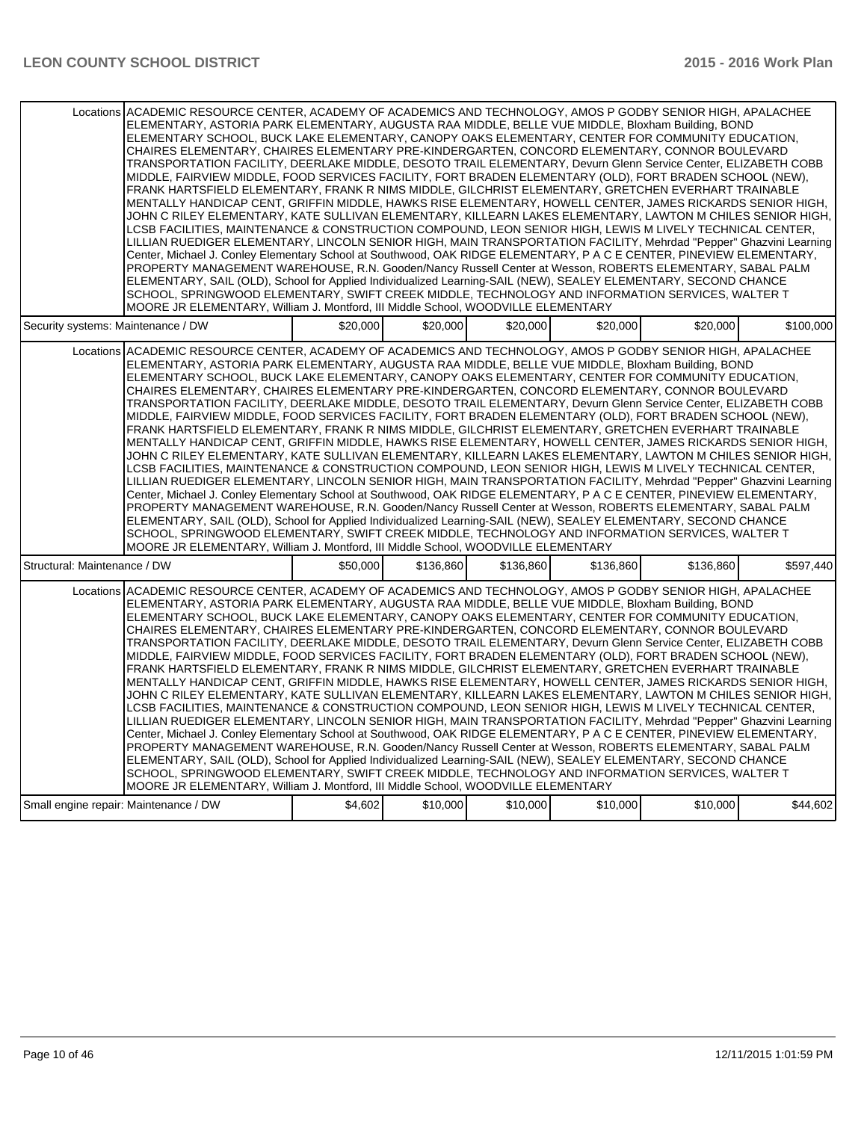| Locations ACADEMIC RESOURCE CENTER, ACADEMY OF ACADEMICS AND TECHNOLOGY, AMOS P GODBY SENIOR HIGH, APALACHEE<br>ELEMENTARY, ASTORIA PARK ELEMENTARY, AUGUSTA RAA MIDDLE, BELLE VUE MIDDLE, Bloxham Building, BOND<br>ELEMENTARY SCHOOL, BUCK LAKE ELEMENTARY, CANOPY OAKS ELEMENTARY, CENTER FOR COMMUNITY EDUCATION,<br>CHAIRES ELEMENTARY, CHAIRES ELEMENTARY PRE-KINDERGARTEN, CONCORD ELEMENTARY, CONNOR BOULEVARD<br>TRANSPORTATION FACILITY, DEERLAKE MIDDLE, DESOTO TRAIL ELEMENTARY, Devurn Glenn Service Center, ELIZABETH COBB<br>MIDDLE, FAIRVIEW MIDDLE, FOOD SERVICES FACILITY, FORT BRADEN ELEMENTARY (OLD), FORT BRADEN SCHOOL (NEW),<br>FRANK HARTSFIELD ELEMENTARY, FRANK R NIMS MIDDLE, GILCHRIST ELEMENTARY, GRETCHEN EVERHART TRAINABLE<br>MENTALLY HANDICAP CENT. GRIFFIN MIDDLE. HAWKS RISE ELEMENTARY. HOWELL CENTER. JAMES RICKARDS SENIOR HIGH.<br>JOHN C RILEY ELEMENTARY, KATE SULLIVAN ELEMENTARY, KILLEARN LAKES ELEMENTARY, LAWTON M CHILES SENIOR HIGH,<br>LCSB FACILITIES, MAINTENANCE & CONSTRUCTION COMPOUND, LEON SENIOR HIGH, LEWIS M LIVELY TECHNICAL CENTER,<br>LILLIAN RUEDIGER ELEMENTARY, LINCOLN SENIOR HIGH, MAIN TRANSPORTATION FACILITY, Mehrdad "Pepper" Ghazvini Learning<br>Center, Michael J. Conley Elementary School at Southwood, OAK RIDGE ELEMENTARY, P A C E CENTER, PINEVIEW ELEMENTARY,<br>PROPERTY MANAGEMENT WAREHOUSE, R.N. Gooden/Nancy Russell Center at Wesson, ROBERTS ELEMENTARY, SABAL PALM<br>ELEMENTARY, SAIL (OLD), School for Applied Individualized Learning-SAIL (NEW), SEALEY ELEMENTARY, SECOND CHANCE<br>SCHOOL, SPRINGWOOD ELEMENTARY, SWIFT CREEK MIDDLE, TECHNOLOGY AND INFORMATION SERVICES, WALTER T<br>MOORE JR ELEMENTARY, William J. Montford, III Middle School, WOODVILLE ELEMENTARY |          |           |           |           |           |           |
|---------------------------------------------------------------------------------------------------------------------------------------------------------------------------------------------------------------------------------------------------------------------------------------------------------------------------------------------------------------------------------------------------------------------------------------------------------------------------------------------------------------------------------------------------------------------------------------------------------------------------------------------------------------------------------------------------------------------------------------------------------------------------------------------------------------------------------------------------------------------------------------------------------------------------------------------------------------------------------------------------------------------------------------------------------------------------------------------------------------------------------------------------------------------------------------------------------------------------------------------------------------------------------------------------------------------------------------------------------------------------------------------------------------------------------------------------------------------------------------------------------------------------------------------------------------------------------------------------------------------------------------------------------------------------------------------------------------------------------------------------------------------------|----------|-----------|-----------|-----------|-----------|-----------|
| Security systems: Maintenance / DW                                                                                                                                                                                                                                                                                                                                                                                                                                                                                                                                                                                                                                                                                                                                                                                                                                                                                                                                                                                                                                                                                                                                                                                                                                                                                                                                                                                                                                                                                                                                                                                                                                                                                                                                        | \$20,000 | \$20,000  | \$20,000  | \$20,000  | \$20,000  | \$100,000 |
| Locations ACADEMIC RESOURCE CENTER, ACADEMY OF ACADEMICS AND TECHNOLOGY, AMOS P GODBY SENIOR HIGH, APALACHEE<br>ELEMENTARY, ASTORIA PARK ELEMENTARY, AUGUSTA RAA MIDDLE, BELLE VUE MIDDLE, Bloxham Building, BOND<br>ELEMENTARY SCHOOL, BUCK LAKE ELEMENTARY, CANOPY OAKS ELEMENTARY, CENTER FOR COMMUNITY EDUCATION,<br>CHAIRES ELEMENTARY. CHAIRES ELEMENTARY PRE-KINDERGARTEN. CONCORD ELEMENTARY. CONNOR BOULEVARD<br>TRANSPORTATION FACILITY, DEERLAKE MIDDLE, DESOTO TRAIL ELEMENTARY, Devurn Glenn Service Center, ELIZABETH COBB<br>MIDDLE, FAIRVIEW MIDDLE, FOOD SERVICES FACILITY, FORT BRADEN ELEMENTARY (OLD), FORT BRADEN SCHOOL (NEW),<br>FRANK HARTSFIELD ELEMENTARY, FRANK R NIMS MIDDLE, GILCHRIST ELEMENTARY, GRETCHEN EVERHART TRAINABLE<br>MENTALLY HANDICAP CENT, GRIFFIN MIDDLE, HAWKS RISE ELEMENTARY, HOWELL CENTER, JAMES RICKARDS SENIOR HIGH,<br>JOHN C RILEY ELEMENTARY, KATE SULLIVAN ELEMENTARY, KILLEARN LAKES ELEMENTARY, LAWTON M CHILES SENIOR HIGH,<br>LCSB FACILITIES, MAINTENANCE & CONSTRUCTION COMPOUND, LEON SENIOR HIGH, LEWIS M LIVELY TECHNICAL CENTER,<br>LILLIAN RUEDIGER ELEMENTARY, LINCOLN SENIOR HIGH, MAIN TRANSPORTATION FACILITY, Mehrdad "Pepper" Ghazvini Learning<br>Center, Michael J. Conley Elementary School at Southwood, OAK RIDGE ELEMENTARY, P A C E CENTER, PINEVIEW ELEMENTARY,<br>PROPERTY MANAGEMENT WAREHOUSE, R.N. Gooden/Nancy Russell Center at Wesson, ROBERTS ELEMENTARY, SABAL PALM<br>ELEMENTARY, SAIL (OLD), School for Applied Individualized Learning-SAIL (NEW), SEALEY ELEMENTARY, SECOND CHANCE<br>SCHOOL, SPRINGWOOD ELEMENTARY, SWIFT CREEK MIDDLE, TECHNOLOGY AND INFORMATION SERVICES, WALTER T<br>MOORE JR ELEMENTARY, William J. Montford, III Middle School, WOODVILLE ELEMENTARY |          |           |           |           |           |           |
| Structural: Maintenance / DW                                                                                                                                                                                                                                                                                                                                                                                                                                                                                                                                                                                                                                                                                                                                                                                                                                                                                                                                                                                                                                                                                                                                                                                                                                                                                                                                                                                                                                                                                                                                                                                                                                                                                                                                              | \$50,000 | \$136,860 | \$136,860 | \$136,860 | \$136,860 | \$597,440 |
| Locations ACADEMIC RESOURCE CENTER, ACADEMY OF ACADEMICS AND TECHNOLOGY, AMOS P GODBY SENIOR HIGH, APALACHEE<br>ELEMENTARY, ASTORIA PARK ELEMENTARY, AUGUSTA RAA MIDDLE, BELLE VUE MIDDLE, Bloxham Building, BOND<br>ELEMENTARY SCHOOL, BUCK LAKE ELEMENTARY, CANOPY OAKS ELEMENTARY, CENTER FOR COMMUNITY EDUCATION,<br>CHAIRES ELEMENTARY, CHAIRES ELEMENTARY PRE-KINDERGARTEN, CONCORD ELEMENTARY, CONNOR BOULEVARD<br>TRANSPORTATION FACILITY, DEERLAKE MIDDLE, DESOTO TRAIL ELEMENTARY, Devurn Glenn Service Center, ELIZABETH COBB<br>MIDDLE, FAIRVIEW MIDDLE, FOOD SERVICES FACILITY, FORT BRADEN ELEMENTARY (OLD), FORT BRADEN SCHOOL (NEW),<br>FRANK HARTSFIELD ELEMENTARY, FRANK R NIMS MIDDLE, GILCHRIST ELEMENTARY, GRETCHEN EVERHART TRAINABLE<br>MENTALLY HANDICAP CENT, GRIFFIN MIDDLE, HAWKS RISE ELEMENTARY, HOWELL CENTER, JAMES RICKARDS SENIOR HIGH,<br>JOHN C RILEY ELEMENTARY, KATE SULLIVAN ELEMENTARY, KILLEARN LAKES ELEMENTARY, LAWTON M CHILES SENIOR HIGH,<br>LCSB FACILITIES, MAINTENANCE & CONSTRUCTION COMPOUND, LEON SENIOR HIGH, LEWIS M LIVELY TECHNICAL CENTER,<br>LILLIAN RUEDIGER ELEMENTARY, LINCOLN SENIOR HIGH, MAIN TRANSPORTATION FACILITY, Mehrdad "Pepper" Ghazvini Learning<br>Center, Michael J. Conley Elementary School at Southwood, OAK RIDGE ELEMENTARY, P A C E CENTER, PINEVIEW ELEMENTARY,<br>PROPERTY MANAGEMENT WAREHOUSE, R.N. Gooden/Nancy Russell Center at Wesson, ROBERTS ELEMENTARY, SABAL PALM<br>ELEMENTARY, SAIL (OLD), School for Applied Individualized Learning-SAIL (NEW), SEALEY ELEMENTARY, SECOND CHANCE<br>SCHOOL, SPRINGWOOD ELEMENTARY, SWIFT CREEK MIDDLE, TECHNOLOGY AND INFORMATION SERVICES, WALTER T<br>MOORE JR ELEMENTARY, William J. Montford, III Middle School, WOODVILLE ELEMENTARY |          |           |           |           |           |           |
| Small engine repair: Maintenance / DW                                                                                                                                                                                                                                                                                                                                                                                                                                                                                                                                                                                                                                                                                                                                                                                                                                                                                                                                                                                                                                                                                                                                                                                                                                                                                                                                                                                                                                                                                                                                                                                                                                                                                                                                     | \$4,602  | \$10,000  | \$10,000  | \$10,000  | \$10,000  | \$44,602  |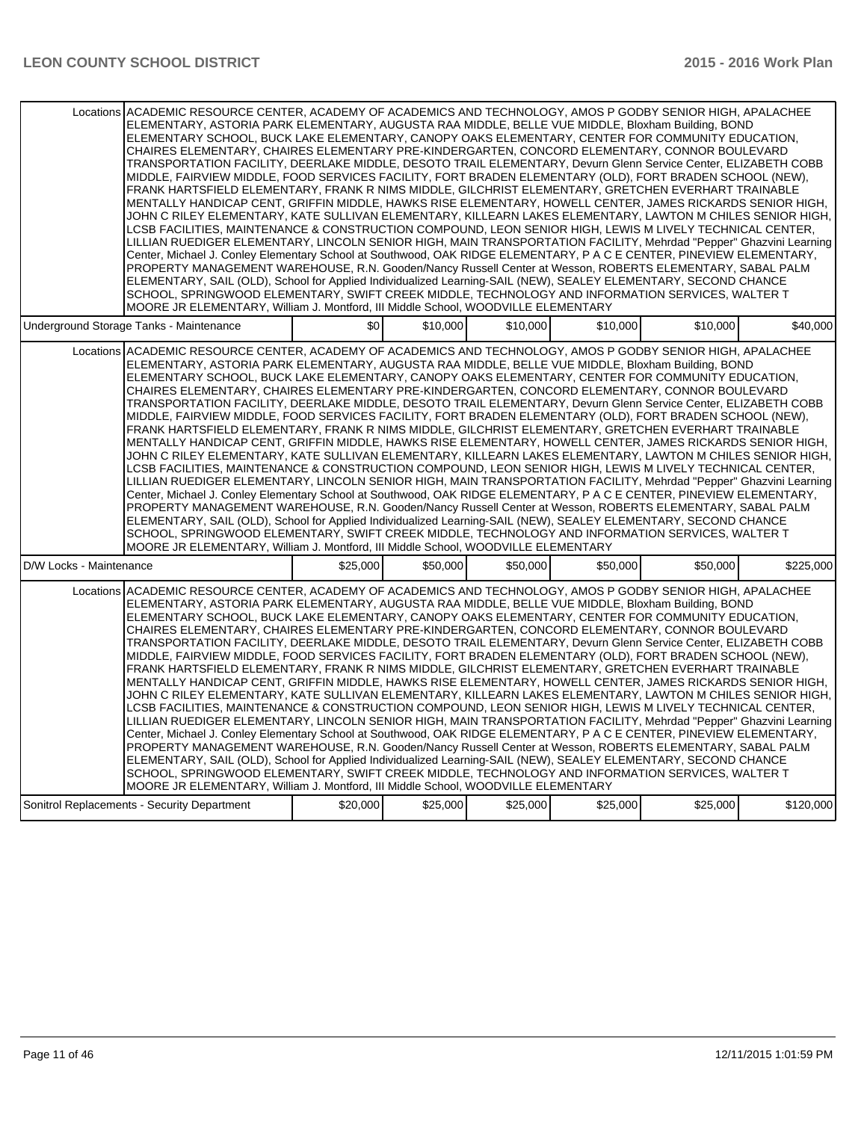| Locations ACADEMIC RESOURCE CENTER, ACADEMY OF ACADEMICS AND TECHNOLOGY, AMOS P GODBY SENIOR HIGH, APALACHEE<br>ELEMENTARY, ASTORIA PARK ELEMENTARY, AUGUSTA RAA MIDDLE, BELLE VUE MIDDLE, Bloxham Building, BOND<br>ELEMENTARY SCHOOL, BUCK LAKE ELEMENTARY, CANOPY OAKS ELEMENTARY, CENTER FOR COMMUNITY EDUCATION,<br>CHAIRES ELEMENTARY, CHAIRES ELEMENTARY PRE-KINDERGARTEN, CONCORD ELEMENTARY, CONNOR BOULEVARD<br>TRANSPORTATION FACILITY, DEERLAKE MIDDLE, DESOTO TRAIL ELEMENTARY, Devurn Glenn Service Center, ELIZABETH COBB<br>MIDDLE, FAIRVIEW MIDDLE, FOOD SERVICES FACILITY, FORT BRADEN ELEMENTARY (OLD), FORT BRADEN SCHOOL (NEW),<br>FRANK HARTSFIELD ELEMENTARY, FRANK R NIMS MIDDLE, GILCHRIST ELEMENTARY, GRETCHEN EVERHART TRAINABLE<br>MENTALLY HANDICAP CENT, GRIFFIN MIDDLE, HAWKS RISE ELEMENTARY, HOWELL CENTER, JAMES RICKARDS SENIOR HIGH,<br>JOHN C RILEY ELEMENTARY, KATE SULLIVAN ELEMENTARY, KILLEARN LAKES ELEMENTARY, LAWTON M CHILES SENIOR HIGH,<br>LCSB FACILITIES. MAINTENANCE & CONSTRUCTION COMPOUND. LEON SENIOR HIGH. LEWIS M LIVELY TECHNICAL CENTER.<br>LILLIAN RUEDIGER ELEMENTARY, LINCOLN SENIOR HIGH, MAIN TRANSPORTATION FACILITY, Mehrdad "Pepper" Ghazvini Learning<br>Center, Michael J. Conley Elementary School at Southwood, OAK RIDGE ELEMENTARY, P A C E CENTER, PINEVIEW ELEMENTARY,<br>PROPERTY MANAGEMENT WAREHOUSE, R.N. Gooden/Nancy Russell Center at Wesson, ROBERTS ELEMENTARY, SABAL PALM<br>ELEMENTARY, SAIL (OLD), School for Applied Individualized Learning-SAIL (NEW), SEALEY ELEMENTARY, SECOND CHANCE<br>SCHOOL, SPRINGWOOD ELEMENTARY, SWIFT CREEK MIDDLE, TECHNOLOGY AND INFORMATION SERVICES, WALTER T<br>MOORE JR ELEMENTARY, William J. Montford, III Middle School, WOODVILLE ELEMENTARY |          |          |          |          |          |           |
|---------------------------------------------------------------------------------------------------------------------------------------------------------------------------------------------------------------------------------------------------------------------------------------------------------------------------------------------------------------------------------------------------------------------------------------------------------------------------------------------------------------------------------------------------------------------------------------------------------------------------------------------------------------------------------------------------------------------------------------------------------------------------------------------------------------------------------------------------------------------------------------------------------------------------------------------------------------------------------------------------------------------------------------------------------------------------------------------------------------------------------------------------------------------------------------------------------------------------------------------------------------------------------------------------------------------------------------------------------------------------------------------------------------------------------------------------------------------------------------------------------------------------------------------------------------------------------------------------------------------------------------------------------------------------------------------------------------------------------------------------------------------------|----------|----------|----------|----------|----------|-----------|
| Underground Storage Tanks - Maintenance                                                                                                                                                                                                                                                                                                                                                                                                                                                                                                                                                                                                                                                                                                                                                                                                                                                                                                                                                                                                                                                                                                                                                                                                                                                                                                                                                                                                                                                                                                                                                                                                                                                                                                                                   | \$0      | \$10,000 | \$10.000 | \$10,000 | \$10.000 | \$40,000  |
| Locations ACADEMIC RESOURCE CENTER, ACADEMY OF ACADEMICS AND TECHNOLOGY, AMOS P GODBY SENIOR HIGH, APALACHEE<br>ELEMENTARY, ASTORIA PARK ELEMENTARY, AUGUSTA RAA MIDDLE, BELLE VUE MIDDLE, Bloxham Building, BOND<br>ELEMENTARY SCHOOL, BUCK LAKE ELEMENTARY, CANOPY OAKS ELEMENTARY, CENTER FOR COMMUNITY EDUCATION,<br>CHAIRES ELEMENTARY, CHAIRES ELEMENTARY PRE-KINDERGARTEN, CONCORD ELEMENTARY, CONNOR BOULEVARD<br>TRANSPORTATION FACILITY, DEERLAKE MIDDLE, DESOTO TRAIL ELEMENTARY, Devurn Glenn Service Center, ELIZABETH COBB<br>MIDDLE, FAIRVIEW MIDDLE, FOOD SERVICES FACILITY, FORT BRADEN ELEMENTARY (OLD), FORT BRADEN SCHOOL (NEW),<br>FRANK HARTSFIELD ELEMENTARY, FRANK R NIMS MIDDLE, GILCHRIST ELEMENTARY, GRETCHEN EVERHART TRAINABLE<br>MENTALLY HANDICAP CENT, GRIFFIN MIDDLE, HAWKS RISE ELEMENTARY, HOWELL CENTER, JAMES RICKARDS SENIOR HIGH,<br>JOHN C RILEY ELEMENTARY, KATE SULLIVAN ELEMENTARY, KILLEARN LAKES ELEMENTARY, LAWTON M CHILES SENIOR HIGH,<br>LCSB FACILITIES, MAINTENANCE & CONSTRUCTION COMPOUND, LEON SENIOR HIGH, LEWIS M LIVELY TECHNICAL CENTER,<br>LILLIAN RUEDIGER ELEMENTARY, LINCOLN SENIOR HIGH, MAIN TRANSPORTATION FACILITY, Mehrdad "Pepper" Ghazvini Learning<br>Center, Michael J. Conley Elementary School at Southwood, OAK RIDGE ELEMENTARY, P A C E CENTER, PINEVIEW ELEMENTARY,<br>PROPERTY MANAGEMENT WAREHOUSE, R.N. Gooden/Nancy Russell Center at Wesson, ROBERTS ELEMENTARY, SABAL PALM<br>ELEMENTARY, SAIL (OLD), School for Applied Individualized Learning-SAIL (NEW), SEALEY ELEMENTARY, SECOND CHANCE<br>SCHOOL, SPRINGWOOD ELEMENTARY, SWIFT CREEK MIDDLE. TECHNOLOGY AND INFORMATION SERVICES, WALTER T<br>MOORE JR ELEMENTARY, William J. Montford, III Middle School, WOODVILLE ELEMENTARY |          |          |          |          |          |           |
| D/W Locks - Maintenance                                                                                                                                                                                                                                                                                                                                                                                                                                                                                                                                                                                                                                                                                                                                                                                                                                                                                                                                                                                                                                                                                                                                                                                                                                                                                                                                                                                                                                                                                                                                                                                                                                                                                                                                                   | \$25,000 | \$50,000 | \$50,000 | \$50,000 | \$50,000 | \$225,000 |
| Locations ACADEMIC RESOURCE CENTER. ACADEMY OF ACADEMICS AND TECHNOLOGY. AMOS P GODBY SENIOR HIGH. APALACHEE<br>ELEMENTARY, ASTORIA PARK ELEMENTARY, AUGUSTA RAA MIDDLE, BELLE VUE MIDDLE, Bloxham Building, BOND<br>ELEMENTARY SCHOOL, BUCK LAKE ELEMENTARY, CANOPY OAKS ELEMENTARY, CENTER FOR COMMUNITY EDUCATION,<br>CHAIRES ELEMENTARY, CHAIRES ELEMENTARY PRE-KINDERGARTEN, CONCORD ELEMENTARY, CONNOR BOULEVARD<br>TRANSPORTATION FACILITY, DEERLAKE MIDDLE, DESOTO TRAIL ELEMENTARY, Devurn Glenn Service Center, ELIZABETH COBB<br>MIDDLE, FAIRVIEW MIDDLE, FOOD SERVICES FACILITY, FORT BRADEN ELEMENTARY (OLD), FORT BRADEN SCHOOL (NEW),<br>FRANK HARTSFIELD ELEMENTARY, FRANK R NIMS MIDDLE, GILCHRIST ELEMENTARY, GRETCHEN EVERHART TRAINABLE<br>MENTALLY HANDICAP CENT, GRIFFIN MIDDLE, HAWKS RISE ELEMENTARY, HOWELL CENTER, JAMES RICKARDS SENIOR HIGH,<br>JOHN C RILEY ELEMENTARY, KATE SULLIVAN ELEMENTARY, KILLEARN LAKES ELEMENTARY, LAWTON M CHILES SENIOR HIGH,<br>LCSB FACILITIES, MAINTENANCE & CONSTRUCTION COMPOUND, LEON SENIOR HIGH, LEWIS M LIVELY TECHNICAL CENTER,<br>LILLIAN RUEDIGER ELEMENTARY, LINCOLN SENIOR HIGH, MAIN TRANSPORTATION FACILITY, Mehrdad "Pepper" Ghazvini Learning<br>Center, Michael J. Conley Elementary School at Southwood, OAK RIDGE ELEMENTARY, P A C E CENTER, PINEVIEW ELEMENTARY,<br>PROPERTY MANAGEMENT WAREHOUSE, R.N. Gooden/Nancy Russell Center at Wesson, ROBERTS ELEMENTARY, SABAL PALM<br>ELEMENTARY, SAIL (OLD), School for Applied Individualized Learning-SAIL (NEW), SEALEY ELEMENTARY, SECOND CHANCE<br>SCHOOL, SPRINGWOOD ELEMENTARY, SWIFT CREEK MIDDLE, TECHNOLOGY AND INFORMATION SERVICES, WALTER T<br>MOORE JR ELEMENTARY, William J. Montford, III Middle School, WOODVILLE ELEMENTARY |          |          |          |          |          |           |
| Sonitrol Replacements - Security Department                                                                                                                                                                                                                                                                                                                                                                                                                                                                                                                                                                                                                                                                                                                                                                                                                                                                                                                                                                                                                                                                                                                                                                                                                                                                                                                                                                                                                                                                                                                                                                                                                                                                                                                               | \$20,000 | \$25,000 | \$25,000 | \$25,000 | \$25,000 | \$120,000 |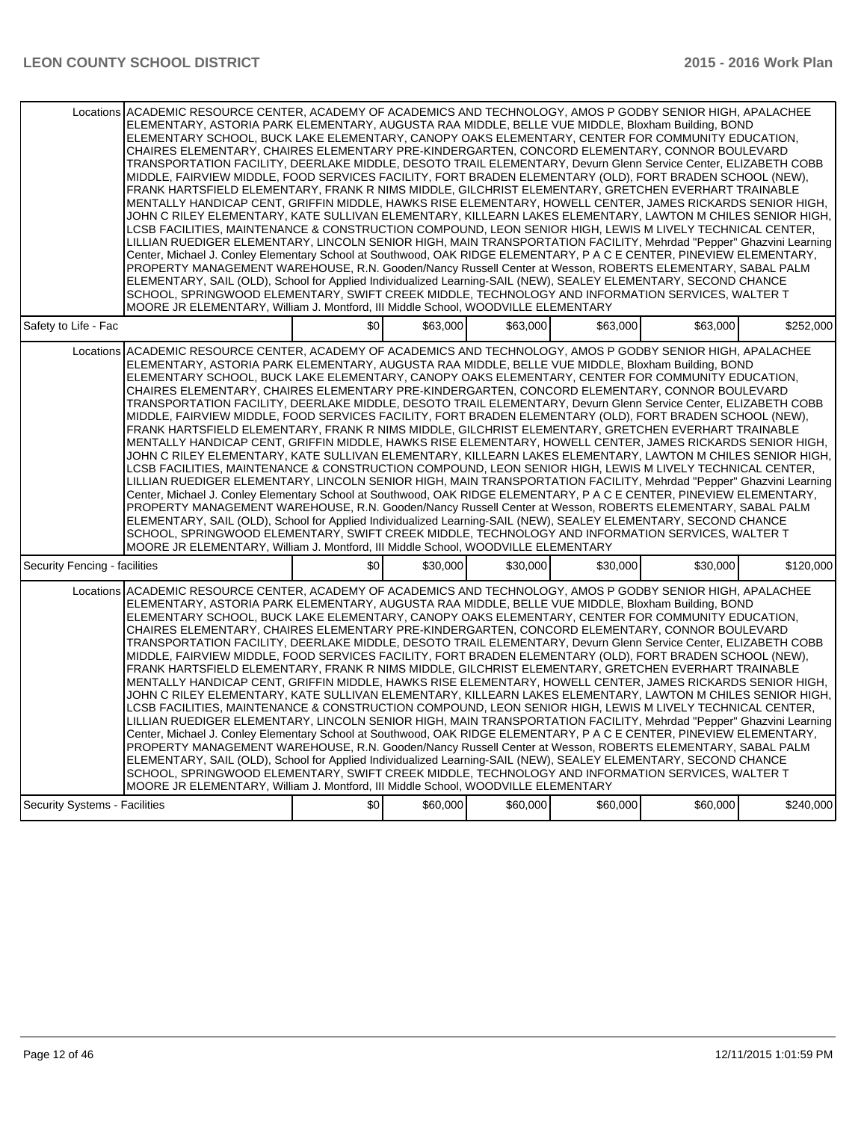|                                      | Locations ACADEMIC RESOURCE CENTER, ACADEMY OF ACADEMICS AND TECHNOLOGY, AMOS P GODBY SENIOR HIGH, APALACHEE<br>ELEMENTARY, ASTORIA PARK ELEMENTARY, AUGUSTA RAA MIDDLE, BELLE VUE MIDDLE, Bloxham Building, BOND<br>ELEMENTARY SCHOOL, BUCK LAKE ELEMENTARY, CANOPY OAKS ELEMENTARY, CENTER FOR COMMUNITY EDUCATION,<br>CHAIRES ELEMENTARY, CHAIRES ELEMENTARY PRE-KINDERGARTEN, CONCORD ELEMENTARY, CONNOR BOULEVARD<br>TRANSPORTATION FACILITY, DEERLAKE MIDDLE, DESOTO TRAIL ELEMENTARY, Devurn Glenn Service Center, ELIZABETH COBB<br>MIDDLE, FAIRVIEW MIDDLE, FOOD SERVICES FACILITY, FORT BRADEN ELEMENTARY (OLD), FORT BRADEN SCHOOL (NEW),<br>FRANK HARTSFIELD ELEMENTARY, FRANK R NIMS MIDDLE, GILCHRIST ELEMENTARY, GRETCHEN EVERHART TRAINABLE<br>MENTALLY HANDICAP CENT, GRIFFIN MIDDLE, HAWKS RISE ELEMENTARY, HOWELL CENTER, JAMES RICKARDS SENIOR HIGH,<br>JOHN C RILEY ELEMENTARY, KATE SULLIVAN ELEMENTARY, KILLEARN LAKES ELEMENTARY, LAWTON M CHILES SENIOR HIGH,<br>LCSB FACILITIES, MAINTENANCE & CONSTRUCTION COMPOUND, LEON SENIOR HIGH, LEWIS M LIVELY TECHNICAL CENTER,<br>LILLIAN RUEDIGER ELEMENTARY, LINCOLN SENIOR HIGH, MAIN TRANSPORTATION FACILITY, Mehrdad "Pepper" Ghazvini Learning<br>Center, Michael J. Conley Elementary School at Southwood, OAK RIDGE ELEMENTARY, P A C E CENTER, PINEVIEW ELEMENTARY,<br>PROPERTY MANAGEMENT WAREHOUSE, R.N. Gooden/Nancy Russell Center at Wesson, ROBERTS ELEMENTARY, SABAL PALM<br>ELEMENTARY, SAIL (OLD), School for Applied Individualized Learning-SAIL (NEW), SEALEY ELEMENTARY, SECOND CHANCE<br>SCHOOL, SPRINGWOOD ELEMENTARY, SWIFT CREEK MIDDLE, TECHNOLOGY AND INFORMATION SERVICES, WALTER T<br>MOORE JR ELEMENTARY, William J. Montford, III Middle School, WOODVILLE ELEMENTARY |     |          |          |          |          |           |
|--------------------------------------|---------------------------------------------------------------------------------------------------------------------------------------------------------------------------------------------------------------------------------------------------------------------------------------------------------------------------------------------------------------------------------------------------------------------------------------------------------------------------------------------------------------------------------------------------------------------------------------------------------------------------------------------------------------------------------------------------------------------------------------------------------------------------------------------------------------------------------------------------------------------------------------------------------------------------------------------------------------------------------------------------------------------------------------------------------------------------------------------------------------------------------------------------------------------------------------------------------------------------------------------------------------------------------------------------------------------------------------------------------------------------------------------------------------------------------------------------------------------------------------------------------------------------------------------------------------------------------------------------------------------------------------------------------------------------------------------------------------------------------------------------------------------------|-----|----------|----------|----------|----------|-----------|
| Safety to Life - Fac                 |                                                                                                                                                                                                                                                                                                                                                                                                                                                                                                                                                                                                                                                                                                                                                                                                                                                                                                                                                                                                                                                                                                                                                                                                                                                                                                                                                                                                                                                                                                                                                                                                                                                                                                                                                                           | \$0 | \$63,000 | \$63,000 | \$63,000 | \$63,000 | \$252,000 |
|                                      | Locations ACADEMIC RESOURCE CENTER, ACADEMY OF ACADEMICS AND TECHNOLOGY, AMOS P GODBY SENIOR HIGH, APALACHEE<br>ELEMENTARY, ASTORIA PARK ELEMENTARY, AUGUSTA RAA MIDDLE, BELLE VUE MIDDLE, Bloxham Building, BOND<br>ELEMENTARY SCHOOL, BUCK LAKE ELEMENTARY, CANOPY OAKS ELEMENTARY, CENTER FOR COMMUNITY EDUCATION,<br>CHAIRES ELEMENTARY, CHAIRES ELEMENTARY PRE-KINDERGARTEN, CONCORD ELEMENTARY, CONNOR BOULEVARD<br>TRANSPORTATION FACILITY, DEERLAKE MIDDLE, DESOTO TRAIL ELEMENTARY, Devurn Glenn Service Center, ELIZABETH COBB<br>MIDDLE, FAIRVIEW MIDDLE, FOOD SERVICES FACILITY, FORT BRADEN ELEMENTARY (OLD), FORT BRADEN SCHOOL (NEW),<br>FRANK HARTSFIELD ELEMENTARY, FRANK R NIMS MIDDLE, GILCHRIST ELEMENTARY, GRETCHEN EVERHART TRAINABLE<br>MENTALLY HANDICAP CENT. GRIFFIN MIDDLE. HAWKS RISE ELEMENTARY. HOWELL CENTER. JAMES RICKARDS SENIOR HIGH.<br>JOHN C RILEY ELEMENTARY, KATE SULLIVAN ELEMENTARY, KILLEARN LAKES ELEMENTARY, LAWTON M CHILES SENIOR HIGH,<br>LCSB FACILITIES, MAINTENANCE & CONSTRUCTION COMPOUND, LEON SENIOR HIGH, LEWIS M LIVELY TECHNICAL CENTER,<br>LILLIAN RUEDIGER ELEMENTARY, LINCOLN SENIOR HIGH, MAIN TRANSPORTATION FACILITY, Mehrdad "Pepper" Ghazvini Learning<br>Center, Michael J. Conley Elementary School at Southwood, OAK RIDGE ELEMENTARY, P A C E CENTER, PINEVIEW ELEMENTARY,<br>PROPERTY MANAGEMENT WAREHOUSE, R.N. Gooden/Nancy Russell Center at Wesson, ROBERTS ELEMENTARY, SABAL PALM<br>ELEMENTARY, SAIL (OLD), School for Applied Individualized Learning-SAIL (NEW), SEALEY ELEMENTARY, SECOND CHANCE<br>SCHOOL, SPRINGWOOD ELEMENTARY, SWIFT CREEK MIDDLE, TECHNOLOGY AND INFORMATION SERVICES, WALTER T<br>MOORE JR ELEMENTARY, William J. Montford, III Middle School, WOODVILLE ELEMENTARY |     |          |          |          |          |           |
| Security Fencing - facilities        |                                                                                                                                                                                                                                                                                                                                                                                                                                                                                                                                                                                                                                                                                                                                                                                                                                                                                                                                                                                                                                                                                                                                                                                                                                                                                                                                                                                                                                                                                                                                                                                                                                                                                                                                                                           | \$0 | \$30,000 | \$30,000 | \$30,000 | \$30,000 | \$120,000 |
|                                      | Locations ACADEMIC RESOURCE CENTER, ACADEMY OF ACADEMICS AND TECHNOLOGY, AMOS P GODBY SENIOR HIGH, APALACHEE<br>ELEMENTARY, ASTORIA PARK ELEMENTARY, AUGUSTA RAA MIDDLE, BELLE VUE MIDDLE, Bloxham Building, BOND<br>ELEMENTARY SCHOOL. BUCK LAKE ELEMENTARY. CANOPY OAKS ELEMENTARY. CENTER FOR COMMUNITY EDUCATION.<br>CHAIRES ELEMENTARY, CHAIRES ELEMENTARY PRE-KINDERGARTEN, CONCORD ELEMENTARY, CONNOR BOULEVARD<br>TRANSPORTATION FACILITY, DEERLAKE MIDDLE, DESOTO TRAIL ELEMENTARY, Devurn Glenn Service Center, ELIZABETH COBB<br>MIDDLE, FAIRVIEW MIDDLE, FOOD SERVICES FACILITY, FORT BRADEN ELEMENTARY (OLD), FORT BRADEN SCHOOL (NEW),<br>FRANK HARTSFIELD ELEMENTARY, FRANK R NIMS MIDDLE, GILCHRIST ELEMENTARY, GRETCHEN EVERHART TRAINABLE<br>MENTALLY HANDICAP CENT, GRIFFIN MIDDLE, HAWKS RISE ELEMENTARY, HOWELL CENTER, JAMES RICKARDS SENIOR HIGH,<br>JOHN C RILEY ELEMENTARY, KATE SULLIVAN ELEMENTARY, KILLEARN LAKES ELEMENTARY, LAWTON M CHILES SENIOR HIGH,<br>LCSB FACILITIES, MAINTENANCE & CONSTRUCTION COMPOUND, LEON SENIOR HIGH, LEWIS M LIVELY TECHNICAL CENTER,<br>LILLIAN RUEDIGER ELEMENTARY, LINCOLN SENIOR HIGH, MAIN TRANSPORTATION FACILITY, Mehrdad "Pepper" Ghazvini Learning<br>Center, Michael J. Conley Elementary School at Southwood, OAK RIDGE ELEMENTARY, P A C E CENTER, PINEVIEW ELEMENTARY,<br>PROPERTY MANAGEMENT WAREHOUSE, R.N. Gooden/Nancy Russell Center at Wesson, ROBERTS ELEMENTARY, SABAL PALM<br>ELEMENTARY, SAIL (OLD), School for Applied Individualized Learning-SAIL (NEW), SEALEY ELEMENTARY, SECOND CHANCE<br>SCHOOL, SPRINGWOOD ELEMENTARY, SWIFT CREEK MIDDLE, TECHNOLOGY AND INFORMATION SERVICES, WALTER T<br>MOORE JR ELEMENTARY, William J. Montford, III Middle School, WOODVILLE ELEMENTARY |     |          |          |          |          |           |
| <b>Security Systems - Facilities</b> |                                                                                                                                                                                                                                                                                                                                                                                                                                                                                                                                                                                                                                                                                                                                                                                                                                                                                                                                                                                                                                                                                                                                                                                                                                                                                                                                                                                                                                                                                                                                                                                                                                                                                                                                                                           | \$0 | \$60,000 | \$60,000 | \$60,000 | \$60,000 | \$240.000 |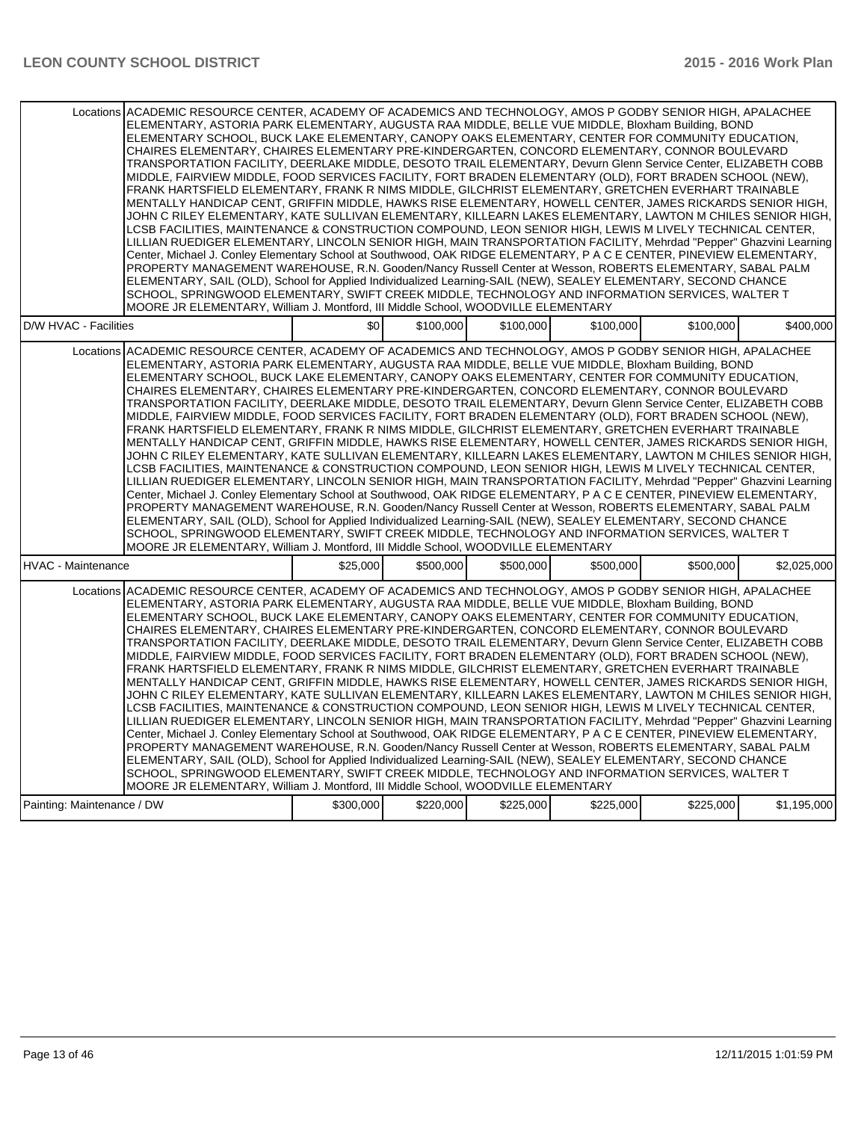|                            | Locations ACADEMIC RESOURCE CENTER, ACADEMY OF ACADEMICS AND TECHNOLOGY, AMOS P GODBY SENIOR HIGH, APALACHEE<br>ELEMENTARY, ASTORIA PARK ELEMENTARY, AUGUSTA RAA MIDDLE, BELLE VUE MIDDLE, Bloxham Building, BOND<br>ELEMENTARY SCHOOL, BUCK LAKE ELEMENTARY, CANOPY OAKS ELEMENTARY, CENTER FOR COMMUNITY EDUCATION, |           |           |           |           |           |             |  |
|----------------------------|-----------------------------------------------------------------------------------------------------------------------------------------------------------------------------------------------------------------------------------------------------------------------------------------------------------------------|-----------|-----------|-----------|-----------|-----------|-------------|--|
|                            | CHAIRES ELEMENTARY, CHAIRES ELEMENTARY PRE-KINDERGARTEN, CONCORD ELEMENTARY, CONNOR BOULEVARD                                                                                                                                                                                                                         |           |           |           |           |           |             |  |
|                            | TRANSPORTATION FACILITY, DEERLAKE MIDDLE, DESOTO TRAIL ELEMENTARY, Devurn Glenn Service Center, ELIZABETH COBB<br>MIDDLE, FAIRVIEW MIDDLE, FOOD SERVICES FACILITY, FORT BRADEN ELEMENTARY (OLD), FORT BRADEN SCHOOL (NEW),                                                                                            |           |           |           |           |           |             |  |
|                            | FRANK HARTSFIELD ELEMENTARY, FRANK R NIMS MIDDLE, GILCHRIST ELEMENTARY, GRETCHEN EVERHART TRAINABLE                                                                                                                                                                                                                   |           |           |           |           |           |             |  |
|                            | MENTALLY HANDICAP CENT, GRIFFIN MIDDLE, HAWKS RISE ELEMENTARY, HOWELL CENTER, JAMES RICKARDS SENIOR HIGH,<br>JOHN C RILEY ELEMENTARY, KATE SULLIVAN ELEMENTARY, KILLEARN LAKES ELEMENTARY, LAWTON M CHILES SENIOR HIGH,                                                                                               |           |           |           |           |           |             |  |
|                            | LCSB FACILITIES, MAINTENANCE & CONSTRUCTION COMPOUND, LEON SENIOR HIGH, LEWIS M LIVELY TECHNICAL CENTER,                                                                                                                                                                                                              |           |           |           |           |           |             |  |
|                            | LILLIAN RUEDIGER ELEMENTARY, LINCOLN SENIOR HIGH, MAIN TRANSPORTATION FACILITY, Mehrdad "Pepper" Ghazvini Learning<br>Center, Michael J. Conley Elementary School at Southwood, OAK RIDGE ELEMENTARY, P A C E CENTER, PINEVIEW ELEMENTARY,                                                                            |           |           |           |           |           |             |  |
|                            | PROPERTY MANAGEMENT WAREHOUSE, R.N. Gooden/Nancy Russell Center at Wesson, ROBERTS ELEMENTARY, SABAL PALM                                                                                                                                                                                                             |           |           |           |           |           |             |  |
|                            | ELEMENTARY, SAIL (OLD), School for Applied Individualized Learning-SAIL (NEW), SEALEY ELEMENTARY, SECOND CHANCE<br>SCHOOL, SPRINGWOOD ELEMENTARY, SWIFT CREEK MIDDLE, TECHNOLOGY AND INFORMATION SERVICES, WALTER T                                                                                                   |           |           |           |           |           |             |  |
|                            | MOORE JR ELEMENTARY, William J. Montford, III Middle School, WOODVILLE ELEMENTARY                                                                                                                                                                                                                                     |           |           |           |           |           |             |  |
| D/W HVAC - Facilities      |                                                                                                                                                                                                                                                                                                                       | \$0       | \$100,000 | \$100,000 | \$100,000 | \$100,000 | \$400,000   |  |
|                            | Locations ACADEMIC RESOURCE CENTER, ACADEMY OF ACADEMICS AND TECHNOLOGY, AMOS P GODBY SENIOR HIGH, APALACHEE                                                                                                                                                                                                          |           |           |           |           |           |             |  |
|                            | ELEMENTARY, ASTORIA PARK ELEMENTARY, AUGUSTA RAA MIDDLE, BELLE VUE MIDDLE, Bloxham Building, BOND<br>ELEMENTARY SCHOOL, BUCK LAKE ELEMENTARY, CANOPY OAKS ELEMENTARY, CENTER FOR COMMUNITY EDUCATION,                                                                                                                 |           |           |           |           |           |             |  |
|                            | CHAIRES ELEMENTARY, CHAIRES ELEMENTARY PRE-KINDERGARTEN, CONCORD ELEMENTARY, CONNOR BOULEVARD                                                                                                                                                                                                                         |           |           |           |           |           |             |  |
|                            | TRANSPORTATION FACILITY, DEERLAKE MIDDLE, DESOTO TRAIL ELEMENTARY, Devurn Glenn Service Center, ELIZABETH COBB<br>MIDDLE, FAIRVIEW MIDDLE, FOOD SERVICES FACILITY, FORT BRADEN ELEMENTARY (OLD), FORT BRADEN SCHOOL (NEW),                                                                                            |           |           |           |           |           |             |  |
|                            | FRANK HARTSFIELD ELEMENTARY, FRANK R NIMS MIDDLE, GILCHRIST ELEMENTARY, GRETCHEN EVERHART TRAINABLE                                                                                                                                                                                                                   |           |           |           |           |           |             |  |
|                            | MENTALLY HANDICAP CENT, GRIFFIN MIDDLE, HAWKS RISE ELEMENTARY, HOWELL CENTER, JAMES RICKARDS SENIOR HIGH,<br>JOHN C RILEY ELEMENTARY, KATE SULLIVAN ELEMENTARY, KILLEARN LAKES ELEMENTARY, LAWTON M CHILES SENIOR HIGH,                                                                                               |           |           |           |           |           |             |  |
|                            | LCSB FACILITIES, MAINTENANCE & CONSTRUCTION COMPOUND, LEON SENIOR HIGH, LEWIS M LIVELY TECHNICAL CENTER,                                                                                                                                                                                                              |           |           |           |           |           |             |  |
|                            | LILLIAN RUEDIGER ELEMENTARY, LINCOLN SENIOR HIGH, MAIN TRANSPORTATION FACILITY, Mehrdad "Pepper" Ghazvini Learning<br>Center, Michael J. Conley Elementary School at Southwood, OAK RIDGE ELEMENTARY, P A C E CENTER, PINEVIEW ELEMENTARY,                                                                            |           |           |           |           |           |             |  |
|                            | PROPERTY MANAGEMENT WAREHOUSE, R.N. Gooden/Nancy Russell Center at Wesson, ROBERTS ELEMENTARY, SABAL PALM                                                                                                                                                                                                             |           |           |           |           |           |             |  |
|                            | ELEMENTARY, SAIL (OLD), School for Applied Individualized Learning-SAIL (NEW), SEALEY ELEMENTARY, SECOND CHANCE<br>SCHOOL, SPRINGWOOD ELEMENTARY, SWIFT CREEK MIDDLE, TECHNOLOGY AND INFORMATION SERVICES, WALTER T                                                                                                   |           |           |           |           |           |             |  |
|                            | MOORE JR ELEMENTARY, William J. Montford, III Middle School, WOODVILLE ELEMENTARY                                                                                                                                                                                                                                     |           |           |           |           |           |             |  |
| <b>HVAC - Maintenance</b>  |                                                                                                                                                                                                                                                                                                                       | \$25,000  | \$500,000 | \$500,000 | \$500,000 | \$500,000 | \$2,025,000 |  |
|                            | Locations ACADEMIC RESOURCE CENTER, ACADEMY OF ACADEMICS AND TECHNOLOGY, AMOS P GODBY SENIOR HIGH, APALACHEE                                                                                                                                                                                                          |           |           |           |           |           |             |  |
|                            | ELEMENTARY, ASTORIA PARK ELEMENTARY, AUGUSTA RAA MIDDLE, BELLE VUE MIDDLE, Bloxham Building, BOND<br>ELEMENTARY SCHOOL, BUCK LAKE ELEMENTARY, CANOPY OAKS ELEMENTARY, CENTER FOR COMMUNITY EDUCATION,                                                                                                                 |           |           |           |           |           |             |  |
|                            | CHAIRES ELEMENTARY, CHAIRES ELEMENTARY PRE-KINDERGARTEN, CONCORD ELEMENTARY, CONNOR BOULEVARD                                                                                                                                                                                                                         |           |           |           |           |           |             |  |
|                            | TRANSPORTATION FACILITY, DEERLAKE MIDDLE, DESOTO TRAIL ELEMENTARY, Devurn Glenn Service Center, ELIZABETH COBB<br>MIDDLE, FAIRVIEW MIDDLE, FOOD SERVICES FACILITY, FORT BRADEN ELEMENTARY (OLD), FORT BRADEN SCHOOL (NEW),                                                                                            |           |           |           |           |           |             |  |
|                            | FRANK HARTSFIELD ELEMENTARY, FRANK R NIMS MIDDLE, GILCHRIST ELEMENTARY, GRETCHEN EVERHART TRAINABLE                                                                                                                                                                                                                   |           |           |           |           |           |             |  |
|                            | MENTALLY HANDICAP CENT, GRIFFIN MIDDLE, HAWKS RISE ELEMENTARY, HOWELL CENTER, JAMES RICKARDS SENIOR HIGH,<br>JOHN C RILEY ELEMENTARY, KATE SULLIVAN ELEMENTARY, KILLEARN LAKES ELEMENTARY, LAWTON M CHILES SENIOR HIGH,                                                                                               |           |           |           |           |           |             |  |
|                            | LCSB FACILITIES, MAINTENANCE & CONSTRUCTION COMPOUND, LEON SENIOR HIGH, LEWIS M LIVELY TECHNICAL CENTER,                                                                                                                                                                                                              |           |           |           |           |           |             |  |
|                            | LILLIAN RUEDIGER ELEMENTARY, LINCOLN SENIOR HIGH, MAIN TRANSPORTATION FACILITY, Mehrdad "Pepper" Ghazvini Learning<br>Center, Michael J. Conley Elementary School at Southwood, OAK RIDGE ELEMENTARY, P A C E CENTER, PINEVIEW ELEMENTARY,                                                                            |           |           |           |           |           |             |  |
|                            | PROPERTY MANAGEMENT WAREHOUSE, R.N. Gooden/Nancy Russell Center at Wesson, ROBERTS ELEMENTARY, SABAL PALM<br>ELEMENTARY, SAIL (OLD), School for Applied Individualized Learning-SAIL (NEW), SEALEY ELEMENTARY, SECOND CHANCE                                                                                          |           |           |           |           |           |             |  |
|                            | SCHOOL, SPRINGWOOD ELEMENTARY, SWIFT CREEK MIDDLE, TECHNOLOGY AND INFORMATION SERVICES, WALTER T                                                                                                                                                                                                                      |           |           |           |           |           |             |  |
|                            | MOORE JR ELEMENTARY, William J. Montford, III Middle School, WOODVILLE ELEMENTARY                                                                                                                                                                                                                                     |           |           |           |           |           |             |  |
| Painting: Maintenance / DW |                                                                                                                                                                                                                                                                                                                       | \$300,000 | \$220,000 | \$225,000 | \$225,000 | \$225,000 | \$1,195,000 |  |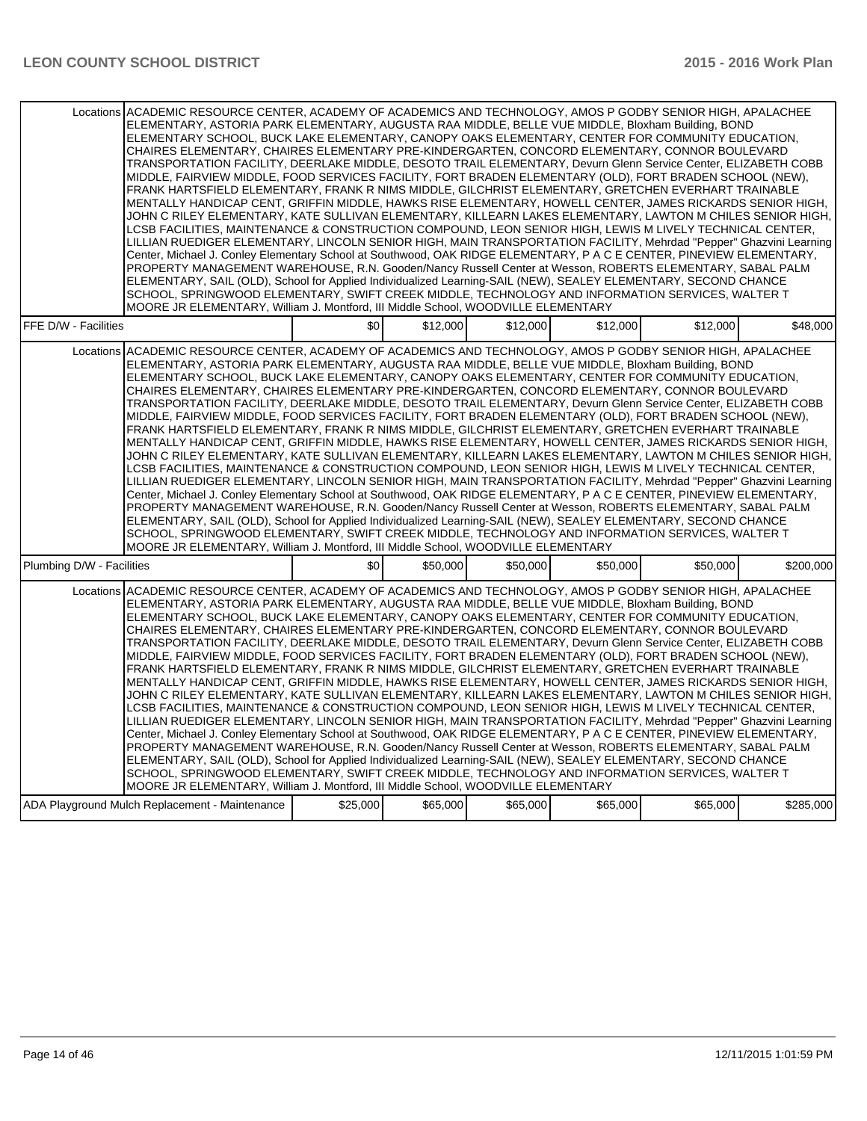| Locations ACADEMIC RESOURCE CENTER, ACADEMY OF ACADEMICS AND TECHNOLOGY, AMOS P GODBY SENIOR HIGH, APALACHEE<br>ELEMENTARY, ASTORIA PARK ELEMENTARY, AUGUSTA RAA MIDDLE, BELLE VUE MIDDLE, Bloxham Building, BOND<br>ELEMENTARY SCHOOL, BUCK LAKE ELEMENTARY, CANOPY OAKS ELEMENTARY, CENTER FOR COMMUNITY EDUCATION,<br>CHAIRES ELEMENTARY, CHAIRES ELEMENTARY PRE-KINDERGARTEN, CONCORD ELEMENTARY, CONNOR BOULEVARD<br>TRANSPORTATION FACILITY, DEERLAKE MIDDLE, DESOTO TRAIL ELEMENTARY, Devurn Glenn Service Center, ELIZABETH COBB<br>MIDDLE, FAIRVIEW MIDDLE, FOOD SERVICES FACILITY, FORT BRADEN ELEMENTARY (OLD), FORT BRADEN SCHOOL (NEW),<br>FRANK HARTSFIELD ELEMENTARY, FRANK R NIMS MIDDLE, GILCHRIST ELEMENTARY, GRETCHEN EVERHART TRAINABLE<br>MENTALLY HANDICAP CENT, GRIFFIN MIDDLE, HAWKS RISE ELEMENTARY, HOWELL CENTER, JAMES RICKARDS SENIOR HIGH,<br>JOHN C RILEY ELEMENTARY, KATE SULLIVAN ELEMENTARY, KILLEARN LAKES ELEMENTARY, LAWTON M CHILES SENIOR HIGH,<br>LCSB FACILITIES, MAINTENANCE & CONSTRUCTION COMPOUND, LEON SENIOR HIGH, LEWIS M LIVELY TECHNICAL CENTER,<br>LILLIAN RUEDIGER ELEMENTARY, LINCOLN SENIOR HIGH, MAIN TRANSPORTATION FACILITY, Mehrdad "Pepper" Ghazvini Learning<br>Center, Michael J. Conley Elementary School at Southwood, OAK RIDGE ELEMENTARY, P A C E CENTER, PINEVIEW ELEMENTARY,<br>PROPERTY MANAGEMENT WAREHOUSE, R.N. Gooden/Nancy Russell Center at Wesson, ROBERTS ELEMENTARY, SABAL PALM<br>ELEMENTARY, SAIL (OLD), School for Applied Individualized Learning-SAIL (NEW), SEALEY ELEMENTARY, SECOND CHANCE<br>SCHOOL, SPRINGWOOD ELEMENTARY, SWIFT CREEK MIDDLE, TECHNOLOGY AND INFORMATION SERVICES, WALTER T<br>MOORE JR ELEMENTARY, William J. Montford, III Middle School, WOODVILLE ELEMENTARY |          |          |          |          |          |           |  |  |
|---------------------------------------------------------------------------------------------------------------------------------------------------------------------------------------------------------------------------------------------------------------------------------------------------------------------------------------------------------------------------------------------------------------------------------------------------------------------------------------------------------------------------------------------------------------------------------------------------------------------------------------------------------------------------------------------------------------------------------------------------------------------------------------------------------------------------------------------------------------------------------------------------------------------------------------------------------------------------------------------------------------------------------------------------------------------------------------------------------------------------------------------------------------------------------------------------------------------------------------------------------------------------------------------------------------------------------------------------------------------------------------------------------------------------------------------------------------------------------------------------------------------------------------------------------------------------------------------------------------------------------------------------------------------------------------------------------------------------------------------------------------------------|----------|----------|----------|----------|----------|-----------|--|--|
| FFE D/W - Facilities                                                                                                                                                                                                                                                                                                                                                                                                                                                                                                                                                                                                                                                                                                                                                                                                                                                                                                                                                                                                                                                                                                                                                                                                                                                                                                                                                                                                                                                                                                                                                                                                                                                                                                                                                      | \$0      | \$12,000 | \$12,000 | \$12,000 | \$12,000 | \$48,000  |  |  |
| Locations ACADEMIC RESOURCE CENTER, ACADEMY OF ACADEMICS AND TECHNOLOGY, AMOS P GODBY SENIOR HIGH, APALACHEE<br>ELEMENTARY, ASTORIA PARK ELEMENTARY, AUGUSTA RAA MIDDLE, BELLE VUE MIDDLE, Bloxham Building, BOND<br>ELEMENTARY SCHOOL, BUCK LAKE ELEMENTARY, CANOPY OAKS ELEMENTARY, CENTER FOR COMMUNITY EDUCATION,<br>CHAIRES ELEMENTARY, CHAIRES ELEMENTARY PRE-KINDERGARTEN, CONCORD ELEMENTARY, CONNOR BOULEVARD<br>TRANSPORTATION FACILITY, DEERLAKE MIDDLE, DESOTO TRAIL ELEMENTARY, Devurn Glenn Service Center, ELIZABETH COBB<br>MIDDLE, FAIRVIEW MIDDLE, FOOD SERVICES FACILITY, FORT BRADEN ELEMENTARY (OLD), FORT BRADEN SCHOOL (NEW),<br>FRANK HARTSFIELD ELEMENTARY, FRANK R NIMS MIDDLE, GILCHRIST ELEMENTARY, GRETCHEN EVERHART TRAINABLE<br>MENTALLY HANDICAP CENT, GRIFFIN MIDDLE, HAWKS RISE ELEMENTARY, HOWELL CENTER, JAMES RICKARDS SENIOR HIGH,<br>JOHN C RILEY ELEMENTARY, KATE SULLIVAN ELEMENTARY, KILLEARN LAKES ELEMENTARY, LAWTON M CHILES SENIOR HIGH,<br>LCSB FACILITIES, MAINTENANCE & CONSTRUCTION COMPOUND, LEON SENIOR HIGH, LEWIS M LIVELY TECHNICAL CENTER,<br>LILLIAN RUEDIGER ELEMENTARY, LINCOLN SENIOR HIGH, MAIN TRANSPORTATION FACILITY, Mehrdad "Pepper" Ghazvini Learning<br>Center, Michael J. Conley Elementary School at Southwood, OAK RIDGE ELEMENTARY, P A C E CENTER, PINEVIEW ELEMENTARY,<br>PROPERTY MANAGEMENT WAREHOUSE, R.N. Gooden/Nancy Russell Center at Wesson, ROBERTS ELEMENTARY, SABAL PALM<br>ELEMENTARY, SAIL (OLD), School for Applied Individualized Learning-SAIL (NEW), SEALEY ELEMENTARY, SECOND CHANCE<br>SCHOOL, SPRINGWOOD ELEMENTARY, SWIFT CREEK MIDDLE, TECHNOLOGY AND INFORMATION SERVICES, WALTER T<br>MOORE JR ELEMENTARY, William J. Montford, III Middle School, WOODVILLE ELEMENTARY |          |          |          |          |          |           |  |  |
| Plumbing D/W - Facilities                                                                                                                                                                                                                                                                                                                                                                                                                                                                                                                                                                                                                                                                                                                                                                                                                                                                                                                                                                                                                                                                                                                                                                                                                                                                                                                                                                                                                                                                                                                                                                                                                                                                                                                                                 | \$0      | \$50,000 | \$50,000 | \$50,000 | \$50,000 | \$200.000 |  |  |
| Locations ACADEMIC RESOURCE CENTER, ACADEMY OF ACADEMICS AND TECHNOLOGY, AMOS P GODBY SENIOR HIGH, APALACHEE<br>ELEMENTARY, ASTORIA PARK ELEMENTARY, AUGUSTA RAA MIDDLE, BELLE VUE MIDDLE, Bloxham Building, BOND<br>ELEMENTARY SCHOOL, BUCK LAKE ELEMENTARY, CANOPY OAKS ELEMENTARY, CENTER FOR COMMUNITY EDUCATION,<br>CHAIRES ELEMENTARY, CHAIRES ELEMENTARY PRE-KINDERGARTEN, CONCORD ELEMENTARY, CONNOR BOULEVARD<br>TRANSPORTATION FACILITY, DEERLAKE MIDDLE, DESOTO TRAIL ELEMENTARY, Devurn Glenn Service Center, ELIZABETH COBB<br>MIDDLE, FAIRVIEW MIDDLE, FOOD SERVICES FACILITY, FORT BRADEN ELEMENTARY (OLD), FORT BRADEN SCHOOL (NEW),<br>FRANK HARTSFIELD ELEMENTARY, FRANK R NIMS MIDDLE, GILCHRIST ELEMENTARY, GRETCHEN EVERHART TRAINABLE<br>MENTALLY HANDICAP CENT, GRIFFIN MIDDLE, HAWKS RISE ELEMENTARY, HOWELL CENTER, JAMES RICKARDS SENIOR HIGH,<br>JOHN C RILEY ELEMENTARY, KATE SULLIVAN ELEMENTARY, KILLEARN LAKES ELEMENTARY, LAWTON M CHILES SENIOR HIGH,<br>LCSB FACILITIES, MAINTENANCE & CONSTRUCTION COMPOUND, LEON SENIOR HIGH, LEWIS M LIVELY TECHNICAL CENTER,<br>LILLIAN RUEDIGER ELEMENTARY, LINCOLN SENIOR HIGH, MAIN TRANSPORTATION FACILITY, Mehrdad "Pepper" Ghazvini Learning<br>Center, Michael J. Conley Elementary School at Southwood, OAK RIDGE ELEMENTARY, P A C E CENTER, PINEVIEW ELEMENTARY,<br>PROPERTY MANAGEMENT WAREHOUSE, R.N. Gooden/Nancy Russell Center at Wesson, ROBERTS ELEMENTARY, SABAL PALM<br>ELEMENTARY, SAIL (OLD), School for Applied Individualized Learning-SAIL (NEW), SEALEY ELEMENTARY, SECOND CHANCE<br>SCHOOL, SPRINGWOOD ELEMENTARY, SWIFT CREEK MIDDLE, TECHNOLOGY AND INFORMATION SERVICES, WALTER T<br>MOORE JR ELEMENTARY, William J. Montford, III Middle School, WOODVILLE ELEMENTARY |          |          |          |          |          |           |  |  |
| ADA Playground Mulch Replacement - Maintenance                                                                                                                                                                                                                                                                                                                                                                                                                                                                                                                                                                                                                                                                                                                                                                                                                                                                                                                                                                                                                                                                                                                                                                                                                                                                                                                                                                                                                                                                                                                                                                                                                                                                                                                            | \$25,000 | \$65,000 | \$65,000 | \$65,000 | \$65,000 | \$285,000 |  |  |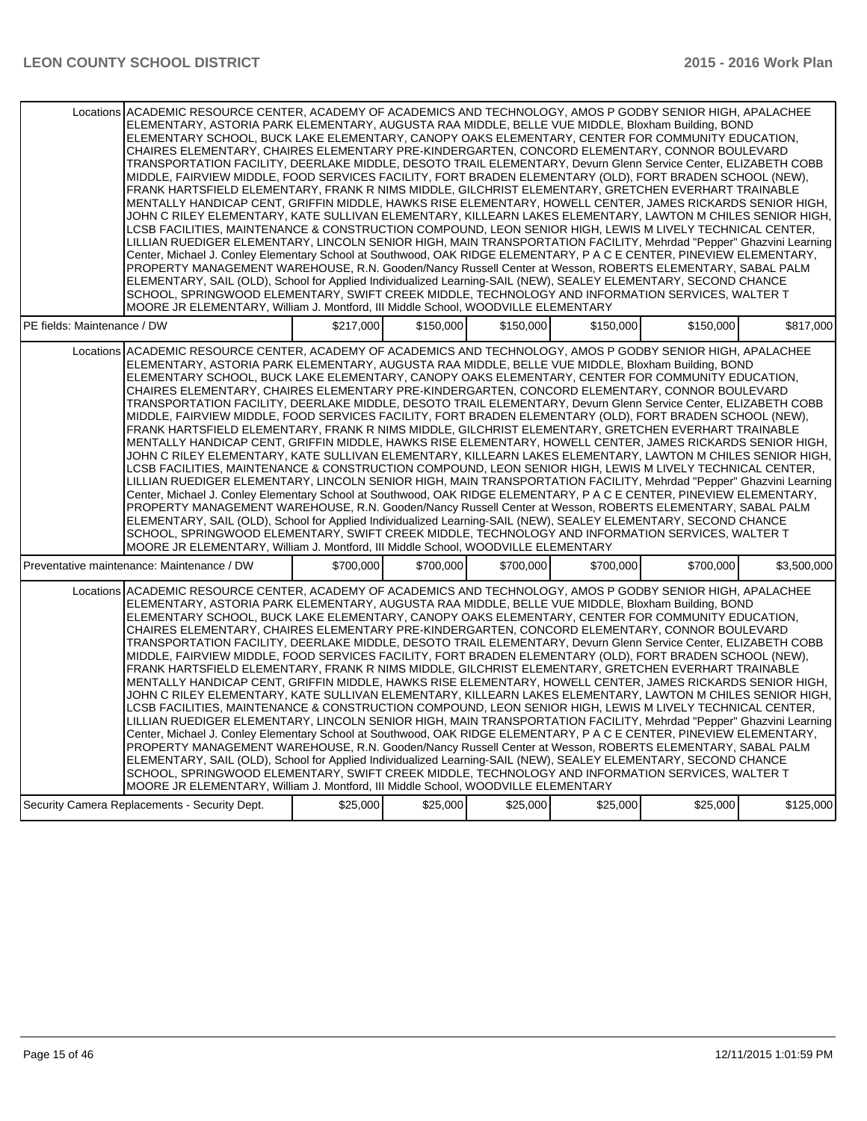|                             | Locations ACADEMIC RESOURCE CENTER, ACADEMY OF ACADEMICS AND TECHNOLOGY, AMOS P GODBY SENIOR HIGH, APALACHEE<br>ELEMENTARY, ASTORIA PARK ELEMENTARY, AUGUSTA RAA MIDDLE, BELLE VUE MIDDLE, Bloxham Building, BOND<br>ELEMENTARY SCHOOL, BUCK LAKE ELEMENTARY, CANOPY OAKS ELEMENTARY, CENTER FOR COMMUNITY EDUCATION.<br>CHAIRES ELEMENTARY, CHAIRES ELEMENTARY PRE-KINDERGARTEN, CONCORD ELEMENTARY, CONNOR BOULEVARD<br>TRANSPORTATION FACILITY, DEERLAKE MIDDLE, DESOTO TRAIL ELEMENTARY, Devurn Glenn Service Center, ELIZABETH COBB<br>MIDDLE, FAIRVIEW MIDDLE, FOOD SERVICES FACILITY, FORT BRADEN ELEMENTARY (OLD), FORT BRADEN SCHOOL (NEW),<br>FRANK HARTSFIELD ELEMENTARY, FRANK R NIMS MIDDLE, GILCHRIST ELEMENTARY, GRETCHEN EVERHART TRAINABLE<br>MENTALLY HANDICAP CENT, GRIFFIN MIDDLE, HAWKS RISE ELEMENTARY, HOWELL CENTER, JAMES RICKARDS SENIOR HIGH,<br>JOHN C RILEY ELEMENTARY, KATE SULLIVAN ELEMENTARY, KILLEARN LAKES ELEMENTARY, LAWTON M CHILES SENIOR HIGH,<br>LCSB FACILITIES, MAINTENANCE & CONSTRUCTION COMPOUND, LEON SENIOR HIGH, LEWIS M LIVELY TECHNICAL CENTER,<br>LILLIAN RUEDIGER ELEMENTARY, LINCOLN SENIOR HIGH, MAIN TRANSPORTATION FACILITY, Mehrdad "Pepper" Ghazvini Learning<br>Center, Michael J. Conley Elementary School at Southwood, OAK RIDGE ELEMENTARY, P A C E CENTER, PINEVIEW ELEMENTARY,<br>PROPERTY MANAGEMENT WAREHOUSE, R.N. Gooden/Nancy Russell Center at Wesson, ROBERTS ELEMENTARY, SABAL PALM                                                                                                                                                                                                                                                                                                                                                           |           |           |           |           |           |             |  |  |
|-----------------------------|-------------------------------------------------------------------------------------------------------------------------------------------------------------------------------------------------------------------------------------------------------------------------------------------------------------------------------------------------------------------------------------------------------------------------------------------------------------------------------------------------------------------------------------------------------------------------------------------------------------------------------------------------------------------------------------------------------------------------------------------------------------------------------------------------------------------------------------------------------------------------------------------------------------------------------------------------------------------------------------------------------------------------------------------------------------------------------------------------------------------------------------------------------------------------------------------------------------------------------------------------------------------------------------------------------------------------------------------------------------------------------------------------------------------------------------------------------------------------------------------------------------------------------------------------------------------------------------------------------------------------------------------------------------------------------------------------------------------------------------------------------------------------------------------------------------------------|-----------|-----------|-----------|-----------|-----------|-------------|--|--|
|                             | ELEMENTARY, SAIL (OLD), School for Applied Individualized Learning-SAIL (NEW), SEALEY ELEMENTARY, SECOND CHANCE                                                                                                                                                                                                                                                                                                                                                                                                                                                                                                                                                                                                                                                                                                                                                                                                                                                                                                                                                                                                                                                                                                                                                                                                                                                                                                                                                                                                                                                                                                                                                                                                                                                                                                         |           |           |           |           |           |             |  |  |
|                             | SCHOOL, SPRINGWOOD ELEMENTARY, SWIFT CREEK MIDDLE, TECHNOLOGY AND INFORMATION SERVICES, WALTER T                                                                                                                                                                                                                                                                                                                                                                                                                                                                                                                                                                                                                                                                                                                                                                                                                                                                                                                                                                                                                                                                                                                                                                                                                                                                                                                                                                                                                                                                                                                                                                                                                                                                                                                        |           |           |           |           |           |             |  |  |
|                             |                                                                                                                                                                                                                                                                                                                                                                                                                                                                                                                                                                                                                                                                                                                                                                                                                                                                                                                                                                                                                                                                                                                                                                                                                                                                                                                                                                                                                                                                                                                                                                                                                                                                                                                                                                                                                         |           |           |           |           |           |             |  |  |
|                             | MOORE JR ELEMENTARY, William J. Montford, III Middle School, WOODVILLE ELEMENTARY                                                                                                                                                                                                                                                                                                                                                                                                                                                                                                                                                                                                                                                                                                                                                                                                                                                                                                                                                                                                                                                                                                                                                                                                                                                                                                                                                                                                                                                                                                                                                                                                                                                                                                                                       |           |           |           |           |           |             |  |  |
| PE fields: Maintenance / DW |                                                                                                                                                                                                                                                                                                                                                                                                                                                                                                                                                                                                                                                                                                                                                                                                                                                                                                                                                                                                                                                                                                                                                                                                                                                                                                                                                                                                                                                                                                                                                                                                                                                                                                                                                                                                                         | \$217,000 | \$150,000 | \$150,000 | \$150.000 | \$150.000 | \$817.000   |  |  |
|                             |                                                                                                                                                                                                                                                                                                                                                                                                                                                                                                                                                                                                                                                                                                                                                                                                                                                                                                                                                                                                                                                                                                                                                                                                                                                                                                                                                                                                                                                                                                                                                                                                                                                                                                                                                                                                                         |           |           |           |           |           |             |  |  |
|                             | Locations ACADEMIC RESOURCE CENTER, ACADEMY OF ACADEMICS AND TECHNOLOGY, AMOS P GODBY SENIOR HIGH, APALACHEE<br>ELEMENTARY, ASTORIA PARK ELEMENTARY, AUGUSTA RAA MIDDLE, BELLE VUE MIDDLE, Bloxham Building, BOND<br>ELEMENTARY SCHOOL, BUCK LAKE ELEMENTARY, CANOPY OAKS ELEMENTARY, CENTER FOR COMMUNITY EDUCATION,<br>CHAIRES ELEMENTARY, CHAIRES ELEMENTARY PRE-KINDERGARTEN, CONCORD ELEMENTARY, CONNOR BOULEVARD<br>TRANSPORTATION FACILITY, DEERLAKE MIDDLE, DESOTO TRAIL ELEMENTARY, Devurn Glenn Service Center, ELIZABETH COBB<br>MIDDLE, FAIRVIEW MIDDLE, FOOD SERVICES FACILITY, FORT BRADEN ELEMENTARY (OLD), FORT BRADEN SCHOOL (NEW),<br>FRANK HARTSFIELD ELEMENTARY, FRANK R NIMS MIDDLE, GILCHRIST ELEMENTARY, GRETCHEN EVERHART TRAINABLE<br>MENTALLY HANDICAP CENT, GRIFFIN MIDDLE, HAWKS RISE ELEMENTARY, HOWELL CENTER, JAMES RICKARDS SENIOR HIGH,<br>JOHN C RILEY ELEMENTARY, KATE SULLIVAN ELEMENTARY, KILLEARN LAKES ELEMENTARY, LAWTON M CHILES SENIOR HIGH,<br>LCSB FACILITIES, MAINTENANCE & CONSTRUCTION COMPOUND, LEON SENIOR HIGH, LEWIS M LIVELY TECHNICAL CENTER,<br>LILLIAN RUEDIGER ELEMENTARY, LINCOLN SENIOR HIGH, MAIN TRANSPORTATION FACILITY, Mehrdad "Pepper" Ghazvini Learning<br>Center, Michael J. Conley Elementary School at Southwood, OAK RIDGE ELEMENTARY, P A C E CENTER, PINEVIEW ELEMENTARY,<br>PROPERTY MANAGEMENT WAREHOUSE, R.N. Gooden/Nancy Russell Center at Wesson, ROBERTS ELEMENTARY, SABAL PALM<br>ELEMENTARY, SAIL (OLD), School for Applied Individualized Learning-SAIL (NEW), SEALEY ELEMENTARY, SECOND CHANCE<br>SCHOOL, SPRINGWOOD ELEMENTARY, SWIFT CREEK MIDDLE, TECHNOLOGY AND INFORMATION SERVICES, WALTER T<br>MOORE JR ELEMENTARY, William J. Montford, III Middle School, WOODVILLE ELEMENTARY<br>Preventative maintenance: Maintenance / DW | \$700,000 | \$700,000 | \$700,000 | \$700,000 | \$700,000 | \$3,500,000 |  |  |
|                             |                                                                                                                                                                                                                                                                                                                                                                                                                                                                                                                                                                                                                                                                                                                                                                                                                                                                                                                                                                                                                                                                                                                                                                                                                                                                                                                                                                                                                                                                                                                                                                                                                                                                                                                                                                                                                         |           |           |           |           |           |             |  |  |
|                             | Locations ACADEMIC RESOURCE CENTER. ACADEMY OF ACADEMICS AND TECHNOLOGY. AMOS P GODBY SENIOR HIGH. APALACHEE<br>ELEMENTARY, ASTORIA PARK ELEMENTARY, AUGUSTA RAA MIDDLE, BELLE VUE MIDDLE, Bloxham Building, BOND<br>ELEMENTARY SCHOOL. BUCK LAKE ELEMENTARY. CANOPY OAKS ELEMENTARY. CENTER FOR COMMUNITY EDUCATION.<br>CHAIRES ELEMENTARY, CHAIRES ELEMENTARY PRE-KINDERGARTEN, CONCORD ELEMENTARY, CONNOR BOULEVARD<br>TRANSPORTATION FACILITY, DEERLAKE MIDDLE, DESOTO TRAIL ELEMENTARY, Devurn Glenn Service Center, ELIZABETH COBB<br>MIDDLE, FAIRVIEW MIDDLE, FOOD SERVICES FACILITY, FORT BRADEN ELEMENTARY (OLD), FORT BRADEN SCHOOL (NEW),<br>FRANK HARTSFIELD ELEMENTARY, FRANK R NIMS MIDDLE, GILCHRIST ELEMENTARY, GRETCHEN EVERHART TRAINABLE<br>MENTALLY HANDICAP CENT, GRIFFIN MIDDLE, HAWKS RISE ELEMENTARY, HOWELL CENTER, JAMES RICKARDS SENIOR HIGH,<br>JOHN C RILEY ELEMENTARY, KATE SULLIVAN ELEMENTARY, KILLEARN LAKES ELEMENTARY, LAWTON M CHILES SENIOR HIGH,<br>LCSB FACILITIES, MAINTENANCE & CONSTRUCTION COMPOUND, LEON SENIOR HIGH, LEWIS M LIVELY TECHNICAL CENTER,<br>LILLIAN RUEDIGER ELEMENTARY, LINCOLN SENIOR HIGH, MAIN TRANSPORTATION FACILITY, Mehrdad "Pepper" Ghazvini Learning<br>Center, Michael J. Conley Elementary School at Southwood, OAK RIDGE ELEMENTARY, P A C E CENTER, PINEVIEW ELEMENTARY,<br>PROPERTY MANAGEMENT WAREHOUSE, R.N. Gooden/Nancy Russell Center at Wesson, ROBERTS ELEMENTARY, SABAL PALM<br>ELEMENTARY, SAIL (OLD), School for Applied Individualized Learning-SAIL (NEW), SEALEY ELEMENTARY, SECOND CHANCE<br>SCHOOL, SPRINGWOOD ELEMENTARY, SWIFT CREEK MIDDLE, TECHNOLOGY AND INFORMATION SERVICES, WALTER T<br>MOORE JR ELEMENTARY, William J. Montford, III Middle School, WOODVILLE ELEMENTARY                                               |           |           |           |           |           |             |  |  |
|                             | Security Camera Replacements - Security Dept.                                                                                                                                                                                                                                                                                                                                                                                                                                                                                                                                                                                                                                                                                                                                                                                                                                                                                                                                                                                                                                                                                                                                                                                                                                                                                                                                                                                                                                                                                                                                                                                                                                                                                                                                                                           | \$25,000  | \$25,000  | \$25,000  | \$25,000  | \$25,000  | \$125,000   |  |  |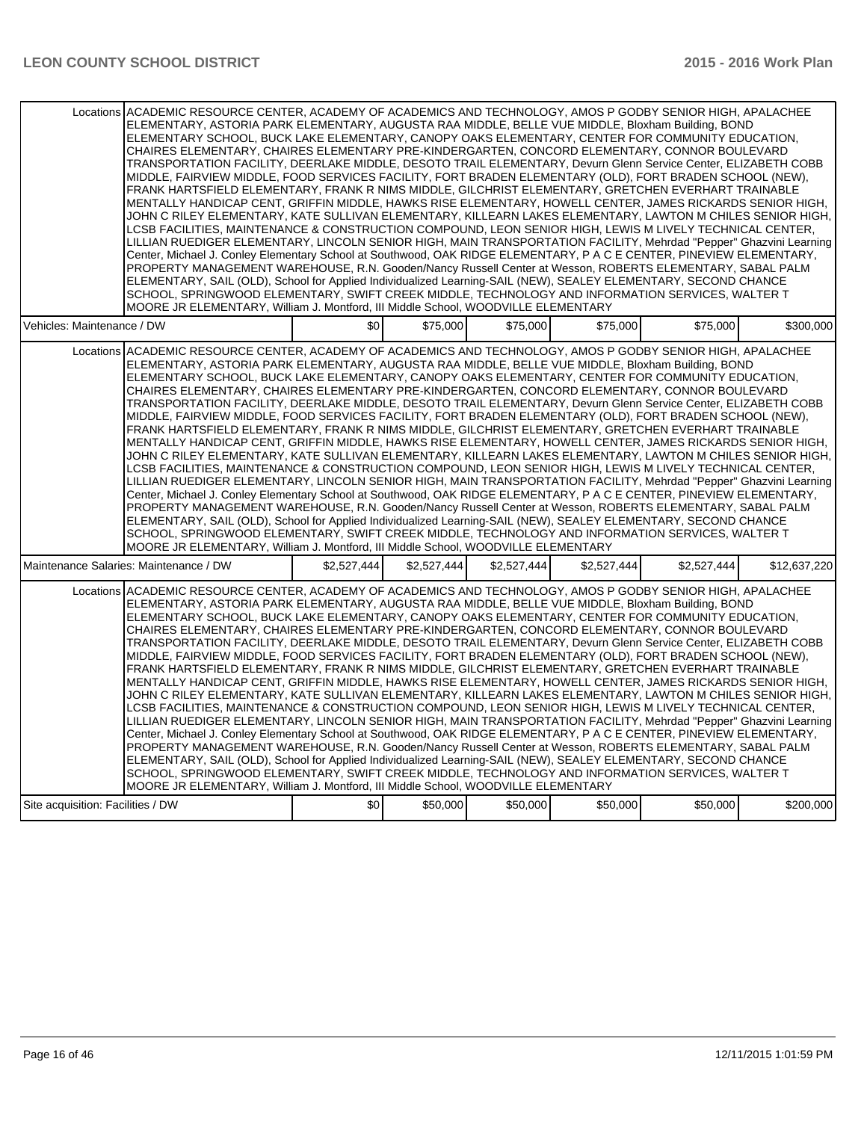| Locations ACADEMIC RESOURCE CENTER, ACADEMY OF ACADEMICS AND TECHNOLOGY, AMOS P GODBY SENIOR HIGH, APALACHEE<br>ELEMENTARY, ASTORIA PARK ELEMENTARY, AUGUSTA RAA MIDDLE, BELLE VUE MIDDLE, Bloxham Building, BOND<br>ELEMENTARY SCHOOL, BUCK LAKE ELEMENTARY, CANOPY OAKS ELEMENTARY, CENTER FOR COMMUNITY EDUCATION.<br>CHAIRES ELEMENTARY, CHAIRES ELEMENTARY PRE-KINDERGARTEN, CONCORD ELEMENTARY, CONNOR BOULEVARD<br>TRANSPORTATION FACILITY, DEERLAKE MIDDLE, DESOTO TRAIL ELEMENTARY, Devurn Glenn Service Center, ELIZABETH COBB<br>MIDDLE, FAIRVIEW MIDDLE, FOOD SERVICES FACILITY, FORT BRADEN ELEMENTARY (OLD), FORT BRADEN SCHOOL (NEW),<br>FRANK HARTSFIELD ELEMENTARY, FRANK R NIMS MIDDLE, GILCHRIST ELEMENTARY, GRETCHEN EVERHART TRAINABLE<br>MENTALLY HANDICAP CENT, GRIFFIN MIDDLE, HAWKS RISE ELEMENTARY, HOWELL CENTER, JAMES RICKARDS SENIOR HIGH,<br>JOHN C RILEY ELEMENTARY, KATE SULLIVAN ELEMENTARY, KILLEARN LAKES ELEMENTARY, LAWTON M CHILES SENIOR HIGH,<br>LCSB FACILITIES, MAINTENANCE & CONSTRUCTION COMPOUND, LEON SENIOR HIGH, LEWIS M LIVELY TECHNICAL CENTER,<br>LILLIAN RUEDIGER ELEMENTARY, LINCOLN SENIOR HIGH, MAIN TRANSPORTATION FACILITY, Mehrdad "Pepper" Ghazvini Learning<br>Center, Michael J. Conley Elementary School at Southwood, OAK RIDGE ELEMENTARY, P A C E CENTER, PINEVIEW ELEMENTARY,<br>PROPERTY MANAGEMENT WAREHOUSE, R.N. Gooden/Nancy Russell Center at Wesson, ROBERTS ELEMENTARY, SABAL PALM<br>ELEMENTARY, SAIL (OLD), School for Applied Individualized Learning-SAIL (NEW), SEALEY ELEMENTARY, SECOND CHANCE<br>SCHOOL, SPRINGWOOD ELEMENTARY, SWIFT CREEK MIDDLE, TECHNOLOGY AND INFORMATION SERVICES, WALTER T<br>MOORE JR ELEMENTARY, William J. Montford, III Middle School, WOODVILLE ELEMENTARY |             |             |             |             |             |              |  |  |  |
|---------------------------------------------------------------------------------------------------------------------------------------------------------------------------------------------------------------------------------------------------------------------------------------------------------------------------------------------------------------------------------------------------------------------------------------------------------------------------------------------------------------------------------------------------------------------------------------------------------------------------------------------------------------------------------------------------------------------------------------------------------------------------------------------------------------------------------------------------------------------------------------------------------------------------------------------------------------------------------------------------------------------------------------------------------------------------------------------------------------------------------------------------------------------------------------------------------------------------------------------------------------------------------------------------------------------------------------------------------------------------------------------------------------------------------------------------------------------------------------------------------------------------------------------------------------------------------------------------------------------------------------------------------------------------------------------------------------------------------------------------------------------------|-------------|-------------|-------------|-------------|-------------|--------------|--|--|--|
| Vehicles: Maintenance / DW                                                                                                                                                                                                                                                                                                                                                                                                                                                                                                                                                                                                                                                                                                                                                                                                                                                                                                                                                                                                                                                                                                                                                                                                                                                                                                                                                                                                                                                                                                                                                                                                                                                                                                                                                | \$0         | \$75,000    | \$75,000    | \$75,000    | \$75,000    | \$300,000    |  |  |  |
| Locations ACADEMIC RESOURCE CENTER, ACADEMY OF ACADEMICS AND TECHNOLOGY, AMOS P GODBY SENIOR HIGH, APALACHEE<br>ELEMENTARY, ASTORIA PARK ELEMENTARY, AUGUSTA RAA MIDDLE, BELLE VUE MIDDLE, Bloxham Building, BOND<br>ELEMENTARY SCHOOL, BUCK LAKE ELEMENTARY, CANOPY OAKS ELEMENTARY, CENTER FOR COMMUNITY EDUCATION,<br>CHAIRES ELEMENTARY, CHAIRES ELEMENTARY PRE-KINDERGARTEN, CONCORD ELEMENTARY, CONNOR BOULEVARD<br>TRANSPORTATION FACILITY, DEERLAKE MIDDLE, DESOTO TRAIL ELEMENTARY, Devurn Glenn Service Center, ELIZABETH COBB<br>MIDDLE, FAIRVIEW MIDDLE, FOOD SERVICES FACILITY, FORT BRADEN ELEMENTARY (OLD), FORT BRADEN SCHOOL (NEW),<br>FRANK HARTSFIELD ELEMENTARY, FRANK R NIMS MIDDLE, GILCHRIST ELEMENTARY, GRETCHEN EVERHART TRAINABLE<br>MENTALLY HANDICAP CENT, GRIFFIN MIDDLE, HAWKS RISE ELEMENTARY, HOWELL CENTER, JAMES RICKARDS SENIOR HIGH,<br>JOHN C RILEY ELEMENTARY, KATE SULLIVAN ELEMENTARY, KILLEARN LAKES ELEMENTARY, LAWTON M CHILES SENIOR HIGH,<br>LCSB FACILITIES, MAINTENANCE & CONSTRUCTION COMPOUND, LEON SENIOR HIGH, LEWIS M LIVELY TECHNICAL CENTER,<br>LILLIAN RUEDIGER ELEMENTARY, LINCOLN SENIOR HIGH, MAIN TRANSPORTATION FACILITY, Mehrdad "Pepper" Ghazvini Learning<br>Center, Michael J. Conley Elementary School at Southwood, OAK RIDGE ELEMENTARY, P A C E CENTER, PINEVIEW ELEMENTARY,<br>PROPERTY MANAGEMENT WAREHOUSE, R.N. Gooden/Nancy Russell Center at Wesson, ROBERTS ELEMENTARY, SABAL PALM<br>ELEMENTARY, SAIL (OLD), School for Applied Individualized Learning-SAIL (NEW), SEALEY ELEMENTARY, SECOND CHANCE<br>SCHOOL, SPRINGWOOD ELEMENTARY, SWIFT CREEK MIDDLE, TECHNOLOGY AND INFORMATION SERVICES, WALTER T<br>MOORE JR ELEMENTARY, William J. Montford, III Middle School, WOODVILLE ELEMENTARY |             |             |             |             |             |              |  |  |  |
| Maintenance Salaries: Maintenance / DW                                                                                                                                                                                                                                                                                                                                                                                                                                                                                                                                                                                                                                                                                                                                                                                                                                                                                                                                                                                                                                                                                                                                                                                                                                                                                                                                                                                                                                                                                                                                                                                                                                                                                                                                    | \$2,527,444 | \$2,527,444 | \$2,527,444 | \$2,527,444 | \$2,527,444 | \$12,637,220 |  |  |  |
| Locations ACADEMIC RESOURCE CENTER. ACADEMY OF ACADEMICS AND TECHNOLOGY. AMOS P GODBY SENIOR HIGH. APALACHEE<br>ELEMENTARY, ASTORIA PARK ELEMENTARY, AUGUSTA RAA MIDDLE, BELLE VUE MIDDLE, Bloxham Building, BOND<br>ELEMENTARY SCHOOL, BUCK LAKE ELEMENTARY, CANOPY OAKS ELEMENTARY, CENTER FOR COMMUNITY EDUCATION,<br>CHAIRES ELEMENTARY, CHAIRES ELEMENTARY PRE-KINDERGARTEN, CONCORD ELEMENTARY, CONNOR BOULEVARD<br>TRANSPORTATION FACILITY, DEERLAKE MIDDLE, DESOTO TRAIL ELEMENTARY, Devurn Glenn Service Center, ELIZABETH COBB<br>MIDDLE, FAIRVIEW MIDDLE, FOOD SERVICES FACILITY, FORT BRADEN ELEMENTARY (OLD), FORT BRADEN SCHOOL (NEW),<br>FRANK HARTSFIELD ELEMENTARY, FRANK R NIMS MIDDLE, GILCHRIST ELEMENTARY, GRETCHEN EVERHART TRAINABLE<br>MENTALLY HANDICAP CENT, GRIFFIN MIDDLE, HAWKS RISE ELEMENTARY, HOWELL CENTER, JAMES RICKARDS SENIOR HIGH,<br>JOHN C RILEY ELEMENTARY, KATE SULLIVAN ELEMENTARY, KILLEARN LAKES ELEMENTARY, LAWTON M CHILES SENIOR HIGH,<br>LCSB FACILITIES, MAINTENANCE & CONSTRUCTION COMPOUND, LEON SENIOR HIGH, LEWIS M LIVELY TECHNICAL CENTER,<br>LILLIAN RUEDIGER ELEMENTARY, LINCOLN SENIOR HIGH, MAIN TRANSPORTATION FACILITY, Mehrdad "Pepper" Ghazvini Learning<br>Center, Michael J. Conley Elementary School at Southwood, OAK RIDGE ELEMENTARY, P A C E CENTER, PINEVIEW ELEMENTARY,<br>PROPERTY MANAGEMENT WAREHOUSE, R.N. Gooden/Nancy Russell Center at Wesson, ROBERTS ELEMENTARY, SABAL PALM<br>ELEMENTARY, SAIL (OLD), School for Applied Individualized Learning-SAIL (NEW), SEALEY ELEMENTARY, SECOND CHANCE<br>SCHOOL, SPRINGWOOD ELEMENTARY, SWIFT CREEK MIDDLE, TECHNOLOGY AND INFORMATION SERVICES, WALTER T<br>MOORE JR ELEMENTARY, William J. Montford, III Middle School, WOODVILLE ELEMENTARY |             |             |             |             |             |              |  |  |  |
| Site acquisition: Facilities / DW                                                                                                                                                                                                                                                                                                                                                                                                                                                                                                                                                                                                                                                                                                                                                                                                                                                                                                                                                                                                                                                                                                                                                                                                                                                                                                                                                                                                                                                                                                                                                                                                                                                                                                                                         | \$0         | \$50,000    | \$50,000    | \$50,000    | \$50,000    | \$200,000    |  |  |  |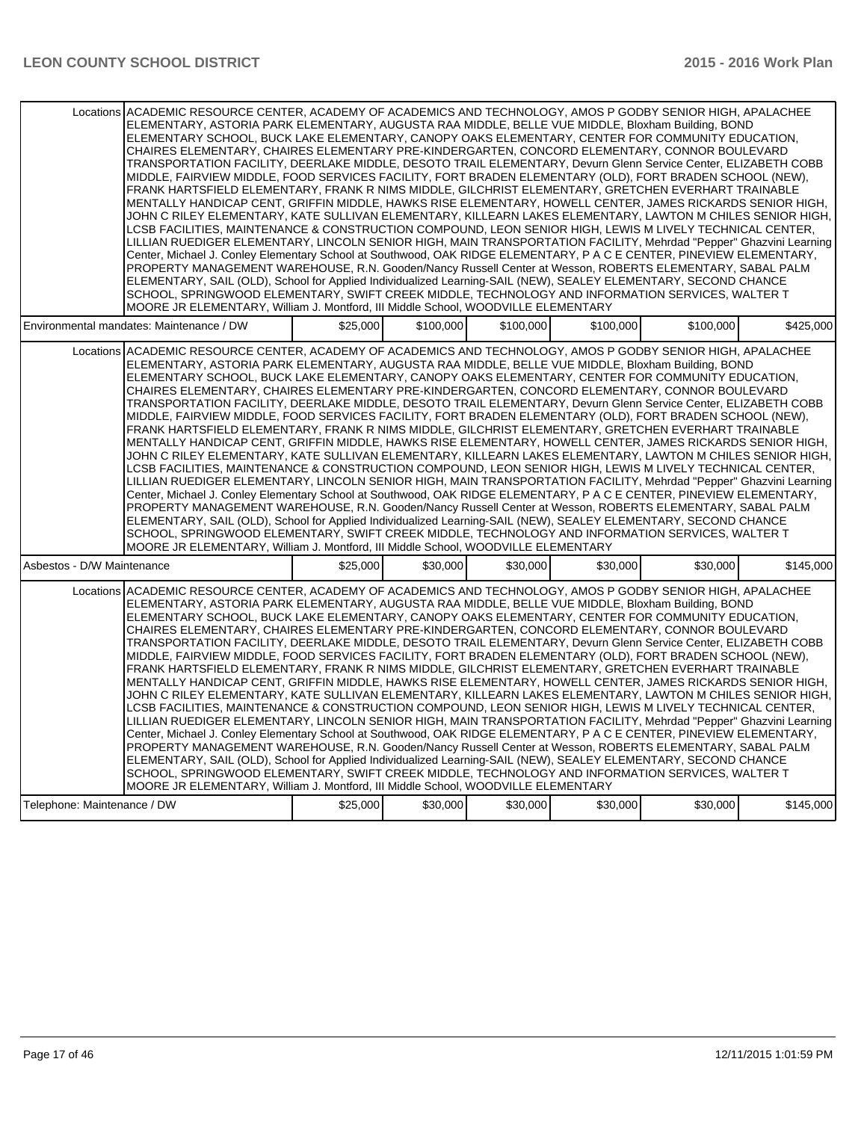|                                                                                                              | Locations ACADEMIC RESOURCE CENTER, ACADEMY OF ACADEMICS AND TECHNOLOGY, AMOS P GODBY SENIOR HIGH, APALACHEE<br>ELEMENTARY, ASTORIA PARK ELEMENTARY, AUGUSTA RAA MIDDLE, BELLE VUE MIDDLE, Bloxham Building, BOND<br>ELEMENTARY SCHOOL, BUCK LAKE ELEMENTARY, CANOPY OAKS ELEMENTARY, CENTER FOR COMMUNITY EDUCATION,<br>CHAIRES ELEMENTARY, CHAIRES ELEMENTARY PRE-KINDERGARTEN, CONCORD ELEMENTARY, CONNOR BOULEVARD<br>TRANSPORTATION FACILITY, DEERLAKE MIDDLE, DESOTO TRAIL ELEMENTARY, Devurn Glenn Service Center, ELIZABETH COBB<br>MIDDLE, FAIRVIEW MIDDLE, FOOD SERVICES FACILITY, FORT BRADEN ELEMENTARY (OLD), FORT BRADEN SCHOOL (NEW),<br>FRANK HARTSFIELD ELEMENTARY, FRANK R NIMS MIDDLE, GILCHRIST ELEMENTARY, GRETCHEN EVERHART TRAINABLE<br>MENTALLY HANDICAP CENT, GRIFFIN MIDDLE, HAWKS RISE ELEMENTARY, HOWELL CENTER, JAMES RICKARDS SENIOR HIGH,<br>JOHN C RILEY ELEMENTARY, KATE SULLIVAN ELEMENTARY, KILLEARN LAKES ELEMENTARY, LAWTON M CHILES SENIOR HIGH,<br>LCSB FACILITIES. MAINTENANCE & CONSTRUCTION COMPOUND. LEON SENIOR HIGH. LEWIS M LIVELY TECHNICAL CENTER.<br>LILLIAN RUEDIGER ELEMENTARY, LINCOLN SENIOR HIGH, MAIN TRANSPORTATION FACILITY, Mehrdad "Pepper" Ghazvini Learning<br>Center, Michael J. Conley Elementary School at Southwood, OAK RIDGE ELEMENTARY, P A C E CENTER, PINEVIEW ELEMENTARY,<br>PROPERTY MANAGEMENT WAREHOUSE, R.N. Gooden/Nancy Russell Center at Wesson, ROBERTS ELEMENTARY, SABAL PALM<br>ELEMENTARY, SAIL (OLD), School for Applied Individualized Learning-SAIL (NEW), SEALEY ELEMENTARY, SECOND CHANCE<br>SCHOOL, SPRINGWOOD ELEMENTARY, SWIFT CREEK MIDDLE, TECHNOLOGY AND INFORMATION SERVICES, WALTER T |          |           |           |           |           |           |  |  |
|--------------------------------------------------------------------------------------------------------------|--------------------------------------------------------------------------------------------------------------------------------------------------------------------------------------------------------------------------------------------------------------------------------------------------------------------------------------------------------------------------------------------------------------------------------------------------------------------------------------------------------------------------------------------------------------------------------------------------------------------------------------------------------------------------------------------------------------------------------------------------------------------------------------------------------------------------------------------------------------------------------------------------------------------------------------------------------------------------------------------------------------------------------------------------------------------------------------------------------------------------------------------------------------------------------------------------------------------------------------------------------------------------------------------------------------------------------------------------------------------------------------------------------------------------------------------------------------------------------------------------------------------------------------------------------------------------------------------------------------------------------------------------------------------------------------|----------|-----------|-----------|-----------|-----------|-----------|--|--|
|                                                                                                              | MOORE JR ELEMENTARY, William J. Montford, III Middle School, WOODVILLE ELEMENTARY                                                                                                                                                                                                                                                                                                                                                                                                                                                                                                                                                                                                                                                                                                                                                                                                                                                                                                                                                                                                                                                                                                                                                                                                                                                                                                                                                                                                                                                                                                                                                                                                    |          |           |           |           |           |           |  |  |
| Environmental mandates: Maintenance / DW                                                                     |                                                                                                                                                                                                                                                                                                                                                                                                                                                                                                                                                                                                                                                                                                                                                                                                                                                                                                                                                                                                                                                                                                                                                                                                                                                                                                                                                                                                                                                                                                                                                                                                                                                                                      | \$25,000 | \$100,000 | \$100,000 | \$100,000 | \$100.000 | \$425.000 |  |  |
| Locations ACADEMIC RESOURCE CENTER, ACADEMY OF ACADEMICS AND TECHNOLOGY, AMOS P GODBY SENIOR HIGH, APALACHEE | ELEMENTARY, ASTORIA PARK ELEMENTARY, AUGUSTA RAA MIDDLE, BELLE VUE MIDDLE, Bloxham Building, BOND<br>ELEMENTARY SCHOOL, BUCK LAKE ELEMENTARY, CANOPY OAKS ELEMENTARY, CENTER FOR COMMUNITY EDUCATION,<br>CHAIRES ELEMENTARY, CHAIRES ELEMENTARY PRE-KINDERGARTEN, CONCORD ELEMENTARY, CONNOR BOULEVARD<br>TRANSPORTATION FACILITY, DEERLAKE MIDDLE, DESOTO TRAIL ELEMENTARY, Devurn Glenn Service Center, ELIZABETH COBB<br>MIDDLE, FAIRVIEW MIDDLE, FOOD SERVICES FACILITY, FORT BRADEN ELEMENTARY (OLD), FORT BRADEN SCHOOL (NEW),<br>FRANK HARTSFIELD ELEMENTARY, FRANK R NIMS MIDDLE, GILCHRIST ELEMENTARY, GRETCHEN EVERHART TRAINABLE<br>MENTALLY HANDICAP CENT, GRIFFIN MIDDLE, HAWKS RISE ELEMENTARY, HOWELL CENTER, JAMES RICKARDS SENIOR HIGH,<br>JOHN C RILEY ELEMENTARY, KATE SULLIVAN ELEMENTARY, KILLEARN LAKES ELEMENTARY, LAWTON M CHILES SENIOR HIGH,<br>LCSB FACILITIES, MAINTENANCE & CONSTRUCTION COMPOUND, LEON SENIOR HIGH, LEWIS M LIVELY TECHNICAL CENTER,<br>LILLIAN RUEDIGER ELEMENTARY, LINCOLN SENIOR HIGH, MAIN TRANSPORTATION FACILITY, Mehrdad "Pepper" Ghazvini Learning<br>Center, Michael J. Conley Elementary School at Southwood, OAK RIDGE ELEMENTARY, P A C E CENTER, PINEVIEW ELEMENTARY,<br>PROPERTY MANAGEMENT WAREHOUSE, R.N. Gooden/Nancy Russell Center at Wesson, ROBERTS ELEMENTARY, SABAL PALM<br>ELEMENTARY, SAIL (OLD), School for Applied Individualized Learning-SAIL (NEW), SEALEY ELEMENTARY, SECOND CHANCE<br>SCHOOL, SPRINGWOOD ELEMENTARY, SWIFT CREEK MIDDLE. TECHNOLOGY AND INFORMATION SERVICES, WALTER T<br>MOORE JR ELEMENTARY, William J. Montford, III Middle School, WOODVILLE ELEMENTARY                            |          |           |           |           |           |           |  |  |
| Asbestos - D/W Maintenance                                                                                   |                                                                                                                                                                                                                                                                                                                                                                                                                                                                                                                                                                                                                                                                                                                                                                                                                                                                                                                                                                                                                                                                                                                                                                                                                                                                                                                                                                                                                                                                                                                                                                                                                                                                                      | \$25,000 | \$30,000  | \$30,000  | \$30,000  | \$30,000  | \$145,000 |  |  |
| Locations ACADEMIC RESOURCE CENTER. ACADEMY OF ACADEMICS AND TECHNOLOGY. AMOS P GODBY SENIOR HIGH. APALACHEE | ELEMENTARY, ASTORIA PARK ELEMENTARY, AUGUSTA RAA MIDDLE, BELLE VUE MIDDLE, Bloxham Building, BOND<br>ELEMENTARY SCHOOL, BUCK LAKE ELEMENTARY, CANOPY OAKS ELEMENTARY, CENTER FOR COMMUNITY EDUCATION,<br>CHAIRES ELEMENTARY, CHAIRES ELEMENTARY PRE-KINDERGARTEN, CONCORD ELEMENTARY, CONNOR BOULEVARD<br>TRANSPORTATION FACILITY, DEERLAKE MIDDLE, DESOTO TRAIL ELEMENTARY, Devurn Glenn Service Center, ELIZABETH COBB<br>MIDDLE, FAIRVIEW MIDDLE, FOOD SERVICES FACILITY, FORT BRADEN ELEMENTARY (OLD), FORT BRADEN SCHOOL (NEW),<br>FRANK HARTSFIELD ELEMENTARY, FRANK R NIMS MIDDLE, GILCHRIST ELEMENTARY, GRETCHEN EVERHART TRAINABLE<br>MENTALLY HANDICAP CENT, GRIFFIN MIDDLE, HAWKS RISE ELEMENTARY, HOWELL CENTER, JAMES RICKARDS SENIOR HIGH,<br>JOHN C RILEY ELEMENTARY, KATE SULLIVAN ELEMENTARY, KILLEARN LAKES ELEMENTARY, LAWTON M CHILES SENIOR HIGH,<br>LCSB FACILITIES, MAINTENANCE & CONSTRUCTION COMPOUND, LEON SENIOR HIGH, LEWIS M LIVELY TECHNICAL CENTER,<br>LILLIAN RUEDIGER ELEMENTARY, LINCOLN SENIOR HIGH, MAIN TRANSPORTATION FACILITY, Mehrdad "Pepper" Ghazvini Learning<br>Center, Michael J. Conley Elementary School at Southwood, OAK RIDGE ELEMENTARY, P A C E CENTER, PINEVIEW ELEMENTARY,<br>PROPERTY MANAGEMENT WAREHOUSE, R.N. Gooden/Nancy Russell Center at Wesson, ROBERTS ELEMENTARY, SABAL PALM<br>ELEMENTARY, SAIL (OLD), School for Applied Individualized Learning-SAIL (NEW), SEALEY ELEMENTARY, SECOND CHANCE<br>SCHOOL, SPRINGWOOD ELEMENTARY, SWIFT CREEK MIDDLE, TECHNOLOGY AND INFORMATION SERVICES, WALTER T<br>MOORE JR ELEMENTARY, William J. Montford, III Middle School, WOODVILLE ELEMENTARY                            |          |           |           |           |           |           |  |  |
| Telephone: Maintenance / DW                                                                                  |                                                                                                                                                                                                                                                                                                                                                                                                                                                                                                                                                                                                                                                                                                                                                                                                                                                                                                                                                                                                                                                                                                                                                                                                                                                                                                                                                                                                                                                                                                                                                                                                                                                                                      | \$25,000 | \$30,000  | \$30,000  | \$30,000  | \$30,000  | \$145,000 |  |  |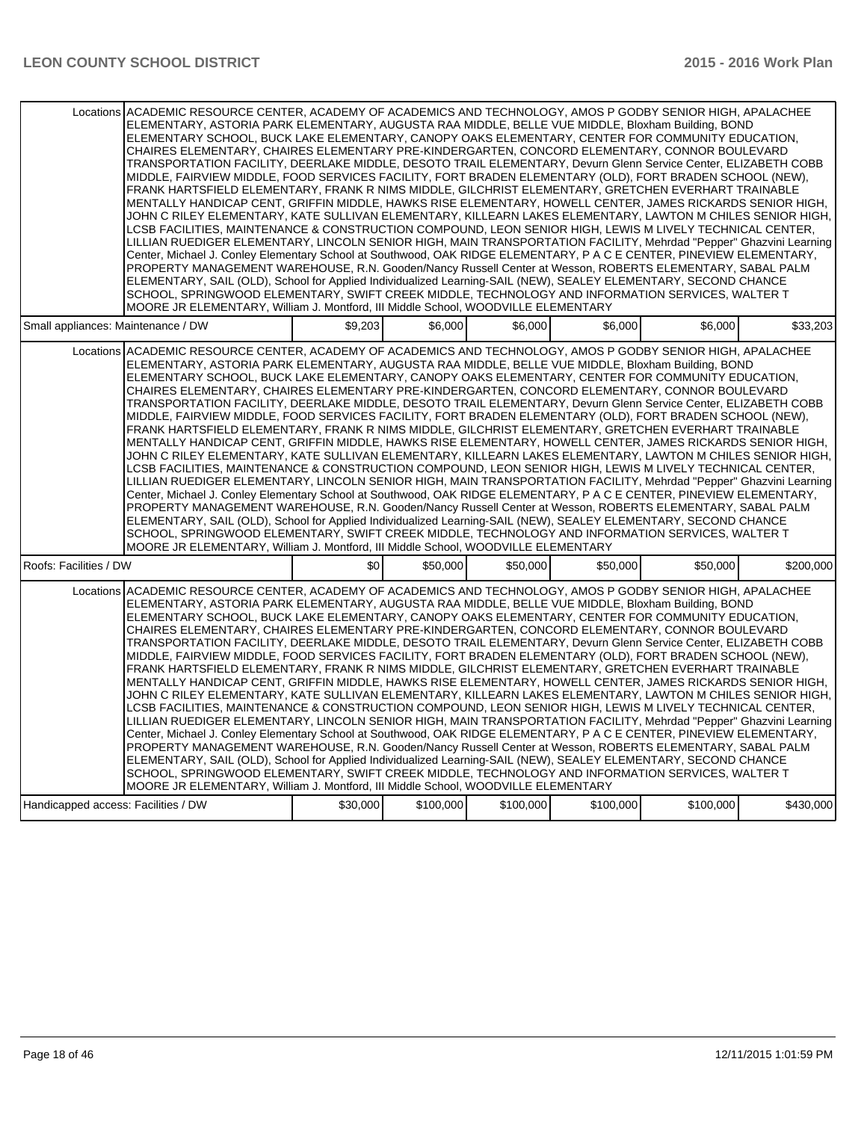| Locations ACADEMIC RESOURCE CENTER, ACADEMY OF ACADEMICS AND TECHNOLOGY, AMOS P GODBY SENIOR HIGH, APALACHEE<br>ELEMENTARY, ASTORIA PARK ELEMENTARY, AUGUSTA RAA MIDDLE, BELLE VUE MIDDLE, Bloxham Building, BOND<br>ELEMENTARY SCHOOL, BUCK LAKE ELEMENTARY, CANOPY OAKS ELEMENTARY, CENTER FOR COMMUNITY EDUCATION,<br>CHAIRES ELEMENTARY, CHAIRES ELEMENTARY PRE-KINDERGARTEN, CONCORD ELEMENTARY, CONNOR BOULEVARD<br>TRANSPORTATION FACILITY, DEERLAKE MIDDLE, DESOTO TRAIL ELEMENTARY, Devurn Glenn Service Center, ELIZABETH COBB<br>MIDDLE, FAIRVIEW MIDDLE, FOOD SERVICES FACILITY, FORT BRADEN ELEMENTARY (OLD), FORT BRADEN SCHOOL (NEW),<br>FRANK HARTSFIELD ELEMENTARY, FRANK R NIMS MIDDLE, GILCHRIST ELEMENTARY, GRETCHEN EVERHART TRAINABLE<br>MENTALLY HANDICAP CENT, GRIFFIN MIDDLE, HAWKS RISE ELEMENTARY, HOWELL CENTER, JAMES RICKARDS SENIOR HIGH,<br>JOHN C RILEY ELEMENTARY, KATE SULLIVAN ELEMENTARY, KILLEARN LAKES ELEMENTARY, LAWTON M CHILES SENIOR HIGH,<br>LCSB FACILITIES, MAINTENANCE & CONSTRUCTION COMPOUND, LEON SENIOR HIGH, LEWIS M LIVELY TECHNICAL CENTER,<br>LILLIAN RUEDIGER ELEMENTARY, LINCOLN SENIOR HIGH, MAIN TRANSPORTATION FACILITY, Mehrdad "Pepper" Ghazvini Learning<br>Center, Michael J. Conley Elementary School at Southwood, OAK RIDGE ELEMENTARY, P A C E CENTER, PINEVIEW ELEMENTARY,<br>PROPERTY MANAGEMENT WAREHOUSE, R.N. Gooden/Nancy Russell Center at Wesson, ROBERTS ELEMENTARY, SABAL PALM<br>ELEMENTARY, SAIL (OLD), School for Applied Individualized Learning-SAIL (NEW), SEALEY ELEMENTARY, SECOND CHANCE<br>SCHOOL, SPRINGWOOD ELEMENTARY, SWIFT CREEK MIDDLE, TECHNOLOGY AND INFORMATION SERVICES, WALTER T<br>MOORE JR ELEMENTARY, William J. Montford, III Middle School, WOODVILLE ELEMENTARY |         |          |          |          |          |           |  |  |  |
|---------------------------------------------------------------------------------------------------------------------------------------------------------------------------------------------------------------------------------------------------------------------------------------------------------------------------------------------------------------------------------------------------------------------------------------------------------------------------------------------------------------------------------------------------------------------------------------------------------------------------------------------------------------------------------------------------------------------------------------------------------------------------------------------------------------------------------------------------------------------------------------------------------------------------------------------------------------------------------------------------------------------------------------------------------------------------------------------------------------------------------------------------------------------------------------------------------------------------------------------------------------------------------------------------------------------------------------------------------------------------------------------------------------------------------------------------------------------------------------------------------------------------------------------------------------------------------------------------------------------------------------------------------------------------------------------------------------------------------------------------------------------------|---------|----------|----------|----------|----------|-----------|--|--|--|
| Small appliances: Maintenance / DW                                                                                                                                                                                                                                                                                                                                                                                                                                                                                                                                                                                                                                                                                                                                                                                                                                                                                                                                                                                                                                                                                                                                                                                                                                                                                                                                                                                                                                                                                                                                                                                                                                                                                                                                        | \$9.203 | \$6.000  | \$6.000  | \$6.000  | \$6.000  | \$33,203  |  |  |  |
| Locations ACADEMIC RESOURCE CENTER, ACADEMY OF ACADEMICS AND TECHNOLOGY, AMOS P GODBY SENIOR HIGH, APALACHEE<br>ELEMENTARY, ASTORIA PARK ELEMENTARY, AUGUSTA RAA MIDDLE, BELLE VUE MIDDLE, Bloxham Building, BOND<br>ELEMENTARY SCHOOL, BUCK LAKE ELEMENTARY, CANOPY OAKS ELEMENTARY, CENTER FOR COMMUNITY EDUCATION,<br>CHAIRES ELEMENTARY, CHAIRES ELEMENTARY PRE-KINDERGARTEN, CONCORD ELEMENTARY, CONNOR BOULEVARD<br>TRANSPORTATION FACILITY, DEERLAKE MIDDLE, DESOTO TRAIL ELEMENTARY, Devurn Glenn Service Center, ELIZABETH COBB<br>MIDDLE, FAIRVIEW MIDDLE, FOOD SERVICES FACILITY, FORT BRADEN ELEMENTARY (OLD), FORT BRADEN SCHOOL (NEW),<br>FRANK HARTSFIELD ELEMENTARY, FRANK R NIMS MIDDLE, GILCHRIST ELEMENTARY, GRETCHEN EVERHART TRAINABLE<br>MENTALLY HANDICAP CENT, GRIFFIN MIDDLE, HAWKS RISE ELEMENTARY, HOWELL CENTER, JAMES RICKARDS SENIOR HIGH,<br>JOHN C RILEY ELEMENTARY, KATE SULLIVAN ELEMENTARY, KILLEARN LAKES ELEMENTARY, LAWTON M CHILES SENIOR HIGH,<br>LCSB FACILITIES, MAINTENANCE & CONSTRUCTION COMPOUND, LEON SENIOR HIGH, LEWIS M LIVELY TECHNICAL CENTER,<br>LILLIAN RUEDIGER ELEMENTARY, LINCOLN SENIOR HIGH, MAIN TRANSPORTATION FACILITY, Mehrdad "Pepper" Ghazvini Learning<br>Center, Michael J. Conley Elementary School at Southwood, OAK RIDGE ELEMENTARY, P A C E CENTER, PINEVIEW ELEMENTARY,<br>PROPERTY MANAGEMENT WAREHOUSE, R.N. Gooden/Nancy Russell Center at Wesson, ROBERTS ELEMENTARY, SABAL PALM<br>ELEMENTARY, SAIL (OLD), School for Applied Individualized Learning-SAIL (NEW), SEALEY ELEMENTARY, SECOND CHANCE<br>SCHOOL, SPRINGWOOD ELEMENTARY, SWIFT CREEK MIDDLE, TECHNOLOGY AND INFORMATION SERVICES, WALTER T<br>MOORE JR ELEMENTARY, William J. Montford, III Middle School, WOODVILLE ELEMENTARY |         |          |          |          |          |           |  |  |  |
| Roofs: Facilities / DW                                                                                                                                                                                                                                                                                                                                                                                                                                                                                                                                                                                                                                                                                                                                                                                                                                                                                                                                                                                                                                                                                                                                                                                                                                                                                                                                                                                                                                                                                                                                                                                                                                                                                                                                                    | \$0     | \$50,000 | \$50,000 | \$50,000 | \$50,000 | \$200,000 |  |  |  |
| Locations ACADEMIC RESOURCE CENTER, ACADEMY OF ACADEMICS AND TECHNOLOGY, AMOS P GODBY SENIOR HIGH, APALACHEE<br>ELEMENTARY, ASTORIA PARK ELEMENTARY, AUGUSTA RAA MIDDLE, BELLE VUE MIDDLE, Bloxham Building, BOND<br>ELEMENTARY SCHOOL, BUCK LAKE ELEMENTARY, CANOPY OAKS ELEMENTARY, CENTER FOR COMMUNITY EDUCATION,<br>CHAIRES ELEMENTARY, CHAIRES ELEMENTARY PRE-KINDERGARTEN, CONCORD ELEMENTARY, CONNOR BOULEVARD<br>TRANSPORTATION FACILITY, DEERLAKE MIDDLE, DESOTO TRAIL ELEMENTARY, Devurn Glenn Service Center, ELIZABETH COBB<br>MIDDLE, FAIRVIEW MIDDLE, FOOD SERVICES FACILITY, FORT BRADEN ELEMENTARY (OLD), FORT BRADEN SCHOOL (NEW),<br>FRANK HARTSFIELD ELEMENTARY, FRANK R NIMS MIDDLE, GILCHRIST ELEMENTARY, GRETCHEN EVERHART TRAINABLE<br>MENTALLY HANDICAP CENT, GRIFFIN MIDDLE, HAWKS RISE ELEMENTARY, HOWELL CENTER, JAMES RICKARDS SENIOR HIGH,<br>JOHN C RILEY ELEMENTARY, KATE SULLIVAN ELEMENTARY, KILLEARN LAKES ELEMENTARY, LAWTON M CHILES SENIOR HIGH,<br>LCSB FACILITIES, MAINTENANCE & CONSTRUCTION COMPOUND, LEON SENIOR HIGH, LEWIS M LIVELY TECHNICAL CENTER,<br>LILLIAN RUEDIGER ELEMENTARY, LINCOLN SENIOR HIGH, MAIN TRANSPORTATION FACILITY, Mehrdad "Pepper" Ghazvini Learning<br>Center, Michael J. Conley Elementary School at Southwood, OAK RIDGE ELEMENTARY, P A C E CENTER, PINEVIEW ELEMENTARY,<br>PROPERTY MANAGEMENT WAREHOUSE, R.N. Gooden/Nancy Russell Center at Wesson, ROBERTS ELEMENTARY, SABAL PALM<br>ELEMENTARY, SAIL (OLD), School for Applied Individualized Learning-SAIL (NEW), SEALEY ELEMENTARY, SECOND CHANCE<br>SCHOOL, SPRINGWOOD ELEMENTARY, SWIFT CREEK MIDDLE, TECHNOLOGY AND INFORMATION SERVICES, WALTER T<br>MOORE JR ELEMENTARY, William J. Montford, III Middle School, WOODVILLE ELEMENTARY |         |          |          |          |          |           |  |  |  |
| Handicapped access: Facilities / DW                                                                                                                                                                                                                                                                                                                                                                                                                                                                                                                                                                                                                                                                                                                                                                                                                                                                                                                                                                                                                                                                                                                                                                                                                                                                                                                                                                                                                                                                                                                                                                                                                                                                                                                                       |         |          |          |          |          |           |  |  |  |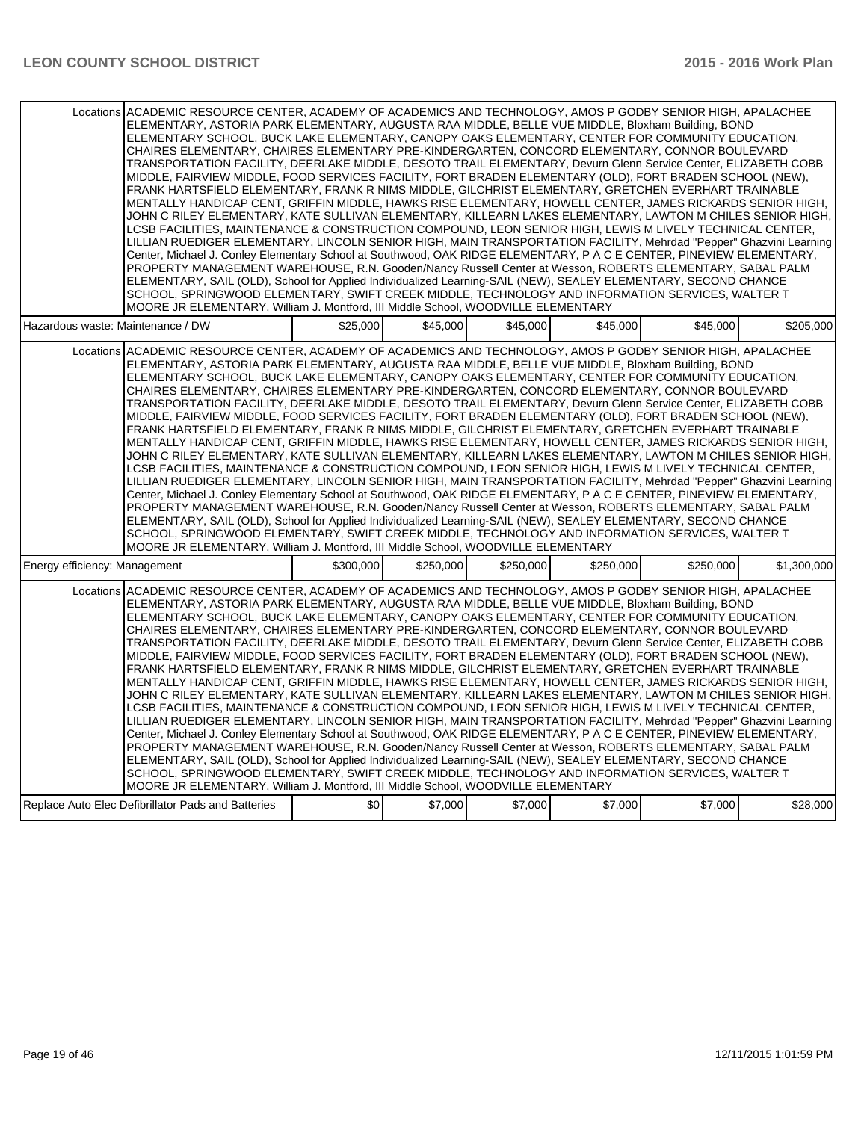| Locations ACADEMIC RESOURCE CENTER, ACADEMY OF ACADEMICS AND TECHNOLOGY, AMOS P GODBY SENIOR HIGH, APALACHEE<br>ELEMENTARY, ASTORIA PARK ELEMENTARY, AUGUSTA RAA MIDDLE, BELLE VUE MIDDLE, Bloxham Building, BOND<br>ELEMENTARY SCHOOL, BUCK LAKE ELEMENTARY, CANOPY OAKS ELEMENTARY, CENTER FOR COMMUNITY EDUCATION,<br>CHAIRES ELEMENTARY, CHAIRES ELEMENTARY PRE-KINDERGARTEN, CONCORD ELEMENTARY, CONNOR BOULEVARD<br>TRANSPORTATION FACILITY, DEERLAKE MIDDLE, DESOTO TRAIL ELEMENTARY, Devurn Glenn Service Center, ELIZABETH COBB<br>MIDDLE, FAIRVIEW MIDDLE, FOOD SERVICES FACILITY, FORT BRADEN ELEMENTARY (OLD), FORT BRADEN SCHOOL (NEW),<br>FRANK HARTSFIELD ELEMENTARY, FRANK R NIMS MIDDLE, GILCHRIST ELEMENTARY, GRETCHEN EVERHART TRAINABLE<br>MENTALLY HANDICAP CENT, GRIFFIN MIDDLE, HAWKS RISE ELEMENTARY, HOWELL CENTER, JAMES RICKARDS SENIOR HIGH,<br>JOHN C RILEY ELEMENTARY, KATE SULLIVAN ELEMENTARY, KILLEARN LAKES ELEMENTARY, LAWTON M CHILES SENIOR HIGH,<br>LCSB FACILITIES, MAINTENANCE & CONSTRUCTION COMPOUND, LEON SENIOR HIGH, LEWIS M LIVELY TECHNICAL CENTER,<br>LILLIAN RUEDIGER ELEMENTARY, LINCOLN SENIOR HIGH, MAIN TRANSPORTATION FACILITY, Mehrdad "Pepper" Ghazvini Learning<br>Center, Michael J. Conley Elementary School at Southwood, OAK RIDGE ELEMENTARY, P A C E CENTER, PINEVIEW ELEMENTARY,<br>PROPERTY MANAGEMENT WAREHOUSE, R.N. Gooden/Nancy Russell Center at Wesson, ROBERTS ELEMENTARY, SABAL PALM<br>ELEMENTARY, SAIL (OLD), School for Applied Individualized Learning-SAIL (NEW), SEALEY ELEMENTARY, SECOND CHANCE<br>SCHOOL, SPRINGWOOD ELEMENTARY, SWIFT CREEK MIDDLE, TECHNOLOGY AND INFORMATION SERVICES, WALTER T<br>MOORE JR ELEMENTARY, William J. Montford, III Middle School, WOODVILLE ELEMENTARY |           |           |           |           |           |             |  |  |  |
|---------------------------------------------------------------------------------------------------------------------------------------------------------------------------------------------------------------------------------------------------------------------------------------------------------------------------------------------------------------------------------------------------------------------------------------------------------------------------------------------------------------------------------------------------------------------------------------------------------------------------------------------------------------------------------------------------------------------------------------------------------------------------------------------------------------------------------------------------------------------------------------------------------------------------------------------------------------------------------------------------------------------------------------------------------------------------------------------------------------------------------------------------------------------------------------------------------------------------------------------------------------------------------------------------------------------------------------------------------------------------------------------------------------------------------------------------------------------------------------------------------------------------------------------------------------------------------------------------------------------------------------------------------------------------------------------------------------------------------------------------------------------------|-----------|-----------|-----------|-----------|-----------|-------------|--|--|--|
| Hazardous waste: Maintenance / DW                                                                                                                                                                                                                                                                                                                                                                                                                                                                                                                                                                                                                                                                                                                                                                                                                                                                                                                                                                                                                                                                                                                                                                                                                                                                                                                                                                                                                                                                                                                                                                                                                                                                                                                                         | \$25,000  | \$45,000  | \$45,000  | \$45,000  | \$45,000  | \$205,000   |  |  |  |
| Locations ACADEMIC RESOURCE CENTER, ACADEMY OF ACADEMICS AND TECHNOLOGY, AMOS P GODBY SENIOR HIGH, APALACHEE<br>ELEMENTARY, ASTORIA PARK ELEMENTARY, AUGUSTA RAA MIDDLE, BELLE VUE MIDDLE, Bloxham Building, BOND<br>ELEMENTARY SCHOOL, BUCK LAKE ELEMENTARY, CANOPY OAKS ELEMENTARY, CENTER FOR COMMUNITY EDUCATION,<br>CHAIRES ELEMENTARY, CHAIRES ELEMENTARY PRE-KINDERGARTEN, CONCORD ELEMENTARY, CONNOR BOULEVARD<br>TRANSPORTATION FACILITY, DEERLAKE MIDDLE, DESOTO TRAIL ELEMENTARY, Devurn Glenn Service Center, ELIZABETH COBB<br>MIDDLE, FAIRVIEW MIDDLE, FOOD SERVICES FACILITY, FORT BRADEN ELEMENTARY (OLD), FORT BRADEN SCHOOL (NEW),<br>FRANK HARTSFIELD ELEMENTARY, FRANK R NIMS MIDDLE, GILCHRIST ELEMENTARY, GRETCHEN EVERHART TRAINABLE<br>MENTALLY HANDICAP CENT, GRIFFIN MIDDLE, HAWKS RISE ELEMENTARY, HOWELL CENTER, JAMES RICKARDS SENIOR HIGH,<br>JOHN C RILEY ELEMENTARY, KATE SULLIVAN ELEMENTARY, KILLEARN LAKES ELEMENTARY, LAWTON M CHILES SENIOR HIGH,<br>LCSB FACILITIES, MAINTENANCE & CONSTRUCTION COMPOUND, LEON SENIOR HIGH, LEWIS M LIVELY TECHNICAL CENTER,<br>LILLIAN RUEDIGER ELEMENTARY, LINCOLN SENIOR HIGH, MAIN TRANSPORTATION FACILITY, Mehrdad "Pepper" Ghazvini Learning<br>Center, Michael J. Conley Elementary School at Southwood, OAK RIDGE ELEMENTARY, P A C E CENTER, PINEVIEW ELEMENTARY,<br>PROPERTY MANAGEMENT WAREHOUSE, R.N. Gooden/Nancy Russell Center at Wesson, ROBERTS ELEMENTARY, SABAL PALM<br>ELEMENTARY, SAIL (OLD), School for Applied Individualized Learning-SAIL (NEW), SEALEY ELEMENTARY, SECOND CHANCE<br>SCHOOL, SPRINGWOOD ELEMENTARY, SWIFT CREEK MIDDLE. TECHNOLOGY AND INFORMATION SERVICES, WALTER T<br>MOORE JR ELEMENTARY, William J. Montford, III Middle School, WOODVILLE ELEMENTARY |           |           |           |           |           |             |  |  |  |
| Energy efficiency: Management                                                                                                                                                                                                                                                                                                                                                                                                                                                                                                                                                                                                                                                                                                                                                                                                                                                                                                                                                                                                                                                                                                                                                                                                                                                                                                                                                                                                                                                                                                                                                                                                                                                                                                                                             | \$300,000 | \$250,000 | \$250,000 | \$250,000 | \$250,000 | \$1,300,000 |  |  |  |
| Locations ACADEMIC RESOURCE CENTER, ACADEMY OF ACADEMICS AND TECHNOLOGY, AMOS P GODBY SENIOR HIGH, APALACHEE<br>ELEMENTARY, ASTORIA PARK ELEMENTARY, AUGUSTA RAA MIDDLE, BELLE VUE MIDDLE, Bloxham Building, BOND<br>ELEMENTARY SCHOOL, BUCK LAKE ELEMENTARY, CANOPY OAKS ELEMENTARY, CENTER FOR COMMUNITY EDUCATION,<br>CHAIRES ELEMENTARY, CHAIRES ELEMENTARY PRE-KINDERGARTEN, CONCORD ELEMENTARY, CONNOR BOULEVARD<br>TRANSPORTATION FACILITY, DEERLAKE MIDDLE, DESOTO TRAIL ELEMENTARY, Devurn Glenn Service Center, ELIZABETH COBB<br>MIDDLE, FAIRVIEW MIDDLE, FOOD SERVICES FACILITY, FORT BRADEN ELEMENTARY (OLD), FORT BRADEN SCHOOL (NEW),<br>FRANK HARTSFIELD ELEMENTARY. FRANK R NIMS MIDDLE. GILCHRIST ELEMENTARY. GRETCHEN EVERHART TRAINABLE<br>MENTALLY HANDICAP CENT, GRIFFIN MIDDLE, HAWKS RISE ELEMENTARY, HOWELL CENTER, JAMES RICKARDS SENIOR HIGH,<br>JOHN C RILEY ELEMENTARY, KATE SULLIVAN ELEMENTARY, KILLEARN LAKES ELEMENTARY, LAWTON M CHILES SENIOR HIGH,<br>LCSB FACILITIES, MAINTENANCE & CONSTRUCTION COMPOUND, LEON SENIOR HIGH, LEWIS M LIVELY TECHNICAL CENTER,<br>LILLIAN RUEDIGER ELEMENTARY, LINCOLN SENIOR HIGH, MAIN TRANSPORTATION FACILITY, Mehrdad "Pepper" Ghazvini Learning<br>Center, Michael J. Conley Elementary School at Southwood, OAK RIDGE ELEMENTARY, P A C E CENTER, PINEVIEW ELEMENTARY,<br>PROPERTY MANAGEMENT WAREHOUSE, R.N. Gooden/Nancy Russell Center at Wesson, ROBERTS ELEMENTARY, SABAL PALM<br>ELEMENTARY, SAIL (OLD), School for Applied Individualized Learning-SAIL (NEW), SEALEY ELEMENTARY, SECOND CHANCE<br>SCHOOL, SPRINGWOOD ELEMENTARY, SWIFT CREEK MIDDLE, TECHNOLOGY AND INFORMATION SERVICES, WALTER T<br>MOORE JR ELEMENTARY, William J. Montford, III Middle School, WOODVILLE ELEMENTARY |           |           |           |           |           |             |  |  |  |
| Replace Auto Elec Defibrillator Pads and Batteries                                                                                                                                                                                                                                                                                                                                                                                                                                                                                                                                                                                                                                                                                                                                                                                                                                                                                                                                                                                                                                                                                                                                                                                                                                                                                                                                                                                                                                                                                                                                                                                                                                                                                                                        | \$0       | \$7,000   | \$7,000   | \$7,000   | \$7,000   | \$28,000    |  |  |  |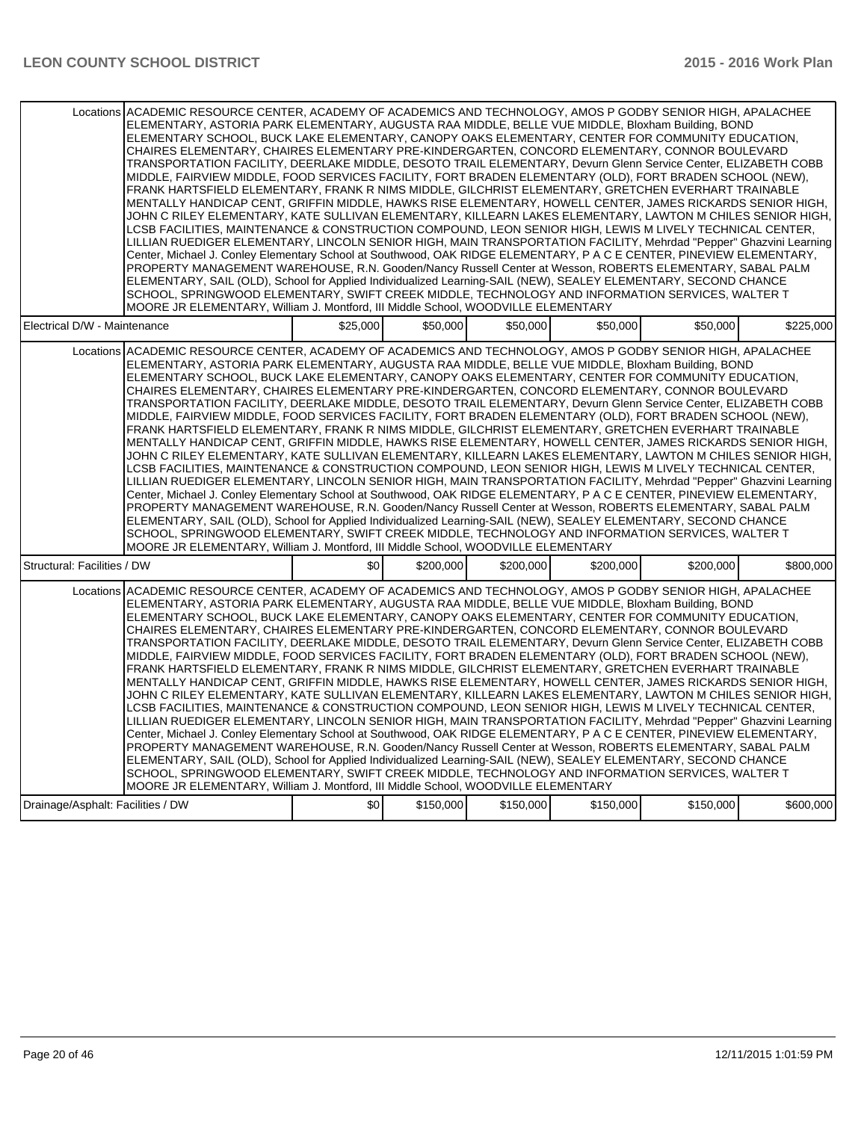| Locations ACADEMIC RESOURCE CENTER, ACADEMY OF ACADEMICS AND TECHNOLOGY, AMOS P GODBY SENIOR HIGH, APALACHEE<br>ELEMENTARY, ASTORIA PARK ELEMENTARY, AUGUSTA RAA MIDDLE, BELLE VUE MIDDLE, Bloxham Building, BOND<br>ELEMENTARY SCHOOL, BUCK LAKE ELEMENTARY, CANOPY OAKS ELEMENTARY, CENTER FOR COMMUNITY EDUCATION,<br>CHAIRES ELEMENTARY, CHAIRES ELEMENTARY PRE-KINDERGARTEN, CONCORD ELEMENTARY, CONNOR BOULEVARD<br>TRANSPORTATION FACILITY, DEERLAKE MIDDLE, DESOTO TRAIL ELEMENTARY, Devurn Glenn Service Center, ELIZABETH COBB<br>MIDDLE, FAIRVIEW MIDDLE, FOOD SERVICES FACILITY, FORT BRADEN ELEMENTARY (OLD), FORT BRADEN SCHOOL (NEW),<br>FRANK HARTSFIELD ELEMENTARY, FRANK R NIMS MIDDLE, GILCHRIST ELEMENTARY, GRETCHEN EVERHART TRAINABLE<br>MENTALLY HANDICAP CENT, GRIFFIN MIDDLE, HAWKS RISE ELEMENTARY, HOWELL CENTER, JAMES RICKARDS SENIOR HIGH,<br>JOHN C RILEY ELEMENTARY, KATE SULLIVAN ELEMENTARY, KILLEARN LAKES ELEMENTARY, LAWTON M CHILES SENIOR HIGH,<br>LCSB FACILITIES, MAINTENANCE & CONSTRUCTION COMPOUND, LEON SENIOR HIGH, LEWIS M LIVELY TECHNICAL CENTER,<br>LILLIAN RUEDIGER ELEMENTARY, LINCOLN SENIOR HIGH, MAIN TRANSPORTATION FACILITY, Mehrdad "Pepper" Ghazvini Learning<br>Center, Michael J. Conley Elementary School at Southwood, OAK RIDGE ELEMENTARY, P A C E CENTER, PINEVIEW ELEMENTARY,<br>PROPERTY MANAGEMENT WAREHOUSE, R.N. Gooden/Nancy Russell Center at Wesson, ROBERTS ELEMENTARY, SABAL PALM<br>ELEMENTARY, SAIL (OLD), School for Applied Individualized Learning-SAIL (NEW), SEALEY ELEMENTARY, SECOND CHANCE<br>SCHOOL, SPRINGWOOD ELEMENTARY, SWIFT CREEK MIDDLE, TECHNOLOGY AND INFORMATION SERVICES, WALTER T<br>MOORE JR ELEMENTARY, William J. Montford, III Middle School, WOODVILLE ELEMENTARY<br>\$25,000<br>\$50,000<br>\$50.000<br>\$50,000<br>Electrical D/W - Maintenance<br>\$50,000<br>Locations ACADEMIC RESOURCE CENTER, ACADEMY OF ACADEMICS AND TECHNOLOGY, AMOS P GODBY SENIOR HIGH, APALACHEE<br>ELEMENTARY, ASTORIA PARK ELEMENTARY, AUGUSTA RAA MIDDLE, BELLE VUE MIDDLE, Bloxham Building, BOND<br>ELEMENTARY SCHOOL, BUCK LAKE ELEMENTARY, CANOPY OAKS ELEMENTARY, CENTER FOR COMMUNITY EDUCATION,<br>CHAIRES ELEMENTARY, CHAIRES ELEMENTARY PRE-KINDERGARTEN, CONCORD ELEMENTARY, CONNOR BOULEVARD<br>TRANSPORTATION FACILITY, DEERLAKE MIDDLE, DESOTO TRAIL ELEMENTARY, Devurn Glenn Service Center, ELIZABETH COBB<br>MIDDLE, FAIRVIEW MIDDLE, FOOD SERVICES FACILITY, FORT BRADEN ELEMENTARY (OLD), FORT BRADEN SCHOOL (NEW),<br>FRANK HARTSFIELD ELEMENTARY, FRANK R NIMS MIDDLE, GILCHRIST ELEMENTARY, GRETCHEN EVERHART TRAINABLE<br>MENTALLY HANDICAP CENT, GRIFFIN MIDDLE, HAWKS RISE ELEMENTARY, HOWELL CENTER, JAMES RICKARDS SENIOR HIGH,<br>JOHN C RILEY ELEMENTARY, KATE SULLIVAN ELEMENTARY, KILLEARN LAKES ELEMENTARY, LAWTON M CHILES SENIOR HIGH,<br>LCSB FACILITIES, MAINTENANCE & CONSTRUCTION COMPOUND, LEON SENIOR HIGH, LEWIS M LIVELY TECHNICAL CENTER,<br>LILLIAN RUEDIGER ELEMENTARY, LINCOLN SENIOR HIGH, MAIN TRANSPORTATION FACILITY, Mehrdad "Pepper" Ghazvini Learning<br>Center, Michael J. Conley Elementary School at Southwood, OAK RIDGE ELEMENTARY, P A C E CENTER, PINEVIEW ELEMENTARY,<br>PROPERTY MANAGEMENT WAREHOUSE, R.N. Gooden/Nancy Russell Center at Wesson, ROBERTS ELEMENTARY, SABAL PALM<br>ELEMENTARY, SAIL (OLD), School for Applied Individualized Learning-SAIL (NEW), SEALEY ELEMENTARY, SECOND CHANCE<br>SCHOOL, SPRINGWOOD ELEMENTARY, SWIFT CREEK MIDDLE, TECHNOLOGY AND INFORMATION SERVICES, WALTER T<br>MOORE JR ELEMENTARY, William J. Montford, III Middle School, WOODVILLE ELEMENTARY<br>\$0<br>Structural: Facilities / DW<br>\$200,000<br>\$200,000<br>\$200,000<br>\$200,000<br>Locations ACADEMIC RESOURCE CENTER, ACADEMY OF ACADEMICS AND TECHNOLOGY, AMOS P GODBY SENIOR HIGH, APALACHEE<br>ELEMENTARY, ASTORIA PARK ELEMENTARY, AUGUSTA RAA MIDDLE, BELLE VUE MIDDLE, Bloxham Building, BOND<br>ELEMENTARY SCHOOL, BUCK LAKE ELEMENTARY, CANOPY OAKS ELEMENTARY, CENTER FOR COMMUNITY EDUCATION,<br>CHAIRES ELEMENTARY, CHAIRES ELEMENTARY PRE-KINDERGARTEN, CONCORD ELEMENTARY, CONNOR BOULEVARD<br>TRANSPORTATION FACILITY, DEERLAKE MIDDLE, DESOTO TRAIL ELEMENTARY, Devurn Glenn Service Center, ELIZABETH COBB<br>MIDDLE, FAIRVIEW MIDDLE, FOOD SERVICES FACILITY, FORT BRADEN ELEMENTARY (OLD), FORT BRADEN SCHOOL (NEW),<br>FRANK HARTSFIELD ELEMENTARY, FRANK R NIMS MIDDLE, GILCHRIST ELEMENTARY, GRETCHEN EVERHART TRAINABLE<br>MENTALLY HANDICAP CENT, GRIFFIN MIDDLE, HAWKS RISE ELEMENTARY, HOWELL CENTER, JAMES RICKARDS SENIOR HIGH,<br>JOHN C RILEY ELEMENTARY, KATE SULLIVAN ELEMENTARY, KILLEARN LAKES ELEMENTARY, LAWTON M CHILES SENIOR HIGH,<br>LCSB FACILITIES, MAINTENANCE & CONSTRUCTION COMPOUND, LEON SENIOR HIGH, LEWIS M LIVELY TECHNICAL CENTER,<br>LILLIAN RUEDIGER ELEMENTARY, LINCOLN SENIOR HIGH, MAIN TRANSPORTATION FACILITY, Mehrdad "Pepper" Ghazvini Learning<br>Center, Michael J. Conley Elementary School at Southwood, OAK RIDGE ELEMENTARY, P A C E CENTER, PINEVIEW ELEMENTARY,<br>PROPERTY MANAGEMENT WAREHOUSE, R.N. Gooden/Nancy Russell Center at Wesson, ROBERTS ELEMENTARY, SABAL PALM<br>ELEMENTARY, SAIL (OLD), School for Applied Individualized Learning-SAIL (NEW), SEALEY ELEMENTARY, SECOND CHANCE<br>SCHOOL, SPRINGWOOD ELEMENTARY, SWIFT CREEK MIDDLE, TECHNOLOGY AND INFORMATION SERVICES, WALTER T<br>MOORE JR ELEMENTARY, William J. Montford, III Middle School, WOODVILLE ELEMENTARY<br>\$0<br>\$150,000<br>\$150,000<br>\$150,000<br>Drainage/Asphalt: Facilities / DW<br>\$150,000 |  |  |  |           |
|---------------------------------------------------------------------------------------------------------------------------------------------------------------------------------------------------------------------------------------------------------------------------------------------------------------------------------------------------------------------------------------------------------------------------------------------------------------------------------------------------------------------------------------------------------------------------------------------------------------------------------------------------------------------------------------------------------------------------------------------------------------------------------------------------------------------------------------------------------------------------------------------------------------------------------------------------------------------------------------------------------------------------------------------------------------------------------------------------------------------------------------------------------------------------------------------------------------------------------------------------------------------------------------------------------------------------------------------------------------------------------------------------------------------------------------------------------------------------------------------------------------------------------------------------------------------------------------------------------------------------------------------------------------------------------------------------------------------------------------------------------------------------------------------------------------------------------------------------------------------------------------------------------------------------------------------------------------------------------------------------------------------------------------------------------------------------------------------------------------------------------------------------------------------------------------------------------------------------------------------------------------------------------------------------------------------------------------------------------------------------------------------------------------------------------------------------------------------------------------------------------------------------------------------------------------------------------------------------------------------------------------------------------------------------------------------------------------------------------------------------------------------------------------------------------------------------------------------------------------------------------------------------------------------------------------------------------------------------------------------------------------------------------------------------------------------------------------------------------------------------------------------------------------------------------------------------------------------------------------------------------------------------------------------------------------------------------------------------------------------------------------------------------------------------------------------------------------------------------------------------------------------------------------------------------------------------------------------------------------------------------------------------------------------------------------------------------------------------------------------------------------------------------------------------------------------------------------------------------------------------------------------------------------------------------------------------------------------------------------------------------------------------------------------------------------------------------------------------------------------------------------------------------------------------------------------------------------------------------------------------------------------------------------------------------------------------------------------------------------------------------------------------------------------------------------------------------------------------------------------------------------------------------------------------------------------------------------------------------------------------------------------------------------------------------------------------------------------------------------------------------------------------------------------------------------------------------------------------------------------------------------------------------------------------------------------------------------------------------------------------------------------------------------------------------------------------------------------------------------------------------------------------------------------------------------------------------------------------------------------------------------------------------------------------------------------------------------------------------------------------------------------------------------------------------------------------------------------------------------------------------------------------------------------------------------------------------------------------------------------------|--|--|--|-----------|
|                                                                                                                                                                                                                                                                                                                                                                                                                                                                                                                                                                                                                                                                                                                                                                                                                                                                                                                                                                                                                                                                                                                                                                                                                                                                                                                                                                                                                                                                                                                                                                                                                                                                                                                                                                                                                                                                                                                                                                                                                                                                                                                                                                                                                                                                                                                                                                                                                                                                                                                                                                                                                                                                                                                                                                                                                                                                                                                                                                                                                                                                                                                                                                                                                                                                                                                                                                                                                                                                                                                                                                                                                                                                                                                                                                                                                                                                                                                                                                                                                                                                                                                                                                                                                                                                                                                                                                                                                                                                                                                                                                                                                                                                                                                                                                                                                                                                                                                                                                                                                                                                                                                                                                                                                                                                                                                                                                                                                                                                                                                                                                                                                           |  |  |  |           |
|                                                                                                                                                                                                                                                                                                                                                                                                                                                                                                                                                                                                                                                                                                                                                                                                                                                                                                                                                                                                                                                                                                                                                                                                                                                                                                                                                                                                                                                                                                                                                                                                                                                                                                                                                                                                                                                                                                                                                                                                                                                                                                                                                                                                                                                                                                                                                                                                                                                                                                                                                                                                                                                                                                                                                                                                                                                                                                                                                                                                                                                                                                                                                                                                                                                                                                                                                                                                                                                                                                                                                                                                                                                                                                                                                                                                                                                                                                                                                                                                                                                                                                                                                                                                                                                                                                                                                                                                                                                                                                                                                                                                                                                                                                                                                                                                                                                                                                                                                                                                                                                                                                                                                                                                                                                                                                                                                                                                                                                                                                                                                                                                                           |  |  |  | \$225,000 |
|                                                                                                                                                                                                                                                                                                                                                                                                                                                                                                                                                                                                                                                                                                                                                                                                                                                                                                                                                                                                                                                                                                                                                                                                                                                                                                                                                                                                                                                                                                                                                                                                                                                                                                                                                                                                                                                                                                                                                                                                                                                                                                                                                                                                                                                                                                                                                                                                                                                                                                                                                                                                                                                                                                                                                                                                                                                                                                                                                                                                                                                                                                                                                                                                                                                                                                                                                                                                                                                                                                                                                                                                                                                                                                                                                                                                                                                                                                                                                                                                                                                                                                                                                                                                                                                                                                                                                                                                                                                                                                                                                                                                                                                                                                                                                                                                                                                                                                                                                                                                                                                                                                                                                                                                                                                                                                                                                                                                                                                                                                                                                                                                                           |  |  |  |           |
|                                                                                                                                                                                                                                                                                                                                                                                                                                                                                                                                                                                                                                                                                                                                                                                                                                                                                                                                                                                                                                                                                                                                                                                                                                                                                                                                                                                                                                                                                                                                                                                                                                                                                                                                                                                                                                                                                                                                                                                                                                                                                                                                                                                                                                                                                                                                                                                                                                                                                                                                                                                                                                                                                                                                                                                                                                                                                                                                                                                                                                                                                                                                                                                                                                                                                                                                                                                                                                                                                                                                                                                                                                                                                                                                                                                                                                                                                                                                                                                                                                                                                                                                                                                                                                                                                                                                                                                                                                                                                                                                                                                                                                                                                                                                                                                                                                                                                                                                                                                                                                                                                                                                                                                                                                                                                                                                                                                                                                                                                                                                                                                                                           |  |  |  | \$800,000 |
|                                                                                                                                                                                                                                                                                                                                                                                                                                                                                                                                                                                                                                                                                                                                                                                                                                                                                                                                                                                                                                                                                                                                                                                                                                                                                                                                                                                                                                                                                                                                                                                                                                                                                                                                                                                                                                                                                                                                                                                                                                                                                                                                                                                                                                                                                                                                                                                                                                                                                                                                                                                                                                                                                                                                                                                                                                                                                                                                                                                                                                                                                                                                                                                                                                                                                                                                                                                                                                                                                                                                                                                                                                                                                                                                                                                                                                                                                                                                                                                                                                                                                                                                                                                                                                                                                                                                                                                                                                                                                                                                                                                                                                                                                                                                                                                                                                                                                                                                                                                                                                                                                                                                                                                                                                                                                                                                                                                                                                                                                                                                                                                                                           |  |  |  |           |
|                                                                                                                                                                                                                                                                                                                                                                                                                                                                                                                                                                                                                                                                                                                                                                                                                                                                                                                                                                                                                                                                                                                                                                                                                                                                                                                                                                                                                                                                                                                                                                                                                                                                                                                                                                                                                                                                                                                                                                                                                                                                                                                                                                                                                                                                                                                                                                                                                                                                                                                                                                                                                                                                                                                                                                                                                                                                                                                                                                                                                                                                                                                                                                                                                                                                                                                                                                                                                                                                                                                                                                                                                                                                                                                                                                                                                                                                                                                                                                                                                                                                                                                                                                                                                                                                                                                                                                                                                                                                                                                                                                                                                                                                                                                                                                                                                                                                                                                                                                                                                                                                                                                                                                                                                                                                                                                                                                                                                                                                                                                                                                                                                           |  |  |  | \$600,000 |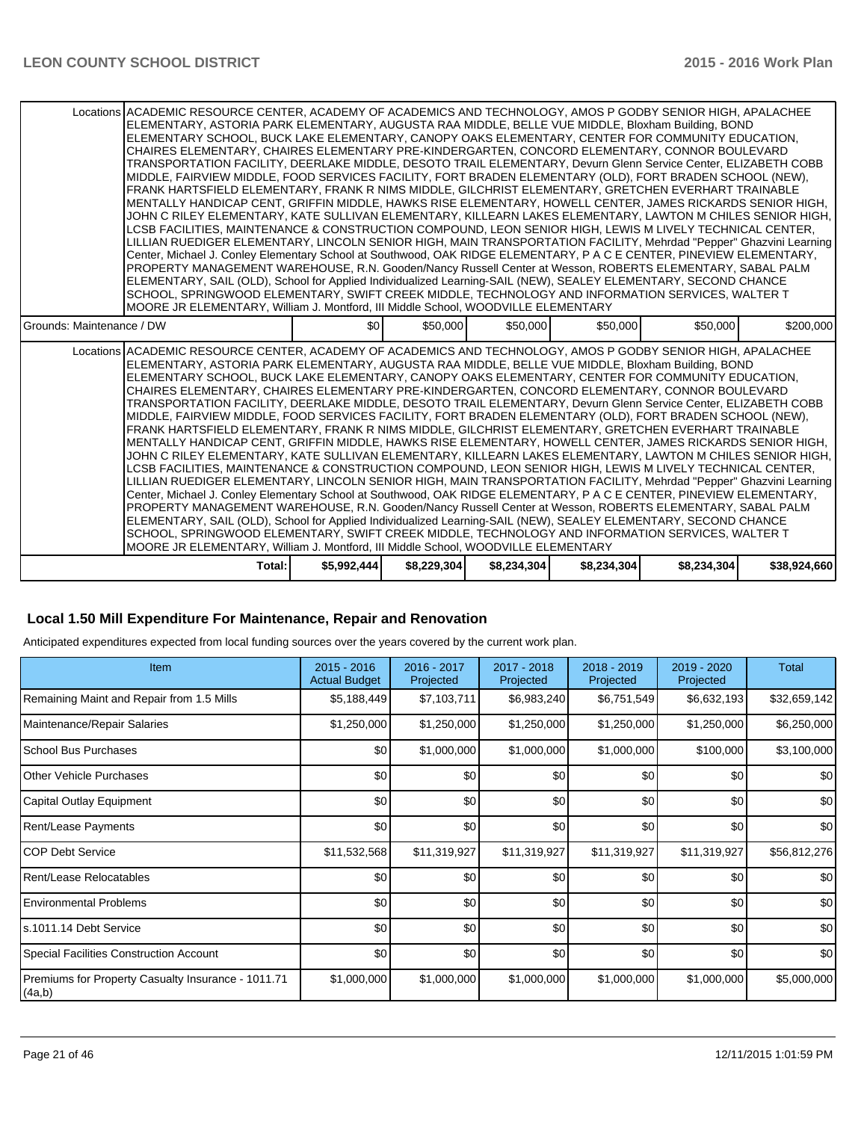| Locations ACADEMIC RESOURCE CENTER, ACADEMY OF ACADEMICS AND TECHNOLOGY, AMOS P GODBY SENIOR HIGH, APALACHEE<br>ELEMENTARY, ASTORIA PARK ELEMENTARY, AUGUSTA RAA MIDDLE, BELLE VUE MIDDLE, Bloxham Building, BOND<br>ELEMENTARY SCHOOL, BUCK LAKE ELEMENTARY, CANOPY OAKS ELEMENTARY, CENTER FOR COMMUNITY EDUCATION,<br>CHAIRES ELEMENTARY, CHAIRES ELEMENTARY PRE-KINDERGARTEN, CONCORD ELEMENTARY, CONNOR BOULEVARD<br>TRANSPORTATION FACILITY, DEERLAKE MIDDLE, DESOTO TRAIL ELEMENTARY, Devurn Glenn Service Center, ELIZABETH COBB<br>MIDDLE, FAIRVIEW MIDDLE, FOOD SERVICES FACILITY, FORT BRADEN ELEMENTARY (OLD), FORT BRADEN SCHOOL (NEW),<br>FRANK HARTSFIELD ELEMENTARY. FRANK R NIMS MIDDLE, GILCHRIST ELEMENTARY, GRETCHEN EVERHART TRAINABLE<br>MENTALLY HANDICAP CENT, GRIFFIN MIDDLE, HAWKS RISE ELEMENTARY, HOWELL CENTER, JAMES RICKARDS SENIOR HIGH,<br>JOHN C RILEY ELEMENTARY, KATE SULLIVAN ELEMENTARY, KILLEARN LAKES ELEMENTARY, LAWTON M CHILES SENIOR HIGH,<br>LCSB FACILITIES, MAINTENANCE & CONSTRUCTION COMPOUND, LEON SENIOR HIGH, LEWIS M LIVELY TECHNICAL CENTER,<br>LILLIAN RUEDIGER ELEMENTARY, LINCOLN SENIOR HIGH, MAIN TRANSPORTATION FACILITY, Mehrdad "Pepper" Ghazvini Learning<br>Center, Michael J. Conley Elementary School at Southwood, OAK RIDGE ELEMENTARY, P A C E CENTER, PINEVIEW ELEMENTARY,<br>PROPERTY MANAGEMENT WAREHOUSE, R.N. Gooden/Nancy Russell Center at Wesson, ROBERTS ELEMENTARY, SABAL PALM<br>ELEMENTARY, SAIL (OLD), School for Applied Individualized Learning-SAIL (NEW), SEALEY ELEMENTARY, SECOND CHANCE<br>SCHOOL, SPRINGWOOD ELEMENTARY, SWIFT CREEK MIDDLE, TECHNOLOGY AND INFORMATION SERVICES, WALTER T<br>MOORE JR ELEMENTARY, William J. Montford, III Middle School, WOODVILLE ELEMENTARY<br>\$50,000<br>\$50,000<br>\$50,000<br>\$50,000<br>\$0 <sub>0</sub> |             |             |             |             |             |              |  |  |  |
|-----------------------------------------------------------------------------------------------------------------------------------------------------------------------------------------------------------------------------------------------------------------------------------------------------------------------------------------------------------------------------------------------------------------------------------------------------------------------------------------------------------------------------------------------------------------------------------------------------------------------------------------------------------------------------------------------------------------------------------------------------------------------------------------------------------------------------------------------------------------------------------------------------------------------------------------------------------------------------------------------------------------------------------------------------------------------------------------------------------------------------------------------------------------------------------------------------------------------------------------------------------------------------------------------------------------------------------------------------------------------------------------------------------------------------------------------------------------------------------------------------------------------------------------------------------------------------------------------------------------------------------------------------------------------------------------------------------------------------------------------------------------------------------------------------------------------------------------------|-------------|-------------|-------------|-------------|-------------|--------------|--|--|--|
| Grounds: Maintenance / DW                                                                                                                                                                                                                                                                                                                                                                                                                                                                                                                                                                                                                                                                                                                                                                                                                                                                                                                                                                                                                                                                                                                                                                                                                                                                                                                                                                                                                                                                                                                                                                                                                                                                                                                                                                                                                     |             |             |             |             |             | \$200,000    |  |  |  |
| Locations ACADEMIC RESOURCE CENTER, ACADEMY OF ACADEMICS AND TECHNOLOGY, AMOS P GODBY SENIOR HIGH, APALACHEE<br>ELEMENTARY, ASTORIA PARK ELEMENTARY, AUGUSTA RAA MIDDLE, BELLE VUE MIDDLE, Bloxham Building, BOND<br>ELEMENTARY SCHOOL, BUCK LAKE ELEMENTARY, CANOPY OAKS ELEMENTARY, CENTER FOR COMMUNITY EDUCATION,<br>CHAIRES ELEMENTARY, CHAIRES ELEMENTARY PRE-KINDERGARTEN, CONCORD ELEMENTARY, CONNOR BOULEVARD<br>TRANSPORTATION FACILITY, DEERLAKE MIDDLE, DESOTO TRAIL ELEMENTARY, Devurn Glenn Service Center, ELIZABETH COBB<br>MIDDLE, FAIRVIEW MIDDLE, FOOD SERVICES FACILITY, FORT BRADEN ELEMENTARY (OLD), FORT BRADEN SCHOOL (NEW),<br>FRANK HARTSFIELD ELEMENTARY, FRANK R NIMS MIDDLE, GILCHRIST ELEMENTARY, GRETCHEN EVERHART TRAINABLE<br>MENTALLY HANDICAP CENT, GRIFFIN MIDDLE, HAWKS RISE ELEMENTARY, HOWELL CENTER, JAMES RICKARDS SENIOR HIGH,<br>JOHN C RILEY ELEMENTARY, KATE SULLIVAN ELEMENTARY, KILLEARN LAKES ELEMENTARY, LAWTON M CHILES SENIOR HIGH,<br>LCSB FACILITIES, MAINTENANCE & CONSTRUCTION COMPOUND, LEON SENIOR HIGH, LEWIS M LIVELY TECHNICAL CENTER,<br>LILLIAN RUEDIGER ELEMENTARY, LINCOLN SENIOR HIGH, MAIN TRANSPORTATION FACILITY, Mehrdad "Pepper" Ghazvini Learning<br>Center, Michael J. Conley Elementary School at Southwood, OAK RIDGE ELEMENTARY, P A C E CENTER, PINEVIEW ELEMENTARY,<br>PROPERTY MANAGEMENT WAREHOUSE, R.N. Gooden/Nancy Russell Center at Wesson, ROBERTS ELEMENTARY, SABAL PALM<br>ELEMENTARY, SAIL (OLD), School for Applied Individualized Learning-SAIL (NEW), SEALEY ELEMENTARY, SECOND CHANCE<br>SCHOOL, SPRINGWOOD ELEMENTARY, SWIFT CREEK MIDDLE, TECHNOLOGY AND INFORMATION SERVICES, WALTER T<br>MOORE JR ELEMENTARY, William J. Montford, III Middle School, WOODVILLE ELEMENTARY                                                                     |             |             |             |             |             |              |  |  |  |
| Total:                                                                                                                                                                                                                                                                                                                                                                                                                                                                                                                                                                                                                                                                                                                                                                                                                                                                                                                                                                                                                                                                                                                                                                                                                                                                                                                                                                                                                                                                                                                                                                                                                                                                                                                                                                                                                                        | \$5,992,444 | \$8,229,304 | \$8,234,304 | \$8,234,304 | \$8,234,304 | \$38,924,660 |  |  |  |

### **Local 1.50 Mill Expenditure For Maintenance, Repair and Renovation**

Anticipated expenditures expected from local funding sources over the years covered by the current work plan.

| Item                                                         | $2015 - 2016$<br><b>Actual Budget</b> | 2016 - 2017<br>Projected | 2017 - 2018<br>Projected | 2018 - 2019<br>Projected | 2019 - 2020<br>Projected | <b>Total</b>     |
|--------------------------------------------------------------|---------------------------------------|--------------------------|--------------------------|--------------------------|--------------------------|------------------|
| Remaining Maint and Repair from 1.5 Mills                    | \$5,188,449                           | \$7,103,711              | \$6,983,240              | \$6,751,549              | \$6,632,193              | \$32,659,142     |
| Maintenance/Repair Salaries                                  | \$1,250,000                           | \$1,250,000              | \$1,250,000              | \$1,250,000              | \$1,250,000              | \$6,250,000      |
| <b>School Bus Purchases</b>                                  | \$0                                   | \$1,000,000              | \$1,000,000              | \$1,000,000              | \$100,000                | \$3,100,000      |
| <b>Other Vehicle Purchases</b>                               | \$0                                   | \$0                      | \$0                      | \$0                      | \$0                      | \$0 <sub>1</sub> |
| Capital Outlay Equipment                                     | \$0                                   | \$0                      | \$0                      | \$0                      | \$0                      | \$0              |
| Rent/Lease Payments                                          | \$0                                   | \$0                      | \$0                      | \$0                      | \$0                      | \$0              |
| ICOP Debt Service                                            | \$11,532,568                          | \$11,319,927             | \$11,319,927             | \$11,319,927             | \$11,319,927             | \$56,812,276     |
| Rent/Lease Relocatables                                      | \$0                                   | \$0                      | \$0                      | \$0                      | \$0                      | \$0 <sub>1</sub> |
| I Environmental Problems                                     | \$0                                   | \$0                      | \$0                      | \$0                      | \$0                      | \$0              |
| s.1011.14 Debt Service                                       | \$0                                   | \$0                      | \$0                      | \$0                      | \$0                      | \$0              |
| Special Facilities Construction Account                      | \$0                                   | \$0                      | \$0                      | \$0                      | \$0                      | \$0              |
| Premiums for Property Casualty Insurance - 1011.71<br>(4a,b) | \$1,000,000                           | \$1,000,000              | \$1,000,000              | \$1,000,000              | \$1,000,000              | \$5,000,000      |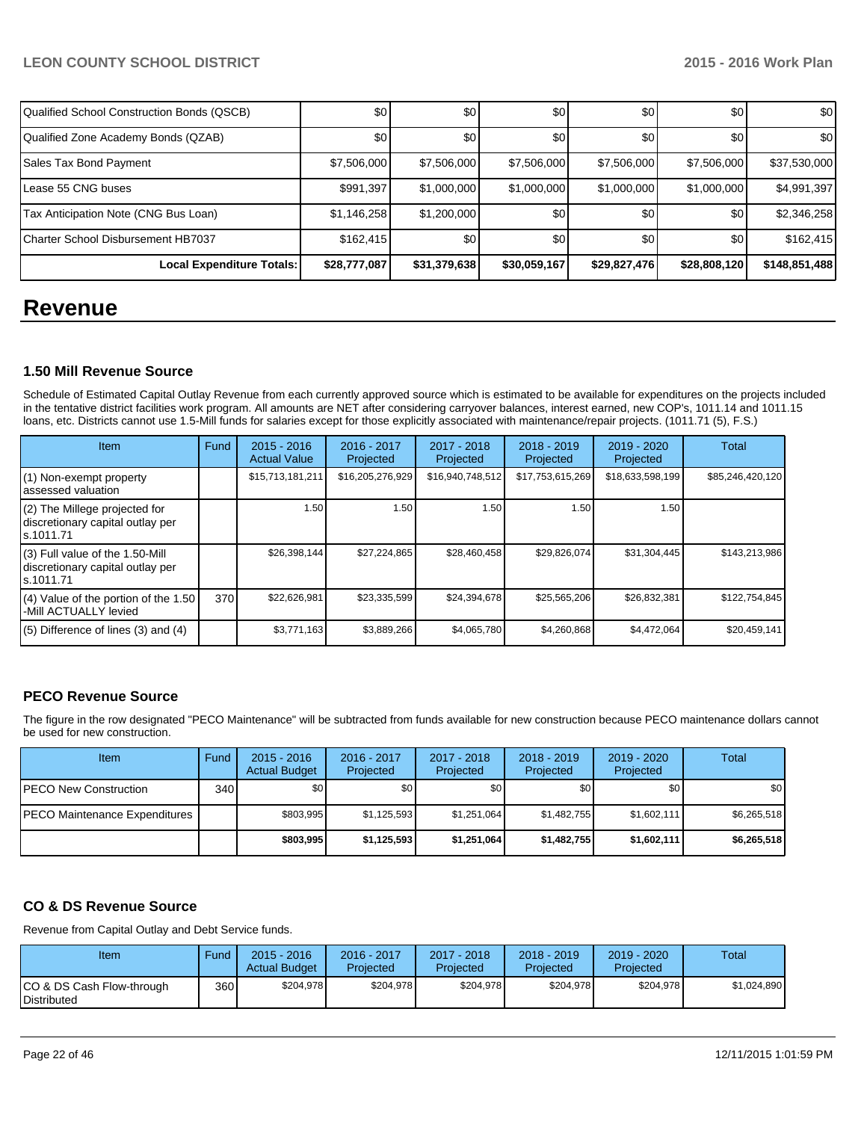| Qualified School Construction Bonds (QSCB) | \$0 <sub>1</sub> | \$0          | \$0          | \$0 <sub>0</sub> | \$0          | \$0           |
|--------------------------------------------|------------------|--------------|--------------|------------------|--------------|---------------|
| Qualified Zone Academy Bonds (QZAB)        | <b>SO</b>        | \$0          | \$0          | \$0              | \$0          | \$0           |
| Sales Tax Bond Payment                     | \$7,506,000      | \$7,506,000  | \$7,506,000  | \$7,506,000      | \$7,506,000  | \$37,530,000  |
| l Lease 55 CNG buses                       | \$991,397        | \$1,000,000  | \$1,000,000  | \$1,000,000      | \$1,000,000  | \$4,991,397   |
| Tax Anticipation Note (CNG Bus Loan)       | \$1,146,258      | \$1,200,000  | \$0          | \$0              | \$0          | \$2,346,258   |
| <b>ICharter School Disbursement HB7037</b> | \$162,415        | \$0          | \$0          | \$0 <sub>0</sub> | \$0          | \$162,415     |
| Local Expenditure Totals:                  | \$28,777,087     | \$31,379,638 | \$30,059,167 | \$29,827,476     | \$28,808,120 | \$148,851,488 |

# **Revenue**

## **1.50 Mill Revenue Source**

Schedule of Estimated Capital Outlay Revenue from each currently approved source which is estimated to be available for expenditures on the projects included in the tentative district facilities work program. All amounts are NET after considering carryover balances, interest earned, new COP's, 1011.14 and 1011.15 loans, etc. Districts cannot use 1.5-Mill funds for salaries except for those explicitly associated with maintenance/repair projects. (1011.71 (5), F.S.)

| <b>Item</b>                                                                         | Fund | $2015 - 2016$<br><b>Actual Value</b> | $2016 - 2017$<br>Projected | $2017 - 2018$<br>Projected | $2018 - 2019$<br>Projected | $2019 - 2020$<br>Projected | Total            |
|-------------------------------------------------------------------------------------|------|--------------------------------------|----------------------------|----------------------------|----------------------------|----------------------------|------------------|
| $(1)$ Non-exempt property<br>lassessed valuation                                    |      | \$15,713,181,211                     | \$16,205,276,929           | \$16,940,748,512           | \$17,753,615,269           | \$18,633,598,199           | \$85,246,420,120 |
| $(2)$ The Millege projected for<br>discretionary capital outlay per<br>ls.1011.71   |      | 1.50                                 | 1.50                       | 1.50                       | 1.50                       | 1.50                       |                  |
| $(3)$ Full value of the 1.50-Mill<br>discretionary capital outlay per<br>ls.1011.71 |      | \$26,398,144                         | \$27,224,865               | \$28,460,458               | \$29,826,074               | \$31,304,445               | \$143,213,986    |
| $(4)$ Value of the portion of the 1.50<br>-Mill ACTUALLY levied                     | 370  | \$22,626,981                         | \$23,335,599               | \$24,394,678               | \$25,565,206               | \$26,832,381               | \$122,754,845    |
| $(5)$ Difference of lines $(3)$ and $(4)$                                           |      | \$3,771,163                          | \$3,889,266                | \$4,065,780                | \$4,260,868                | \$4,472,064                | \$20,459,141     |

# **PECO Revenue Source**

The figure in the row designated "PECO Maintenance" will be subtracted from funds available for new construction because PECO maintenance dollars cannot be used for new construction.

| Item                                 | Fund | $2015 - 2016$<br><b>Actual Budget</b> | 2016 - 2017<br>Projected | 2017 - 2018<br>Projected | $2018 - 2019$<br>Projected | $2019 - 2020$<br>Projected | Total            |
|--------------------------------------|------|---------------------------------------|--------------------------|--------------------------|----------------------------|----------------------------|------------------|
| <b>IPECO New Construction</b>        | 340  | \$O I                                 | \$0 <sub>1</sub>         | \$0                      | \$0                        | \$0                        | \$0 <sub>1</sub> |
| <b>PECO Maintenance Expenditures</b> |      | \$803.995                             | \$1,125,593              | \$1,251,064              | \$1,482,755                | \$1,602,111                | \$6,265,518      |
|                                      |      | \$803,995                             | \$1,125,593              | \$1,251,064              | \$1,482,755                | \$1,602,111                | \$6,265,518      |

## **CO & DS Revenue Source**

Revenue from Capital Outlay and Debt Service funds.

| Item                                      | Fund  | $2015 - 2016$<br><b>Actual Budget</b> | 2016 - 2017<br>Projected | $2017 - 2018$<br>Proiected | $2018 - 2019$<br>Projected | $2019 - 2020$<br>Projected | Total       |
|-------------------------------------------|-------|---------------------------------------|--------------------------|----------------------------|----------------------------|----------------------------|-------------|
| ICO & DS Cash Flow-through<br>Distributed | 360 l | \$204,978                             | \$204.978                | \$204.978                  | \$204.978                  | \$204.978                  | \$1,024,890 |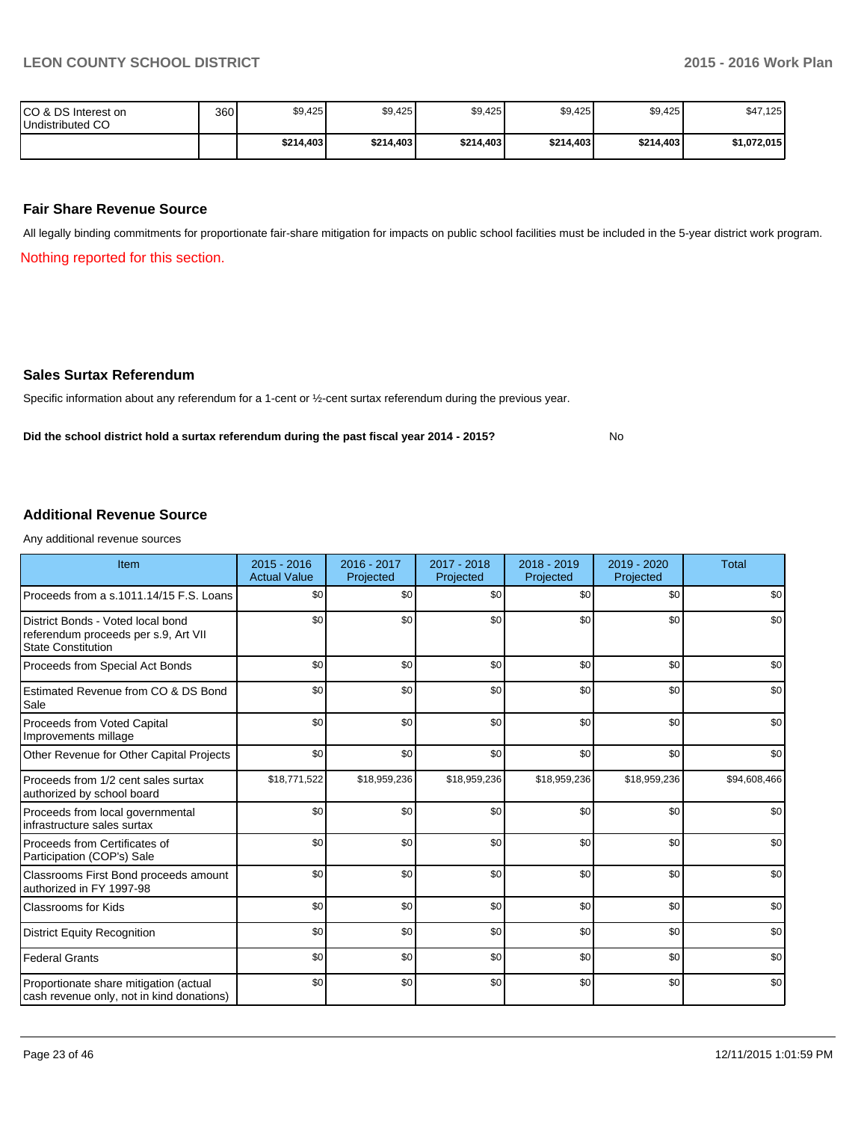No

| ICO & DS Interest on<br>Undistributed CO | 360 | \$9,425   | \$9,425   | \$9,425   | \$9,425   | \$9,425   | \$47,125    |
|------------------------------------------|-----|-----------|-----------|-----------|-----------|-----------|-------------|
|                                          |     | \$214,403 | \$214,403 | \$214,403 | \$214,403 | \$214,403 | \$1,072,015 |

#### **Fair Share Revenue Source**

All legally binding commitments for proportionate fair-share mitigation for impacts on public school facilities must be included in the 5-year district work program.

Nothing reported for this section.

#### **Sales Surtax Referendum**

Specific information about any referendum for a 1-cent or ½-cent surtax referendum during the previous year.

**Did the school district hold a surtax referendum during the past fiscal year 2014 - 2015?**

#### **Additional Revenue Source**

Any additional revenue sources

| Item                                                                                                   | $2015 - 2016$<br><b>Actual Value</b> | 2016 - 2017<br>Projected | 2017 - 2018<br>Projected | $2018 - 2019$<br>Projected | $2019 - 2020$<br>Projected | <b>Total</b> |
|--------------------------------------------------------------------------------------------------------|--------------------------------------|--------------------------|--------------------------|----------------------------|----------------------------|--------------|
| Proceeds from a s.1011.14/15 F.S. Loans                                                                | \$0                                  | \$0                      | \$0                      | \$0                        | \$0                        | \$0          |
| District Bonds - Voted local bond<br>referendum proceeds per s.9, Art VII<br><b>State Constitution</b> | \$0                                  | \$0                      | \$0                      | \$0                        | \$0                        | \$0          |
| Proceeds from Special Act Bonds                                                                        | \$0                                  | \$0                      | \$0                      | \$0                        | \$0                        | \$0          |
| Estimated Revenue from CO & DS Bond<br>Sale                                                            | \$0                                  | \$0                      | \$0                      | \$0                        | \$0                        | \$0          |
| Proceeds from Voted Capital<br>Improvements millage                                                    | \$0                                  | \$0                      | \$0                      | \$0                        | \$0                        | \$0          |
| Other Revenue for Other Capital Projects                                                               | \$0                                  | \$0                      | \$0                      | \$0                        | \$0                        | \$0          |
| Proceeds from 1/2 cent sales surtax<br>authorized by school board                                      | \$18,771,522                         | \$18,959,236             | \$18,959,236             | \$18,959,236               | \$18,959,236               | \$94,608,466 |
| Proceeds from local governmental<br>infrastructure sales surtax                                        | \$0                                  | \$0                      | \$0                      | \$0                        | \$0                        | \$0          |
| Proceeds from Certificates of<br>Participation (COP's) Sale                                            | \$0                                  | \$0                      | \$0                      | \$0                        | \$0                        | \$0          |
| Classrooms First Bond proceeds amount<br>authorized in FY 1997-98                                      | \$0                                  | \$0                      | \$0                      | \$0                        | \$0                        | \$0          |
| <b>Classrooms for Kids</b>                                                                             | \$0                                  | \$0                      | \$0                      | \$0                        | \$0                        | \$0          |
| <b>District Equity Recognition</b>                                                                     | \$0                                  | \$0                      | \$0                      | \$0                        | \$0                        | \$0          |
| <b>Federal Grants</b>                                                                                  | \$0                                  | \$0                      | \$0                      | \$0                        | \$0                        | \$0          |
| Proportionate share mitigation (actual<br>cash revenue only, not in kind donations)                    | \$0                                  | \$0                      | \$0                      | \$0                        | \$0                        | \$0          |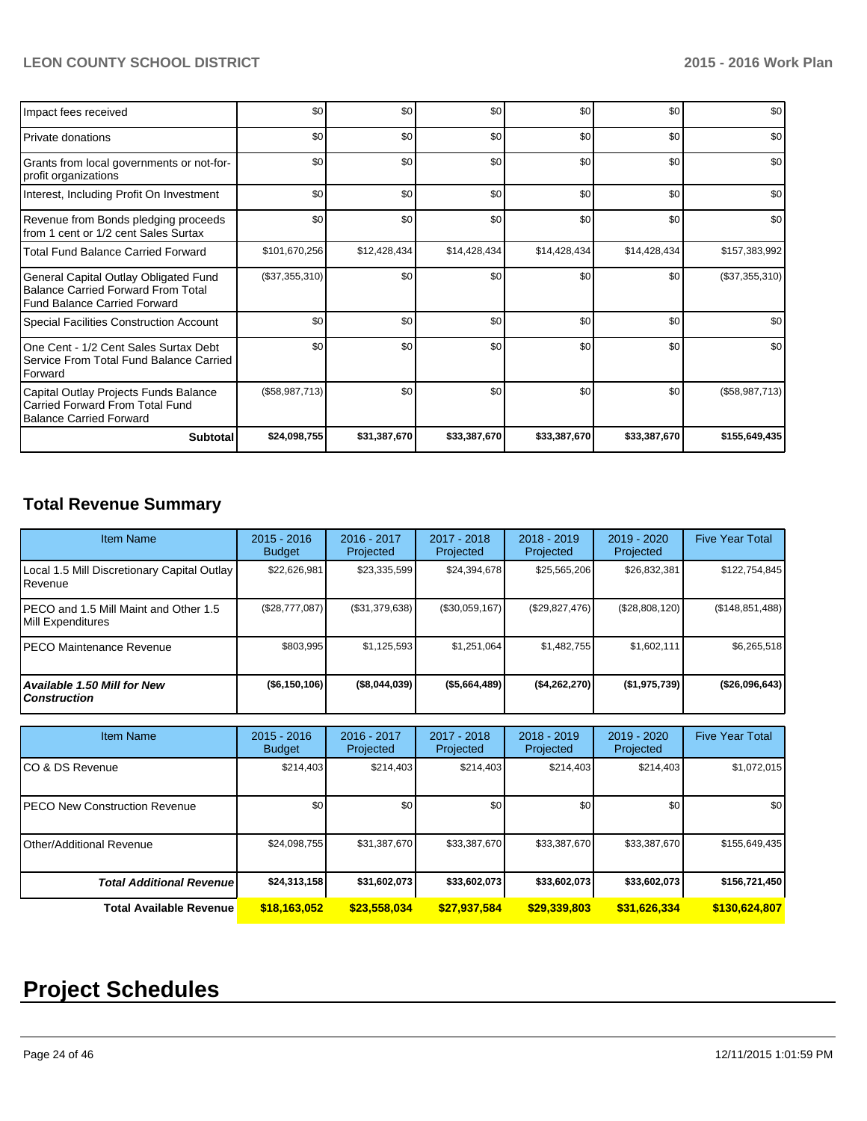| Impact fees received                                                                                                      | \$0              | \$0          | \$0          | \$0          | \$0          | \$0              |
|---------------------------------------------------------------------------------------------------------------------------|------------------|--------------|--------------|--------------|--------------|------------------|
| Private donations                                                                                                         | \$0              | \$0          | \$0          | \$0          | \$0          | \$0              |
| Grants from local governments or not-for-<br>profit organizations                                                         | \$0              | \$0          | \$0          | \$0          | \$0          | \$0              |
| Interest, Including Profit On Investment                                                                                  | \$0              | \$0          | \$0          | \$0          | \$0          | \$0              |
| Revenue from Bonds pledging proceeds<br>from 1 cent or 1/2 cent Sales Surtax                                              | \$0              | \$0          | \$0          | \$0          | \$0          | \$0              |
| <b>Total Fund Balance Carried Forward</b>                                                                                 | \$101,670,256    | \$12,428,434 | \$14,428,434 | \$14,428,434 | \$14,428,434 | \$157,383,992    |
| General Capital Outlay Obligated Fund<br><b>Balance Carried Forward From Total</b><br><b>Fund Balance Carried Forward</b> | $(\$37,355,310)$ | \$0          | \$0          | \$0          | \$0          | $(\$37,355,310)$ |
| <b>Special Facilities Construction Account</b>                                                                            | \$0              | \$0          | \$0          | \$0          | \$0          | \$0              |
| One Cent - 1/2 Cent Sales Surtax Debt<br>Service From Total Fund Balance Carried<br>Forward                               | \$0 <sub>1</sub> | \$0          | \$0          | \$0          | \$0          | \$0              |
| Capital Outlay Projects Funds Balance<br>Carried Forward From Total Fund<br><b>Balance Carried Forward</b>                | (\$58,987,713)   | \$0          | \$0          | \$0          | \$0          | (\$58,987,713)   |
| <b>Subtotal</b>                                                                                                           | \$24,098,755     | \$31,387,670 | \$33,387,670 | \$33,387,670 | \$33,387,670 | \$155,649,435    |

# **Total Revenue Summary**

| <b>Item Name</b>                                                  | $2015 - 2016$<br><b>Budget</b> | 2016 - 2017<br>Projected | 2017 - 2018<br>Projected | $2018 - 2019$<br>Projected | $2019 - 2020$<br>Projected | <b>Five Year Total</b> |
|-------------------------------------------------------------------|--------------------------------|--------------------------|--------------------------|----------------------------|----------------------------|------------------------|
| Local 1.5 Mill Discretionary Capital Outlay<br>Revenue            | \$22,626,981                   | \$23,335,599             | \$24,394,678             | \$25,565,206               | \$26,832,381               | \$122,754,845          |
| PECO and 1.5 Mill Maint and Other 1.5<br><b>Mill Expenditures</b> | $(\$28,777,087)$               | (\$31,379,638)           | (\$30,059,167)           | $(\$29,827,476)$           | (\$28,808,120)             | (\$148, 851, 488)      |
| PECO Maintenance Revenue                                          | \$803,995                      | \$1,125,593              | \$1,251,064              | \$1,482,755                | \$1,602,111                | \$6,265,518            |
| Available 1.50 Mill for New<br><b>Construction</b>                | ( \$6,150,106)                 | (\$8,044,039)            | (\$5,664,489)            | (\$4,262,270)              | (\$1,975,739)              | (\$26,096,643)         |
|                                                                   |                                |                          |                          |                            |                            |                        |
| <b>Item Name</b>                                                  | $2015 - 2016$<br><b>Budget</b> | 2016 - 2017<br>Projected | 2017 - 2018<br>Projected | $2018 - 2019$<br>Projected | 2019 - 2020<br>Projected   | <b>Five Year Total</b> |
| CO & DS Revenue                                                   | \$214,403                      | \$214,403                | \$214,403                | \$214,403                  | \$214,403                  | \$1,072,015            |
| PECO New Construction Revenue                                     | \$0                            | \$0                      | \$0                      | \$0                        | \$0                        | \$0                    |
| <b>Other/Additional Revenue</b>                                   | \$24,098,755                   | \$31,387,670             | \$33,387,670             | \$33,387,670               | \$33,387,670               | \$155,649,435          |
| <b>Total Additional Revenuel</b>                                  | \$24,313,158                   | \$31,602,073             | \$33,602,073             | \$33,602,073               | \$33,602,073               | \$156,721,450          |

**Total Available Revenue \$18,163,052 \$23,558,034 \$27,937,584 \$29,339,803 \$31,626,334 \$130,624,807**

# **Project Schedules**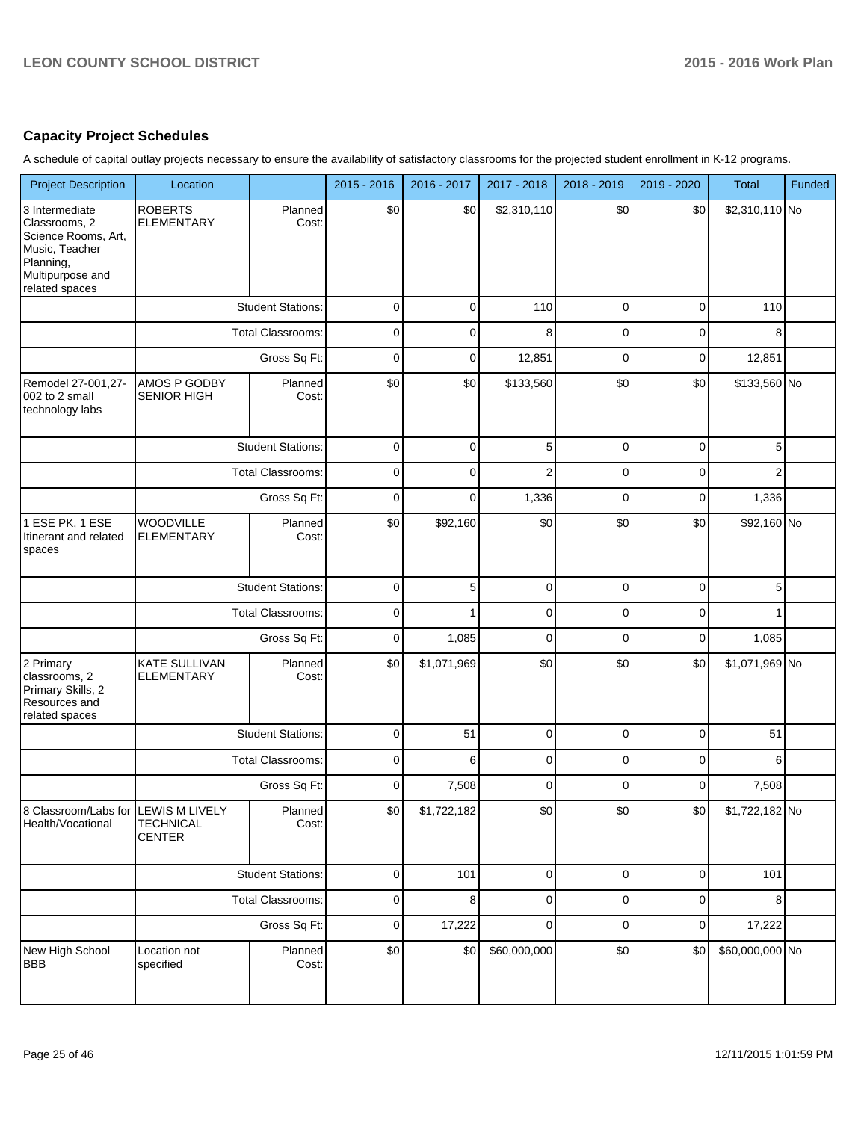# **Capacity Project Schedules**

A schedule of capital outlay projects necessary to ensure the availability of satisfactory classrooms for the projected student enrollment in K-12 programs.

| <b>Project Description</b>                                                                                                  | Location                                  |                          | 2015 - 2016 | 2016 - 2017 | 2017 - 2018    | 2018 - 2019 | 2019 - 2020    | <b>Total</b>    | Funded |
|-----------------------------------------------------------------------------------------------------------------------------|-------------------------------------------|--------------------------|-------------|-------------|----------------|-------------|----------------|-----------------|--------|
| 3 Intermediate<br>Classrooms, 2<br>Science Rooms, Art,<br>Music, Teacher<br>Planning,<br>Multipurpose and<br>related spaces | <b>ROBERTS</b><br><b>ELEMENTARY</b>       | Planned<br>Cost:         | \$0         | \$0         | \$2,310,110    | \$0         | \$0            | \$2,310,110 No  |        |
|                                                                                                                             |                                           | <b>Student Stations:</b> | $\mathbf 0$ | $\mathbf 0$ | 110            | $\pmb{0}$   | $\overline{0}$ | 110             |        |
|                                                                                                                             |                                           | <b>Total Classrooms:</b> | $\mathbf 0$ | 0           | 8              | $\mathbf 0$ | $\mathbf 0$    | 8               |        |
|                                                                                                                             |                                           | Gross Sq Ft:             | $\mathbf 0$ | 0           | 12,851         | $\mathbf 0$ | $\overline{0}$ | 12,851          |        |
| Remodel 27-001,27-<br>002 to 2 small<br>technology labs                                                                     | AMOS P GODBY<br><b>SENIOR HIGH</b>        | Planned<br>Cost:         | \$0         | \$0         | \$133,560      | \$0         | \$0            | \$133,560 No    |        |
|                                                                                                                             |                                           | <b>Student Stations:</b> | 0           | $\mathbf 0$ | 5              | $\mathbf 0$ | $\mathbf 0$    | 5               |        |
|                                                                                                                             |                                           | Total Classrooms:        | 0           | 0           | $\overline{c}$ | $\mathbf 0$ | $\mathbf 0$    | $\overline{2}$  |        |
|                                                                                                                             |                                           | Gross Sq Ft:             | 0           | 0           | 1,336          | $\mathbf 0$ | $\mathbf 0$    | 1,336           |        |
| 1 ESE PK, 1 ESE<br>Itinerant and related<br>spaces                                                                          | WOODVILLE<br><b>ELEMENTARY</b>            | Planned<br>Cost:         | \$0         | \$92,160    | \$0            | \$0         | \$0            | \$92,160 No     |        |
|                                                                                                                             |                                           | <b>Student Stations:</b> | $\mathbf 0$ | 5           | $\pmb{0}$      | $\mathbf 0$ | $\overline{0}$ | 5               |        |
|                                                                                                                             |                                           | <b>Total Classrooms:</b> | $\mathbf 0$ |             | $\pmb{0}$      | $\mathbf 0$ | $\mathbf 0$    |                 |        |
|                                                                                                                             |                                           | Gross Sq Ft:             | $\mathbf 0$ | 1,085       | $\mathbf 0$    | $\mathbf 0$ | $\overline{0}$ | 1,085           |        |
| 2 Primary<br>classrooms, 2<br>Primary Skills, 2<br>Resources and<br>related spaces                                          | <b>KATE SULLIVAN</b><br><b>ELEMENTARY</b> | Planned<br>Cost:         | \$0         | \$1,071,969 | \$0            | \$0         | \$0            | \$1,071,969 No  |        |
|                                                                                                                             |                                           | <b>Student Stations:</b> | $\mathbf 0$ | 51          | $\pmb{0}$      | $\pmb{0}$   | $\overline{0}$ | 51              |        |
|                                                                                                                             |                                           | <b>Total Classrooms:</b> | $\mathbf 0$ | 6           | $\pmb{0}$      | $\mathbf 0$ | $\mathbf 0$    | 6               |        |
|                                                                                                                             |                                           | Gross Sq Ft:             | $\mathbf 0$ | 7,508       | $\pmb{0}$      | $\mathbf 0$ | $\mathbf 0$    | 7,508           |        |
| 8 Classroom/Labs for  LEWIS M LIVELY <br>Health/Vocational                                                                  | <b>TECHNICAL</b><br><b>CENTER</b>         | Planned<br>Cost:         | \$0         | \$1,722,182 | \$0            | \$0         | \$0            | $$1,722,182$ No |        |
|                                                                                                                             |                                           | <b>Student Stations:</b> | $\mathbf 0$ | 101         | $\pmb{0}$      | $\pmb{0}$   | $\overline{0}$ | 101             |        |
|                                                                                                                             |                                           | Total Classrooms:        | $\pmb{0}$   | 8           | $\pmb{0}$      | $\pmb{0}$   | $\overline{0}$ | 8               |        |
|                                                                                                                             |                                           | Gross Sq Ft:             | $\mathbf 0$ | 17,222      | $\pmb{0}$      | $\pmb{0}$   | $\overline{0}$ | 17,222          |        |
| New High School<br>BBB                                                                                                      | Location not<br>specified                 | Planned<br>Cost:         | \$0         | \$0         | \$60,000,000   | \$0         | \$0            | \$60,000,000 No |        |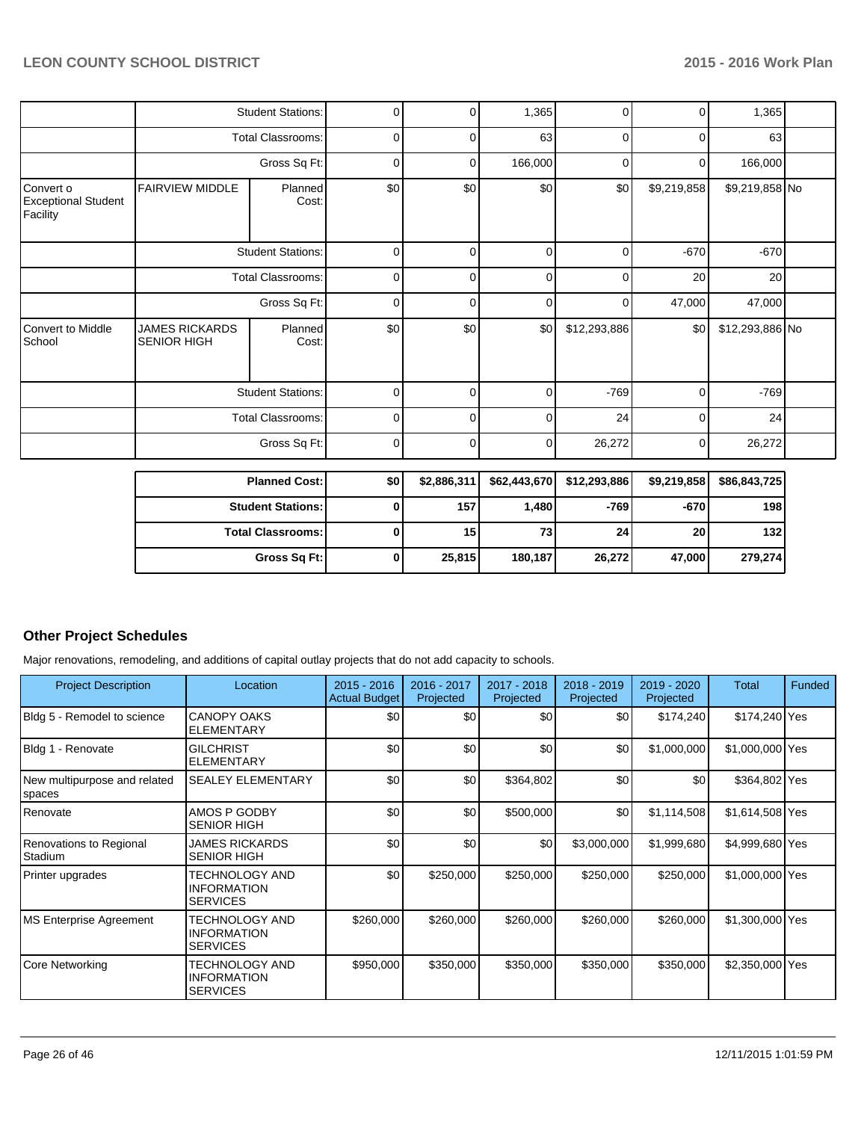|                                                     | <b>Student Stations:</b><br><b>Total Classrooms:</b> |                          | 0            | $\Omega$    | 1,365        | 0            | $\overline{0}$ | 1,365           |  |
|-----------------------------------------------------|------------------------------------------------------|--------------------------|--------------|-------------|--------------|--------------|----------------|-----------------|--|
|                                                     |                                                      |                          | 0            | 0           | 63           | 0            | 0              | 63              |  |
|                                                     |                                                      | Gross Sq Ft:             | 0            | 0           | 166,000      | $\mathbf 0$  | 0              | 166,000         |  |
| Convert o<br><b>Exceptional Student</b><br>Facility | <b>FAIRVIEW MIDDLE</b>                               | Planned<br>Cost:         | \$0          | \$0         | \$0          | \$0          | \$9,219,858    | \$9,219,858 No  |  |
|                                                     |                                                      | <b>Student Stations:</b> | 0            | 0           | $\mathbf 0$  | $\Omega$     | $-670$         | $-670$          |  |
|                                                     |                                                      | <b>Total Classrooms:</b> | 0            | 0           | $\mathbf 0$  | 0            | 20             | 20              |  |
|                                                     | Gross Sq Ft:                                         |                          | 0            | $\Omega$    | $\mathbf 0$  | $\mathbf 0$  | 47,000         | 47,000          |  |
| <b>Convert to Middle</b><br>School                  | <b>JAMES RICKARDS</b><br><b>SENIOR HIGH</b>          | Planned<br>Cost:         | \$0          | \$0         | \$0          | \$12,293,886 | \$0            | \$12,293,886 No |  |
|                                                     |                                                      | <b>Student Stations:</b> | 0            | 0           | $\mathbf 0$  | $-769$       | $\mathbf 0$    | $-769$          |  |
|                                                     |                                                      | <b>Total Classrooms:</b> | 0            | 0           | $\mathbf 0$  | 24           | $\mathbf 0$    | 24              |  |
|                                                     |                                                      | Gross Sq Ft:             | 0            | $\Omega$    | 0            | 26,272       | 0              | 26,272          |  |
|                                                     |                                                      | <b>Planned Cost:</b>     | \$0          | \$2,886,311 | \$62,443,670 | \$12,293,886 | \$9,219,858    | \$86,843,725    |  |
|                                                     |                                                      | <b>Student Stations:</b> | 0            | 157         | 1,480        | $-769$       | $-670$         | 198             |  |
|                                                     |                                                      | <b>Total Classrooms:</b> | $\mathbf{0}$ | 15          | 73           | 24           | 20             | 132             |  |

**Gross Sq Ft: 0 25,815 180,187 26,272 47,000 279,274**

# **Other Project Schedules**

Major renovations, remodeling, and additions of capital outlay projects that do not add capacity to schools.

| <b>Project Description</b>             | Location                                                       | $2015 - 2016$<br><b>Actual Budget</b> | 2016 - 2017<br>Projected | 2017 - 2018<br>Projected | $2018 - 2019$<br>Projected | 2019 - 2020<br>Projected | Total           | Funded |
|----------------------------------------|----------------------------------------------------------------|---------------------------------------|--------------------------|--------------------------|----------------------------|--------------------------|-----------------|--------|
| Bldg 5 - Remodel to science            | <b>CANOPY OAKS</b><br><b>ELEMENTARY</b>                        | \$0                                   | \$0                      | \$0                      | \$0                        | \$174,240                | \$174,240 Yes   |        |
| Bldg 1 - Renovate                      | <b>GILCHRIST</b><br><b>ELEMENTARY</b>                          | \$0                                   | \$0                      | \$0                      | \$0                        | \$1,000,000              | \$1,000,000 Yes |        |
| New multipurpose and related<br>spaces | <b>SEALEY ELEMENTARY</b>                                       | \$0                                   | \$0                      | \$364,802                | \$0                        | \$0                      | \$364,802 Yes   |        |
| Renovate                               | AMOS P GODBY<br><b>SENIOR HIGH</b>                             | \$0                                   | \$0                      | \$500,000                | \$0                        | \$1,114,508              | \$1,614,508 Yes |        |
| Renovations to Regional<br>Stadium     | JAMES RICKARDS<br><b>SENIOR HIGH</b>                           | \$0                                   | \$0                      | \$0                      | \$3,000,000                | \$1,999,680              | \$4,999,680 Yes |        |
| Printer upgrades                       | TECHNOLOGY AND<br><b>INFORMATION</b><br><b>SERVICES</b>        | \$0                                   | \$250,000                | \$250,000                | \$250,000                  | \$250,000                | \$1,000,000 Yes |        |
| <b>MS Enterprise Agreement</b>         | <b>TECHNOLOGY AND</b><br><b>INFORMATION</b><br><b>SERVICES</b> | \$260,000                             | \$260,000                | \$260,000                | \$260,000                  | \$260,000                | \$1,300,000 Yes |        |
| Core Networking                        | <b>TECHNOLOGY AND</b><br><b>INFORMATION</b><br><b>SERVICES</b> | \$950,000                             | \$350,000                | \$350,000                | \$350,000                  | \$350,000                | \$2,350,000 Yes |        |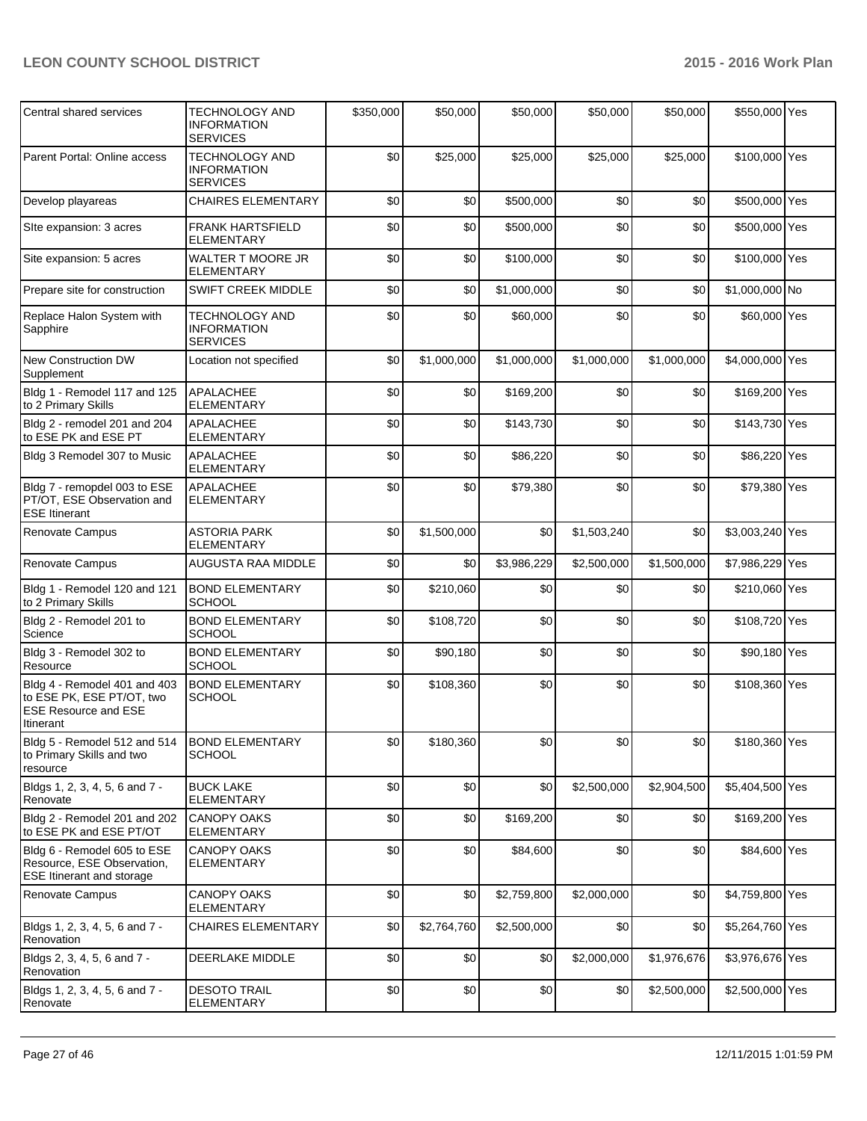| Central shared services                                                                               | <b>TECHNOLOGY AND</b><br><b>INFORMATION</b><br><b>SERVICES</b> | \$350,000 | \$50,000    | \$50,000    | \$50,000    | \$50,000    | \$550,000 Yes   |  |
|-------------------------------------------------------------------------------------------------------|----------------------------------------------------------------|-----------|-------------|-------------|-------------|-------------|-----------------|--|
| Parent Portal: Online access                                                                          | <b>TECHNOLOGY AND</b><br><b>INFORMATION</b><br><b>SERVICES</b> | \$0       | \$25,000    | \$25,000    | \$25,000    | \$25,000    | \$100,000 Yes   |  |
| Develop playareas                                                                                     | <b>CHAIRES ELEMENTARY</b>                                      | \$0       | \$0         | \$500,000   | \$0         | \$0         | \$500,000 Yes   |  |
| Site expansion: 3 acres                                                                               | <b>FRANK HARTSFIELD</b><br><b>ELEMENTARY</b>                   | \$0       | \$0         | \$500,000   | \$0         | \$0         | \$500,000 Yes   |  |
| Site expansion: 5 acres                                                                               | WALTER T MOORE JR<br><b>ELEMENTARY</b>                         | \$0       | \$0         | \$100,000   | \$0         | \$0         | \$100,000 Yes   |  |
| Prepare site for construction                                                                         | <b>SWIFT CREEK MIDDLE</b>                                      | \$0       | \$0         | \$1,000,000 | \$0         | \$0         | \$1,000,000 No  |  |
| Replace Halon System with<br>Sapphire                                                                 | <b>TECHNOLOGY AND</b><br><b>INFORMATION</b><br><b>SERVICES</b> | \$0       | \$0         | \$60,000    | \$0         | \$0         | \$60,000 Yes    |  |
| <b>New Construction DW</b><br>Supplement                                                              | Location not specified                                         | \$0       | \$1,000,000 | \$1,000,000 | \$1,000,000 | \$1,000,000 | \$4,000,000 Yes |  |
| Bldg 1 - Remodel 117 and 125<br>to 2 Primary Skills                                                   | <b>APALACHEE</b><br><b>ELEMENTARY</b>                          | \$0       | \$0         | \$169,200   | \$0         | \$0         | \$169,200 Yes   |  |
| Bldg 2 - remodel 201 and 204<br>to ESE PK and ESE PT                                                  | <b>APALACHEE</b><br><b>ELEMENTARY</b>                          | \$0       | \$0         | \$143,730   | \$0         | \$0         | \$143,730 Yes   |  |
| Bldg 3 Remodel 307 to Music                                                                           | <b>APALACHEE</b><br><b>ELEMENTARY</b>                          | \$0       | \$0         | \$86,220    | \$0         | \$0         | \$86,220 Yes    |  |
| Bldg 7 - remopdel 003 to ESE<br>PT/OT, ESE Observation and<br><b>ESE Itinerant</b>                    | <b>APALACHEE</b><br><b>ELEMENTARY</b>                          | \$0       | \$0         | \$79,380    | \$0         | \$0         | \$79,380 Yes    |  |
| <b>Renovate Campus</b>                                                                                | <b>ASTORIA PARK</b><br><b>ELEMENTARY</b>                       | \$0       | \$1,500,000 | \$0         | \$1,503,240 | \$0         | \$3,003,240 Yes |  |
| Renovate Campus                                                                                       | AUGUSTA RAA MIDDLE                                             | \$0       | \$0         | \$3,986,229 | \$2,500,000 | \$1,500,000 | \$7,986,229 Yes |  |
| Bldg 1 - Remodel 120 and 121<br>to 2 Primary Skills                                                   | <b>BOND ELEMENTARY</b><br><b>SCHOOL</b>                        | \$0       | \$210,060   | \$0         | \$0         | \$0         | \$210,060 Yes   |  |
| Bldg 2 - Remodel 201 to<br>Science                                                                    | <b>BOND ELEMENTARY</b><br><b>SCHOOL</b>                        | \$0       | \$108,720   | \$0         | \$0         | \$0         | \$108,720 Yes   |  |
| Bldg 3 - Remodel 302 to<br>Resource                                                                   | <b>BOND ELEMENTARY</b><br><b>SCHOOL</b>                        | \$0       | \$90,180    | \$0         | \$0         | \$0         | \$90,180 Yes    |  |
| Bldg 4 - Remodel 401 and 403<br>to ESE PK, ESE PT/OT, two<br><b>ESE Resource and ESE</b><br>Itinerant | <b>BOND ELEMENTARY</b><br><b>SCHOOL</b>                        | \$0       | \$108,360   | \$0         | \$0         | \$0         | \$108,360 Yes   |  |
| Bldg 5 - Remodel 512 and 514<br>to Primary Skills and two<br>resource                                 | <b>BOND ELEMENTARY</b><br><b>SCHOOL</b>                        | \$0       | \$180,360   | \$0         | \$0         | \$0         | \$180,360 Yes   |  |
| Bldgs 1, 2, 3, 4, 5, 6 and 7 -<br>Renovate                                                            | <b>BUCK LAKE</b><br><b>ELEMENTARY</b>                          | \$0       | \$0         | \$0         | \$2,500,000 | \$2,904,500 | \$5,404,500 Yes |  |
| Bldg 2 - Remodel 201 and 202<br>to ESE PK and ESE PT/OT                                               | <b>CANOPY OAKS</b><br><b>ELEMENTARY</b>                        | \$0       | \$0         | \$169,200   | \$0         | \$0         | \$169,200 Yes   |  |
| Bldg 6 - Remodel 605 to ESE<br>Resource, ESE Observation,<br><b>ESE Itinerant and storage</b>         | <b>CANOPY OAKS</b><br><b>ELEMENTARY</b>                        | \$0       | \$0         | \$84,600    | \$0         | \$0         | \$84,600 Yes    |  |
| <b>Renovate Campus</b>                                                                                | <b>CANOPY OAKS</b><br><b>ELEMENTARY</b>                        | \$0       | \$0         | \$2,759,800 | \$2,000,000 | \$0         | \$4,759,800 Yes |  |
| Bldgs 1, 2, 3, 4, 5, 6 and 7 -<br>Renovation                                                          | <b>CHAIRES ELEMENTARY</b>                                      | \$0       | \$2,764,760 | \$2,500,000 | \$0         | \$0         | \$5,264,760 Yes |  |
| Bldgs 2, 3, 4, 5, 6 and 7 -<br>Renovation                                                             | DEERLAKE MIDDLE                                                | \$0       | \$0         | \$0         | \$2,000,000 | \$1,976,676 | \$3,976,676 Yes |  |
| Bldgs 1, 2, 3, 4, 5, 6 and 7 -<br>Renovate                                                            | <b>DESOTO TRAIL</b><br><b>ELEMENTARY</b>                       | \$0       | \$0         | \$0         | \$0         | \$2,500,000 | \$2,500,000 Yes |  |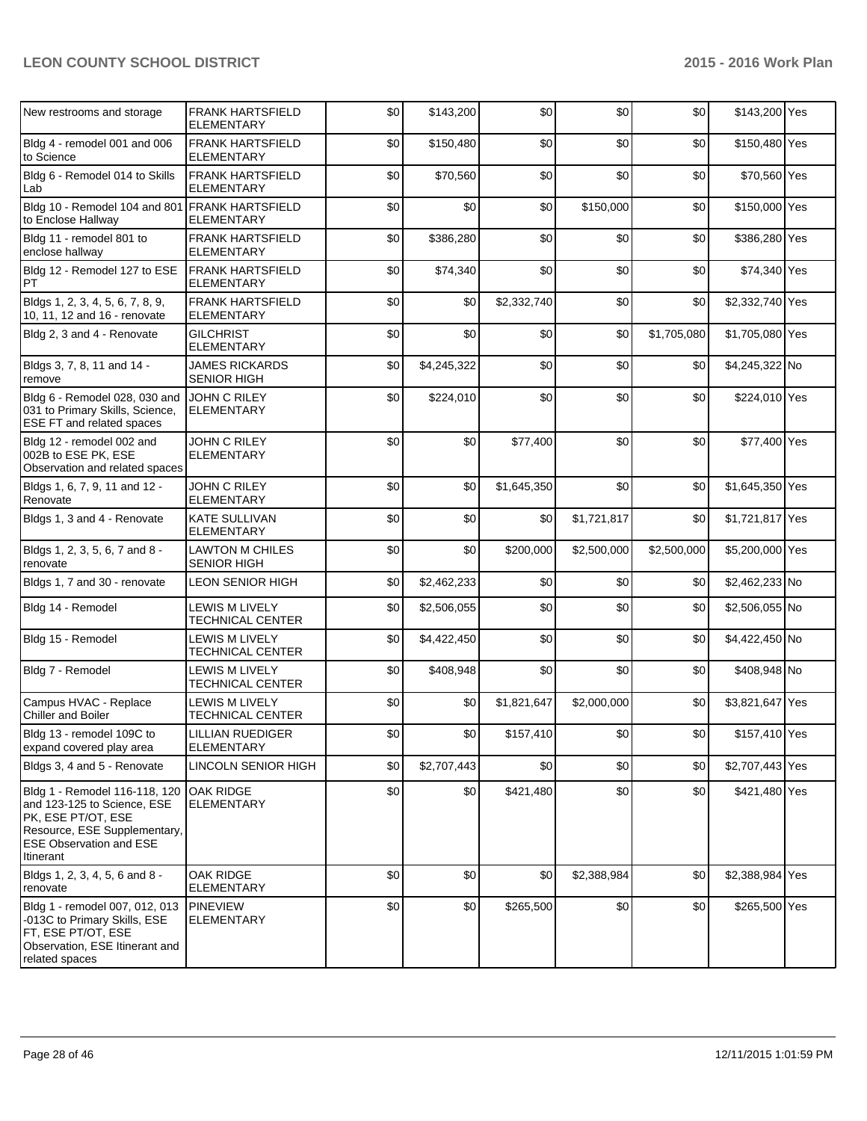| New restrooms and storage                                                                                                                                         | <b>FRANK HARTSFIELD</b><br><b>ELEMENTARY</b> | \$0 | \$143,200   | \$0         | \$0         | \$0         | \$143,200 Yes   |  |
|-------------------------------------------------------------------------------------------------------------------------------------------------------------------|----------------------------------------------|-----|-------------|-------------|-------------|-------------|-----------------|--|
| Bldg 4 - remodel 001 and 006<br>to Science                                                                                                                        | <b>FRANK HARTSFIELD</b><br><b>ELEMENTARY</b> | \$0 | \$150,480   | \$0         | \$0         | \$0         | \$150,480 Yes   |  |
| Bldg 6 - Remodel 014 to Skills<br>Lab                                                                                                                             | <b>FRANK HARTSFIELD</b><br><b>ELEMENTARY</b> | \$0 | \$70,560    | \$0         | \$0         | \$0         | \$70,560 Yes    |  |
| Bldg 10 - Remodel 104 and 801 FRANK HARTSFIELD<br>to Enclose Hallway                                                                                              | <b>ELEMENTARY</b>                            | \$0 | \$0         | \$0         | \$150,000   | \$0         | \$150,000 Yes   |  |
| Bldg 11 - remodel 801 to<br>enclose hallway                                                                                                                       | <b>FRANK HARTSFIELD</b><br><b>ELEMENTARY</b> | \$0 | \$386,280   | \$0         | \$0         | \$0         | \$386,280 Yes   |  |
| Bldg 12 - Remodel 127 to ESE<br>PT                                                                                                                                | <b>FRANK HARTSFIELD</b><br><b>ELEMENTARY</b> | \$0 | \$74,340    | \$0         | \$0         | \$0         | \$74,340 Yes    |  |
| Bldgs 1, 2, 3, 4, 5, 6, 7, 8, 9,<br>10, 11, 12 and 16 - renovate                                                                                                  | <b>FRANK HARTSFIELD</b><br><b>ELEMENTARY</b> | \$0 | \$0         | \$2,332,740 | \$0         | \$0         | \$2,332,740 Yes |  |
| Bldg 2, 3 and 4 - Renovate                                                                                                                                        | <b>GILCHRIST</b><br><b>ELEMENTARY</b>        | \$0 | \$0         | \$0         | \$0         | \$1,705,080 | \$1,705,080 Yes |  |
| Bldgs 3, 7, 8, 11 and 14 -<br>remove                                                                                                                              | <b>JAMES RICKARDS</b><br><b>SENIOR HIGH</b>  | \$0 | \$4,245,322 | \$0         | \$0         | \$0         | \$4,245,322 No  |  |
| Bldg 6 - Remodel 028, 030 and<br>031 to Primary Skills, Science,<br>ESE FT and related spaces                                                                     | <b>JOHN C RILEY</b><br>ELEMENTARY            | \$0 | \$224,010   | \$0         | \$0         | \$0         | \$224,010 Yes   |  |
| Bldg 12 - remodel 002 and<br>002B to ESE PK, ESE<br>Observation and related spaces                                                                                | JOHN C RILEY<br><b>ELEMENTARY</b>            | \$0 | \$0         | \$77,400    | \$0         | \$0         | \$77,400 Yes    |  |
| Bldgs 1, 6, 7, 9, 11 and 12 -<br>Renovate                                                                                                                         | JOHN C RILEY<br><b>ELEMENTARY</b>            | \$0 | \$0         | \$1,645,350 | \$0         | \$0         | \$1,645,350 Yes |  |
| Bldgs 1, 3 and 4 - Renovate                                                                                                                                       | <b>KATE SULLIVAN</b><br><b>ELEMENTARY</b>    | \$0 | \$0         | \$0         | \$1,721,817 | \$0         | \$1,721,817 Yes |  |
| Bldgs 1, 2, 3, 5, 6, 7 and 8 -<br>renovate                                                                                                                        | <b>LAWTON M CHILES</b><br><b>SENIOR HIGH</b> | \$0 | \$0         | \$200,000   | \$2,500,000 | \$2,500,000 | \$5,200,000 Yes |  |
| Bldgs 1, 7 and 30 - renovate                                                                                                                                      | LEON SENIOR HIGH                             | \$0 | \$2,462,233 | \$0         | \$0         | \$0         | \$2,462,233 No  |  |
| Bldg 14 - Remodel                                                                                                                                                 | <b>LEWIS M LIVELY</b><br>TECHNICAL CENTER    | \$0 | \$2,506,055 | \$0         | \$0         | \$0         | \$2,506,055 No  |  |
| Bldg 15 - Remodel                                                                                                                                                 | LEWIS M LIVELY<br>TECHNICAL CENTER           | \$0 | \$4,422,450 | \$0         | \$0         | \$0         | \$4,422,450 No  |  |
| Bldg 7 - Remodel                                                                                                                                                  | <b>LEWIS M LIVELY</b><br>TECHNICAL CENTER    | \$0 | \$408,948   | \$0         | \$0         | \$0         | \$408,948 No    |  |
| Campus HVAC - Replace<br>Chiller and Boiler                                                                                                                       | LEWIS M LIVELY<br><b>TECHNICAL CENTER</b>    | \$0 | \$0         | \$1,821,647 | \$2,000,000 | \$0         | \$3,821,647 Yes |  |
| Bldg 13 - remodel 109C to<br>expand covered play area                                                                                                             | LILLIAN RUEDIGER<br><b>ELEMENTARY</b>        | \$0 | \$0         | \$157,410   | \$0         | \$0         | \$157,410 Yes   |  |
| Bldgs 3, 4 and 5 - Renovate                                                                                                                                       | LINCOLN SENIOR HIGH                          | \$0 | \$2,707,443 | \$0         | \$0         | \$0         | \$2,707,443 Yes |  |
| Bldg 1 - Remodel 116-118, 120<br>and 123-125 to Science, ESE<br>PK, ESE PT/OT, ESE<br>Resource, ESE Supplementary,<br><b>ESE Observation and ESE</b><br>Itinerant | <b>OAK RIDGE</b><br><b>ELEMENTARY</b>        | \$0 | \$0         | \$421,480   | \$0         | \$0         | \$421,480 Yes   |  |
| Bldgs 1, 2, 3, 4, 5, 6 and 8 -<br>renovate                                                                                                                        | OAK RIDGE<br><b>ELEMENTARY</b>               | \$0 | \$0         | \$0         | \$2,388,984 | \$0         | \$2,388,984 Yes |  |
| Bldg 1 - remodel 007, 012, 013<br>-013C to Primary Skills, ESE<br>FT, ESE PT/OT, ESE<br>Observation, ESE Itinerant and<br>related spaces                          | <b>PINEVIEW</b><br><b>ELEMENTARY</b>         | \$0 | \$0         | \$265,500   | \$0         | \$0         | \$265,500 Yes   |  |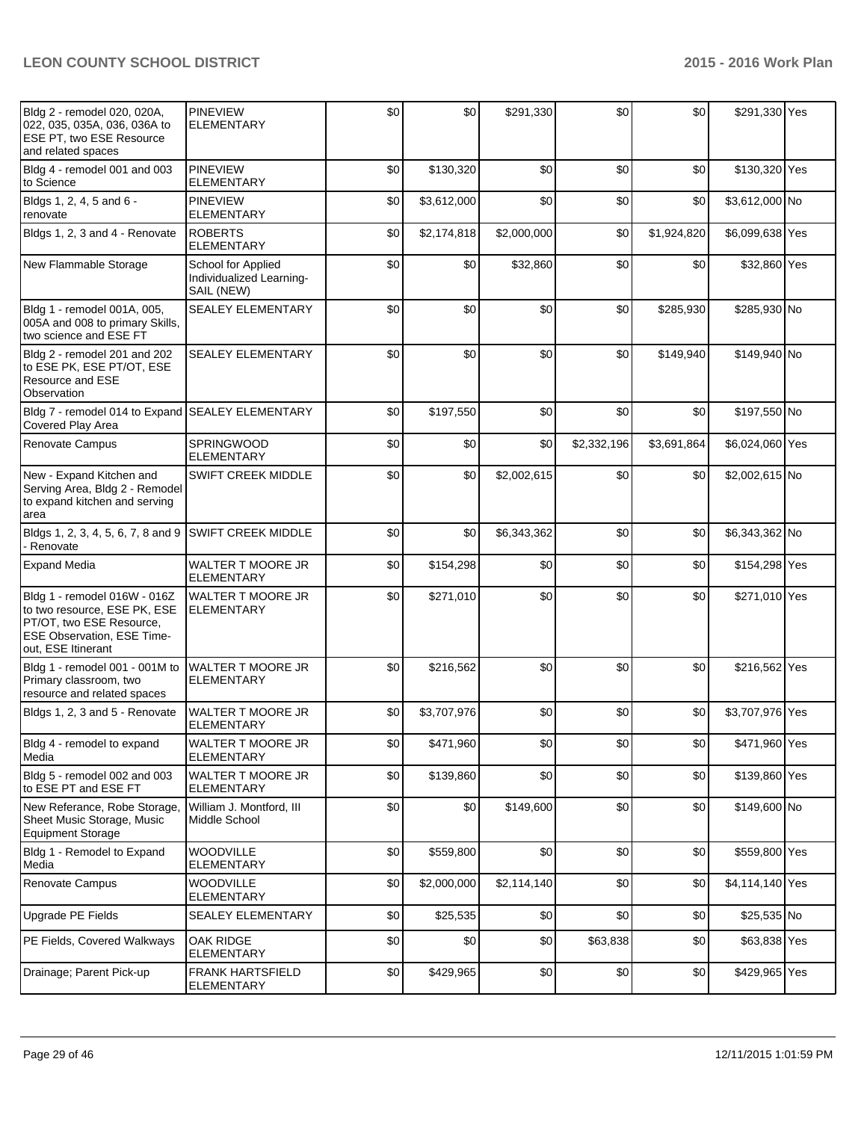| Bldg 2 - remodel 020, 020A,<br>022, 035, 035A, 036, 036A to<br><b>ESE PT, two ESE Resource</b><br>and related spaces                                | <b>PINEVIEW</b><br><b>ELEMENTARY</b>                         | \$0 | \$0         | \$291,330   | \$0         | \$0         | \$291,330 Yes   |  |
|-----------------------------------------------------------------------------------------------------------------------------------------------------|--------------------------------------------------------------|-----|-------------|-------------|-------------|-------------|-----------------|--|
| Bldg 4 - remodel 001 and 003<br>to Science                                                                                                          | <b>PINEVIEW</b><br><b>ELEMENTARY</b>                         | \$0 | \$130,320   | \$0         | \$0         | \$0         | \$130,320 Yes   |  |
| Bldgs 1, 2, 4, 5 and 6 -<br>renovate                                                                                                                | <b>PINEVIEW</b><br><b>ELEMENTARY</b>                         | \$0 | \$3,612,000 | \$0         | \$0         | \$0         | \$3,612,000 No  |  |
| Bldgs 1, 2, 3 and 4 - Renovate                                                                                                                      | <b>ROBERTS</b><br><b>ELEMENTARY</b>                          | \$0 | \$2,174,818 | \$2,000,000 | \$0         | \$1,924,820 | \$6,099,638 Yes |  |
| New Flammable Storage                                                                                                                               | School for Applied<br>Individualized Learning-<br>SAIL (NEW) | \$0 | \$0         | \$32,860    | \$0         | \$0         | \$32,860 Yes    |  |
| Bldg 1 - remodel 001A, 005,<br>005A and 008 to primary Skills,<br>two science and ESE FT                                                            | <b>SEALEY ELEMENTARY</b>                                     | \$0 | \$0         | \$0         | \$0         | \$285,930   | \$285,930 No    |  |
| Bldg 2 - remodel 201 and 202<br>to ESE PK, ESE PT/OT, ESE<br><b>Resource and ESE</b><br>Observation                                                 | <b>SEALEY ELEMENTARY</b>                                     | \$0 | \$0         | \$0         | \$0         | \$149,940   | \$149,940 No    |  |
| Bldg 7 - remodel 014 to Expand<br>Covered Play Area                                                                                                 | <b>SEALEY ELEMENTARY</b>                                     | \$0 | \$197,550   | \$0         | \$0         | \$0         | \$197,550 No    |  |
| Renovate Campus                                                                                                                                     | <b>SPRINGWOOD</b><br><b>ELEMENTARY</b>                       | \$0 | \$0         | \$0         | \$2,332,196 | \$3,691,864 | \$6,024,060 Yes |  |
| New - Expand Kitchen and<br>Serving Area, Bldg 2 - Remodel<br>to expand kitchen and serving<br>area                                                 | <b>SWIFT CREEK MIDDLE</b>                                    | \$0 | \$0         | \$2,002,615 | \$0         | \$0         | \$2,002,615 No  |  |
| Bldgs 1, 2, 3, 4, 5, 6, 7, 8 and 9<br>- Renovate                                                                                                    | <b>SWIFT CREEK MIDDLE</b>                                    | \$0 | \$0         | \$6,343,362 | \$0         | \$0         | \$6,343,362 No  |  |
| <b>Expand Media</b>                                                                                                                                 | WALTER T MOORE JR<br><b>ELEMENTARY</b>                       | \$0 | \$154,298   | \$0         | \$0         | \$0         | \$154,298 Yes   |  |
| Bldg 1 - remodel 016W - 016Z<br>to two resource, ESE PK, ESE<br>PT/OT, two ESE Resource,<br><b>ESE Observation, ESE Time-</b><br>out, ESE Itinerant | <b>WALTER T MOORE JR</b><br><b>ELEMENTARY</b>                | \$0 | \$271,010   | \$0         | \$0         | \$0         | \$271,010 Yes   |  |
| Bldg 1 - remodel 001 - 001M to<br>Primary classroom, two<br>resource and related spaces                                                             | WALTER T MOORE JR<br><b>ELEMENTARY</b>                       | \$0 | \$216,562   | \$0         | \$0         | \$0         | \$216,562 Yes   |  |
| Bldgs 1, 2, 3 and 5 - Renovate                                                                                                                      | WALTER T MOORE JR<br><b>ELEMENTARY</b>                       | \$0 | \$3,707,976 | \$0         | \$0         | \$0         | \$3,707,976 Yes |  |
| Bldg 4 - remodel to expand<br>Media                                                                                                                 | <b>WALTER T MOORE JR</b><br><b>ELEMENTARY</b>                | \$0 | \$471,960   | \$0         | \$0         | \$0         | \$471,960 Yes   |  |
| Bldg 5 - remodel 002 and 003<br>to ESE PT and ESE FT                                                                                                | WALTER T MOORE JR<br><b>ELEMENTARY</b>                       | \$0 | \$139,860   | \$0         | \$0         | \$0         | \$139,860 Yes   |  |
| New Referance, Robe Storage,<br>Sheet Music Storage, Music<br><b>Equipment Storage</b>                                                              | William J. Montford, III<br>Middle School                    | \$0 | \$0         | \$149,600   | \$0         | \$0         | \$149,600 No    |  |
| Bldg 1 - Remodel to Expand<br>Media                                                                                                                 | WOODVILLE<br><b>ELEMENTARY</b>                               | \$0 | \$559,800   | \$0         | \$0         | \$0         | \$559,800 Yes   |  |
| Renovate Campus                                                                                                                                     | <b>WOODVILLE</b><br><b>ELEMENTARY</b>                        | \$0 | \$2,000,000 | \$2,114,140 | \$0         | \$0         | \$4,114,140 Yes |  |
| Upgrade PE Fields                                                                                                                                   | SEALEY ELEMENTARY                                            | \$0 | \$25,535    | \$0         | \$0         | \$0         | \$25,535 No     |  |
| PE Fields, Covered Walkways                                                                                                                         | OAK RIDGE<br><b>ELEMENTARY</b>                               | \$0 | \$0         | \$0         | \$63,838    | \$0         | \$63,838 Yes    |  |
| Drainage; Parent Pick-up                                                                                                                            | <b>FRANK HARTSFIELD</b><br><b>ELEMENTARY</b>                 | \$0 | \$429,965   | \$0         | \$0         | \$0         | \$429,965 Yes   |  |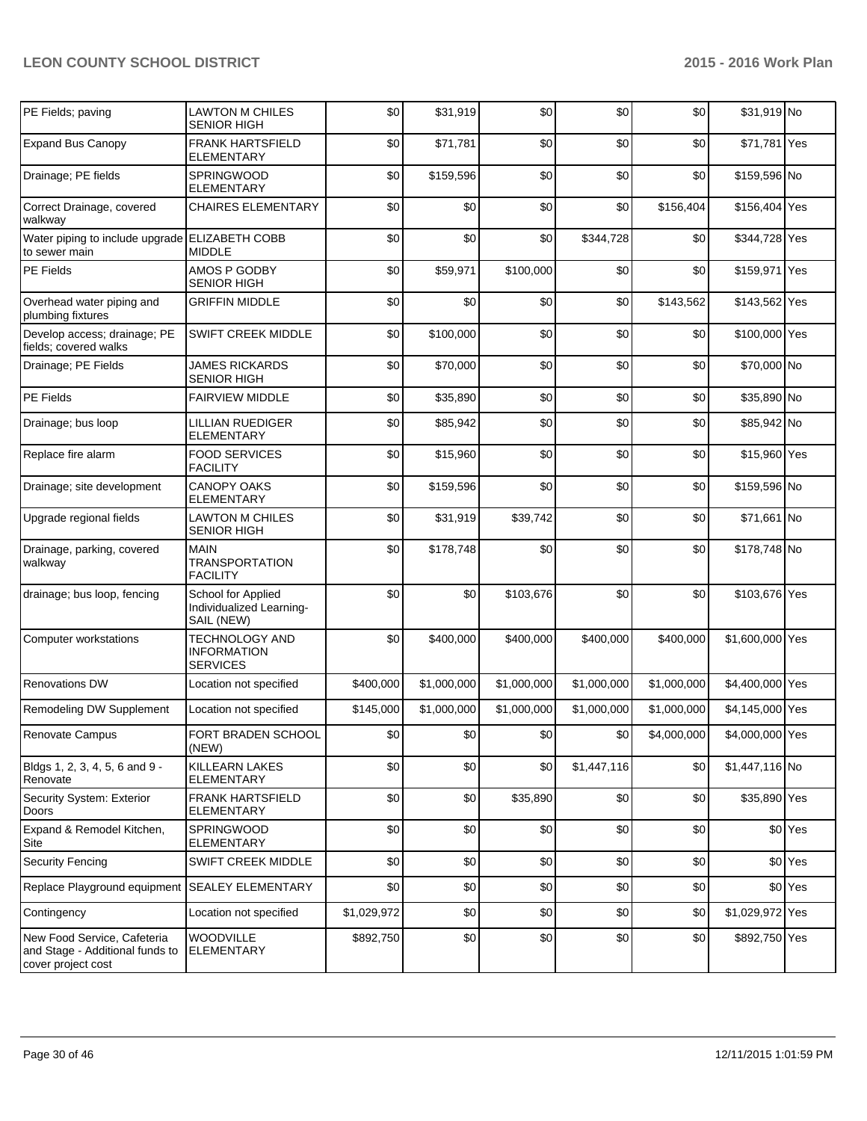| PE Fields; paving                                                                    | <b>LAWTON M CHILES</b><br><b>SENIOR HIGH</b>                   | \$0         | \$31,919    | \$0         | \$0         | \$0         | \$31,919 No     |                    |
|--------------------------------------------------------------------------------------|----------------------------------------------------------------|-------------|-------------|-------------|-------------|-------------|-----------------|--------------------|
| <b>Expand Bus Canopy</b>                                                             | <b>FRANK HARTSFIELD</b><br>ELEMENTARY                          | \$0         | \$71,781    | \$0         | \$0         | \$0         | \$71,781 Yes    |                    |
| Drainage; PE fields                                                                  | <b>SPRINGWOOD</b><br><b>ELEMENTARY</b>                         | \$0         | \$159,596   | \$0         | \$0         | \$0         | \$159,596 No    |                    |
| Correct Drainage, covered<br>walkway                                                 | <b>CHAIRES ELEMENTARY</b>                                      | \$0         | \$0         | \$0         | \$0         | \$156,404   | \$156,404 Yes   |                    |
| Water piping to include upgrade<br>to sewer main                                     | <b>ELIZABETH COBB</b><br><b>MIDDLE</b>                         | \$0         | \$0         | \$0         | \$344,728   | \$0         | \$344,728 Yes   |                    |
| PE Fields                                                                            | AMOS P GODBY<br><b>SENIOR HIGH</b>                             | \$0         | \$59,971    | \$100,000   | \$0         | \$0         | \$159,971 Yes   |                    |
| Overhead water piping and<br>plumbing fixtures                                       | <b>GRIFFIN MIDDLE</b>                                          | \$0         | \$0         | \$0         | \$0         | \$143,562   | \$143,562 Yes   |                    |
| Develop access; drainage; PE<br>fields; covered walks                                | SWIFT CREEK MIDDLE                                             | \$0         | \$100,000   | \$0         | \$0         | \$0         | \$100,000 Yes   |                    |
| Drainage; PE Fields                                                                  | <b>JAMES RICKARDS</b><br><b>SENIOR HIGH</b>                    | \$0         | \$70,000    | \$0         | \$0         | \$0         | \$70,000 No     |                    |
| PE Fields                                                                            | <b>FAIRVIEW MIDDLE</b>                                         | \$0         | \$35,890    | \$0         | \$0         | \$0         | \$35,890 No     |                    |
| Drainage; bus loop                                                                   | <b>LILLIAN RUEDIGER</b><br><b>ELEMENTARY</b>                   | \$0         | \$85,942    | \$0         | \$0         | \$0         | \$85,942 No     |                    |
| Replace fire alarm                                                                   | <b>FOOD SERVICES</b><br><b>FACILITY</b>                        | \$0         | \$15,960    | \$0         | \$0         | \$0         | \$15,960 Yes    |                    |
| Drainage; site development                                                           | <b>CANOPY OAKS</b><br><b>ELEMENTARY</b>                        | \$0         | \$159,596   | \$0         | \$0         | \$0         | \$159,596 No    |                    |
| Upgrade regional fields                                                              | <b>LAWTON M CHILES</b><br>SENIOR HIGH                          | \$0         | \$31,919    | \$39,742    | \$0         | \$0         | \$71,661 No     |                    |
| Drainage, parking, covered<br>walkway                                                | <b>MAIN</b><br><b>TRANSPORTATION</b><br><b>FACILITY</b>        | \$0         | \$178,748   | \$0         | \$0         | \$0         | \$178,748 No    |                    |
| drainage; bus loop, fencing                                                          | School for Applied<br>Individualized Learning-<br>SAIL (NEW)   | \$0         | \$0         | \$103,676   | \$0         | \$0         | \$103,676 Yes   |                    |
| Computer workstations                                                                | <b>TECHNOLOGY AND</b><br><b>INFORMATION</b><br><b>SERVICES</b> | \$0         | \$400,000   | \$400,000   | \$400,000   | \$400,000   | \$1,600,000 Yes |                    |
| <b>Renovations DW</b>                                                                | Location not specified                                         | \$400,000   | \$1,000,000 | \$1,000,000 | \$1,000,000 | \$1,000,000 | \$4,400,000 Yes |                    |
| Remodeling DW Supplement                                                             | Location not specified                                         | \$145,000   | \$1,000,000 | \$1,000,000 | \$1,000,000 | \$1,000,000 | \$4,145,000 Yes |                    |
| Renovate Campus                                                                      | FORT BRADEN SCHOOL<br>(NEW)                                    | \$0         | \$0         | \$0         | \$0         | \$4,000,000 | \$4,000,000 Yes |                    |
| Bldgs 1, 2, 3, 4, 5, 6 and 9 -<br>Renovate                                           | KILLEARN LAKES<br><b>ELEMENTARY</b>                            | \$0         | \$0         | \$0         | \$1,447,116 | \$0         | \$1,447,116 No  |                    |
| Security System: Exterior<br>Doors                                                   | <b>FRANK HARTSFIELD</b><br><b>ELEMENTARY</b>                   | \$0         | \$0         | \$35,890    | \$0         | \$0         | \$35,890 Yes    |                    |
| Expand & Remodel Kitchen,<br>Site                                                    | SPRINGWOOD<br><b>ELEMENTARY</b>                                | \$0         | \$0         | \$0         | \$0         | \$0         |                 | \$0 Yes            |
| <b>Security Fencing</b>                                                              | SWIFT CREEK MIDDLE                                             | \$0         | \$0         | \$0         | \$0         | \$0         |                 | \$0 <sup>Yes</sup> |
| Replace Playground equipment                                                         | <b>SEALEY ELEMENTARY</b>                                       | \$0         | \$0         | \$0         | \$0         | \$0         |                 | \$0 <sup>Yes</sup> |
| Contingency                                                                          | Location not specified                                         | \$1,029,972 | \$0         | \$0         | \$0         | \$0         | \$1,029,972 Yes |                    |
| New Food Service, Cafeteria<br>and Stage - Additional funds to<br>cover project cost | <b>WOODVILLE</b><br><b>ELEMENTARY</b>                          | \$892,750   | \$0         | \$0         | \$0         | \$0         | \$892,750 Yes   |                    |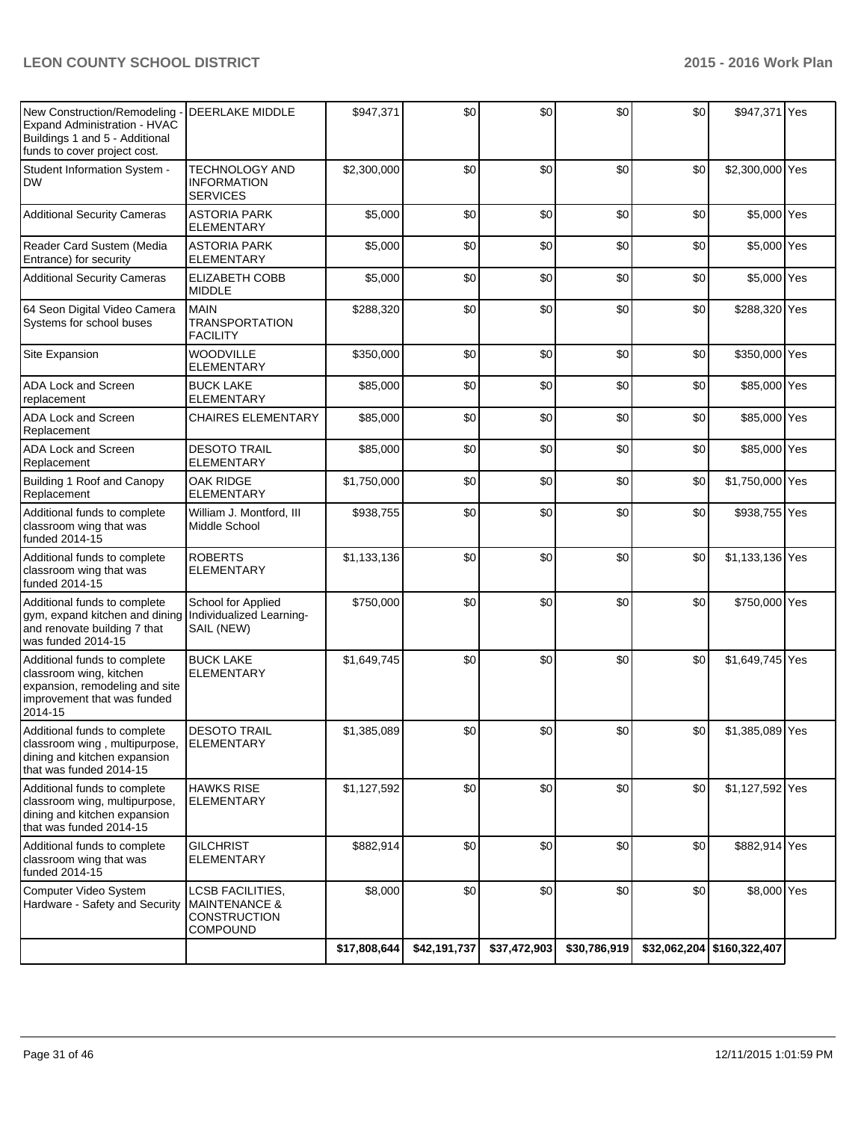| New Construction/Remodeling -<br>Expand Administration - HVAC<br>Buildings 1 and 5 - Additional<br>funds to cover project cost.               | <b>DEERLAKE MIDDLE</b>                                                                 | \$947,371    | \$0           | \$0          | \$0              | \$0 | \$947,371 Yes                |  |
|-----------------------------------------------------------------------------------------------------------------------------------------------|----------------------------------------------------------------------------------------|--------------|---------------|--------------|------------------|-----|------------------------------|--|
| Student Information System -<br><b>DW</b>                                                                                                     | TECHNOLOGY AND<br><b>INFORMATION</b><br><b>SERVICES</b>                                | \$2,300,000  | \$0           | \$0          | \$0              | \$0 | \$2,300,000 Yes              |  |
| <b>Additional Security Cameras</b>                                                                                                            | <b>ASTORIA PARK</b><br><b>ELEMENTARY</b>                                               | \$5,000      | \$0           | \$0          | \$0              | \$0 | \$5,000 Yes                  |  |
| Reader Card Sustem (Media<br>Entrance) for security                                                                                           | <b>ASTORIA PARK</b><br><b>ELEMENTARY</b>                                               | \$5,000      | \$0           | \$0          | \$0              | \$0 | \$5,000 Yes                  |  |
| <b>Additional Security Cameras</b>                                                                                                            | <b>ELIZABETH COBB</b><br><b>MIDDLE</b>                                                 | \$5,000      | \$0           | \$0          | \$0              | \$0 | \$5,000 Yes                  |  |
| 64 Seon Digital Video Camera<br>Systems for school buses                                                                                      | <b>MAIN</b><br><b>TRANSPORTATION</b><br><b>FACILITY</b>                                | \$288,320    | \$0           | \$0          | \$0              | \$0 | \$288,320 Yes                |  |
| Site Expansion                                                                                                                                | <b>WOODVILLE</b><br><b>ELEMENTARY</b>                                                  | \$350,000    | \$0           | \$0          | \$0              | \$0 | \$350,000 Yes                |  |
| <b>ADA Lock and Screen</b><br>replacement                                                                                                     | <b>BUCK LAKE</b><br><b>ELEMENTARY</b>                                                  | \$85,000     | \$0           | \$0          | \$0              | \$0 | \$85,000 Yes                 |  |
| ADA Lock and Screen<br>Replacement                                                                                                            | <b>CHAIRES ELEMENTARY</b>                                                              | \$85,000     | \$0           | \$0          | \$0              | \$0 | \$85,000 Yes                 |  |
| ADA Lock and Screen<br>Replacement                                                                                                            | <b>DESOTO TRAIL</b><br><b>ELEMENTARY</b>                                               | \$85,000     | \$0           | \$0          | \$0              | \$0 | \$85,000 Yes                 |  |
| Building 1 Roof and Canopy<br>Replacement                                                                                                     | OAK RIDGE<br><b>ELEMENTARY</b>                                                         | \$1,750,000  | \$0           | \$0          | \$0              | \$0 | \$1,750,000 Yes              |  |
| Additional funds to complete<br>classroom wing that was<br>funded 2014-15                                                                     | William J. Montford, III<br>Middle School                                              | \$938,755    | \$0           | \$0          | \$0              | \$0 | \$938,755 Yes                |  |
| Additional funds to complete<br>classroom wing that was<br>funded 2014-15                                                                     | <b>ROBERTS</b><br><b>ELEMENTARY</b>                                                    | \$1,133,136  | \$0           | \$0          | \$0              | \$0 | \$1,133,136 Yes              |  |
| Additional funds to complete<br>gym, expand kitchen and dining Individualized Learning-<br>and renovate building 7 that<br>was funded 2014-15 | School for Applied<br>SAIL (NEW)                                                       | \$750,000    | \$0           | \$0          | \$0              | \$0 | \$750,000 Yes                |  |
| Additional funds to complete<br>classroom wing, kitchen<br>expansion, remodeling and site<br>improvement that was funded<br>2014-15           | <b>BUCK LAKE</b><br><b>ELEMENTARY</b>                                                  | \$1,649,745  | \$0           | \$0          | \$0              | \$0 | \$1,649,745 Yes              |  |
| Additional funds to complete<br>classroom wing, multipurpose,<br>dining and kitchen expansion<br>that was funded 2014-15                      | <b>DESOTO TRAIL</b><br><b>ELEMENTARY</b>                                               | \$1,385,089  | $\mathcal{S}$ | \$0          | \$0 <sub>l</sub> | \$0 | \$1,385,089 Yes              |  |
| Additional funds to complete<br>classroom wing, multipurpose,<br>dining and kitchen expansion<br>that was funded 2014-15                      | <b>HAWKS RISE</b><br><b>ELEMENTARY</b>                                                 | \$1,127,592  | \$0           | \$0          | \$0              | \$0 | \$1,127,592 Yes              |  |
| Additional funds to complete<br>classroom wing that was<br>funded 2014-15                                                                     | <b>GILCHRIST</b><br><b>ELEMENTARY</b>                                                  | \$882,914    | \$0           | \$0          | \$0              | \$0 | \$882,914 Yes                |  |
| Computer Video System<br>Hardware - Safety and Security                                                                                       | LCSB FACILITIES,<br><b>MAINTENANCE &amp;</b><br><b>CONSTRUCTION</b><br><b>COMPOUND</b> | \$8,000      | \$0           | \$0          | \$0              | \$0 | \$8,000 Yes                  |  |
|                                                                                                                                               |                                                                                        | \$17,808,644 | \$42,191,737  | \$37,472,903 | \$30,786,919     |     | $$32,062,204$ $$160,322,407$ |  |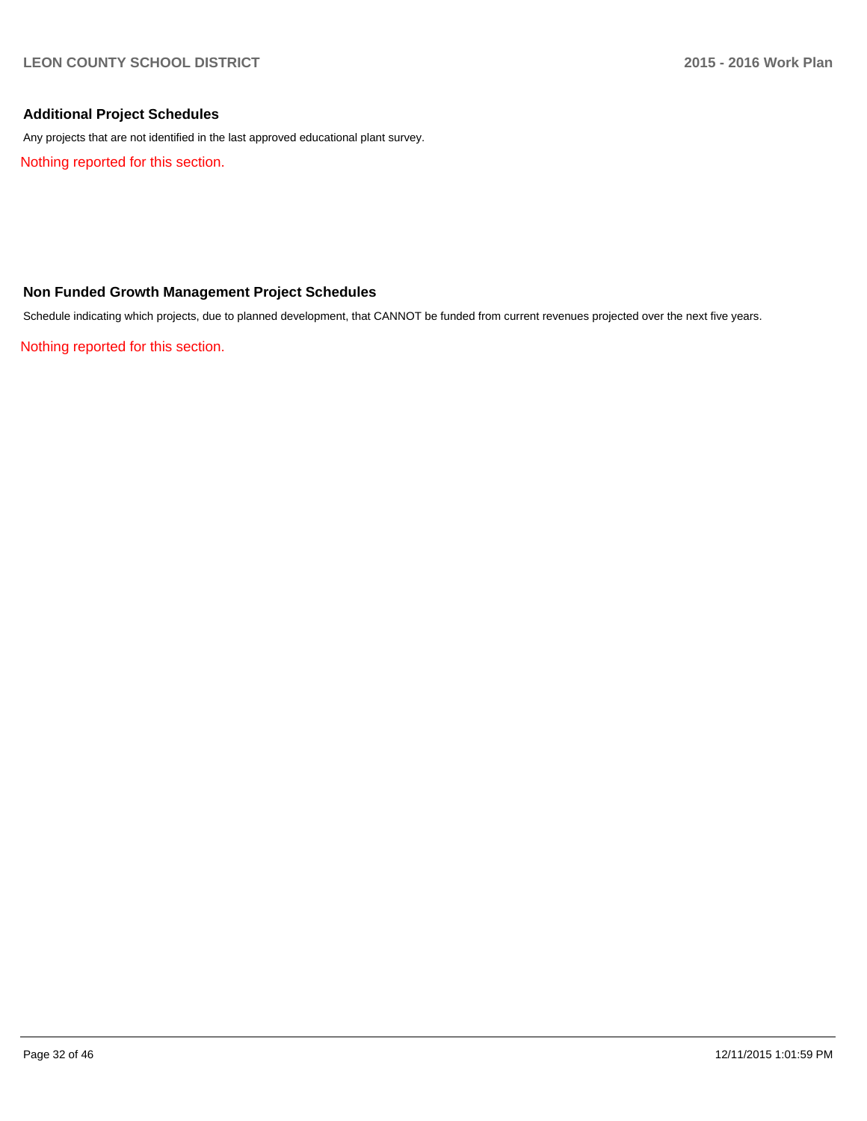### **Additional Project Schedules**

Any projects that are not identified in the last approved educational plant survey.

Nothing reported for this section.

### **Non Funded Growth Management Project Schedules**

Schedule indicating which projects, due to planned development, that CANNOT be funded from current revenues projected over the next five years.

Nothing reported for this section.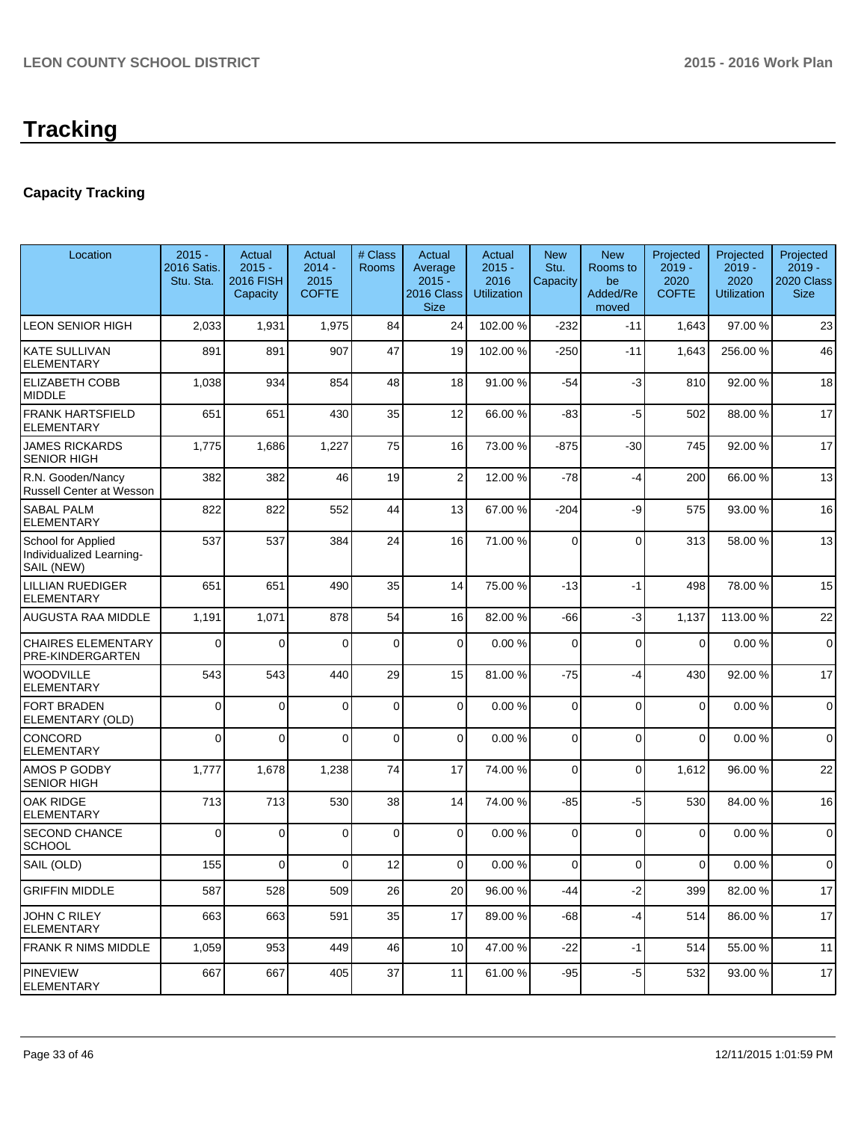# **Capacity Tracking**

| Location                                                     | $2015 -$<br>2016 Satis.<br>Stu. Sta. | Actual<br>$2015 -$<br><b>2016 FISH</b><br>Capacity | Actual<br>$2014 -$<br>2015<br><b>COFTE</b> | # Class<br>Rooms | Actual<br>Average<br>$2015 -$<br>2016 Class<br><b>Size</b> | Actual<br>$2015 -$<br>2016<br><b>Utilization</b> | <b>New</b><br>Stu.<br>Capacity | <b>New</b><br>Rooms to<br>be<br>Added/Re<br>moved | Projected<br>$2019 -$<br>2020<br><b>COFTE</b> | Projected<br>$2019 -$<br>2020<br><b>Utilization</b> | Projected<br>$2019 -$<br>2020 Class<br><b>Size</b> |
|--------------------------------------------------------------|--------------------------------------|----------------------------------------------------|--------------------------------------------|------------------|------------------------------------------------------------|--------------------------------------------------|--------------------------------|---------------------------------------------------|-----------------------------------------------|-----------------------------------------------------|----------------------------------------------------|
| <b>LEON SENIOR HIGH</b>                                      | 2,033                                | 1,931                                              | 1,975                                      | 84               | 24                                                         | 102.00 %                                         | $-232$                         | $-11$                                             | 1,643                                         | 97.00%                                              | 23                                                 |
| <b>KATE SULLIVAN</b><br><b>ELEMENTARY</b>                    | 891                                  | 891                                                | 907                                        | 47               | 19                                                         | 102.00 %                                         | $-250$                         | $-11$                                             | 1,643                                         | 256.00%                                             | 46                                                 |
| <b>ELIZABETH COBB</b><br><b>MIDDLE</b>                       | 1,038                                | 934                                                | 854                                        | 48               | 18                                                         | 91.00 %                                          | $-54$                          | $-3$                                              | 810                                           | 92.00 %                                             | 18                                                 |
| <b>FRANK HARTSFIELD</b><br><b>ELEMENTARY</b>                 | 651                                  | 651                                                | 430                                        | 35               | 12                                                         | 66.00 %                                          | $-83$                          | -5                                                | 502                                           | 88.00%                                              | 17                                                 |
| <b>JAMES RICKARDS</b><br><b>SENIOR HIGH</b>                  | 1,775                                | 1,686                                              | 1,227                                      | 75               | 16                                                         | 73.00 %                                          | $-875$                         | $-30$                                             | 745                                           | 92.00 %                                             | 17                                                 |
| R.N. Gooden/Nancy<br><b>Russell Center at Wesson</b>         | 382                                  | 382                                                | 46                                         | 19               | $\overline{2}$                                             | 12.00 %                                          | $-78$                          | $-4$                                              | 200                                           | 66.00 %                                             | 13                                                 |
| <b>SABAL PALM</b><br>ELEMENTARY                              | 822                                  | 822                                                | 552                                        | 44               | 13                                                         | 67.00 %                                          | $-204$                         | -9                                                | 575                                           | 93.00 %                                             | 16                                                 |
| School for Applied<br>Individualized Learning-<br>SAIL (NEW) | 537                                  | 537                                                | 384                                        | 24               | 16                                                         | 71.00 %                                          | 0                              | $\Omega$                                          | 313                                           | 58.00 %                                             | 13                                                 |
| <b>LILLIAN RUEDIGER</b><br><b>ELEMENTARY</b>                 | 651                                  | 651                                                | 490                                        | 35               | 14                                                         | 75.00 %                                          | $-13$                          | $-1$                                              | 498                                           | 78.00 %                                             | 15                                                 |
| AUGUSTA RAA MIDDLE                                           | 1,191                                | 1,071                                              | 878                                        | 54               | 16                                                         | 82.00 %                                          | $-66$                          | $-3$                                              | 1,137                                         | 113.00 %                                            | 22                                                 |
| <b>CHAIRES ELEMENTARY</b><br>PRE-KINDERGARTEN                | 0                                    | 0                                                  | $\Omega$                                   | $\mathbf 0$      | $\overline{0}$                                             | 0.00%                                            | 0                              | $\mathbf 0$                                       | $\mathbf 0$                                   | 0.00%                                               | $\mathbf 0$                                        |
| <b>WOODVILLE</b><br><b>ELEMENTARY</b>                        | 543                                  | 543                                                | 440                                        | 29               | 15                                                         | 81.00 %                                          | $-75$                          | $-4$                                              | 430                                           | 92.00%                                              | 17                                                 |
| <b>FORT BRADEN</b><br>ELEMENTARY (OLD)                       | 0                                    | $\Omega$                                           | $\Omega$                                   | $\mathbf 0$      | $\Omega$                                                   | 0.00%                                            | $\mathbf 0$                    | $\Omega$                                          | $\Omega$                                      | 0.00%                                               | $\Omega$                                           |
| CONCORD<br><b>ELEMENTARY</b>                                 | 0                                    | $\Omega$                                           | $\Omega$                                   | 0                | $\Omega$                                                   | 0.00%                                            | $\Omega$                       | $\Omega$                                          | $\Omega$                                      | 0.00%                                               | $\mathbf 0$                                        |
| AMOS P GODBY<br><b>SENIOR HIGH</b>                           | 1,777                                | 1,678                                              | 1,238                                      | 74               | 17                                                         | 74.00 %                                          | 0                              | $\Omega$                                          | 1,612                                         | 96.00 %                                             | 22                                                 |
| <b>OAK RIDGE</b><br><b>ELEMENTARY</b>                        | 713                                  | 713                                                | 530                                        | 38               | 14                                                         | 74.00 %                                          | $-85$                          | $-5$                                              | 530                                           | 84.00%                                              | 16                                                 |
| <b>SECOND CHANCE</b><br><b>SCHOOL</b>                        | 0                                    | $\Omega$                                           | $\Omega$                                   | 0                | $\overline{0}$                                             | 0.00%                                            | $\Omega$                       | $\Omega$                                          | $\mathbf 0$                                   | 0.00%                                               | $\mathbf 0$                                        |
| SAIL (OLD)                                                   | 155                                  | 0                                                  | $\Omega$                                   | 12               | $\overline{0}$                                             | $0.00 \%$                                        | $\overline{0}$                 | $\mathbf 0$                                       | 0                                             | $0.00 \%$                                           | $\mathbf 0$                                        |
| <b>GRIFFIN MIDDLE</b>                                        | 587                                  | 528                                                | 509                                        | 26               | 20                                                         | 96.00 %                                          | -44                            | $-2$                                              | 399                                           | 82.00 %                                             | 17                                                 |
| JOHN C RILEY<br><b>ELEMENTARY</b>                            | 663                                  | 663                                                | 591                                        | 35               | 17                                                         | 89.00 %                                          | $-68$                          | -4                                                | 514                                           | 86.00 %                                             | 17                                                 |
| <b>FRANK R NIMS MIDDLE</b>                                   | 1,059                                | 953                                                | 449                                        | 46               | 10 <sup>1</sup>                                            | 47.00 %                                          | $-22$                          | $-1$                                              | 514                                           | 55.00 %                                             | 11                                                 |
| <b>PINEVIEW</b><br><b>ELEMENTARY</b>                         | 667                                  | 667                                                | 405                                        | 37               | 11                                                         | 61.00 %                                          | $-95$                          | $-5$                                              | 532                                           | 93.00 %                                             | 17                                                 |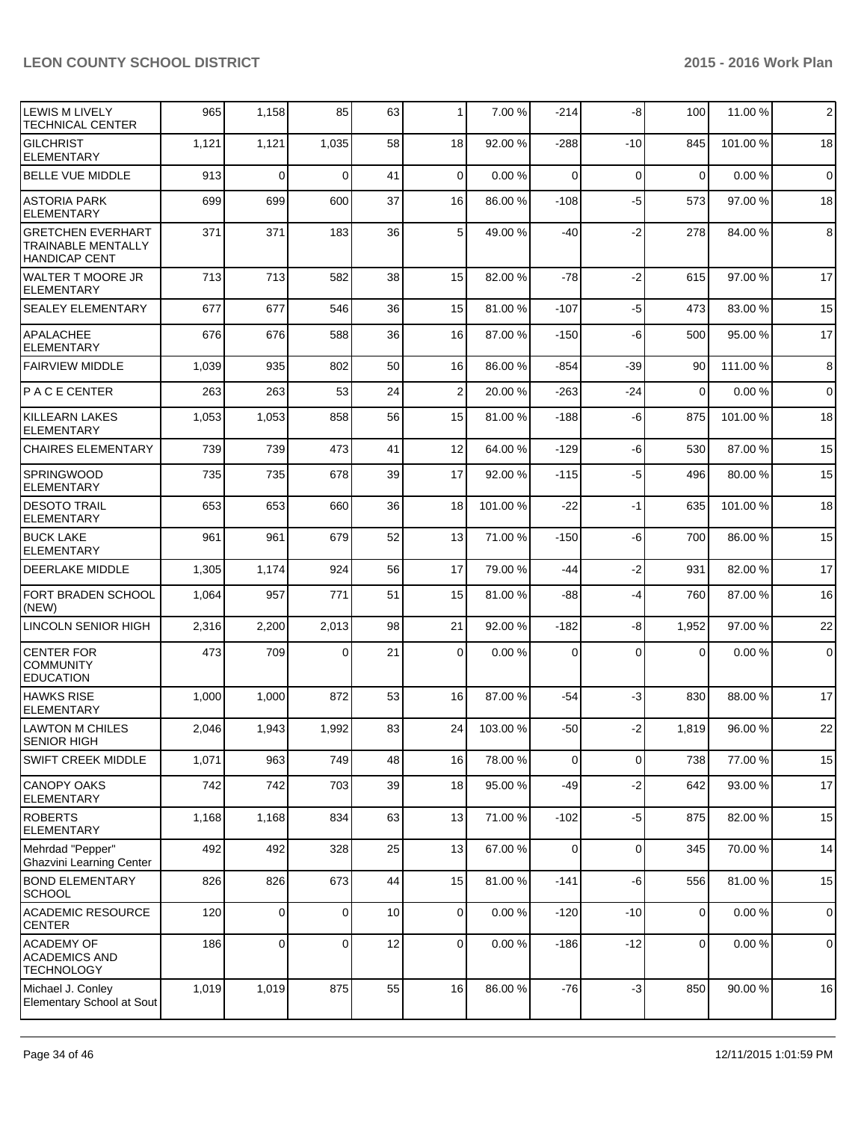| <b>LEWIS M LIVELY</b><br><b>TECHNICAL CENTER</b>                        | 965   | 1,158       | 85             | 63 | $\mathbf{1}$   | 7.00 %   | $-214$         | -8          | 100         | 11.00 % | $\overline{2}$ |
|-------------------------------------------------------------------------|-------|-------------|----------------|----|----------------|----------|----------------|-------------|-------------|---------|----------------|
| <b>GILCHRIST</b><br><b>ELEMENTARY</b>                                   | 1,121 | 1,121       | 1,035          | 58 | 18             | 92.00 %  | $-288$         | $-10$       | 845         | 101.00% | 18             |
| <b>BELLE VUE MIDDLE</b>                                                 | 913   | $\mathbf 0$ | $\Omega$       | 41 | $\Omega$       | 0.00%    | $\Omega$       | $\mathbf 0$ | 0           | 0.00%   | $\mathbf 0$    |
| ASTORIA PARK<br><b>ELEMENTARY</b>                                       | 699   | 699         | 600            | 37 | 16             | 86.00 %  | $-108$         | $-5$        | 573         | 97.00 % | 18             |
| IGRETCHEN EVERHART<br><b>TRAINABLE MENTALLY</b><br><b>HANDICAP CENT</b> | 371   | 371         | 183            | 36 | 5 <sup>1</sup> | 49.00 %  | $-40$          | $-2$        | 278         | 84.00%  | 8              |
| <b>WALTER T MOORE JR</b><br>ELEMENTARY                                  | 713   | 713         | 582            | 38 | 15             | 82.00 %  | $-78$          | $-2$        | 615         | 97.00 % | 17             |
| <b>SEALEY ELEMENTARY</b>                                                | 677   | 677         | 546            | 36 | 15             | 81.00 %  | $-107$         | $-5$        | 473         | 83.00 % | 15             |
| <b>APALACHEE</b><br><b>ELEMENTARY</b>                                   | 676   | 676         | 588            | 36 | 16             | 87.00 %  | $-150$         | -6          | 500         | 95.00 % | 17             |
| <b>FAIRVIEW MIDDLE</b>                                                  | 1,039 | 935         | 802            | 50 | 16             | 86.00 %  | $-854$         | $-39$       | 90          | 111.00% | 8              |
| P A C E CENTER                                                          | 263   | 263         | 53             | 24 | 2              | 20.00 %  | $-263$         | $-24$       | $\mathbf 0$ | 0.00%   | $\mathbf 0$    |
| <b>KILLEARN LAKES</b><br><b>ELEMENTARY</b>                              | 1,053 | 1,053       | 858            | 56 | 15             | 81.00 %  | $-188$         | -6          | 875         | 101.00% | 18             |
| <b>CHAIRES ELEMENTARY</b>                                               | 739   | 739         | 473            | 41 | 12             | 64.00 %  | $-129$         | $-6$        | 530         | 87.00 % | 15             |
| <b>SPRINGWOOD</b><br><b>ELEMENTARY</b>                                  | 735   | 735         | 678            | 39 | 17             | 92.00 %  | $-115$         | $-5$        | 496         | 80.00%  | 15             |
| <b>DESOTO TRAIL</b><br><b>ELEMENTARY</b>                                | 653   | 653         | 660            | 36 | 18             | 101.00 % | $-22$          | $-1$        | 635         | 101.00% | 18             |
| <b>BUCK LAKE</b><br><b>ELEMENTARY</b>                                   | 961   | 961         | 679            | 52 | 13             | 71.00 %  | $-150$         | -6          | 700         | 86.00 % | 15             |
| <b>DEERLAKE MIDDLE</b>                                                  | 1,305 | 1,174       | 924            | 56 | 17             | 79.00 %  | -44            | $-2$        | 931         | 82.00%  | 17             |
| <b>FORT BRADEN SCHOOL</b><br>(NEW)                                      | 1,064 | 957         | 771            | 51 | 15             | 81.00 %  | -88            | $-4$        | 760         | 87.00 % | 16             |
| LINCOLN SENIOR HIGH                                                     | 2,316 | 2,200       | 2,013          | 98 | 21             | 92.00 %  | $-182$         | -8          | 1,952       | 97.00%  | 22             |
| <b>CENTER FOR</b><br><b>COMMUNITY</b><br><b>EDUCATION</b>               | 473   | 709         | $\Omega$       | 21 | $\Omega$       | 0.00%    | $\Omega$       | $\Omega$    | $\Omega$    | 0.00%   | $\mathbf 0$    |
| <b>HAWKS RISE</b><br><b>ELEMENTARY</b>                                  | 1,000 | 1,000       | 872            | 53 | 16             | 87.00 %  | $-54$          | -3          | 830         | 88.00 % | 17             |
| <b>LAWTON M CHILES</b><br>SENIOR HIGH                                   | 2.046 | 1,943       | 1,992          | 83 | 24             | 103.00 % | $-50$          | $-2$        | 1,819       | 96.00 % | 22             |
| <b>SWIFT CREEK MIDDLE</b>                                               | 1,071 | 963         | 749            | 48 | 16             | 78.00 %  | $\overline{0}$ | $\mathbf 0$ | 738         | 77.00 % | 15             |
| CANOPY OAKS<br><b>ELEMENTARY</b>                                        | 742   | 742         | 703            | 39 | 18             | 95.00 %  | $-49$          | $-2$        | 642         | 93.00 % | 17             |
| <b>ROBERTS</b><br><b>ELEMENTARY</b>                                     | 1,168 | 1,168       | 834            | 63 | 13             | 71.00 %  | $-102$         | $-5$        | 875         | 82.00%  | 15             |
| Mehrdad "Pepper"<br>Ghazvini Learning Center                            | 492   | 492         | 328            | 25 | 13             | 67.00 %  | 0              | $\mathbf 0$ | 345         | 70.00%  | 14             |
| <b>BOND ELEMENTARY</b><br><b>SCHOOL</b>                                 | 826   | 826         | 673            | 44 | 15             | 81.00 %  | $-141$         | $-6$        | 556         | 81.00%  | 15             |
| <b>ACADEMIC RESOURCE</b><br><b>CENTER</b>                               | 120   | 0           | $\overline{0}$ | 10 | $\overline{0}$ | 0.00%    | $-120$         | $-10$       | 0           | 0.00%   | $\mathbf 0$    |
| <b>ACADEMY OF</b><br><b>ACADEMICS AND</b><br><b>TECHNOLOGY</b>          | 186   | $\mathbf 0$ | 0              | 12 | $\overline{0}$ | 0.00%    | $-186$         | $-12$       | 0           | 0.00%   | $\pmb{0}$      |
| Michael J. Conley<br>Elementary School at Sout                          | 1,019 | 1,019       | 875            | 55 | 16             | 86.00 %  | $-76$          | $-3$        | 850         | 90.00%  | 16             |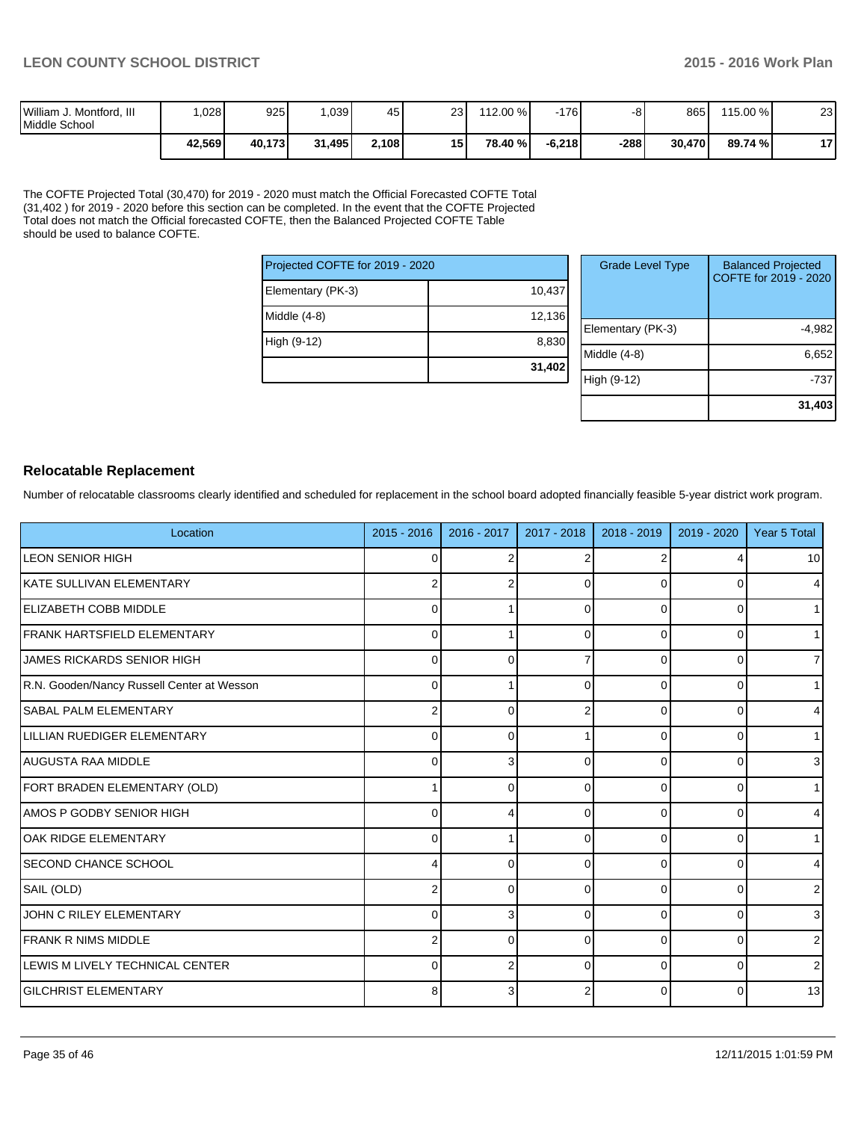| William J. Montford, III<br>Middle School | .028   | 925    | .039   | 45    | 231             | 112.00 % | $-176$   | - -  | 865    | 115.00 % | າາ<br>ںے  |
|-------------------------------------------|--------|--------|--------|-------|-----------------|----------|----------|------|--------|----------|-----------|
|                                           | 42,569 | 40.173 | 31,495 | 2,108 | 15 <sup>1</sup> | 78.40 %  | $-6.218$ | -288 | 30,470 | 89.74 %  | 47<br>. . |

The COFTE Projected Total (30,470) for 2019 - 2020 must match the Official Forecasted COFTE Total (31,402 ) for 2019 - 2020 before this section can be completed. In the event that the COFTE Projected Total does not match the Official forecasted COFTE, then the Balanced Projected COFTE Table should be used to balance COFTE.

| Projected COFTE for 2019 - 2020 |        |  |
|---------------------------------|--------|--|
| Elementary (PK-3)               | 10,437 |  |
| Middle (4-8)                    | 12,136 |  |
| High (9-12)                     | 8,830  |  |
|                                 | 31,402 |  |

| <b>Grade Level Type</b> | <b>Balanced Projected</b><br>COFTE for 2019 - 2020 |
|-------------------------|----------------------------------------------------|
| Elementary (PK-3)       | -4,982                                             |
| Middle (4-8)            | 6,652                                              |
| High (9-12)             | -737                                               |
|                         | 31,403                                             |

### **Relocatable Replacement**

Number of relocatable classrooms clearly identified and scheduled for replacement in the school board adopted financially feasible 5-year district work program.

| Location                                   | $2015 - 2016$  | 2016 - 2017 | 2017 - 2018 | 2018 - 2019 | 2019 - 2020 | Year 5 Total   |
|--------------------------------------------|----------------|-------------|-------------|-------------|-------------|----------------|
| <b>LEON SENIOR HIGH</b>                    | 0              |             |             |             | 4           | 10             |
| IKATE SULLIVAN ELEMENTARY                  | 2              |             | 0           |             | 0           | $\overline{4}$ |
| <b>IELIZABETH COBB MIDDLE</b>              | 0              |             | U           |             | 0           | 1              |
| <b>IFRANK HARTSFIELD ELEMENTARY</b>        | $\Omega$       |             | ŋ           | ŋ           | 0           | 1              |
| JAMES RICKARDS SENIOR HIGH                 | $\mathbf{0}$   | n           |             | $\Omega$    | 0           | $\overline{7}$ |
| R.N. Gooden/Nancy Russell Center at Wesson | $\Omega$       |             |             | ŋ           | 0           | 11             |
| <b>SABAL PALM ELEMENTARY</b>               | $\overline{2}$ | n           |             | O           | 0           | $\overline{4}$ |
| LILLIAN RUEDIGER ELEMENTARY                | $\Omega$       | n           |             | O           | 0           | 1 <sup>1</sup> |
| AUGUSTA RAA MIDDLE                         | $\Omega$       |             | O           | $\Omega$    | 0           | 3              |
| FORT BRADEN ELEMENTARY (OLD)               |                | ∩           | U           | 0           | 0           | 1 <sup>1</sup> |
| LAMOS P GODBY SENIOR HIGH                  | $\Omega$       |             | U           | $\Omega$    | 0           | $\overline{4}$ |
| <b>OAK RIDGE ELEMENTARY</b>                | $\Omega$       |             | 0           | $\Omega$    | 0           | 1              |
| <b>SECOND CHANCE SCHOOL</b>                |                | ∩           | 0           | $\Omega$    | 0           | 4              |
| SAIL (OLD)                                 | 2              | ∩           | 0           | 0           | 0           | 2 <sub>1</sub> |
| JOHN C RILEY ELEMENTARY                    | $\Omega$       | 3           | U           | $\Omega$    | 0           | 3              |
| <b>IFRANK R NIMS MIDDLE</b>                | 2              | $\Omega$    | $\Omega$    | $\Omega$    | 0           | 2 <sub>1</sub> |
| LEWIS M LIVELY TECHNICAL CENTER            | $\Omega$       |             | $\Omega$    | $\Omega$    | 0           | $\overline{2}$ |
| <b>GILCHRIST ELEMENTARY</b>                | 8              |             |             | $\Omega$    | 0           | 13             |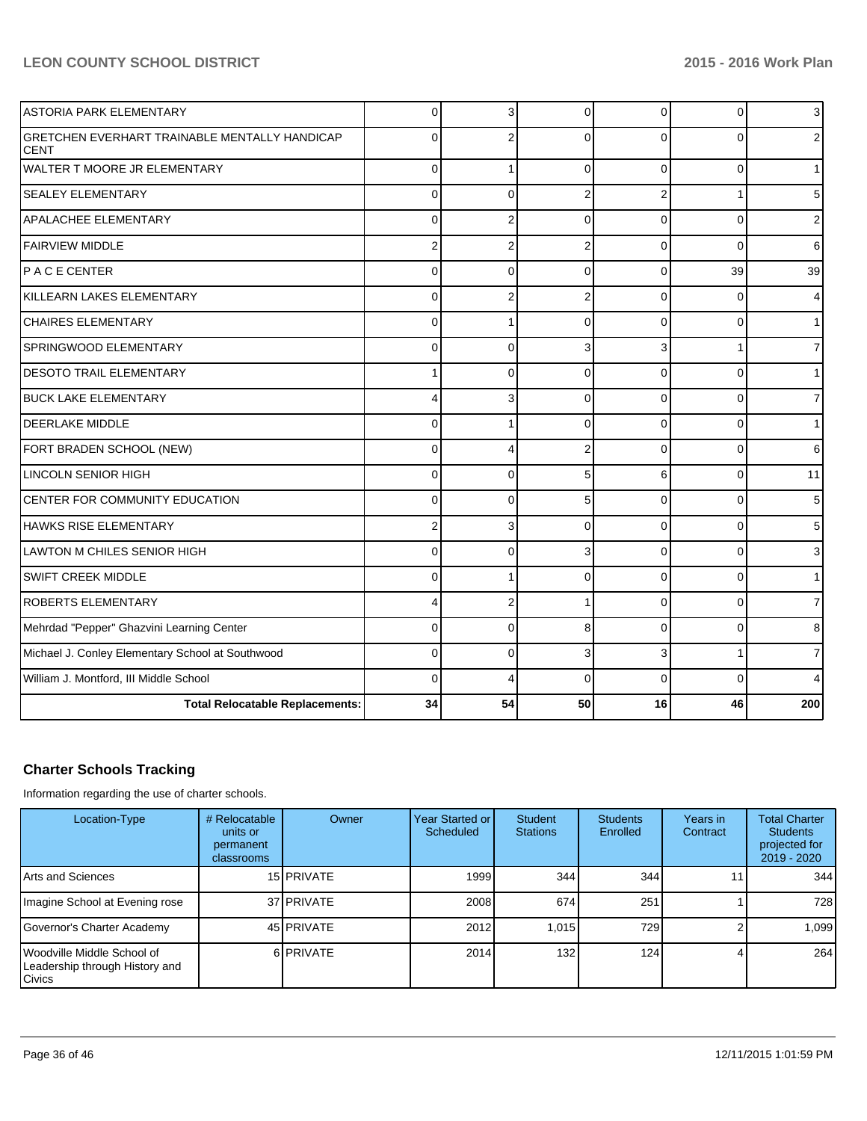| <b>ASTORIA PARK ELEMENTARY</b>                                      | 0              | 3              | $\Omega$       | 0              | $\mathbf 0$ | 3   |
|---------------------------------------------------------------------|----------------|----------------|----------------|----------------|-------------|-----|
| <b>GRETCHEN EVERHART TRAINABLE MENTALLY HANDICAP</b><br><b>CENT</b> | $\Omega$       | 2              | 0              | 0              |             |     |
| WALTER T MOORE JR ELEMENTARY                                        | 0              |                | $\Omega$       | $\Omega$       | $\Omega$    |     |
| <b>SEALEY ELEMENTARY</b>                                            | $\overline{0}$ | $\Omega$       | $\overline{2}$ | $\overline{2}$ |             | 5   |
| APALACHEE ELEMENTARY                                                | $\Omega$       | $\overline{2}$ | $\Omega$       | $\Omega$       | $\Omega$    | 2   |
| <b>FAIRVIEW MIDDLE</b>                                              | $\overline{2}$ | $\overline{2}$ | $\overline{2}$ | $\Omega$       | $\Omega$    | 6   |
| PACECENTER                                                          | $\overline{0}$ | $\Omega$       | $\Omega$       | $\Omega$       | 39          | 39  |
| KILLEARN LAKES ELEMENTARY                                           | 0              | 2              | 2              | $\Omega$       | 0           | 4   |
| <b>CHAIRES ELEMENTARY</b>                                           | $\mathbf{0}$   |                | $\Omega$       | $\Omega$       | $\Omega$    |     |
| SPRINGWOOD ELEMENTARY                                               | $\overline{0}$ | $\Omega$       | 3              | 3              |             | 7   |
| <b>DESOTO TRAIL ELEMENTARY</b>                                      | 1              | $\Omega$       | $\Omega$       | $\Omega$       | $\Omega$    |     |
| <b>BUCK LAKE ELEMENTARY</b>                                         | 4              | 3              | $\Omega$       | $\Omega$       | $\Omega$    | 7   |
| <b>DEERLAKE MIDDLE</b>                                              | 0              |                | $\Omega$       | $\Omega$       | $\Omega$    |     |
| FORT BRADEN SCHOOL (NEW)                                            | 0              | 4              | $\overline{2}$ | $\Omega$       | $\Omega$    | 6   |
| <b>LINCOLN SENIOR HIGH</b>                                          | 0              | $\mathbf{0}$   | 5              | 6              | $\Omega$    | 11  |
| CENTER FOR COMMUNITY EDUCATION                                      | 0              | $\Omega$       | 5              | $\Omega$       | $\Omega$    | 5   |
| <b>HAWKS RISE ELEMENTARY</b>                                        | $\overline{2}$ | 3              | $\Omega$       | $\Omega$       | $\Omega$    | 5   |
| LAWTON M CHILES SENIOR HIGH                                         | 0              | $\Omega$       | 3              | $\Omega$       | $\Omega$    | 3   |
| SWIFT CREEK MIDDLE                                                  | $\mathbf{0}$   |                | $\Omega$       | $\Omega$       | 0           |     |
| <b>ROBERTS ELEMENTARY</b>                                           | 4              | $\overline{2}$ |                | 0              | O           | 7   |
| Mehrdad "Pepper" Ghazvini Learning Center                           | $\mathbf{0}$   | $\Omega$       | 8              | $\Omega$       | $\Omega$    | 8   |
| Michael J. Conley Elementary School at Southwood                    | $\mathbf 0$    | $\mathbf{0}$   | 3              | 3              |             | 7   |
| William J. Montford, III Middle School                              | $\Omega$       | Δ              | $\Omega$       | $\Omega$       | O           |     |
| <b>Total Relocatable Replacements:</b>                              | 34             | 54             | 50             | 16             | 46          | 200 |

# **Charter Schools Tracking**

Information regarding the use of charter schools.

| Location-Type                                                                 | # Relocatable<br>units or<br>permanent<br>classrooms | Owner             | Year Started or <b>I</b><br>Scheduled | <b>Student</b><br><b>Stations</b> | <b>Students</b><br>Enrolled | Years in<br>Contract | <b>Total Charter</b><br><b>Students</b><br>projected for<br>2019 - 2020 |
|-------------------------------------------------------------------------------|------------------------------------------------------|-------------------|---------------------------------------|-----------------------------------|-----------------------------|----------------------|-------------------------------------------------------------------------|
| Arts and Sciences                                                             |                                                      | 15 <b>PRIVATE</b> | 1999                                  | 344 l                             | 344                         | 11                   | 344                                                                     |
| Imagine School at Evening rose                                                |                                                      | 37 PRIVATE        | 2008                                  | 674                               | 251                         |                      | 728                                                                     |
| Governor's Charter Academy                                                    |                                                      | 45 PRIVATE        | 2012                                  | 1.015                             | 729                         |                      | 1,099                                                                   |
| Woodville Middle School of<br>Leadership through History and<br><b>Civics</b> |                                                      | 6 PRIVATE         | 2014                                  | 132                               | 124                         |                      | 264                                                                     |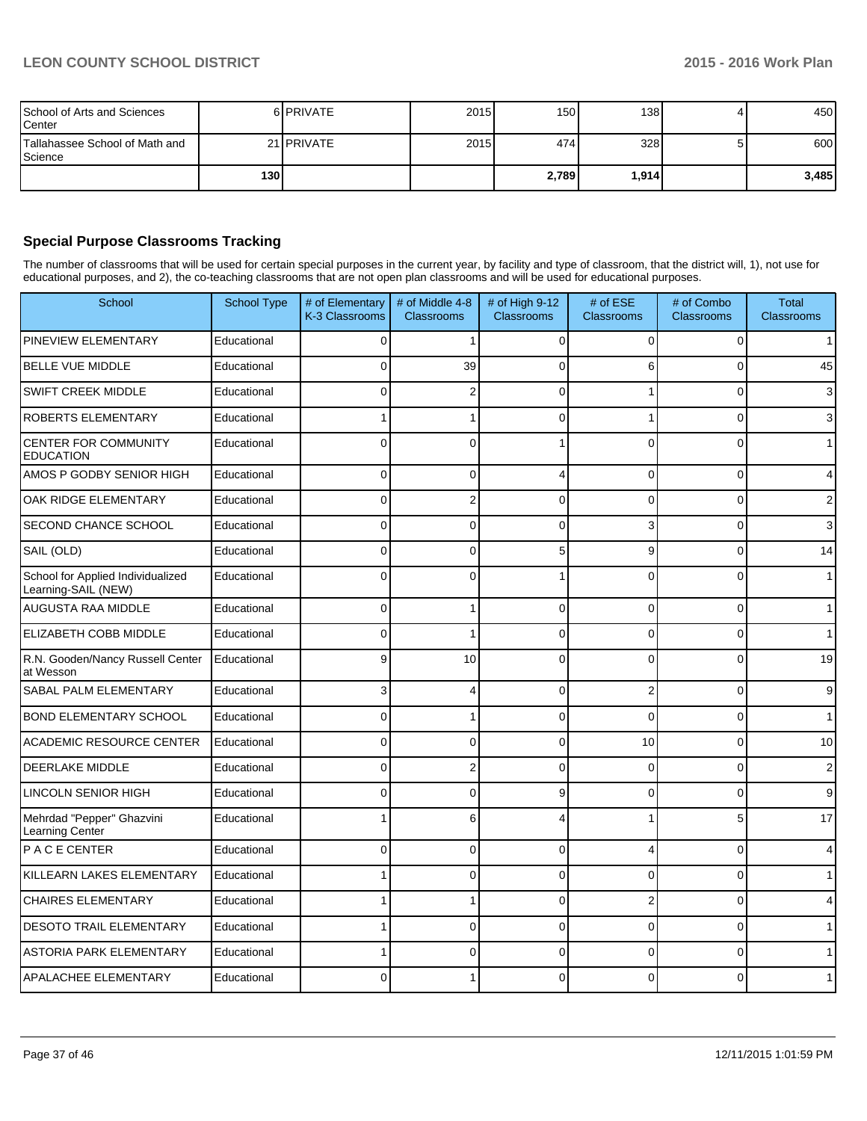| School of Arts and Sciences<br>Center     |                  | 6 PRIVATE  | 2015 | 150 <sup>1</sup> | 138   |   | 450   |
|-------------------------------------------|------------------|------------|------|------------------|-------|---|-------|
| Tallahassee School of Math and<br>Science |                  | 21 PRIVATE | 2015 | 474 l            | 328   | 5 | 600   |
|                                           | 130 <sup>1</sup> |            |      | 2,789            | 1,914 |   | 3,485 |

## **Special Purpose Classrooms Tracking**

The number of classrooms that will be used for certain special purposes in the current year, by facility and type of classroom, that the district will, 1), not use for educational purposes, and 2), the co-teaching classrooms that are not open plan classrooms and will be used for educational purposes.

| School                                                   | School Type | # of Elementary<br>K-3 Classrooms | # of Middle 4-8<br>Classrooms | # of High 9-12<br><b>Classrooms</b> | # of ESE<br>Classrooms | # of Combo<br><b>Classrooms</b> | <b>Total</b><br><b>Classrooms</b> |
|----------------------------------------------------------|-------------|-----------------------------------|-------------------------------|-------------------------------------|------------------------|---------------------------------|-----------------------------------|
| PINEVIEW ELEMENTARY                                      | Educational | 0                                 | 1                             | $\Omega$                            | 0                      | $\Omega$                        | 1 <sup>1</sup>                    |
| <b>BELLE VUE MIDDLE</b>                                  | Educational | 0                                 | 39                            | $\Omega$                            | 6                      | 0                               | 45                                |
| SWIFT CREEK MIDDLE                                       | Educational | $\Omega$                          | $\overline{2}$                | $\Omega$                            |                        | $\mathbf 0$                     | 3                                 |
| ROBERTS ELEMENTARY                                       | Educational |                                   |                               | $\Omega$                            |                        | $\mathbf 0$                     | 3                                 |
| CENTER FOR COMMUNITY<br><b>EDUCATION</b>                 | Educational | $\Omega$                          | $\mathbf{0}$                  |                                     | $\Omega$               | $\Omega$                        | $\mathbf{1}$                      |
| AMOS P GODBY SENIOR HIGH                                 | Educational | 0                                 | $\mathbf{0}$                  | 4                                   | 0                      | 0                               | $\overline{4}$                    |
| OAK RIDGE ELEMENTARY                                     | Educational | $\Omega$                          | $\mathbf 2$                   | $\Omega$                            | $\Omega$               | $\mathbf{0}$                    | $\overline{\mathbf{c}}$           |
| SECOND CHANCE SCHOOL                                     | Educational | 0                                 | $\Omega$                      | $\Omega$                            | 3                      | $\mathbf 0$                     | 3                                 |
| SAIL (OLD)                                               | Educational | $\Omega$                          | $\Omega$                      | 5                                   | 9                      | 0                               | 14                                |
| School for Applied Individualized<br>Learning-SAIL (NEW) | Educational | $\mathbf{0}$                      | $\mathbf{0}$                  |                                     | 0                      | 0                               | 1                                 |
| AUGUSTA RAA MIDDLE                                       | Educational | 0                                 |                               | $\Omega$                            | $\Omega$               | 0                               | $\mathbf{1}$                      |
| ELIZABETH COBB MIDDLE                                    | Educational | 0                                 |                               | $\Omega$                            | 0                      | 0                               | $\mathbf{1}$                      |
| R.N. Gooden/Nancy Russell Center<br>at Wesson            | Educational | 9                                 | 10                            | $\Omega$                            | $\overline{0}$         | $\mathbf{0}$                    | 19                                |
| SABAL PALM ELEMENTARY                                    | Educational | 3                                 | 4                             | $\Omega$                            | $\overline{2}$         | 0                               | 9                                 |
| <b>BOND ELEMENTARY SCHOOL</b>                            | Educational | 0                                 |                               | $\Omega$                            | 0                      | 0                               | 1                                 |
| ACADEMIC RESOURCE CENTER                                 | Educational | 0                                 | $\mathbf{0}$                  | $\Omega$                            | 10                     | 0                               | 10                                |
| DEERLAKE MIDDLE                                          | Educational | 0                                 | $\overline{2}$                | $\Omega$                            | $\Omega$               | $\mathbf 0$                     | $\overline{2}$                    |
| <b>LINCOLN SENIOR HIGH</b>                               | Educational | $\mathbf{0}$                      | $\Omega$                      | 9                                   | 0                      | 0                               | 9                                 |
| Mehrdad "Pepper" Ghazvini<br>Learning Center             | Educational |                                   | 6                             |                                     |                        | 5                               | 17                                |
| PACE CENTER                                              | Educational | 0                                 | 0                             | $\Omega$                            | 4                      | 0                               | 4                                 |
| KILLEARN LAKES ELEMENTARY                                | Educational |                                   | $\Omega$                      | $\Omega$                            | 0                      | $\mathbf{0}$                    | 1                                 |
| <b>CHAIRES ELEMENTARY</b>                                | Educational | 1                                 | 1                             | $\Omega$                            | 2                      | $\mathbf 0$                     | 4                                 |
| <b>DESOTO TRAIL ELEMENTARY</b>                           | Educational | 1                                 | $\overline{0}$                | $\overline{0}$                      | 0                      | $\mathbf{0}$                    | $\mathbf{1}$                      |
| <b>ASTORIA PARK ELEMENTARY</b>                           | Educational |                                   | 0                             | $\Omega$                            | 0                      | 0                               | $\mathbf{1}$                      |
| APALACHEE ELEMENTARY                                     | Educational | $\Omega$                          |                               | $\Omega$                            | 0                      | $\Omega$                        | $\mathbf{1}$                      |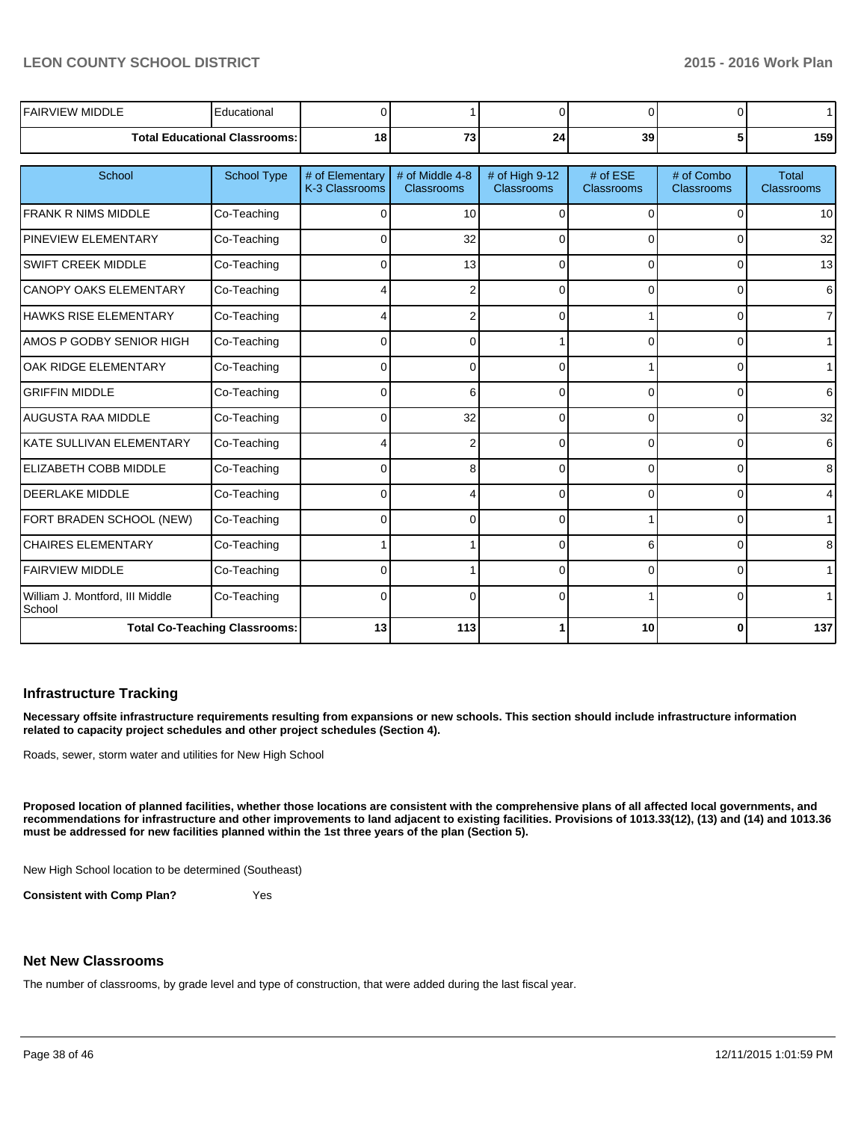| <b>FAIRVIEW MIDDLE</b>                    | Educational                          |                                   |                                      | ∩                                   | <sup>n</sup>                  | 0                               | $\mathbf 1$                       |
|-------------------------------------------|--------------------------------------|-----------------------------------|--------------------------------------|-------------------------------------|-------------------------------|---------------------------------|-----------------------------------|
|                                           | <b>Total Educational Classrooms:</b> | 18                                | 73                                   | 24                                  | 39                            | 5 <sub>1</sub>                  | 159                               |
|                                           |                                      |                                   |                                      |                                     |                               |                                 |                                   |
| School                                    | <b>School Type</b>                   | # of Elementary<br>K-3 Classrooms | # of Middle 4-8<br><b>Classrooms</b> | # of High 9-12<br><b>Classrooms</b> | # of ESE<br><b>Classrooms</b> | # of Combo<br><b>Classrooms</b> | <b>Total</b><br><b>Classrooms</b> |
| <b>FRANK R NIMS MIDDLE</b>                | Co-Teaching                          | $\Omega$                          | 10 <sup>1</sup>                      |                                     | U                             | 0                               | 10                                |
| <b>PINEVIEW ELEMENTARY</b>                | Co-Teaching                          | 0                                 | 32                                   |                                     | $\Omega$                      | $\Omega$                        | 32                                |
| <b>SWIFT CREEK MIDDLE</b>                 | Co-Teaching                          | 0                                 | 13                                   | C                                   | 0                             | 0                               | 13                                |
| <b>CANOPY OAKS ELEMENTARY</b>             | Co-Teaching                          |                                   | 2                                    | ∩                                   | $\Omega$                      | $\Omega$                        | 6                                 |
| <b>HAWKS RISE ELEMENTARY</b>              | Co-Teaching                          |                                   |                                      |                                     |                               | 0                               | $\overline{7}$                    |
| AMOS P GODBY SENIOR HIGH                  | Co-Teaching                          | $\Omega$                          | 0                                    |                                     | $\Omega$                      | 0                               | 1 <sup>1</sup>                    |
| OAK RIDGE ELEMENTARY                      | Co-Teaching                          | $\Omega$                          | 0                                    | ∩                                   |                               | 0                               | $\mathbf{1}$                      |
| <b>GRIFFIN MIDDLE</b>                     | Co-Teaching                          | $\Omega$                          | 6                                    | $\Omega$                            | $\Omega$                      | $\Omega$                        | 6                                 |
| AUGUSTA RAA MIDDLE                        | Co-Teaching                          | $\Omega$                          | 32                                   | U                                   | 0                             | 0                               | 32                                |
| KATE SULLIVAN ELEMENTARY                  | Co-Teaching                          |                                   | 2                                    |                                     | <sup>0</sup>                  | 0                               | 6                                 |
| <b>IELIZABETH COBB MIDDLE</b>             | Co-Teaching                          | U                                 | 8                                    | ∩                                   | $\Omega$                      | 0                               | 8                                 |
| <b>DEERLAKE MIDDLE</b>                    | Co-Teaching                          | U                                 | 4                                    | ∩                                   | $\Omega$                      | 0                               | 4                                 |
| FORT BRADEN SCHOOL (NEW)                  | Co-Teaching                          | $\Omega$                          | 0                                    | $\Omega$                            |                               | $\Omega$                        | $\mathbf{1}$                      |
| <b>CHAIRES ELEMENTARY</b>                 | Co-Teaching                          |                                   |                                      |                                     | 6                             | 0                               | 8                                 |
| <b>FAIRVIEW MIDDLE</b>                    | Co-Teaching                          | U                                 |                                      | ∩                                   | $\Omega$                      | $\Omega$                        | $\mathbf{1}$                      |
| William J. Montford, III Middle<br>School | Co-Teaching                          | O                                 | O                                    |                                     |                               | 0                               | $\mathbf{1}$                      |
|                                           | <b>Total Co-Teaching Classrooms:</b> | 13                                | 113                                  |                                     | 10                            | $\Omega$                        | 137                               |

#### **Infrastructure Tracking**

**Necessary offsite infrastructure requirements resulting from expansions or new schools. This section should include infrastructure information related to capacity project schedules and other project schedules (Section 4).**

Roads, sewer, storm water and utilities for New High School

**Proposed location of planned facilities, whether those locations are consistent with the comprehensive plans of all affected local governments, and recommendations for infrastructure and other improvements to land adjacent to existing facilities. Provisions of 1013.33(12), (13) and (14) and 1013.36 must be addressed for new facilities planned within the 1st three years of the plan (Section 5).**

New High School location to be determined (Southeast)

**Consistent with Comp Plan?** Yes

#### **Net New Classrooms**

The number of classrooms, by grade level and type of construction, that were added during the last fiscal year.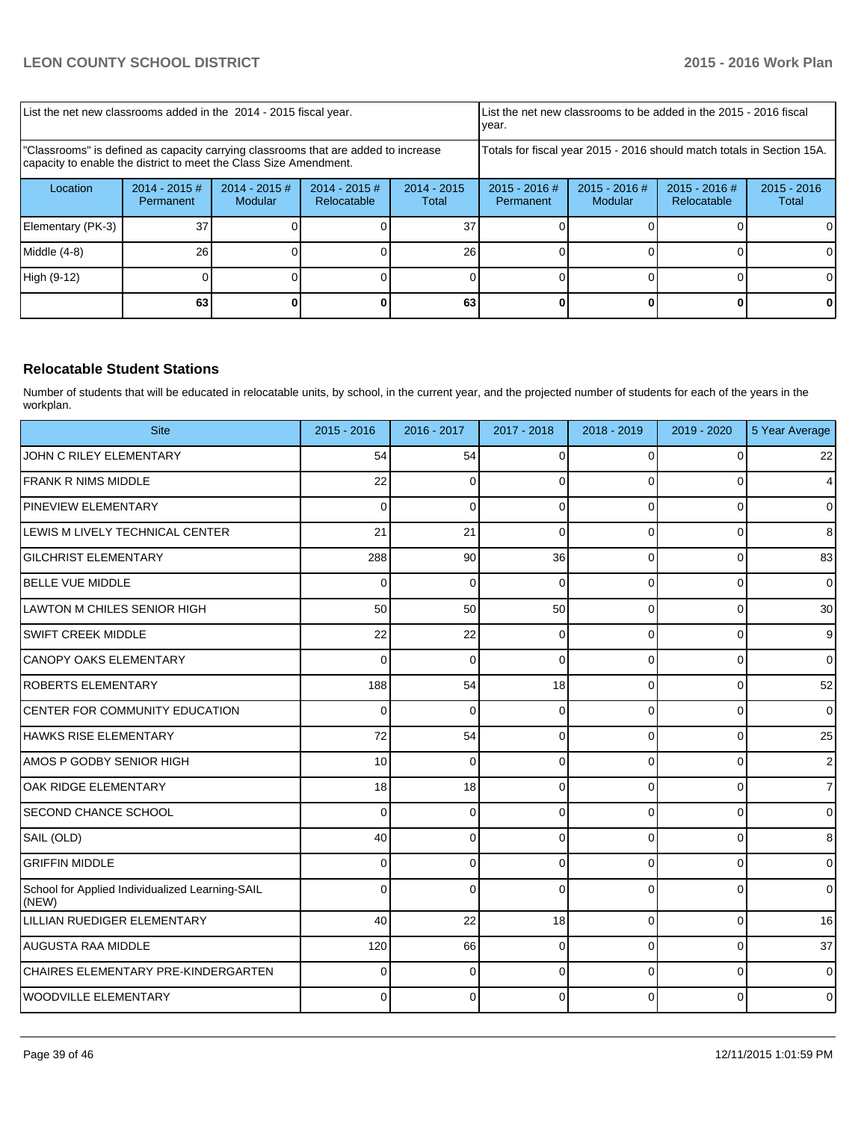| List the net new classrooms added in the 2014 - 2015 fiscal year.                                                                                       |                               |                            |                                                          |    | Llist the net new classrooms to be added in the 2015 - 2016 fiscal<br>Ivear. |                            |                                |                        |
|---------------------------------------------------------------------------------------------------------------------------------------------------------|-------------------------------|----------------------------|----------------------------------------------------------|----|------------------------------------------------------------------------------|----------------------------|--------------------------------|------------------------|
| "Classrooms" is defined as capacity carrying classrooms that are added to increase<br>capacity to enable the district to meet the Class Size Amendment. |                               |                            |                                                          |    | Totals for fiscal year 2015 - 2016 should match totals in Section 15A.       |                            |                                |                        |
| Location                                                                                                                                                | $2014 - 2015 \#$<br>Permanent | $2014 - 2015$ #<br>Modular | $2014 - 2015$ #<br>$2014 - 2015$<br>Relocatable<br>Total |    |                                                                              | $2015 - 2016$ #<br>Modular | $2015 - 2016$ #<br>Relocatable | $2015 - 2016$<br>Total |
| Elementary (PK-3)                                                                                                                                       | 37                            |                            |                                                          | 37 |                                                                              |                            |                                |                        |
| Middle $(4-8)$                                                                                                                                          | 26                            |                            |                                                          | 26 |                                                                              |                            |                                |                        |
| High (9-12)                                                                                                                                             |                               |                            |                                                          |    |                                                                              |                            |                                |                        |
|                                                                                                                                                         | 63                            |                            |                                                          | 63 |                                                                              |                            |                                |                        |

## **Relocatable Student Stations**

Number of students that will be educated in relocatable units, by school, in the current year, and the projected number of students for each of the years in the workplan.

| <b>Site</b>                                              | $2015 - 2016$ | 2016 - 2017  | 2017 - 2018  | 2018 - 2019 | 2019 - 2020    | 5 Year Average |
|----------------------------------------------------------|---------------|--------------|--------------|-------------|----------------|----------------|
| JOHN C RILEY ELEMENTARY                                  | 54            | 54           | 0            | 0           | $\mathbf 0$    | 22             |
| <b>FRANK R NIMS MIDDLE</b>                               | 22            | 0            | 0            | $\Omega$    | 0              | 4              |
| <b>PINEVIEW ELEMENTARY</b>                               | 0             | $\Omega$     | 0            | $\Omega$    | $\Omega$       | $\overline{0}$ |
| LEWIS M LIVELY TECHNICAL CENTER                          | 21            | 21           | $\Omega$     | 0           | 0              | 8              |
| <b>GILCHRIST ELEMENTARY</b>                              | 288           | 90           | 36           | $\Omega$    | 0              | 83             |
| <b>BELLE VUE MIDDLE</b>                                  | 0             | $\Omega$     | $\Omega$     | $\Omega$    | $\overline{0}$ | $\mathbf 0$    |
| LAWTON M CHILES SENIOR HIGH                              | 50            | 50           | 50           | $\Omega$    | $\overline{0}$ | 30             |
| <b>SWIFT CREEK MIDDLE</b>                                | 22            | 22           | $\Omega$     | $\Omega$    | 0              | 9              |
| CANOPY OAKS ELEMENTARY                                   | $\Omega$      | $\Omega$     | $\mathbf{0}$ | $\Omega$    | $\mathbf 0$    | $\overline{0}$ |
| ROBERTS ELEMENTARY                                       | 188           | 54           | 18           | $\Omega$    | $\Omega$       | 52             |
| <b>CENTER FOR COMMUNITY EDUCATION</b>                    | $\Omega$      | $\Omega$     | $\Omega$     | $\Omega$    | $\Omega$       | $\overline{0}$ |
| HAWKS RISE ELEMENTARY                                    | 72            | 54           | $\Omega$     | $\Omega$    | $\Omega$       | 25             |
| AMOS P GODBY SENIOR HIGH                                 | 10            | $\Omega$     | $\mathbf{0}$ | $\Omega$    | $\Omega$       | $\overline{2}$ |
| lOAK RIDGE ELEMENTARY                                    | 18            | 18           | $\Omega$     | $\Omega$    | $\mathbf 0$    | $\overline{7}$ |
| <b>SECOND CHANCE SCHOOL</b>                              | 0             | $\mathbf 0$  | 0            | $\Omega$    | 0              | $\mathbf 0$    |
| SAIL (OLD)                                               | 40            | $\mathbf 0$  | 0            | $\Omega$    | 0              | $\bf 8$        |
| <b>GRIFFIN MIDDLE</b>                                    | 0             | 0            | $\Omega$     | $\Omega$    | $\overline{0}$ | $\mathbf 0$    |
| School for Applied Individualized Learning-SAIL<br>(NEW) | 0             | $\mathbf{0}$ | $\Omega$     | $\Omega$    | $\Omega$       | $\overline{0}$ |
| LILLIAN RUEDIGER ELEMENTARY                              | 40            | 22           | 18           | $\Omega$    | $\overline{0}$ | 16             |
| AUGUSTA RAA MIDDLE                                       | 120           | 66           | 0            | $\Omega$    | 0              | 37             |
| CHAIRES ELEMENTARY PRE-KINDERGARTEN                      | $\Omega$      | $\Omega$     | $\Omega$     | $\Omega$    | $\Omega$       | $\overline{0}$ |
| WOODVILLE ELEMENTARY                                     | 0             | $\Omega$     | $\Omega$     | $\Omega$    | $\Omega$       | $\mathbf{0}$   |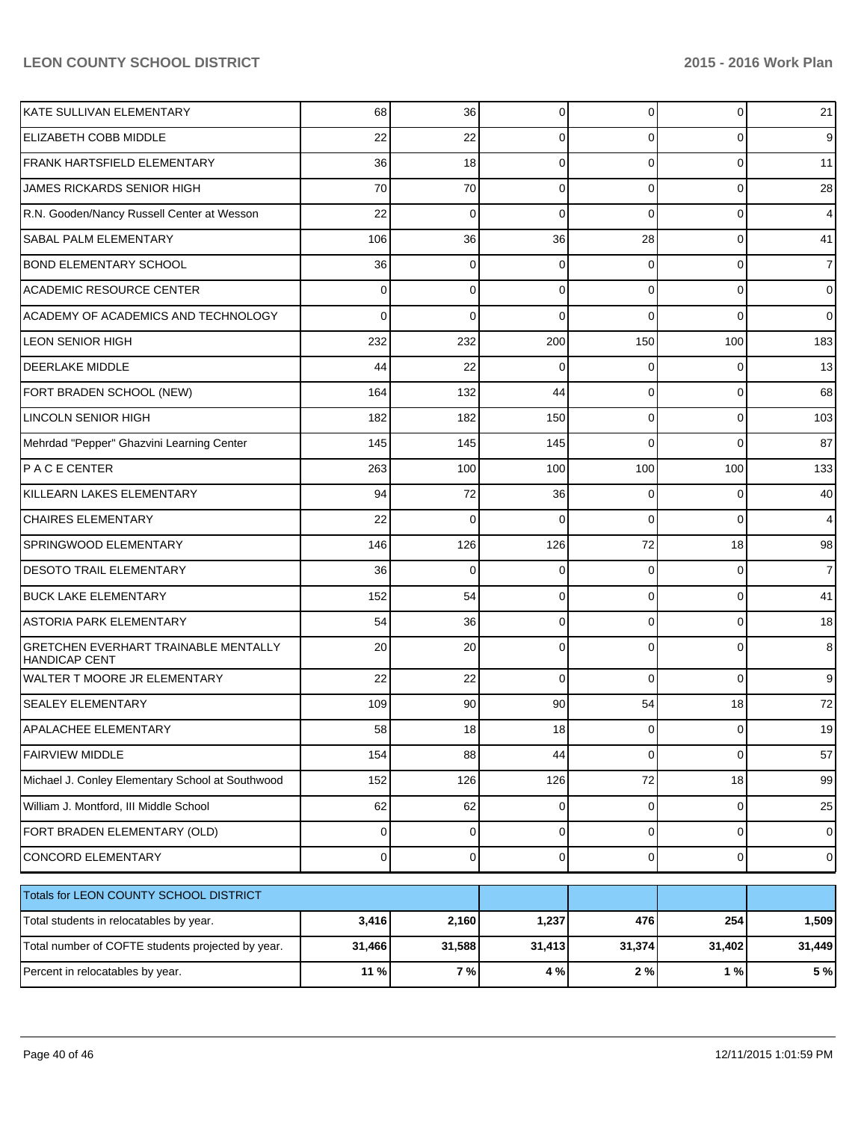| KATE SULLIVAN ELEMENTARY                                            | 68       | 36          | 0           | $\overline{0}$ | 0              | 21             |
|---------------------------------------------------------------------|----------|-------------|-------------|----------------|----------------|----------------|
| ELIZABETH COBB MIDDLE                                               | 22       | 22          | 0           | 0              | $\Omega$       | 9              |
| FRANK HARTSFIELD ELEMENTARY                                         | 36       | 18          | 0           | $\Omega$       | 0              | 11             |
| JAMES RICKARDS SENIOR HIGH                                          | 70       | 70          | 0           | $\Omega$       | 0              | 28             |
| R.N. Gooden/Nancy Russell Center at Wesson                          | 22       | 0           | 0           | $\Omega$       | 0              | $\overline{4}$ |
| SABAL PALM ELEMENTARY                                               | 106      | 36          | 36          | 28             | $\Omega$       | 41             |
| <b>BOND ELEMENTARY SCHOOL</b>                                       | 36       | 0           | 0           | 0              | 0              | $\overline{7}$ |
| <b>ACADEMIC RESOURCE CENTER</b>                                     | 0        | 0           | 0           | $\Omega$       | $\Omega$       | $\overline{0}$ |
| ACADEMY OF ACADEMICS AND TECHNOLOGY                                 | 0        | 0           | O           | 0              | $\Omega$       | $\overline{0}$ |
| <b>LEON SENIOR HIGH</b>                                             | 232      | 232         | 200         | 150            | 100            | 183            |
| <b>DEERLAKE MIDDLE</b>                                              | 44       | 22          | O           | 0              | 0              | 13             |
| FORT BRADEN SCHOOL (NEW)                                            | 164      | 132         | 44          | $\Omega$       | 0              | 68             |
| <b>LINCOLN SENIOR HIGH</b>                                          | 182      | 182         | 150         | 0              | 0              | 103            |
| Mehrdad "Pepper" Ghazvini Learning Center                           | 145      | 145         | 145         | 0              | 0              | 87             |
| PACE CENTER                                                         | 263      | 100         | 100         | 100            | 100            | 133            |
| KILLEARN LAKES ELEMENTARY                                           | 94       | 72          | 36          | 0              | 0              | 40             |
| <b>CHAIRES ELEMENTARY</b>                                           | 22       | 0           | C           | 0              | $\Omega$       | $\overline{4}$ |
| SPRINGWOOD ELEMENTARY                                               | 146      | 126         | 126         | 72             | 18             | 98             |
| <b>DESOTO TRAIL ELEMENTARY</b>                                      | 36       | 0           | O           | 0              | 0              | $\overline{7}$ |
| <b>BUCK LAKE ELEMENTARY</b>                                         | 152      | 54          | 0           | $\Omega$       | 0              | 41             |
| <b>ASTORIA PARK ELEMENTARY</b>                                      | 54       | 36          | 0           | 0              | 0              | 18             |
| <b>GRETCHEN EVERHART TRAINABLE MENTALLY</b><br><b>HANDICAP CENT</b> | 20       | 20          | 0           | 0              | 0              | 8              |
| WALTER T MOORE JR ELEMENTARY                                        | 22       | 22          | $\mathbf 0$ | $\Omega$       | $\Omega$       | 9              |
| <b>SEALEY ELEMENTARY</b>                                            | 109      | 90          | 90          | 54             | 18             | 72             |
| <b>APALACHEE ELEMENTARY</b>                                         | 58       | 18          | 18          | $\overline{0}$ | $\overline{0}$ | 19             |
| <b>FAIRVIEW MIDDLE</b>                                              | 154      | 88          | 44          | $\Omega$       | $\Omega$       | 57             |
| Michael J. Conley Elementary School at Southwood                    | 152      | 126         | 126         | 72             | 18             | 99             |
| William J. Montford, III Middle School                              | 62       | 62          | 0           | $\overline{0}$ | $\overline{0}$ | 25             |
| FORT BRADEN ELEMENTARY (OLD)                                        | $\Omega$ | $\mathbf 0$ | 0           | $\Omega$       | $\overline{0}$ | $\overline{0}$ |
| CONCORD ELEMENTARY                                                  | $\Omega$ | $\mathbf 0$ | 0           | $\overline{0}$ | $\overline{0}$ | $\overline{0}$ |
| Totals for LEON COUNTY SCHOOL DISTRICT                              |          |             |             |                |                |                |
| Total students in relocatables by year.                             | 3,416    | 2,160       | 1,237       | 476            | 254            | 1,509          |
| Total number of COFTE students projected by year.                   | 31,466   | 31,588      | 31,413      | 31,374         | 31,402         | 31,449         |
| Percent in relocatables by year.                                    | 11 %     | $7\%$       | 4 %         | 2%             | $1\%$          | 5 %            |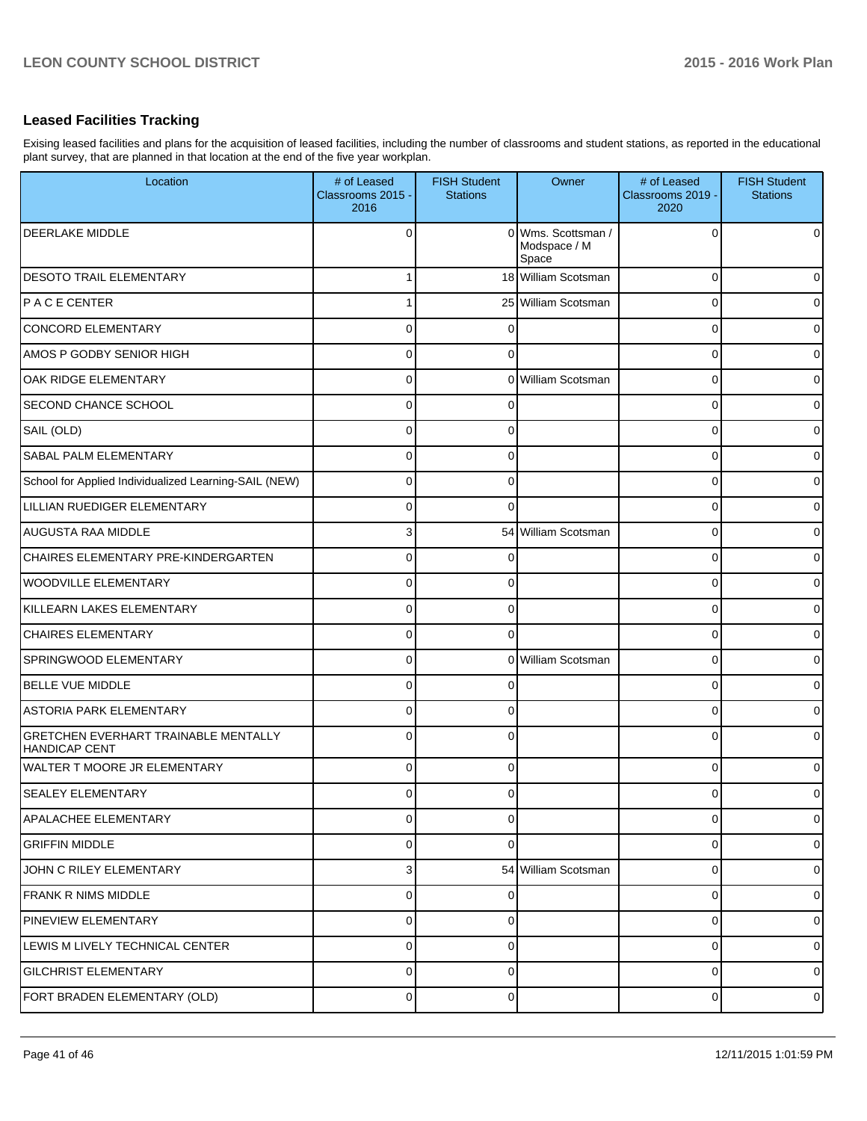# **Leased Facilities Tracking**

Exising leased facilities and plans for the acquisition of leased facilities, including the number of classrooms and student stations, as reported in the educational plant survey, that are planned in that location at the end of the five year workplan.

| Location                                                            | # of Leased<br>Classrooms 2015 -<br>2016 | <b>FISH Student</b><br><b>Stations</b> | Owner                                       | # of Leased<br>Classrooms 2019 -<br>2020 | <b>FISH Student</b><br><b>Stations</b> |
|---------------------------------------------------------------------|------------------------------------------|----------------------------------------|---------------------------------------------|------------------------------------------|----------------------------------------|
| <b>DEERLAKE MIDDLE</b>                                              | $\Omega$                                 |                                        | 0 Wms. Scottsman /<br>Modspace / M<br>Space | 0                                        | $\overline{0}$                         |
| <b>DESOTO TRAIL ELEMENTARY</b>                                      | 1                                        |                                        | 18 William Scotsman                         | $\Omega$                                 | 0                                      |
| <b>IPACE CENTER</b>                                                 |                                          |                                        | 25 William Scotsman                         | $\Omega$                                 | 0                                      |
| <b>CONCORD ELEMENTARY</b>                                           | $\Omega$                                 | $\Omega$                               |                                             | $\Omega$                                 | $\overline{0}$                         |
| AMOS P GODBY SENIOR HIGH                                            | $\mathbf 0$                              | $\Omega$                               |                                             | $\Omega$                                 | $\overline{0}$                         |
| OAK RIDGE ELEMENTARY                                                | $\mathbf 0$                              |                                        | 0 William Scotsman                          | $\Omega$                                 | $\overline{0}$                         |
| SECOND CHANCE SCHOOL                                                | $\mathbf 0$                              | $\Omega$                               |                                             | $\Omega$                                 | 0                                      |
| SAIL (OLD)                                                          | $\Omega$                                 | $\Omega$                               |                                             | $\Omega$                                 | $\overline{0}$                         |
| SABAL PALM ELEMENTARY                                               | $\Omega$                                 | $\Omega$                               |                                             | $\Omega$                                 | 0                                      |
| School for Applied Individualized Learning-SAIL (NEW)               | $\mathbf 0$                              | $\mathbf{0}$                           |                                             | $\Omega$                                 | $\overline{0}$                         |
| LILLIAN RUEDIGER ELEMENTARY                                         | $\mathbf 0$                              | $\Omega$                               |                                             | $\Omega$                                 | $\overline{0}$                         |
| IAUGUSTA RAA MIDDLE                                                 | 3                                        |                                        | 54 William Scotsman                         | $\Omega$                                 | $\overline{0}$                         |
| CHAIRES ELEMENTARY PRE-KINDERGARTEN                                 | $\mathbf 0$                              | $\Omega$                               |                                             | $\Omega$                                 | 0                                      |
| <b>WOODVILLE ELEMENTARY</b>                                         | $\Omega$                                 | $\Omega$                               |                                             | $\Omega$                                 | $\overline{0}$                         |
| KILLEARN LAKES ELEMENTARY                                           | $\Omega$                                 | $\mathbf{0}$                           |                                             | $\Omega$                                 | 0                                      |
| <b>CHAIRES ELEMENTARY</b>                                           | $\mathbf 0$                              | $\Omega$                               |                                             | $\Omega$                                 | $\overline{0}$                         |
| <b>SPRINGWOOD ELEMENTARY</b>                                        | $\mathbf 0$                              |                                        | 0 William Scotsman                          | $\Omega$                                 | $\overline{0}$                         |
| <b>BELLE VUE MIDDLE</b>                                             | $\mathbf 0$                              | $\Omega$                               |                                             | $\Omega$                                 | $\overline{0}$                         |
| <b>ASTORIA PARK ELEMENTARY</b>                                      | $\overline{0}$                           | $\Omega$                               |                                             | $\Omega$                                 | $\overline{0}$                         |
| <b>GRETCHEN EVERHART TRAINABLE MENTALLY</b><br><b>HANDICAP CENT</b> | $\Omega$                                 | $\Omega$                               |                                             | O                                        | 0                                      |
| <b>WALTER T MOORE JR ELEMENTARY</b>                                 | $\Omega$                                 | 0                                      |                                             | 0                                        | $\overline{0}$                         |
| <b>SEALEY ELEMENTARY</b>                                            | 0                                        | 0                                      |                                             | U                                        | $\overline{0}$                         |
| <b>APALACHEE ELEMENTARY</b>                                         | $\mathbf 0$                              | 0                                      |                                             | 0                                        | $\overline{0}$                         |
| <b>GRIFFIN MIDDLE</b>                                               | 0                                        | 0                                      |                                             | 0                                        | $\overline{0}$                         |
| JOHN C RILEY ELEMENTARY                                             | 3                                        |                                        | 54 William Scotsman                         | 0                                        | $\overline{0}$                         |
| <b>FRANK R NIMS MIDDLE</b>                                          | 0                                        | 0                                      |                                             | 0                                        | $\overline{0}$                         |
| PINEVIEW ELEMENTARY                                                 | 0                                        | 0                                      |                                             | 0                                        | $\overline{0}$                         |
| LEWIS M LIVELY TECHNICAL CENTER                                     | $\mathbf 0$                              | 0                                      |                                             | 0                                        | $\overline{0}$                         |
| <b>GILCHRIST ELEMENTARY</b>                                         | 0                                        | 0                                      |                                             | 0                                        | $\overline{0}$                         |
| FORT BRADEN ELEMENTARY (OLD)                                        | $\pmb{0}$                                | 0                                      |                                             | 0                                        | $\overline{0}$                         |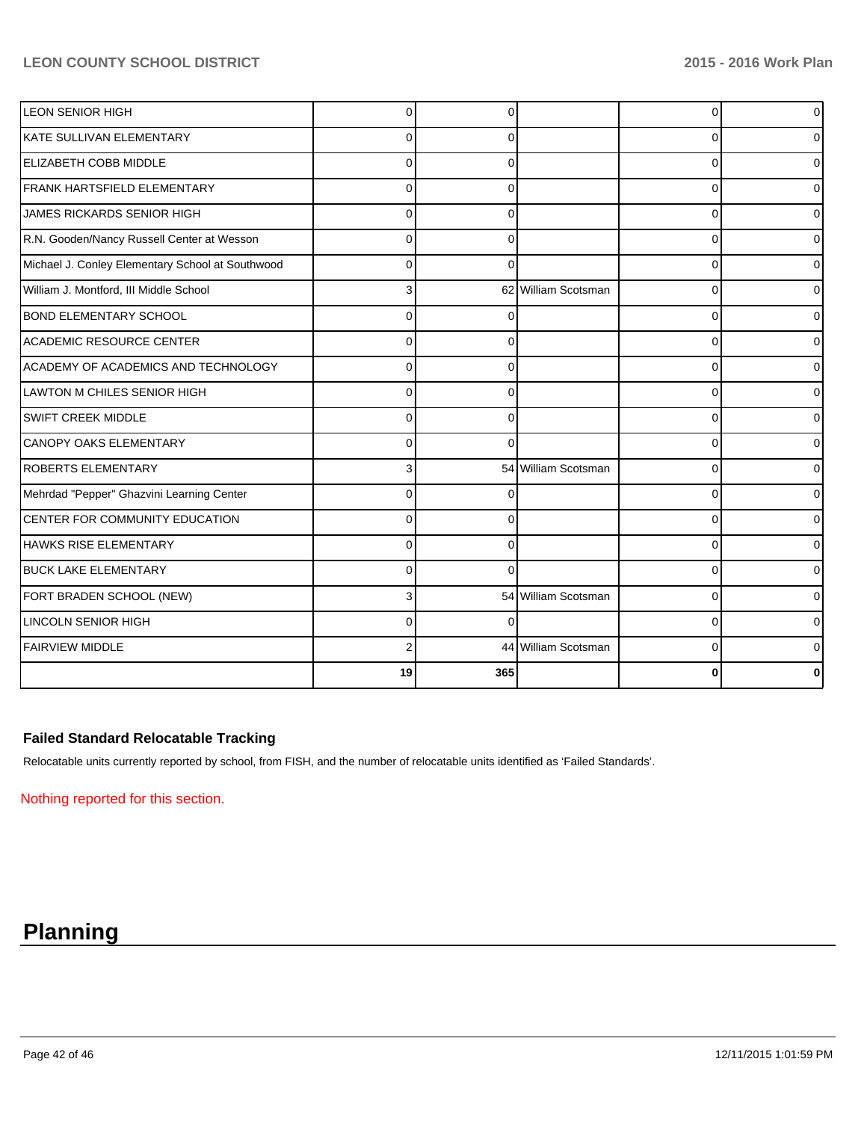| <b>LEON SENIOR HIGH</b>                          | $\Omega$ | n        |                     | $\Omega$ | ٥l |
|--------------------------------------------------|----------|----------|---------------------|----------|----|
| KATE SULLIVAN ELEMENTARY                         | $\Omega$ | $\Omega$ |                     | 0        | ი  |
| <b>ELIZABETH COBB MIDDLE</b>                     | 0        | 0        |                     | 0        | 0  |
| FRANK HARTSFIELD ELEMENTARY                      | $\Omega$ | ∩        |                     | $\Omega$ | 0  |
| <b>JAMES RICKARDS SENIOR HIGH</b>                | $\Omega$ | $\Omega$ |                     | 0        | 0  |
| R.N. Gooden/Nancy Russell Center at Wesson       | $\Omega$ | $\Omega$ |                     | 0        | 0  |
| Michael J. Conley Elementary School at Southwood | $\Omega$ | $\Omega$ |                     | $\Omega$ | 0  |
| William J. Montford, III Middle School           | 3        |          | 62 William Scotsman | $\Omega$ | 0  |
| <b>BOND ELEMENTARY SCHOOL</b>                    | $\Omega$ |          |                     | 0        | 0  |
| ACADEMIC RESOURCE CENTER                         | $\Omega$ | 0        |                     | $\Omega$ | 0  |
| ACADEMY OF ACADEMICS AND TECHNOLOGY              | $\Omega$ | $\Omega$ |                     | $\Omega$ | 0  |
| <b>LAWTON M CHILES SENIOR HIGH</b>               | 0        | $\Omega$ |                     | $\Omega$ | 0  |
| SWIFT CREEK MIDDLE                               | 0        | $\Omega$ |                     | 0        | 0  |
| <b>CANOPY OAKS ELEMENTARY</b>                    | $\Omega$ | ∩        |                     | $\Omega$ | 0  |
| <b>ROBERTS ELEMENTARY</b>                        | 3        |          | 54 William Scotsman | $\Omega$ | 0  |
| Mehrdad "Pepper" Ghazvini Learning Center        | 0        | 0        |                     | 0        | 0  |
| CENTER FOR COMMUNITY EDUCATION                   | $\Omega$ |          |                     | $\Omega$ | 0  |
| <b>HAWKS RISE ELEMENTARY</b>                     | $\Omega$ | $\Omega$ |                     | $\Omega$ | 0  |
| <b>BUCK LAKE ELEMENTARY</b>                      | $\Omega$ | ∩        |                     | $\Omega$ | 0  |
| FORT BRADEN SCHOOL (NEW)                         | 3        |          | 54 William Scotsman | $\Omega$ | 0  |
| <b>LINCOLN SENIOR HIGH</b>                       | $\Omega$ | $\Omega$ |                     | 0        | 0  |
| <b>FAIRVIEW MIDDLE</b>                           |          |          | 44 William Scotsman | $\Omega$ | 0  |
|                                                  | 19       | 365      |                     | 0        | 0  |

## **Failed Standard Relocatable Tracking**

Relocatable units currently reported by school, from FISH, and the number of relocatable units identified as 'Failed Standards'.

Nothing reported for this section.

# **Planning**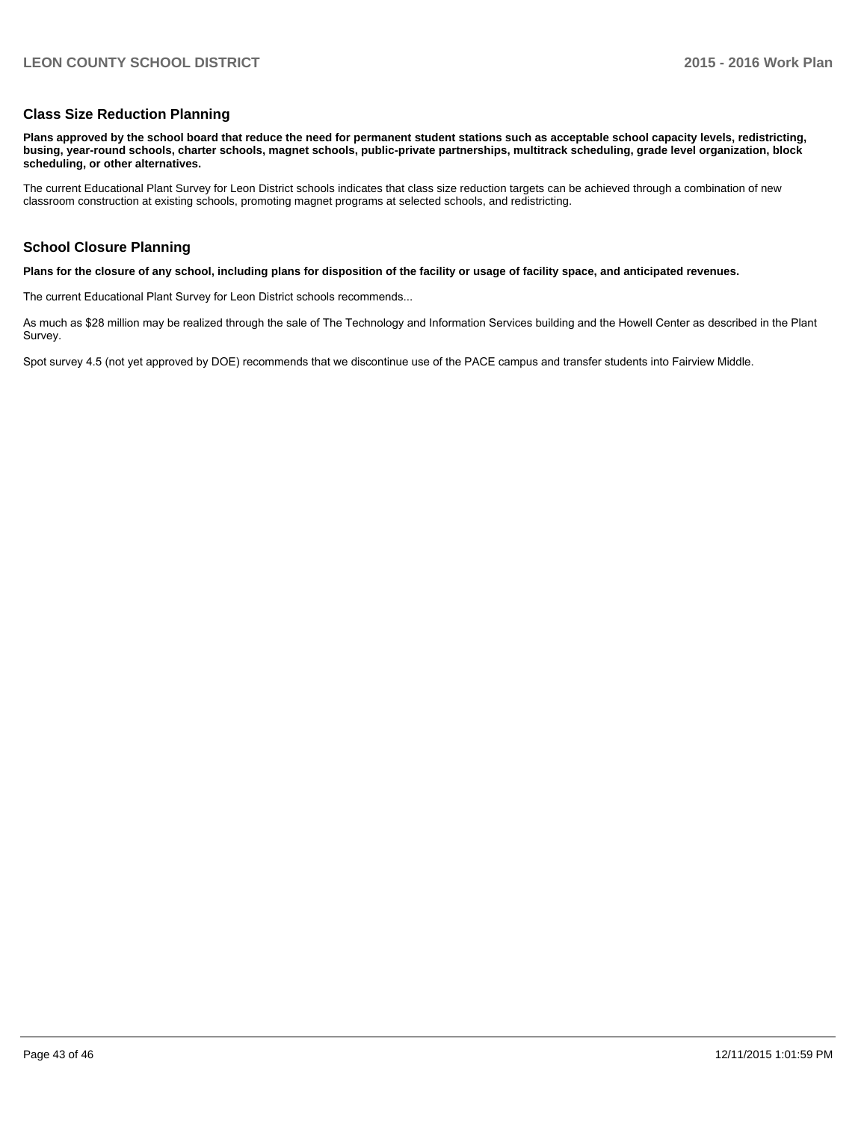#### **Class Size Reduction Planning**

**Plans approved by the school board that reduce the need for permanent student stations such as acceptable school capacity levels, redistricting, busing, year-round schools, charter schools, magnet schools, public-private partnerships, multitrack scheduling, grade level organization, block scheduling, or other alternatives.**

The current Educational Plant Survey for Leon District schools indicates that class size reduction targets can be achieved through a combination of new classroom construction at existing schools, promoting magnet programs at selected schools, and redistricting.

#### **School Closure Planning**

**Plans for the closure of any school, including plans for disposition of the facility or usage of facility space, and anticipated revenues.**

The current Educational Plant Survey for Leon District schools recommends...

As much as \$28 million may be realized through the sale of The Technology and Information Services building and the Howell Center as described in the Plant Survey.

Spot survey 4.5 (not yet approved by DOE) recommends that we discontinue use of the PACE campus and transfer students into Fairview Middle.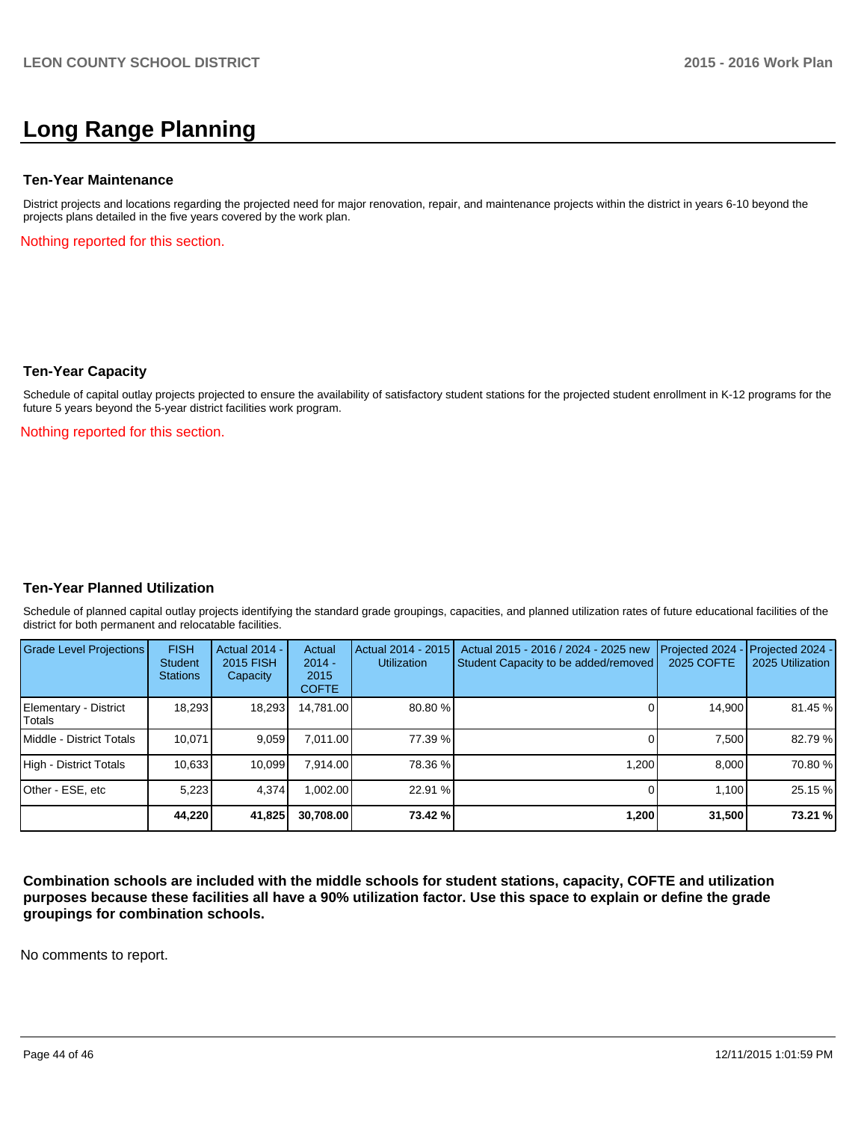# **Long Range Planning**

#### **Ten-Year Maintenance**

District projects and locations regarding the projected need for major renovation, repair, and maintenance projects within the district in years 6-10 beyond the projects plans detailed in the five years covered by the work plan.

Nothing reported for this section.

#### **Ten-Year Capacity**

Schedule of capital outlay projects projected to ensure the availability of satisfactory student stations for the projected student enrollment in K-12 programs for the future 5 years beyond the 5-year district facilities work program.

Nothing reported for this section.

#### **Ten-Year Planned Utilization**

Schedule of planned capital outlay projects identifying the standard grade groupings, capacities, and planned utilization rates of future educational facilities of the district for both permanent and relocatable facilities.

| <b>Grade Level Projections</b>  | <b>FISH</b><br><b>Student</b><br><b>Stations</b> | <b>Actual 2014 -</b><br>2015 FISH<br>Capacity | Actual<br>$2014 -$<br>2015<br><b>COFTE</b> | Actual 2014 - 2015<br><b>Utilization</b> | Actual 2015 - 2016 / 2024 - 2025 new<br>Student Capacity to be added/removed | Projected 2024<br>2025 COFTE | $-$ Projected 2024 -<br>2025 Utilization |
|---------------------------------|--------------------------------------------------|-----------------------------------------------|--------------------------------------------|------------------------------------------|------------------------------------------------------------------------------|------------------------------|------------------------------------------|
| Elementary - District<br>Totals | 18.293                                           | 18,293                                        | 14.781.00                                  | 80.80%                                   |                                                                              | 14.900                       | 81.45 %                                  |
| Middle - District Totals        | 10.071                                           | 9.059                                         | 7.011.00                                   | 77.39 %                                  |                                                                              | 7.500                        | 82.79 %                                  |
| High - District Totals          | 10.633                                           | 10.099                                        | 7.914.00                                   | 78.36 %                                  | 1.200                                                                        | 8.000                        | 70.80 %                                  |
| Other - ESE, etc                | 5,223                                            | 4,374                                         | .002.00                                    | 22.91 %                                  |                                                                              | 1.100                        | 25.15 %                                  |
|                                 | 44,220                                           | 41,825                                        | 30.708.00                                  | 73.42 %                                  | 1,200                                                                        | 31,500                       | 73.21 %                                  |

**Combination schools are included with the middle schools for student stations, capacity, COFTE and utilization purposes because these facilities all have a 90% utilization factor. Use this space to explain or define the grade groupings for combination schools.**

No comments to report.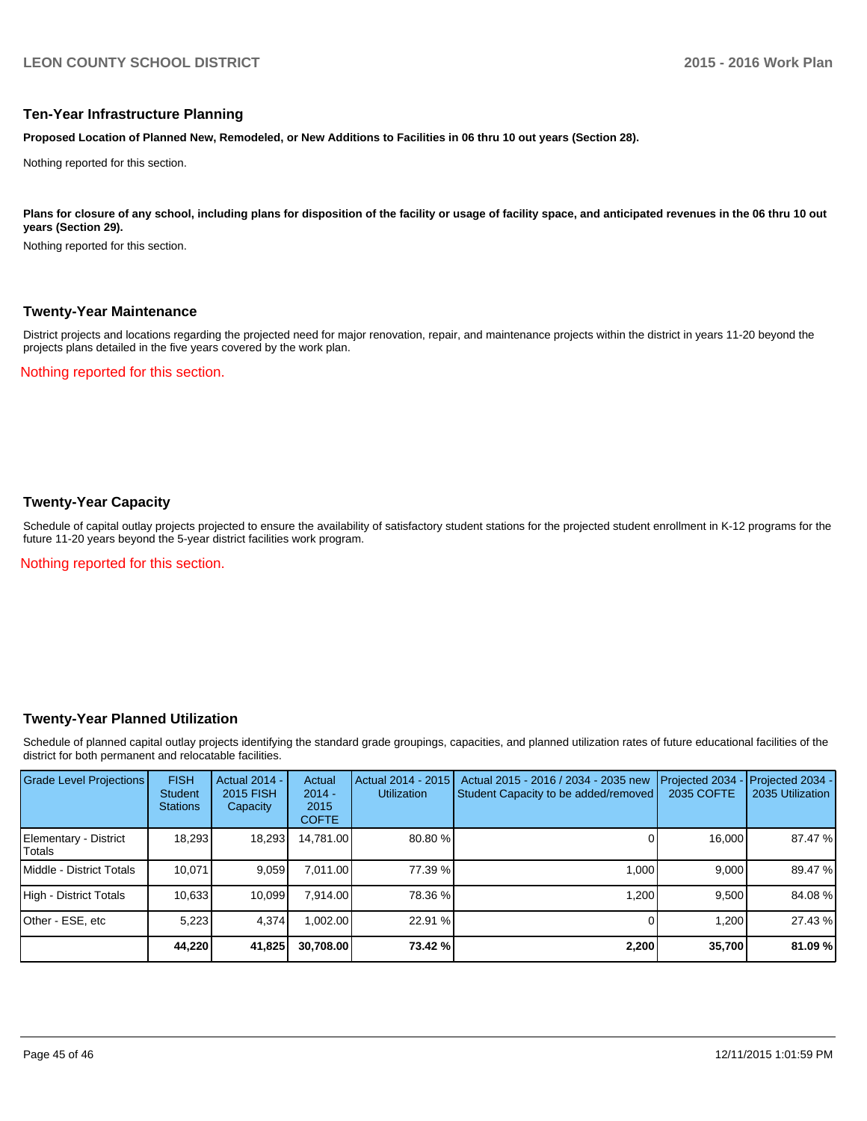#### **Ten-Year Infrastructure Planning**

**Proposed Location of Planned New, Remodeled, or New Additions to Facilities in 06 thru 10 out years (Section 28).**

Nothing reported for this section.

Plans for closure of any school, including plans for disposition of the facility or usage of facility space, and anticipated revenues in the 06 thru 10 out **years (Section 29).**

Nothing reported for this section.

#### **Twenty-Year Maintenance**

District projects and locations regarding the projected need for major renovation, repair, and maintenance projects within the district in years 11-20 beyond the projects plans detailed in the five years covered by the work plan.

Nothing reported for this section.

### **Twenty-Year Capacity**

Schedule of capital outlay projects projected to ensure the availability of satisfactory student stations for the projected student enrollment in K-12 programs for the future 11-20 years beyond the 5-year district facilities work program.

Nothing reported for this section.

#### **Twenty-Year Planned Utilization**

Schedule of planned capital outlay projects identifying the standard grade groupings, capacities, and planned utilization rates of future educational facilities of the district for both permanent and relocatable facilities.

| <b>Grade Level Projections</b>   | <b>FISH</b><br><b>Student</b><br><b>Stations</b> | <b>Actual 2014 -</b><br>2015 FISH<br>Capacity | Actual<br>$2014 -$<br>2015<br><b>COFTE</b> | Actual 2014 - 2015<br><b>Utilization</b> | Actual 2015 - 2016 / 2034 - 2035 new<br>Student Capacity to be added/removed | Projected 2034<br>2035 COFTE | Projected 2034 -<br>2035 Utilization |
|----------------------------------|--------------------------------------------------|-----------------------------------------------|--------------------------------------------|------------------------------------------|------------------------------------------------------------------------------|------------------------------|--------------------------------------|
| Elementary - District<br> Totals | 18,293                                           | 18,293                                        | 14.781.00                                  | 80.80%                                   |                                                                              | 16,000                       | 87.47 %                              |
| Middle - District Totals         | 10.071                                           | 9,059                                         | 7.011.00                                   | 77.39 %                                  | 1.000                                                                        | 9.000                        | 89.47 %                              |
| High - District Totals           | 10.633                                           | 10.099                                        | 7.914.00                                   | 78.36 %                                  | 1.200                                                                        | 9.500                        | 84.08%                               |
| Other - ESE, etc                 | 5,223                                            | 4,374                                         | 002.00                                     | 22.91 %                                  |                                                                              | 1,200                        | 27.43 %                              |
|                                  | 44,220                                           | 41,825                                        | 30,708.00                                  | 73.42 %                                  | 2,200                                                                        | 35,700                       | 81.09 %                              |